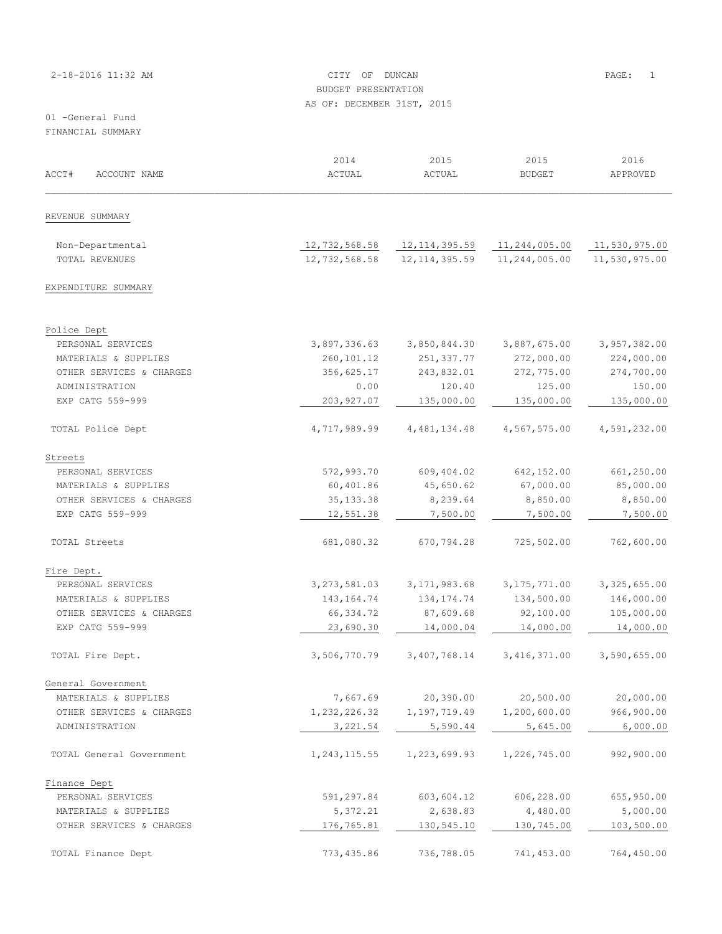| 2-18-2016 11:32 AM | CITY OF DUNCAN             | PAGE: |  |
|--------------------|----------------------------|-------|--|
|                    | BUDGET PRESENTATION        |       |  |
|                    | AS OF: DECEMBER 31ST, 2015 |       |  |

| ACCT#<br>ACCOUNT NAME    | 2014<br>ACTUAL | 2015<br>ACTUAL  | 2015<br><b>BUDGET</b> | 2016<br>APPROVED |
|--------------------------|----------------|-----------------|-----------------------|------------------|
| REVENUE SUMMARY          |                |                 |                       |                  |
| Non-Departmental         | 12,732,568.58  | 12, 114, 395.59 | 11,244,005.00         | 11,530,975.00    |
| TOTAL REVENUES           | 12,732,568.58  | 12, 114, 395.59 | 11,244,005.00         | 11,530,975.00    |
| EXPENDITURE SUMMARY      |                |                 |                       |                  |
| Police Dept              |                |                 |                       |                  |
| PERSONAL SERVICES        | 3,897,336.63   | 3,850,844.30    | 3,887,675.00          | 3,957,382.00     |
| MATERIALS & SUPPLIES     | 260, 101.12    | 251,337.77      | 272,000.00            | 224,000.00       |
| OTHER SERVICES & CHARGES | 356,625.17     | 243,832.01      | 272,775.00            | 274,700.00       |
| ADMINISTRATION           | 0.00           | 120.40          | 125.00                | 150.00           |
| EXP CATG 559-999         | 203, 927.07    | 135,000.00      | 135,000.00            | 135,000.00       |
| TOTAL Police Dept        | 4,717,989.99   | 4, 481, 134.48  | 4,567,575.00          | 4,591,232.00     |
| Streets                  |                |                 |                       |                  |
| PERSONAL SERVICES        | 572,993.70     | 609,404.02      | 642,152.00            | 661,250.00       |
| MATERIALS & SUPPLIES     | 60,401.86      | 45,650.62       | 67,000.00             | 85,000.00        |
| OTHER SERVICES & CHARGES | 35, 133.38     | 8,239.64        | 8,850.00              | 8,850.00         |
| EXP CATG 559-999         | 12,551.38      | 7,500.00        | 7,500.00              | 7,500.00         |
| TOTAL Streets            | 681,080.32     | 670,794.28      | 725,502.00            | 762,600.00       |
| Fire Dept.               |                |                 |                       |                  |
| PERSONAL SERVICES        | 3, 273, 581.03 | 3, 171, 983.68  | 3, 175, 771.00        | 3,325,655.00     |
| MATERIALS & SUPPLIES     | 143, 164. 74   | 134, 174. 74    | 134,500.00            | 146,000.00       |
| OTHER SERVICES & CHARGES | 66,334.72      | 87,609.68       | 92,100.00             | 105,000.00       |
| EXP CATG 559-999         | 23,690.30      | 14,000.04       | 14,000.00             | 14,000.00        |
| TOTAL Fire Dept.         | 3,506,770.79   | 3,407,768.14    | 3, 416, 371.00        | 3,590,655.00     |
| General Government       |                |                 |                       |                  |
| MATERIALS & SUPPLIES     | 7,667.69       | 20,390.00       | 20,500.00             | 20,000.00        |
| OTHER SERVICES & CHARGES | 1,232,226.32   | 1, 197, 719.49  | 1,200,600.00          | 966,900.00       |
| ADMINISTRATION           | 3,221.54       | 5,590.44        | 5,645.00              | 6,000.00         |
| TOTAL General Government | 1, 243, 115.55 | 1,223,699.93    | 1,226,745.00          | 992,900.00       |
| Finance Dept             |                |                 |                       |                  |
| PERSONAL SERVICES        | 591,297.84     | 603,604.12      | 606,228.00            | 655,950.00       |
| MATERIALS & SUPPLIES     | 5,372.21       | 2,638.83        | 4,480.00              | 5,000.00         |
| OTHER SERVICES & CHARGES | 176,765.81     | 130,545.10      | 130,745.00            | 103,500.00       |
| TOTAL Finance Dept       | 773,435.86     | 736,788.05      | 741,453.00            | 764,450.00       |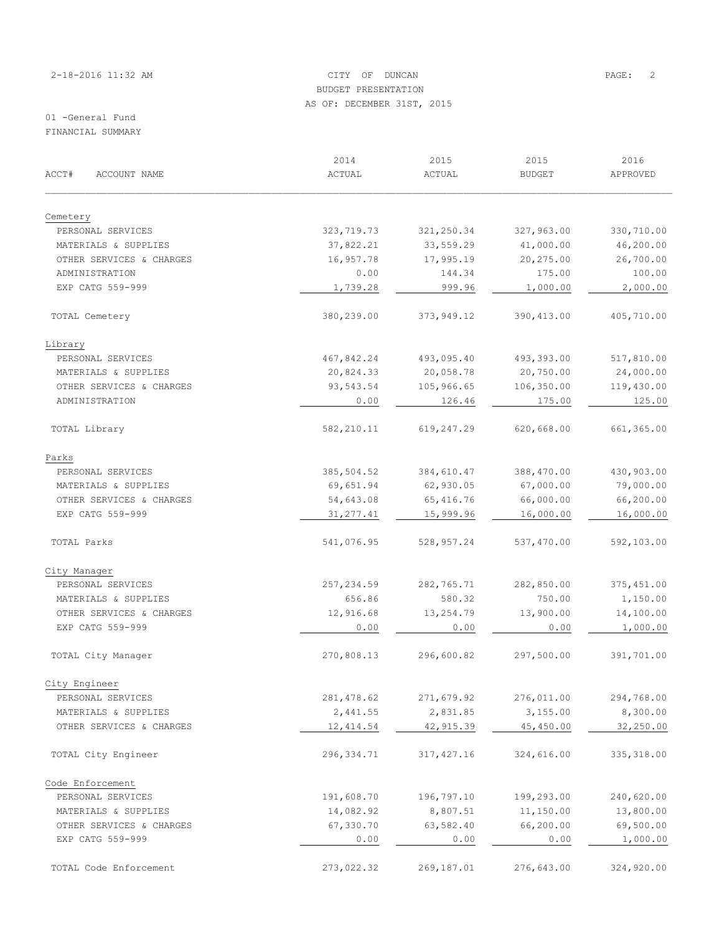# 2-18-2016 11:32 AM CITY OF DUNCAN PAGE: 2 BUDGET PRESENTATION AS OF: DECEMBER 31ST, 2015

| ACCT#<br>ACCOUNT NAME    | 2014                            | 2015        | 2015          | 2016        |  |
|--------------------------|---------------------------------|-------------|---------------|-------------|--|
|                          | ACTUAL                          | ACTUAL      | <b>BUDGET</b> | APPROVED    |  |
| Cemetery                 |                                 |             |               |             |  |
| PERSONAL SERVICES        | 323, 719.73                     | 321,250.34  | 327,963.00    | 330,710.00  |  |
| MATERIALS & SUPPLIES     | 37,822.21                       | 33,559.29   | 41,000.00     | 46,200.00   |  |
| OTHER SERVICES & CHARGES | 16,957.78                       | 17,995.19   | 20,275.00     | 26,700.00   |  |
| ADMINISTRATION           | 0.00                            | 144.34      | 175.00        | 100.00      |  |
| EXP CATG 559-999         | 1,739.28                        | 999.96      | 1,000.00      | 2,000.00    |  |
|                          |                                 |             |               |             |  |
| TOTAL Cemetery           | 380,239.00                      | 373,949.12  | 390, 413.00   | 405,710.00  |  |
| Library                  |                                 |             |               |             |  |
| PERSONAL SERVICES        | 467,842.24                      | 493,095.40  | 493,393.00    | 517,810.00  |  |
| MATERIALS & SUPPLIES     | 20,824.33                       | 20,058.78   | 20,750.00     | 24,000.00   |  |
| OTHER SERVICES & CHARGES | 93,543.54                       | 105,966.65  | 106,350.00    | 119,430.00  |  |
| ADMINISTRATION           | 0.00                            | 126.46      | 175.00        | 125.00      |  |
| TOTAL Library            | 582, 210.11                     | 619,247.29  | 620,668.00    | 661,365.00  |  |
| Parks                    |                                 |             |               |             |  |
| PERSONAL SERVICES        | 385,504.52                      | 384,610.47  | 388,470.00    | 430,903.00  |  |
| MATERIALS & SUPPLIES     | 69,651.94                       | 62,930.05   | 67,000.00     | 79,000.00   |  |
| OTHER SERVICES & CHARGES | 54,643.08                       | 65, 416.76  | 66,000.00     | 66,200.00   |  |
| EXP CATG 559-999         | 31, 277.41                      | 15,999.96   | 16,000.00     | 16,000.00   |  |
| TOTAL Parks              | 541,076.95                      | 528,957.24  | 537,470.00    | 592,103.00  |  |
| City Manager             |                                 |             |               |             |  |
| PERSONAL SERVICES        | 257, 234.59                     | 282,765.71  | 282,850.00    | 375,451.00  |  |
| MATERIALS & SUPPLIES     | 656.86                          | 580.32      | 750.00        | 1,150.00    |  |
| OTHER SERVICES & CHARGES | 12,916.68                       | 13,254.79   | 13,900.00     | 14,100.00   |  |
| EXP CATG 559-999         | ${\bf 0}$ . ${\bf 0}$ ${\bf 0}$ | 0.00        | 0.00          | 1,000.00    |  |
| TOTAL City Manager       | 270,808.13                      | 296,600.82  | 297,500.00    | 391,701.00  |  |
| City Engineer            |                                 |             |               |             |  |
| PERSONAL SERVICES        | 281, 478.62                     | 271,679.92  | 276,011.00    | 294,768.00  |  |
| MATERIALS & SUPPLIES     | 2,441.55                        | 2,831.85    | 3,155.00      | 8,300.00    |  |
| OTHER SERVICES & CHARGES | 12, 414.54                      | 42, 915.39  | 45,450.00     | 32,250.00   |  |
| TOTAL City Engineer      | 296,334.71                      | 317, 427.16 | 324,616.00    | 335, 318.00 |  |
| Code Enforcement         |                                 |             |               |             |  |
| PERSONAL SERVICES        | 191,608.70                      | 196,797.10  | 199,293.00    | 240,620.00  |  |
| MATERIALS & SUPPLIES     | 14,082.92                       | 8,807.51    | 11,150.00     | 13,800.00   |  |
| OTHER SERVICES & CHARGES | 67,330.70                       | 63,582.40   | 66,200.00     | 69,500.00   |  |
| EXP CATG 559-999         | 0.00                            | 0.00        | 0.00          | 1,000.00    |  |
| TOTAL Code Enforcement   | 273,022.32                      | 269,187.01  | 276,643.00    | 324,920.00  |  |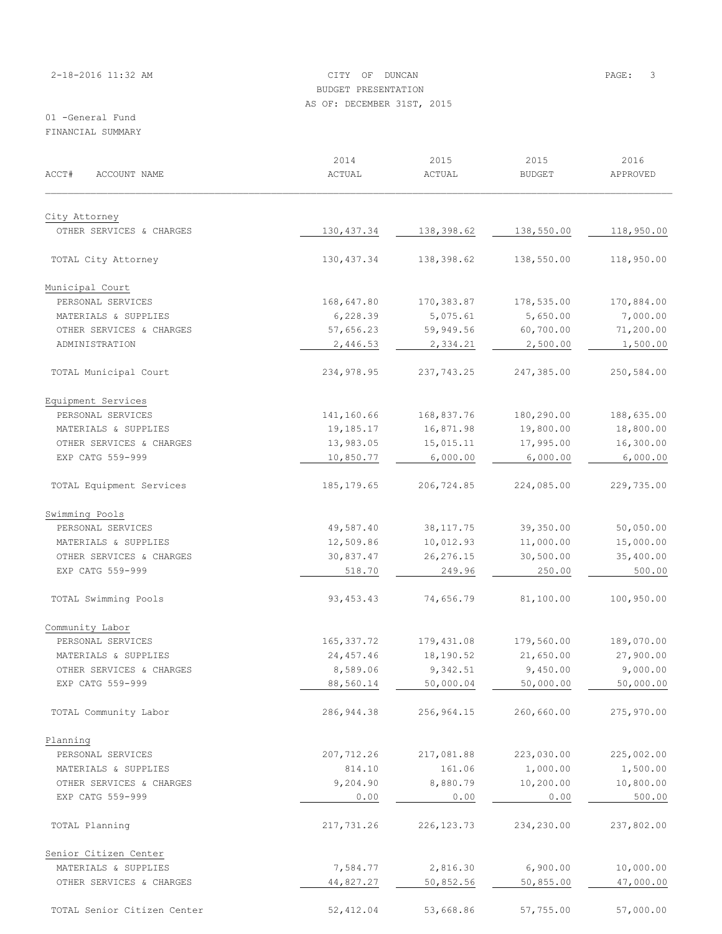# 2-18-2016 11:32 AM CITY OF DUNCAN PAGE: 3 BUDGET PRESENTATION AS OF: DECEMBER 31ST, 2015

| ACCT#<br>ACCOUNT NAME       | 2014<br><b>ACTUAL</b> | 2015<br>ACTUAL | 2015<br><b>BUDGET</b> | 2016<br>APPROVED |
|-----------------------------|-----------------------|----------------|-----------------------|------------------|
| City Attorney               |                       |                |                       |                  |
| OTHER SERVICES & CHARGES    | 130, 437.34           | 138,398.62     | 138,550.00            | 118,950.00       |
| TOTAL City Attorney         | 130, 437.34           | 138,398.62     | 138,550.00            | 118,950.00       |
| Municipal Court             |                       |                |                       |                  |
| PERSONAL SERVICES           | 168,647.80            | 170,383.87     | 178,535.00            | 170,884.00       |
| MATERIALS & SUPPLIES        | 6,228.39              | 5,075.61       | 5,650.00              | 7,000.00         |
| OTHER SERVICES & CHARGES    | 57,656.23             | 59,949.56      | 60,700.00             | 71,200.00        |
| ADMINISTRATION              | 2,446.53              | 2,334.21       | 2,500.00              | 1,500.00         |
| TOTAL Municipal Court       | 234,978.95            | 237,743.25     | 247,385.00            | 250,584.00       |
| Equipment Services          |                       |                |                       |                  |
| PERSONAL SERVICES           | 141,160.66            | 168,837.76     | 180,290.00            | 188,635.00       |
| MATERIALS & SUPPLIES        | 19,185.17             | 16,871.98      | 19,800.00             | 18,800.00        |
| OTHER SERVICES & CHARGES    | 13,983.05             | 15,015.11      | 17,995.00             | 16,300.00        |
| EXP CATG 559-999            | 10,850.77             | 6,000.00       | 6,000.00              | 6,000.00         |
| TOTAL Equipment Services    | 185, 179.65           | 206,724.85     | 224,085.00            | 229,735.00       |
| Swimming Pools              |                       |                |                       |                  |
| PERSONAL SERVICES           | 49,587.40             | 38, 117.75     | 39,350.00             | 50,050.00        |
| MATERIALS & SUPPLIES        | 12,509.86             | 10,012.93      | 11,000.00             | 15,000.00        |
| OTHER SERVICES & CHARGES    | 30,837.47             | 26, 276.15     | 30,500.00             | 35,400.00        |
| EXP CATG 559-999            | 518.70                | 249.96         | 250.00                | 500.00           |
| TOTAL Swimming Pools        | 93, 453. 43           | 74,656.79      | 81,100.00             | 100,950.00       |
| Community Labor             |                       |                |                       |                  |
| PERSONAL SERVICES           | 165, 337.72           | 179, 431.08    | 179,560.00            | 189,070.00       |
| MATERIALS & SUPPLIES        | 24, 457.46            | 18,190.52      | 21,650.00             | 27,900.00        |
| OTHER SERVICES & CHARGES    | 8,589.06              | 9,342.51       | 9,450.00              | 9,000.00         |
| EXP CATG 559-999            | 88,560.14             | 50,000.04      | 50,000.00             | 50,000.00        |
| TOTAL Community Labor       | 286, 944.38           | 256,964.15     | 260,660.00            | 275,970.00       |
| Planning                    |                       |                |                       |                  |
| PERSONAL SERVICES           | 207,712.26            | 217,081.88     | 223,030.00            | 225,002.00       |
| MATERIALS & SUPPLIES        | 814.10                | 161.06         | 1,000.00              | 1,500.00         |
| OTHER SERVICES & CHARGES    | 9,204.90              | 8,880.79       | 10,200.00             | 10,800.00        |
| EXP CATG 559-999            | 0.00                  | 0.00           | 0.00                  | 500.00           |
| TOTAL Planning              | 217,731.26            | 226, 123.73    | 234,230.00            | 237,802.00       |
| Senior Citizen Center       |                       |                |                       |                  |
| MATERIALS & SUPPLIES        | 7,584.77              | 2,816.30       | 6,900.00              | 10,000.00        |
| OTHER SERVICES & CHARGES    | 44,827.27             | 50,852.56      | 50,855.00             | 47,000.00        |
| TOTAL Senior Citizen Center | 52, 412.04            | 53,668.86      | 57,755.00             | 57,000.00        |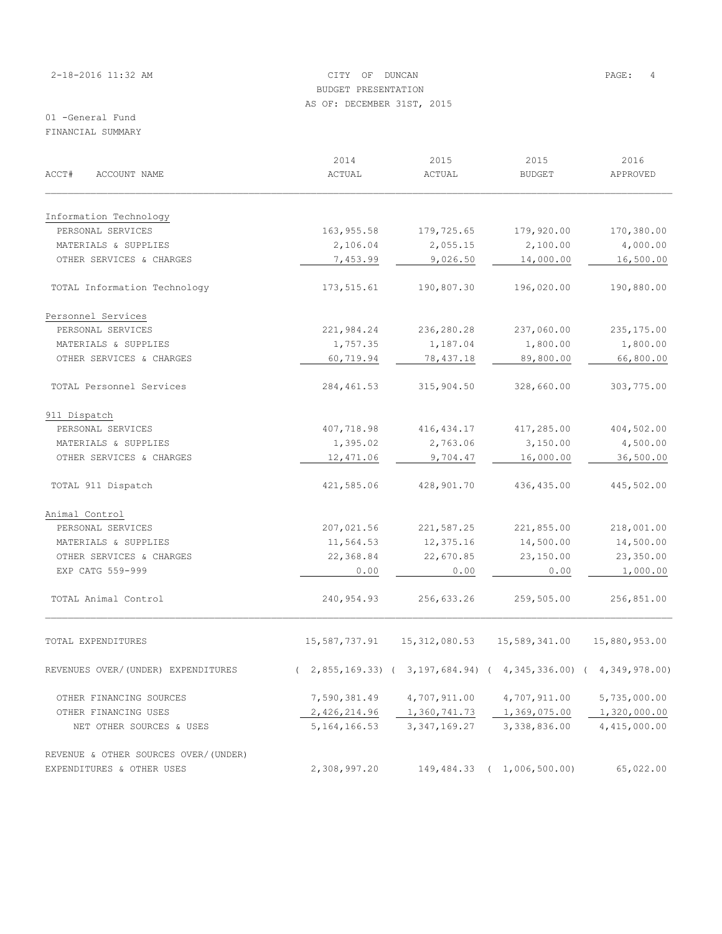# 2-18-2016 11:32 AM CITY OF DUNCAN PAGE: 4 BUDGET PRESENTATION AS OF: DECEMBER 31ST, 2015

| ACCT#<br>ACCOUNT NAME                 | 2014<br><b>ACTUAL</b> | 2015<br>ACTUAL                                                              | 2015<br><b>BUDGET</b>      | 2016<br>APPROVED |
|---------------------------------------|-----------------------|-----------------------------------------------------------------------------|----------------------------|------------------|
|                                       |                       |                                                                             |                            |                  |
| Information Technology                |                       |                                                                             |                            |                  |
| PERSONAL SERVICES                     | 163,955.58            | 179,725.65                                                                  | 179,920.00                 | 170,380.00       |
| MATERIALS & SUPPLIES                  | 2,106.04              | 2,055.15                                                                    | 2,100.00                   | 4,000.00         |
| OTHER SERVICES & CHARGES              | 7,453.99              | 9,026.50                                                                    | 14,000.00                  | 16,500.00        |
| TOTAL Information Technology          | 173,515.61            | 190,807.30                                                                  | 196,020.00                 | 190,880.00       |
| Personnel Services                    |                       |                                                                             |                            |                  |
| PERSONAL SERVICES                     | 221,984.24            | 236,280.28                                                                  | 237,060.00                 | 235, 175.00      |
| MATERIALS & SUPPLIES                  | 1,757.35              | 1,187.04                                                                    | 1,800.00                   | 1,800.00         |
| OTHER SERVICES & CHARGES              | 60,719.94             | 78,437.18                                                                   | 89,800.00                  | 66,800.00        |
| TOTAL Personnel Services              | 284,461.53            | 315,904.50                                                                  | 328,660.00                 | 303,775.00       |
| 911 Dispatch                          |                       |                                                                             |                            |                  |
| PERSONAL SERVICES                     | 407,718.98            | 416, 434.17                                                                 | 417,285.00                 | 404,502.00       |
| MATERIALS & SUPPLIES                  | 1,395.02              | 2,763.06                                                                    | 3,150.00                   | 4,500.00         |
| OTHER SERVICES & CHARGES              | 12,471.06             | 9,704.47                                                                    | 16,000.00                  | 36,500.00        |
| TOTAL 911 Dispatch                    | 421,585.06            | 428,901.70                                                                  | 436,435.00                 | 445,502.00       |
| Animal Control                        |                       |                                                                             |                            |                  |
| PERSONAL SERVICES                     | 207,021.56            | 221,587.25                                                                  | 221,855.00                 | 218,001.00       |
| MATERIALS & SUPPLIES                  | 11,564.53             | 12,375.16                                                                   | 14,500.00                  | 14,500.00        |
| OTHER SERVICES & CHARGES              | 22,368.84             | 22,670.85                                                                   | 23,150.00                  | 23,350.00        |
| EXP CATG 559-999                      | 0.00                  | 0.00                                                                        | 0.00                       | 1,000.00         |
| TOTAL Animal Control                  | 240, 954.93           | 256,633.26                                                                  | 259,505.00                 | 256,851.00       |
| TOTAL EXPENDITURES                    | 15,587,737.91         | 15, 312, 080.53                                                             | 15,589,341.00              | 15,880,953.00    |
| REVENUES OVER/ (UNDER) EXPENDITURES   |                       | $(2, 855, 169.33)$ $(3, 197, 684.94)$ $(4, 345, 336.00)$ $(4, 349, 978.00)$ |                            |                  |
| OTHER FINANCING SOURCES               | 7,590,381.49          | 4,707,911.00                                                                | 4,707,911.00               | 5,735,000.00     |
| OTHER FINANCING USES                  | 2,426,214.96          | 1,360,741.73                                                                | 1,369,075.00               | 1,320,000.00     |
| NET OTHER SOURCES & USES              | 5, 164, 166. 53       | 3, 347, 169. 27                                                             | 3,338,836.00               | 4,415,000.00     |
| REVENUE & OTHER SOURCES OVER/ (UNDER) |                       |                                                                             |                            |                  |
| EXPENDITURES & OTHER USES             | 2,308,997.20          |                                                                             | 149,484.33 ( 1,006,500.00) | 65,022.00        |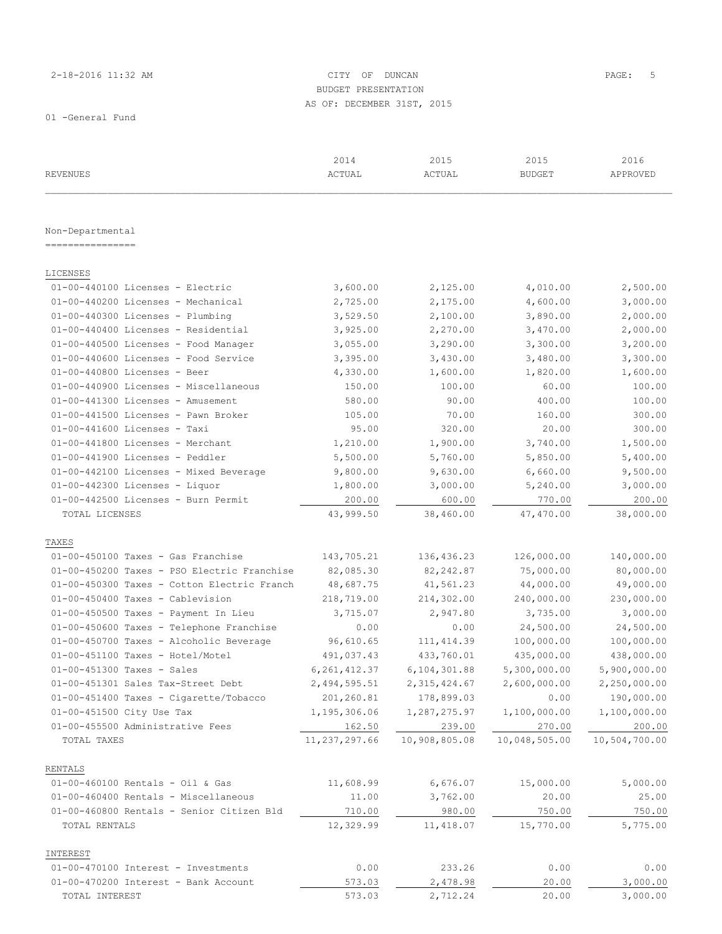# 2-18-2016 11:32 AM CITY OF DUNCAN PAGE: 5 BUDGET PRESENTATION AS OF: DECEMBER 31ST, 2015

| <b>REVENUES</b>                              | 2014<br>ACTUAL  | 2015<br>ACTUAL | 2015<br><b>BUDGET</b> | 2016<br>APPROVED |
|----------------------------------------------|-----------------|----------------|-----------------------|------------------|
|                                              |                 |                |                       |                  |
| Non-Departmental                             |                 |                |                       |                  |
| ================                             |                 |                |                       |                  |
|                                              |                 |                |                       |                  |
| LICENSES<br>01-00-440100 Licenses - Electric | 3,600.00        | 2,125.00       |                       | 2,500.00         |
| 01-00-440200 Licenses - Mechanical           | 2,725.00        | 2,175.00       | 4,010.00<br>4,600.00  | 3,000.00         |
| 01-00-440300 Licenses - Plumbing             | 3,529.50        | 2,100.00       | 3,890.00              | 2,000.00         |
| 01-00-440400 Licenses - Residential          | 3,925.00        | 2,270.00       | 3,470.00              | 2,000.00         |
| 01-00-440500 Licenses - Food Manager         | 3,055.00        | 3,290.00       | 3,300.00              | 3,200.00         |
| 01-00-440600 Licenses - Food Service         | 3,395.00        | 3,430.00       | 3,480.00              | 3,300.00         |
| $01-00-440800$ Licenses - Beer               | 4,330.00        | 1,600.00       | 1,820.00              | 1,600.00         |
| 01-00-440900 Licenses - Miscellaneous        | 150.00          | 100.00         | 60.00                 | 100.00           |
| 01-00-441300 Licenses - Amusement            | 580.00          | 90.00          | 400.00                | 100.00           |
| 01-00-441500 Licenses - Pawn Broker          | 105.00          | 70.00          | 160.00                | 300.00           |
| $01-00-441600$ Licenses - Taxi               | 95.00           | 320.00         | 20.00                 | 300.00           |
| 01-00-441800 Licenses - Merchant             | 1,210.00        | 1,900.00       | 3,740.00              | 1,500.00         |
| 01-00-441900 Licenses - Peddler              | 5,500.00        | 5,760.00       | 5,850.00              | 5,400.00         |
| 01-00-442100 Licenses - Mixed Beverage       | 9,800.00        | 9,630.00       | 6,660.00              | 9,500.00         |
| 01-00-442300 Licenses - Liquor               | 1,800.00        | 3,000.00       | 5,240.00              | 3,000.00         |
| 01-00-442500 Licenses - Burn Permit          | 200.00          | 600.00         | 770.00                | 200.00           |
| TOTAL LICENSES                               | 43,999.50       | 38,460.00      | 47,470.00             | 38,000.00        |
|                                              |                 |                |                       |                  |
| TAXES                                        |                 |                |                       |                  |
| 01-00-450100 Taxes - Gas Franchise           | 143,705.21      | 136, 436.23    | 126,000.00            | 140,000.00       |
| 01-00-450200 Taxes - PSO Electric Franchise  | 82,085.30       | 82, 242.87     | 75,000.00             | 80,000.00        |
| 01-00-450300 Taxes - Cotton Electric Franch  | 48,687.75       | 41,561.23      | 44,000.00             | 49,000.00        |
| 01-00-450400 Taxes - Cablevision             | 218,719.00      | 214,302.00     | 240,000.00            | 230,000.00       |
| 01-00-450500 Taxes - Payment In Lieu         | 3,715.07        | 2,947.80       | 3,735.00              | 3,000.00         |
| 01-00-450600 Taxes - Telephone Franchise     | 0.00            | 0.00           | 24,500.00             | 24,500.00        |
| 01-00-450700 Taxes - Alcoholic Beverage      | 96,610.65       | 111, 414.39    | 100,000.00            | 100,000.00       |
| $01-00-451100$ Taxes - Hotel/Motel           | 491,037.43      | 433,760.01     | 435,000.00            | 438,000.00       |
| $01 - 00 - 451300$ Taxes - Sales             | 6, 261, 412.37  | 6,104,301.88   | 5,300,000.00          | 5,900,000.00     |
| 01-00-451301 Sales Tax-Street Debt           | 2, 494, 595.51  | 2, 315, 424.67 | 2,600,000.00          | 2,250,000.00     |
| 01-00-451400 Taxes - Cigarette/Tobacco       | 201,260.81      | 178,899.03     | 0.00                  | 190,000.00       |
| 01-00-451500 City Use Tax                    | 1,195,306.06    | 1,287,275.97   | 1,100,000.00          | 1,100,000.00     |
| 01-00-455500 Administrative Fees             | 162.50          | 239.00         | 270.00                | 200.00           |
| TOTAL TAXES                                  | 11, 237, 297.66 | 10,908,805.08  | 10,048,505.00         | 10,504,700.00    |
| RENTALS                                      |                 |                |                       |                  |
| 01-00-460100 Rentals - Oil & Gas             | 11,608.99       | 6,676.07       | 15,000.00             | 5,000.00         |
| 01-00-460400 Rentals - Miscellaneous         | 11.00           | 3,762.00       | 20.00                 | 25.00            |
| 01-00-460800 Rentals - Senior Citizen Bld    | 710.00          | 980.00         | 750.00                | 750.00           |
| TOTAL RENTALS                                | 12,329.99       | 11,418.07      | 15,770.00             | 5,775.00         |
| INTEREST                                     |                 |                |                       |                  |
| 01-00-470100 Interest - Investments          | 0.00            | 233.26         | 0.00                  | 0.00             |
| 01-00-470200 Interest - Bank Account         | 573.03          | 2,478.98       | 20.00                 | 3,000.00         |
| TOTAL INTEREST                               | 573.03          | 2,712.24       | 20.00                 | 3,000.00         |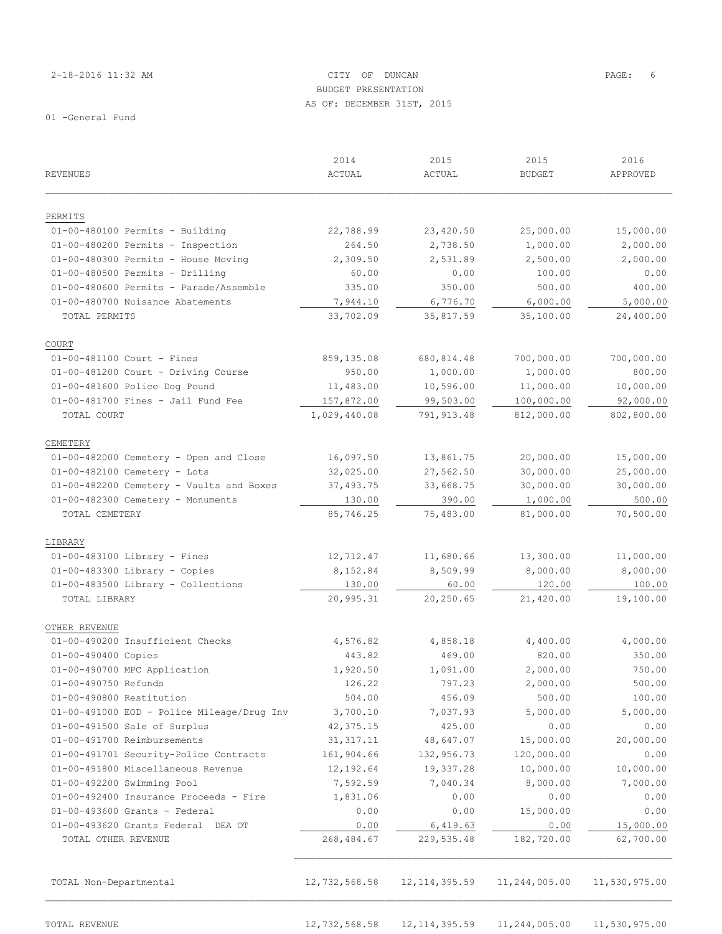#### 2-18-2016 11:32 AM CITY OF DUNCAN PAGE: 6 BUDGET PRESENTATION AS OF: DECEMBER 31ST, 2015

|                                            | 2014          | 2015            | 2015          | 2016          |
|--------------------------------------------|---------------|-----------------|---------------|---------------|
| REVENUES                                   | ACTUAL        | ACTUAL          | <b>BUDGET</b> | APPROVED      |
| PERMITS                                    |               |                 |               |               |
| 01-00-480100 Permits - Building            | 22,788.99     | 23,420.50       | 25,000.00     | 15,000.00     |
| 01-00-480200 Permits - Inspection          | 264.50        | 2,738.50        | 1,000.00      | 2,000.00      |
| 01-00-480300 Permits - House Moving        | 2,309.50      | 2,531.89        | 2,500.00      | 2,000.00      |
| 01-00-480500 Permits - Drilling            | 60.00         | 0.00            | 100.00        | 0.00          |
| 01-00-480600 Permits - Parade/Assemble     | 335.00        | 350.00          | 500.00        | 400.00        |
| 01-00-480700 Nuisance Abatements           | 7,944.10      | 6,776.70        | 6,000.00      | 5,000.00      |
| TOTAL PERMITS                              | 33,702.09     | 35,817.59       | 35,100.00     | 24,400.00     |
| COURT                                      |               |                 |               |               |
| $01 - 00 - 481100$ Court - Fines           | 859,135.08    | 680, 814.48     | 700,000.00    | 700,000.00    |
| 01-00-481200 Court - Driving Course        | 950.00        | 1,000.00        | 1,000.00      | 800.00        |
| 01-00-481600 Police Dog Pound              | 11,483.00     | 10,596.00       | 11,000.00     | 10,000.00     |
| $01-00-481700$ Fines - Jail Fund Fee       | 157,872.00    | 99,503.00       | 100,000.00    | 92,000.00     |
| TOTAL COURT                                | 1,029,440.08  | 791, 913.48     | 812,000.00    | 802,800.00    |
| CEMETERY                                   |               |                 |               |               |
| 01-00-482000 Cemetery - Open and Close     | 16,097.50     | 13,861.75       | 20,000.00     | 15,000.00     |
| 01-00-482100 Cemetery - Lots               | 32,025.00     | 27,562.50       | 30,000.00     | 25,000.00     |
| 01-00-482200 Cemetery - Vaults and Boxes   | 37,493.75     | 33,668.75       | 30,000.00     | 30,000.00     |
| 01-00-482300 Cemetery - Monuments          | 130.00        | 390.00          | 1,000.00      | 500.00        |
| TOTAL CEMETERY                             | 85,746.25     | 75,483.00       | 81,000.00     | 70,500.00     |
|                                            |               |                 |               |               |
| LIBRARY                                    |               |                 |               |               |
| $01-00-483100$ Library - Fines             | 12,712.47     | 11,680.66       | 13,300.00     | 11,000.00     |
| $01-00-483300$ Library - Copies            | 8,152.84      | 8,509.99        | 8,000.00      | 8,000.00      |
| 01-00-483500 Library - Collections         | 130.00        | 60.00           | 120.00        | 100.00        |
| TOTAL LIBRARY                              | 20,995.31     | 20,250.65       | 21,420.00     | 19,100.00     |
| OTHER REVENUE                              |               |                 |               |               |
| 01-00-490200 Insufficient Checks           | 4,576.82      | 4,858.18        | 4,400.00      | 4,000.00      |
| 01-00-490400 Copies                        | 443.82        | 469.00          | 820.00        | 350.00        |
| 01-00-490700 MPC Application               | 1,920.50      | 1,091.00        | 2,000.00      | 750.00        |
| 01-00-490750 Refunds                       | 126.22        | 797.23          | 2,000.00      | 500.00        |
| 01-00-490800 Restitution                   | 504.00        | 456.09          | 500.00        | 100.00        |
| 01-00-491000 EOD - Police Mileage/Drug Inv | 3,700.10      | 7,037.93        | 5,000.00      | 5,000.00      |
| 01-00-491500 Sale of Surplus               | 42,375.15     | 425.00          | 0.00          | 0.00          |
| 01-00-491700 Reimbursements                | 31, 317.11    | 48,647.07       | 15,000.00     | 20,000.00     |
| 01-00-491701 Security-Police Contracts     | 161,904.66    | 132,956.73      | 120,000.00    | 0.00          |
| 01-00-491800 Miscellaneous Revenue         | 12,192.64     | 19,337.28       | 10,000.00     | 10,000.00     |
| 01-00-492200 Swimming Pool                 | 7,592.59      | 7,040.34        | 8,000.00      | 7,000.00      |
| 01-00-492400 Insurance Proceeds - Fire     | 1,831.06      | 0.00            | 0.00          | 0.00          |
| 01-00-493600 Grants - Federal              | 0.00          | 0.00            | 15,000.00     | 0.00          |
| 01-00-493620 Grants Federal DEA OT         | 0.00          | 6,419.63        | 0.00          | 15,000.00     |
| TOTAL OTHER REVENUE                        | 268,484.67    | 229,535.48      | 182,720.00    | 62,700.00     |
| TOTAL Non-Departmental                     | 12,732,568.58 | 12, 114, 395.59 | 11,244,005.00 | 11,530,975.00 |
|                                            |               |                 |               |               |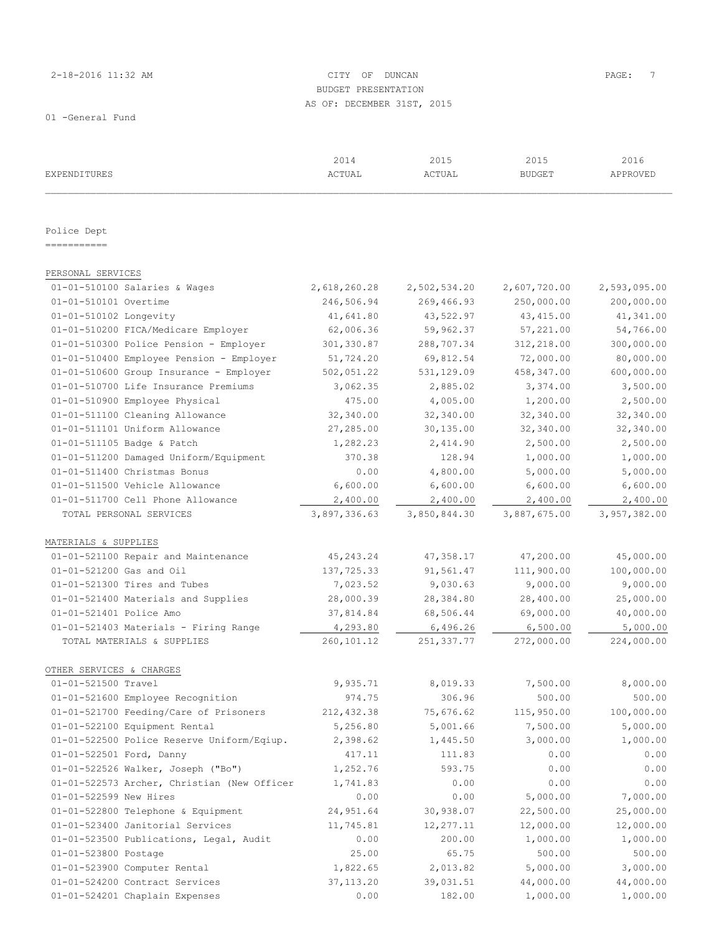# 2-18-2016 11:32 AM CITY OF DUNCAN PAGE: 7 BUDGET PRESENTATION AS OF: DECEMBER 31ST, 2015

| EXPENDITURES                                                | 2014<br>ACTUAL | 2015<br>ACTUAL         | 2015<br><b>BUDGET</b> | 2016<br>APPROVED |
|-------------------------------------------------------------|----------------|------------------------|-----------------------|------------------|
|                                                             |                |                        |                       |                  |
| Police Dept                                                 |                |                        |                       |                  |
| ------------                                                |                |                        |                       |                  |
|                                                             |                |                        |                       |                  |
| PERSONAL SERVICES                                           |                |                        |                       |                  |
| 01-01-510100 Salaries & Wages                               | 2,618,260.28   | 2,502,534.20           | 2,607,720.00          | 2,593,095.00     |
| 01-01-510101 Overtime                                       | 246,506.94     | 269,466.93             | 250,000.00            | 200,000.00       |
| 01-01-510102 Longevity                                      | 41,641.80      | 43,522.97              | 43, 415.00            | 41,341.00        |
| 01-01-510200 FICA/Medicare Employer                         | 62,006.36      | 59,962.37              | 57,221.00             | 54,766.00        |
| 01-01-510300 Police Pension - Employer                      | 301,330.87     | 288,707.34             | 312,218.00            | 300,000.00       |
| 01-01-510400 Employee Pension - Employer                    | 51,724.20      | 69,812.54              | 72,000.00             | 80,000.00        |
| 01-01-510600 Group Insurance - Employer                     | 502,051.22     | 531,129.09             | 458,347.00            | 600,000.00       |
| 01-01-510700 Life Insurance Premiums                        | 3,062.35       | 2,885.02               | 3,374.00              | 3,500.00         |
| 01-01-510900 Employee Physical                              | 475.00         | 4,005.00               | 1,200.00              | 2,500.00         |
| 01-01-511100 Cleaning Allowance                             | 32,340.00      | 32,340.00              | 32,340.00             | 32,340.00        |
| 01-01-511101 Uniform Allowance                              | 27,285.00      | 30,135.00              | 32,340.00             | 32,340.00        |
| 01-01-511105 Badge & Patch                                  | 1,282.23       | 2,414.90               | 2,500.00              | 2,500.00         |
| 01-01-511200 Damaged Uniform/Equipment                      | 370.38         | 128.94                 | 1,000.00              | 1,000.00         |
| 01-01-511400 Christmas Bonus                                | 0.00           | 4,800.00               | 5,000.00              | 5,000.00         |
| 01-01-511500 Vehicle Allowance                              | 6,600.00       | 6,600.00               | 6,600.00              | 6,600.00         |
| 01-01-511700 Cell Phone Allowance                           | 2,400.00       | 2,400.00               | 2,400.00              | 2,400.00         |
| TOTAL PERSONAL SERVICES                                     | 3,897,336.63   | 3,850,844.30           | 3,887,675.00          | 3,957,382.00     |
|                                                             |                |                        |                       |                  |
| MATERIALS & SUPPLIES<br>01-01-521100 Repair and Maintenance | 45,243.24      | 47,358.17              | 47,200.00             | 45,000.00        |
| 01-01-521200 Gas and Oil                                    | 137,725.33     | 91,561.47              | 111,900.00            | 100,000.00       |
| 01-01-521300 Tires and Tubes                                | 7,023.52       | 9,030.63               | 9,000.00              | 9,000.00         |
|                                                             |                |                        |                       |                  |
| 01-01-521400 Materials and Supplies                         | 28,000.39      | 28,384.80<br>68,506.44 | 28,400.00             | 25,000.00        |
| 01-01-521401 Police Amo                                     | 37,814.84      |                        | 69,000.00             | 40,000.00        |
| 01-01-521403 Materials - Firing Range                       | 4,293.80       | 6,496.26               | 6,500.00              | 5,000.00         |
| TOTAL MATERIALS & SUPPLIES                                  | 260, 101.12    | 251,337.77             | 272,000.00            | 224,000.00       |
| OTHER SERVICES & CHARGES                                    |                |                        |                       |                  |
| 01-01-521500 Travel                                         | 9,935.71       | 8,019.33               | 7,500.00              | 8,000.00         |
| 01-01-521600 Employee Recognition                           | 974.75         | 306.96                 | 500.00                | 500.00           |
| 01-01-521700 Feeding/Care of Prisoners                      | 212,432.38     | 75,676.62              | 115,950.00            | 100,000.00       |
|                                                             |                |                        |                       |                  |
| 01-01-522100 Equipment Rental                               | 5,256.80       | 5,001.66               | 7,500.00              | 5,000.00         |
| 01-01-522500 Police Reserve Uniform/Eqiup.                  | 2,398.62       | 1,445.50               | 3,000.00              | 1,000.00         |
| 01-01-522501 Ford, Danny                                    | 417.11         | 111.83                 | 0.00                  | 0.00             |
| 01-01-522526 Walker, Joseph ("Bo")                          | 1,252.76       | 593.75                 | 0.00                  | 0.00             |
| 01-01-522573 Archer, Christian (New Officer                 | 1,741.83       | 0.00                   | 0.00                  | 0.00             |
| 01-01-522599 New Hires                                      | 0.00           | 0.00                   | 5,000.00              | 7,000.00         |
| 01-01-522800 Telephone & Equipment                          | 24,951.64      | 30,938.07              | 22,500.00             | 25,000.00        |
| 01-01-523400 Janitorial Services                            | 11,745.81      | 12,277.11              | 12,000.00             | 12,000.00        |
| 01-01-523500 Publications, Legal, Audit                     | 0.00           | 200.00                 | 1,000.00              | 1,000.00         |
| 01-01-523800 Postage                                        | 25.00          | 65.75                  | 500.00                | 500.00           |
| 01-01-523900 Computer Rental                                | 1,822.65       | 2,013.82               | 5,000.00              | 3,000.00         |
| 01-01-524200 Contract Services                              | 37, 113.20     | 39,031.51              | 44,000.00             | 44,000.00        |
| 01-01-524201 Chaplain Expenses                              | 0.00           | 182.00                 | 1,000.00              | 1,000.00         |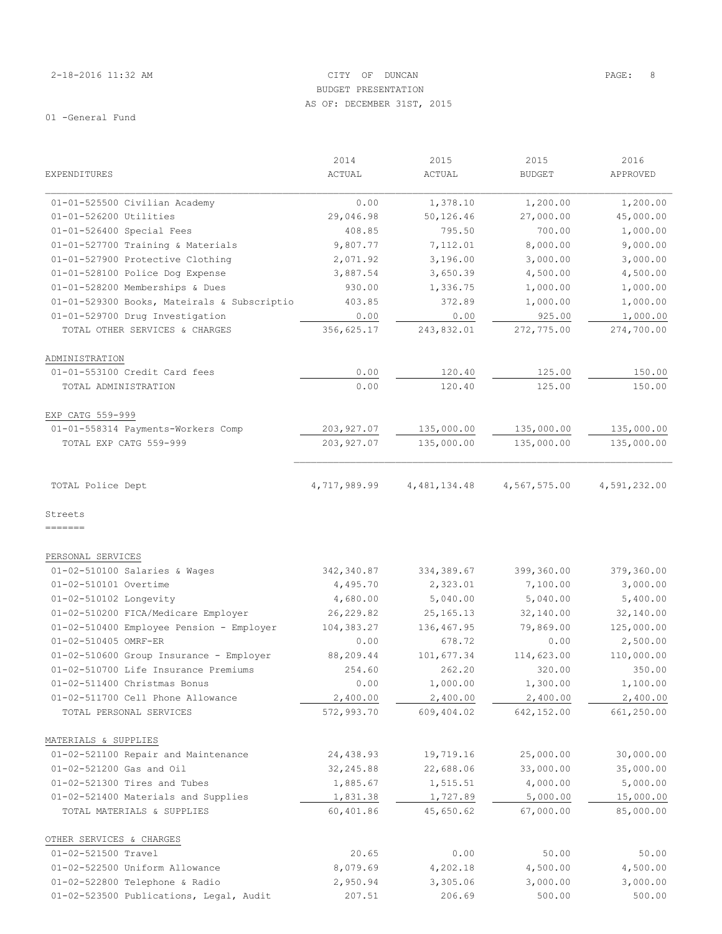#### 2-18-2016 11:32 AM CITY OF DUNCAN PAGE: 8 BUDGET PRESENTATION AS OF: DECEMBER 31ST, 2015

|                                                         | 2014                  | 2015                  | 2015                  | 2016                  |
|---------------------------------------------------------|-----------------------|-----------------------|-----------------------|-----------------------|
| EXPENDITURES                                            | <b>ACTUAL</b>         | <b>ACTUAL</b>         | <b>BUDGET</b>         | APPROVED              |
|                                                         | 0.00                  |                       |                       |                       |
| 01-01-525500 Civilian Academy<br>01-01-526200 Utilities | 29,046.98             | 1,378.10<br>50,126.46 | 1,200.00<br>27,000.00 | 1,200.00<br>45,000.00 |
| 01-01-526400 Special Fees                               | 408.85                | 795.50                | 700.00                | 1,000.00              |
|                                                         |                       | 7,112.01              | 8,000.00              |                       |
| 01-01-527700 Training & Materials                       | 9,807.77              |                       |                       | 9,000.00              |
| 01-01-527900 Protective Clothing                        | 2,071.92              | 3,196.00              | 3,000.00              | 3,000.00              |
| 01-01-528100 Police Dog Expense                         | 3,887.54              | 3,650.39              | 4,500.00              | 4,500.00              |
| 01-01-528200 Memberships & Dues                         | 930.00                | 1,336.75              | 1,000.00              | 1,000.00              |
| 01-01-529300 Books, Mateirals & Subscriptio             | 403.85                | 372.89                | 1,000.00              | 1,000.00              |
| 01-01-529700 Drug Investigation                         | 0.00                  | 0.00                  | 925.00                | 1,000.00              |
| TOTAL OTHER SERVICES & CHARGES                          | 356,625.17            | 243,832.01            | 272,775.00            | 274,700.00            |
| ADMINISTRATION                                          |                       |                       |                       |                       |
| 01-01-553100 Credit Card fees                           | 0.00                  | 120.40                | 125.00                | 150.00                |
| TOTAL ADMINISTRATION                                    | 0.00                  | 120.40                | 125.00                | 150.00                |
| EXP CATG 559-999                                        |                       |                       |                       |                       |
| 01-01-558314 Payments-Workers Comp                      | 203, 927.07           | 135,000.00            | 135,000.00            | 135,000.00            |
| TOTAL EXP CATG 559-999                                  | 203,927.07            | 135,000.00            | 135,000.00            | 135,000.00            |
|                                                         |                       |                       |                       |                       |
| TOTAL Police Dept                                       | 4,717,989.99          | 4, 481, 134.48        | 4,567,575.00          | 4,591,232.00          |
| Streets                                                 |                       |                       |                       |                       |
| --------                                                |                       |                       |                       |                       |
| PERSONAL SERVICES                                       |                       |                       |                       |                       |
| 01-02-510100 Salaries & Wages                           | 342,340.87            | 334, 389.67           | 399,360.00            | 379,360.00            |
| 01-02-510101 Overtime                                   | 4,495.70              | 2,323.01              | 7,100.00              | 3,000.00              |
| 01-02-510102 Longevity                                  | 4,680.00              | 5,040.00              | 5,040.00              | 5,400.00              |
| 01-02-510200 FICA/Medicare Employer                     | 26,229.82             | 25, 165. 13           | 32,140.00             | 32,140.00             |
| 01-02-510400 Employee Pension - Employer                | 104,383.27            | 136,467.95            | 79,869.00             | 125,000.00            |
| 01-02-510405 OMRF-ER                                    | 0.00                  | 678.72                | 0.00                  | 2,500.00              |
| 01-02-510600 Group Insurance - Employer                 | 88,209.44             | 101,677.34            | 114,623.00            | 110,000.00            |
| 01-02-510700 Life Insurance Premiums                    | 254.60                | 262.20                | 320.00                | 350.00                |
| 01-02-511400 Christmas Bonus                            | 0.00                  | 1,000.00              | 1,300.00              | 1,100.00              |
| 01-02-511700 Cell Phone Allowance                       | 2,400.00              | 2,400.00              | 2,400.00              | 2,400.00              |
| TOTAL PERSONAL SERVICES                                 | 572,993.70            | 609,404.02            | 642,152.00            | 661,250.00            |
| MATERIALS & SUPPLIES                                    |                       |                       |                       |                       |
| 01-02-521100 Repair and Maintenance                     | 24,438.93             | 19,719.16             | 25,000.00             | 30,000.00             |
| 01-02-521200 Gas and Oil                                | 32, 245.88            | 22,688.06             | 33,000.00             | 35,000.00             |
| 01-02-521300 Tires and Tubes                            | 1,885.67              | 1,515.51              | 4,000.00              | 5,000.00              |
| 01-02-521400 Materials and Supplies                     |                       |                       |                       | 15,000.00             |
| TOTAL MATERIALS & SUPPLIES                              | 1,831.38<br>60,401.86 | 1,727.89<br>45,650.62 | 5,000.00<br>67,000.00 | 85,000.00             |
|                                                         |                       |                       |                       |                       |
| OTHER SERVICES & CHARGES                                |                       |                       |                       |                       |
| 01-02-521500 Travel                                     | 20.65                 | 0.00                  | 50.00                 | 50.00                 |
| 01-02-522500 Uniform Allowance                          | 8,079.69              | 4,202.18              | 4,500.00              | 4,500.00              |
| 01-02-522800 Telephone & Radio                          | 2,950.94              | 3,305.06              | 3,000.00              | 3,000.00              |
| 01-02-523500 Publications, Legal, Audit                 | 207.51                | 206.69                | 500.00                | 500.00                |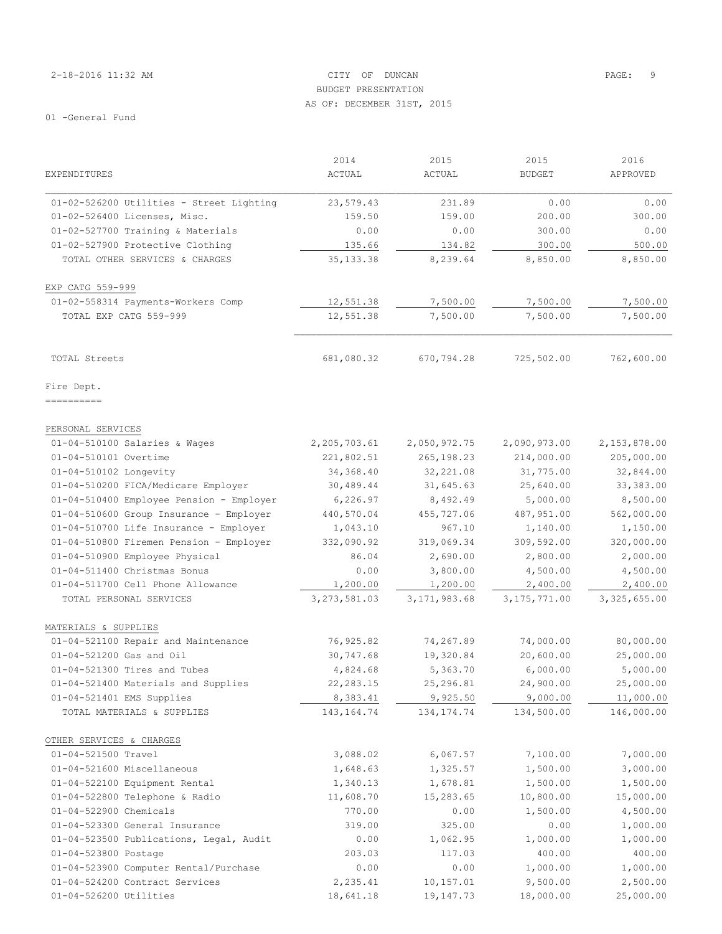# 2-18-2016 11:32 AM CITY OF DUNCAN PAGE: 9 BUDGET PRESENTATION AS OF: DECEMBER 31ST, 2015

|                                          | 2014           | 2015           | 2015           | 2016           |
|------------------------------------------|----------------|----------------|----------------|----------------|
| <b>EXPENDITURES</b>                      | ACTUAL         | ACTUAL         | <b>BUDGET</b>  | APPROVED       |
| 01-02-526200 Utilities - Street Lighting | 23,579.43      | 231.89         | 0.00           | 0.00           |
| 01-02-526400 Licenses, Misc.             | 159.50         | 159.00         | 200.00         | 300.00         |
| 01-02-527700 Training & Materials        | 0.00           | 0.00           | 300.00         | 0.00           |
| 01-02-527900 Protective Clothing         | 135.66         | 134.82         | 300.00         | 500.00         |
| TOTAL OTHER SERVICES & CHARGES           | 35, 133.38     | 8,239.64       | 8,850.00       | 8,850.00       |
| EXP CATG 559-999                         |                |                |                |                |
| 01-02-558314 Payments-Workers Comp       | 12,551.38      | 7,500.00       | 7,500.00       | 7,500.00       |
| TOTAL EXP CATG 559-999                   | 12,551.38      | 7,500.00       | 7,500.00       | 7,500.00       |
|                                          |                |                |                |                |
| TOTAL Streets                            | 681,080.32     | 670,794.28     | 725,502.00     | 762,600.00     |
| Fire Dept.                               |                |                |                |                |
| ==========                               |                |                |                |                |
| PERSONAL SERVICES                        |                |                |                |                |
| 01-04-510100 Salaries & Wages            | 2,205,703.61   | 2,050,972.75   | 2,090,973.00   | 2,153,878.00   |
| 01-04-510101 Overtime                    | 221,802.51     | 265, 198.23    | 214,000.00     | 205,000.00     |
| 01-04-510102 Longevity                   | 34,368.40      | 32, 221.08     | 31,775.00      | 32,844.00      |
| 01-04-510200 FICA/Medicare Employer      | 30,489.44      | 31,645.63      | 25,640.00      | 33, 383.00     |
| 01-04-510400 Employee Pension - Employer | 6,226.97       | 8,492.49       | 5,000.00       | 8,500.00       |
| 01-04-510600 Group Insurance - Employer  | 440,570.04     | 455,727.06     | 487, 951.00    | 562,000.00     |
| 01-04-510700 Life Insurance - Employer   | 1,043.10       | 967.10         | 1,140.00       | 1,150.00       |
| 01-04-510800 Firemen Pension - Employer  | 332,090.92     | 319,069.34     | 309,592.00     | 320,000.00     |
| 01-04-510900 Employee Physical           | 86.04          | 2,690.00       | 2,800.00       | 2,000.00       |
| 01-04-511400 Christmas Bonus             | 0.00           | 3,800.00       | 4,500.00       | 4,500.00       |
| 01-04-511700 Cell Phone Allowance        | 1,200.00       | 1,200.00       | 2,400.00       | 2,400.00       |
| TOTAL PERSONAL SERVICES                  | 3, 273, 581.03 | 3, 171, 983.68 | 3, 175, 771.00 | 3, 325, 655.00 |
| MATERIALS & SUPPLIES                     |                |                |                |                |
| 01-04-521100 Repair and Maintenance      | 76,925.82      | 74,267.89      | 74,000.00      | 80,000.00      |
| 01-04-521200 Gas and Oil                 | 30,747.68      | 19,320.84      | 20,600.00      | 25,000.00      |
| 01-04-521300 Tires and Tubes             | 4,824.68       | 5,363.70       | 6,000.00       | 5,000.00       |
| 01-04-521400 Materials and Supplies      | 22, 283.15     | 25,296.81      | 24,900.00      | 25,000.00      |
| 01-04-521401 EMS Supplies                | 8,383.41       | 9,925.50       | 9,000.00       | 11,000.00      |
| TOTAL MATERIALS & SUPPLIES               | 143, 164. 74   | 134, 174. 74   | 134,500.00     | 146,000.00     |
| OTHER SERVICES & CHARGES                 |                |                |                |                |
| 01-04-521500 Travel                      | 3,088.02       | 6,067.57       | 7,100.00       | 7,000.00       |
| 01-04-521600 Miscellaneous               | 1,648.63       | 1,325.57       | 1,500.00       | 3,000.00       |
| 01-04-522100 Equipment Rental            | 1,340.13       | 1,678.81       | 1,500.00       | 1,500.00       |
| 01-04-522800 Telephone & Radio           | 11,608.70      | 15,283.65      | 10,800.00      | 15,000.00      |
| 01-04-522900 Chemicals                   | 770.00         | 0.00           | 1,500.00       | 4,500.00       |
| 01-04-523300 General Insurance           | 319.00         | 325.00         | 0.00           | 1,000.00       |
| 01-04-523500 Publications, Legal, Audit  | 0.00           | 1,062.95       | 1,000.00       | 1,000.00       |
| 01-04-523800 Postage                     | 203.03         | 117.03         | 400.00         | 400.00         |
| 01-04-523900 Computer Rental/Purchase    | 0.00           | 0.00           | 1,000.00       | 1,000.00       |
| 01-04-524200 Contract Services           | 2,235.41       | 10, 157.01     | 9,500.00       | 2,500.00       |
| 01-04-526200 Utilities                   | 18,641.18      | 19, 147. 73    | 18,000.00      | 25,000.00      |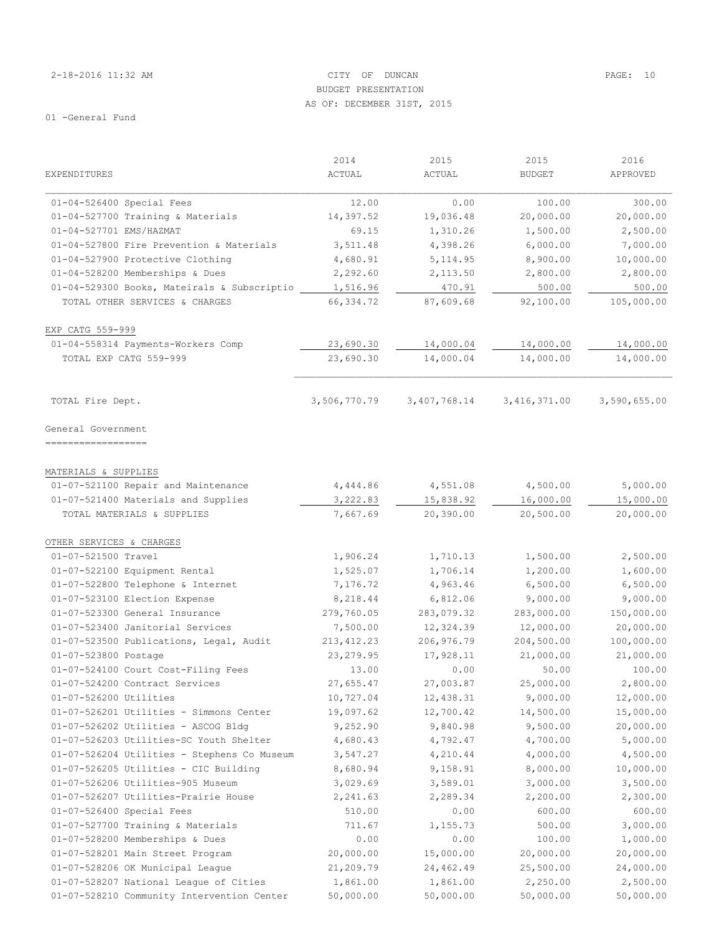#### 2-18-2016 11:32 AM CITY OF DUNCAN PAGE: 10 BUDGET PRESENTATION AS OF: DECEMBER 31ST, 2015

|                                             | 2014          | 2015           | 2015           | 2016         |
|---------------------------------------------|---------------|----------------|----------------|--------------|
| EXPENDITURES                                | <b>ACTUAL</b> | ACTUAL         | <b>BUDGET</b>  | APPROVED     |
| 01-04-526400 Special Fees                   | 12.00         | 0.00           | 100.00         | 300.00       |
| 01-04-527700 Training & Materials           | 14,397.52     | 19,036.48      | 20,000.00      | 20,000.00    |
| 01-04-527701 EMS/HAZMAT                     | 69.15         | 1,310.26       | 1,500.00       | 2,500.00     |
| 01-04-527800 Fire Prevention & Materials    | 3,511.48      | 4,398.26       | 6,000.00       | 7,000.00     |
| 01-04-527900 Protective Clothing            | 4,680.91      | 5, 114.95      | 8,900.00       | 10,000.00    |
| 01-04-528200 Memberships & Dues             | 2,292.60      | 2,113.50       | 2,800.00       | 2,800.00     |
| 01-04-529300 Books, Mateirals & Subscriptio | 1,516.96      | 470.91         | 500.00         | 500.00       |
| TOTAL OTHER SERVICES & CHARGES              | 66,334.72     | 87,609.68      | 92,100.00      | 105,000.00   |
| EXP CATG 559-999                            |               |                |                |              |
| 01-04-558314 Payments-Workers Comp          | 23,690.30     | 14,000.04      | 14,000.00      | 14,000.00    |
| TOTAL EXP CATG 559-999                      | 23,690.30     | 14,000.04      | 14,000.00      | 14,000.00    |
| TOTAL Fire Dept.                            | 3,506,770.79  | 3, 407, 768.14 | 3, 416, 371.00 | 3,590,655.00 |
| General Government                          |               |                |                |              |
| ==================                          |               |                |                |              |
| MATERIALS & SUPPLIES                        |               |                |                |              |
| 01-07-521100 Repair and Maintenance         | 4,444.86      | 4,551.08       | 4,500.00       | 5,000.00     |
| 01-07-521400 Materials and Supplies         | 3,222.83      | 15,838.92      | 16,000.00      | 15,000.00    |
| TOTAL MATERIALS & SUPPLIES                  | 7,667.69      | 20,390.00      | 20,500.00      | 20,000.00    |
| OTHER SERVICES & CHARGES                    |               |                |                |              |
| 01-07-521500 Travel                         | 1,906.24      | 1,710.13       | 1,500.00       | 2,500.00     |
| 01-07-522100 Equipment Rental               | 1,525.07      | 1,706.14       | 1,200.00       | 1,600.00     |
| 01-07-522800 Telephone & Internet           | 7,176.72      | 4,963.46       | 6,500.00       | 6,500.00     |
| 01-07-523100 Election Expense               | 8,218.44      | 6,812.06       | 9,000.00       | 9,000.00     |
| 01-07-523300 General Insurance              | 279,760.05    | 283,079.32     | 283,000.00     | 150,000.00   |
| 01-07-523400 Janitorial Services            | 7,500.00      | 12,324.39      | 12,000.00      | 20,000.00    |
| 01-07-523500 Publications, Legal, Audit     | 213, 412.23   | 206, 976.79    | 204,500.00     | 100,000.00   |
| 01-07-523800 Postage                        | 23, 279.95    | 17,928.11      | 21,000.00      | 21,000.00    |
| 01-07-524100 Court Cost-Filing Fees         | 13.00         | 0.00           | 50.00          | 100.00       |
| 01-07-524200 Contract Services              | 27,655.47     | 27,003.87      | 25,000.00      | 2,800.00     |
| 01-07-526200 Utilities                      | 10,727.04     | 12,438.31      | 9,000.00       | 12,000.00    |
| 01-07-526201 Utilities - Simmons Center     | 19,097.62     | 12,700.42      | 14,500.00      | 15,000.00    |
| 01-07-526202 Utilities - ASCOG Bldg         | 9,252.90      | 9,840.98       | 9,500.00       | 20,000.00    |
| 01-07-526203 Utilities-SC Youth Shelter     | 4,680.43      | 4,792.47       | 4,700.00       | 5,000.00     |
| 01-07-526204 Utilities - Stephens Co Museum | 3,547.27      | 4,210.44       | 4,000.00       | 4,500.00     |
| 01-07-526205 Utilities - CIC Building       | 8,680.94      | 9,158.91       | 8,000.00       | 10,000.00    |
| 01-07-526206 Utilities-905 Museum           | 3,029.69      | 3,589.01       | 3,000.00       | 3,500.00     |
| 01-07-526207 Utilities-Prairie House        | 2,241.63      | 2,289.34       | 2,200.00       | 2,300.00     |
| 01-07-526400 Special Fees                   | 510.00        | 0.00           | 600.00         | 600.00       |
| 01-07-527700 Training & Materials           | 711.67        | 1,155.73       | 500.00         | 3,000.00     |
| 01-07-528200 Memberships & Dues             | 0.00          | 0.00           | 100.00         | 1,000.00     |
| 01-07-528201 Main Street Program            | 20,000.00     | 15,000.00      | 20,000.00      | 20,000.00    |
| 01-07-528206 OK Municipal League            | 21,209.79     | 24,462.49      | 25,500.00      | 24,000.00    |
| 01-07-528207 National League of Cities      | 1,861.00      | 1,861.00       | 2,250.00       | 2,500.00     |
| 01-07-528210 Community Intervention Center  | 50,000.00     | 50,000.00      | 50,000.00      | 50,000.00    |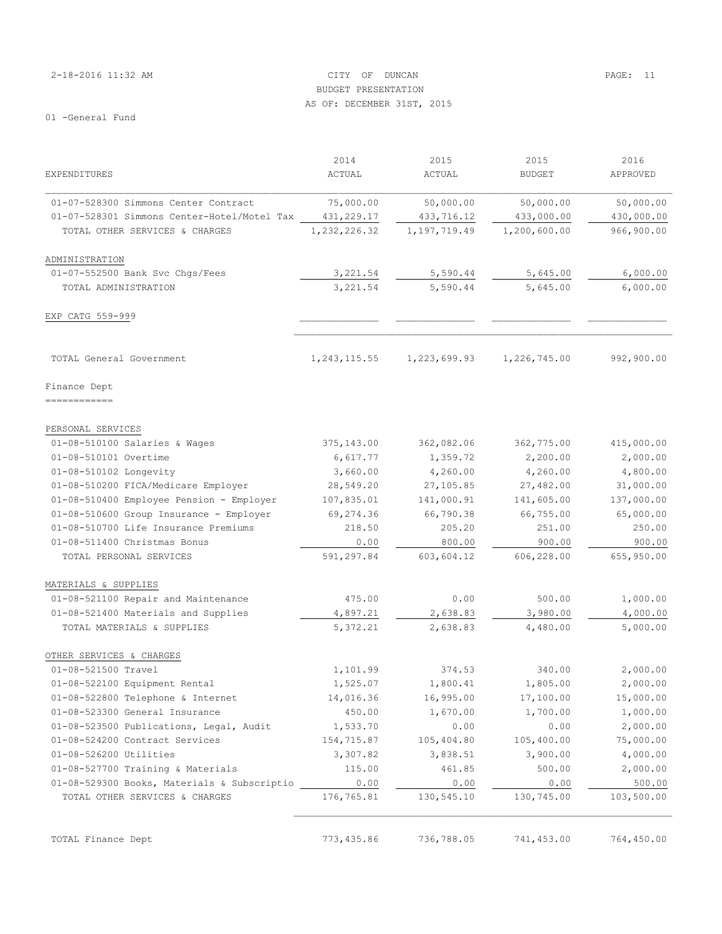| 2-18-2016 11:32 AM |  | CITY OF DUNCAN             | PAGE: 11 |  |
|--------------------|--|----------------------------|----------|--|
|                    |  | BUDGET PRESENTATION        |          |  |
|                    |  | AS OF: DECEMBER 31ST, 2015 |          |  |

|                                             | 2014           | 2015         | 2015          | 2016       |
|---------------------------------------------|----------------|--------------|---------------|------------|
| EXPENDITURES                                | ACTUAL         | ACTUAL       | <b>BUDGET</b> | APPROVED   |
| 01-07-528300 Simmons Center Contract        | 75,000.00      | 50,000.00    | 50,000.00     | 50,000.00  |
| 01-07-528301 Simmons Center-Hotel/Motel Tax | 431, 229.17    | 433,716.12   | 433,000.00    | 430,000.00 |
| TOTAL OTHER SERVICES & CHARGES              | 1,232,226.32   | 1,197,719.49 | 1,200,600.00  | 966,900.00 |
|                                             |                |              |               |            |
| ADMINISTRATION                              |                |              |               |            |
| 01-07-552500 Bank Svc Chqs/Fees             | 3,221.54       | 5,590.44     | 5,645.00      | 6,000.00   |
| TOTAL ADMINISTRATION                        | 3,221.54       | 5,590.44     | 5,645.00      | 6,000.00   |
| EXP CATG 559-999                            |                |              |               |            |
| TOTAL General Government                    |                |              | 1,226,745.00  |            |
|                                             | 1, 243, 115.55 | 1,223,699.93 |               | 992,900.00 |
| Finance Dept<br>============                |                |              |               |            |
| PERSONAL SERVICES                           |                |              |               |            |
| 01-08-510100 Salaries & Wages               | 375,143.00     | 362,082.06   | 362,775.00    | 415,000.00 |
| 01-08-510101 Overtime                       | 6,617.77       | 1,359.72     | 2,200.00      | 2,000.00   |
| 01-08-510102 Longevity                      | 3,660.00       | 4,260.00     | 4,260.00      | 4,800.00   |
| 01-08-510200 FICA/Medicare Employer         | 28,549.20      | 27,105.85    | 27,482.00     | 31,000.00  |
| 01-08-510400 Employee Pension - Employer    | 107,835.01     | 141,000.91   | 141,605.00    | 137,000.00 |
| 01-08-510600 Group Insurance - Employer     | 69,274.36      | 66,790.38    | 66,755.00     | 65,000.00  |
| 01-08-510700 Life Insurance Premiums        | 218.50         | 205.20       | 251.00        | 250.00     |
| 01-08-511400 Christmas Bonus                | 0.00           | 800.00       | 900.00        | 900.00     |
| TOTAL PERSONAL SERVICES                     | 591,297.84     | 603,604.12   | 606,228.00    | 655,950.00 |
| MATERIALS & SUPPLIES                        |                |              |               |            |
| 01-08-521100 Repair and Maintenance         | 475.00         | 0.00         | 500.00        | 1,000.00   |
| 01-08-521400 Materials and Supplies         | 4,897.21       | 2,638.83     | 3,980.00      | 4,000.00   |
| TOTAL MATERIALS & SUPPLIES                  | 5,372.21       | 2,638.83     | 4,480.00      | 5,000.00   |
| OTHER SERVICES & CHARGES                    |                |              |               |            |
| 01-08-521500 Travel                         | 1,101.99       | 374.53       | 340.00        | 2,000.00   |
| 01-08-522100 Equipment Rental               | 1,525.07       | 1,800.41     | 1,805.00      | 2,000.00   |
| 01-08-522800 Telephone & Internet           | 14,016.36      | 16,995.00    | 17,100.00     | 15,000.00  |
| 01-08-523300 General Insurance              | 450.00         | 1,670.00     | 1,700.00      | 1,000.00   |
| 01-08-523500 Publications, Legal, Audit     | 1,533.70       | 0.00         | 0.00          | 2,000.00   |
| 01-08-524200 Contract Services              | 154,715.87     | 105,404.80   | 105,400.00    | 75,000.00  |
| 01-08-526200 Utilities                      | 3,307.82       | 3,838.51     | 3,900.00      | 4,000.00   |
| 01-08-527700 Training & Materials           | 115.00         | 461.85       | 500.00        | 2,000.00   |
| 01-08-529300 Books, Materials & Subscriptio | 0.00           | 0.00         | 0.00          | 500.00     |
| TOTAL OTHER SERVICES & CHARGES              | 176,765.81     | 130,545.10   | 130,745.00    | 103,500.00 |
| TOTAL Finance Dept                          | 773, 435.86    | 736,788.05   | 741,453.00    | 764,450.00 |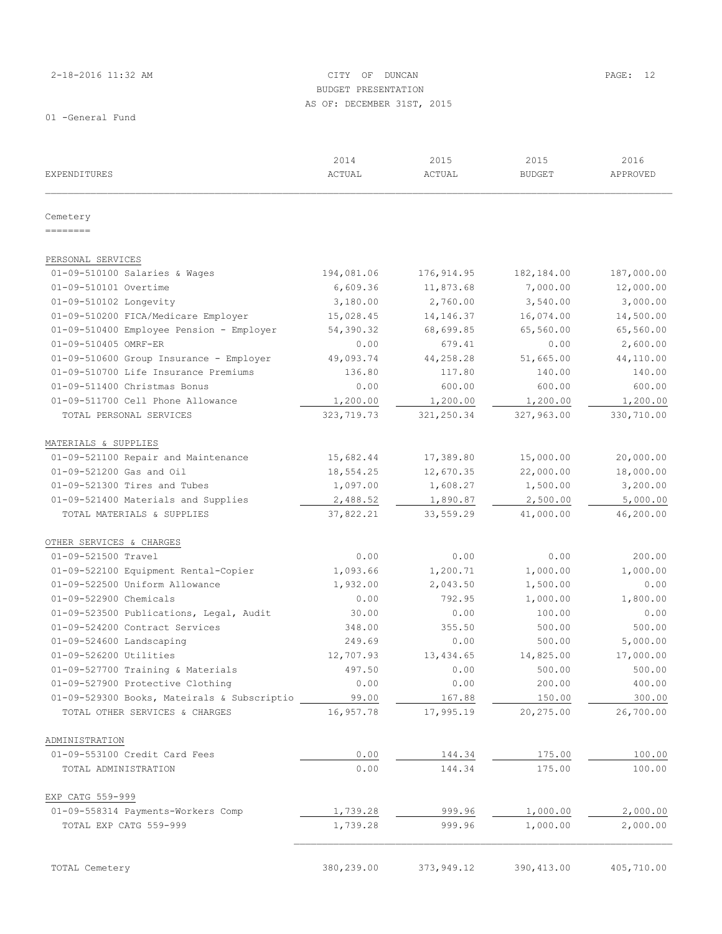# 2-18-2016 11:32 AM CITY OF DUNCAN PAGE: 12 BUDGET PRESENTATION AS OF: DECEMBER 31ST, 2015

| <b>EXPENDITURES</b>                                          | 2014<br><b>ACTUAL</b> | 2015<br>ACTUAL   | 2015<br><b>BUDGET</b> | 2016<br>APPROVED |
|--------------------------------------------------------------|-----------------------|------------------|-----------------------|------------------|
|                                                              |                       |                  |                       |                  |
| Cemetery<br>========                                         |                       |                  |                       |                  |
|                                                              |                       |                  |                       |                  |
| PERSONAL SERVICES                                            |                       |                  |                       |                  |
| 01-09-510100 Salaries & Wages                                | 194,081.06            | 176, 914.95      | 182,184.00            | 187,000.00       |
| 01-09-510101 Overtime                                        | 6,609.36              | 11,873.68        | 7,000.00              | 12,000.00        |
| 01-09-510102 Longevity                                       | 3,180.00              | 2,760.00         | 3,540.00              | 3,000.00         |
| 01-09-510200 FICA/Medicare Employer                          | 15,028.45             | 14, 146.37       | 16,074.00             | 14,500.00        |
| 01-09-510400 Employee Pension - Employer                     | 54,390.32             | 68,699.85        | 65,560.00             | 65,560.00        |
| 01-09-510405 OMRF-ER                                         | 0.00                  | 679.41           | 0.00                  | 2,600.00         |
| 01-09-510600 Group Insurance - Employer                      | 49,093.74             | 44,258.28        | 51,665.00             | 44,110.00        |
| 01-09-510700 Life Insurance Premiums                         | 136.80                | 117.80<br>600.00 | 140.00                | 140.00           |
| 01-09-511400 Christmas Bonus                                 | 0.00                  |                  | 600.00                | 600.00           |
| 01-09-511700 Cell Phone Allowance<br>TOTAL PERSONAL SERVICES | 1,200.00              | 1,200.00         | 1,200.00              | 1,200.00         |
|                                                              | 323,719.73            | 321,250.34       | 327,963.00            | 330,710.00       |
| MATERIALS & SUPPLIES                                         |                       |                  |                       |                  |
| 01-09-521100 Repair and Maintenance                          | 15,682.44             | 17,389.80        | 15,000.00             | 20,000.00        |
| 01-09-521200 Gas and Oil                                     | 18,554.25             | 12,670.35        | 22,000.00             | 18,000.00        |
| 01-09-521300 Tires and Tubes                                 | 1,097.00              | 1,608.27         | 1,500.00              | 3,200.00         |
| 01-09-521400 Materials and Supplies                          | 2,488.52              | 1,890.87         | 2,500.00              | 5,000.00         |
| TOTAL MATERIALS & SUPPLIES                                   | 37,822.21             | 33,559.29        | 41,000.00             | 46,200.00        |
| OTHER SERVICES & CHARGES                                     |                       |                  |                       |                  |
| 01-09-521500 Travel                                          | 0.00                  | 0.00             | 0.00                  | 200.00           |
| 01-09-522100 Equipment Rental-Copier                         | 1,093.66              | 1,200.71         | 1,000.00              | 1,000.00         |
| 01-09-522500 Uniform Allowance                               | 1,932.00              | 2,043.50         | 1,500.00              | 0.00             |
| 01-09-522900 Chemicals                                       | 0.00                  | 792.95           | 1,000.00              | 1,800.00         |
| 01-09-523500 Publications, Legal, Audit                      | 30.00                 | 0.00             | 100.00                | 0.00             |
| 01-09-524200 Contract Services                               | 348.00                | 355.50           | 500.00                | 500.00           |
| 01-09-524600 Landscaping                                     | 249.69                | 0.00             | 500.00                | 5,000.00         |
| 01-09-526200 Utilities                                       | 12,707.93             | 13,434.65        | 14,825.00             | 17,000.00        |
| 01-09-527700 Training & Materials                            | 497.50                | 0.00             | 500.00                | 500.00           |
| 01-09-527900 Protective Clothing                             | 0.00                  | 0.00             | 200.00                | 400.00           |
| 01-09-529300 Books, Mateirals & Subscriptio                  | 99.00                 | 167.88           | 150.00                | 300.00           |
| TOTAL OTHER SERVICES & CHARGES                               | 16,957.78             | 17,995.19        | 20,275.00             | 26,700.00        |
| ADMINISTRATION                                               |                       |                  |                       |                  |
| 01-09-553100 Credit Card Fees                                | 0.00                  | 144.34           | 175.00                | 100.00           |
| TOTAL ADMINISTRATION                                         | 0.00                  | 144.34           | 175.00                | 100.00           |
|                                                              |                       |                  |                       |                  |
| EXP CATG 559-999                                             |                       |                  |                       |                  |
| 01-09-558314 Payments-Workers Comp                           | 1,739.28              | 999.96           | 1,000.00              | 2,000.00         |
| TOTAL EXP CATG 559-999                                       | 1,739.28              | 999.96           | 1,000.00              | 2,000.00         |
|                                                              |                       |                  |                       |                  |
| TOTAL Cemetery                                               | 380,239.00            | 373,949.12       | 390, 413.00           | 405,710.00       |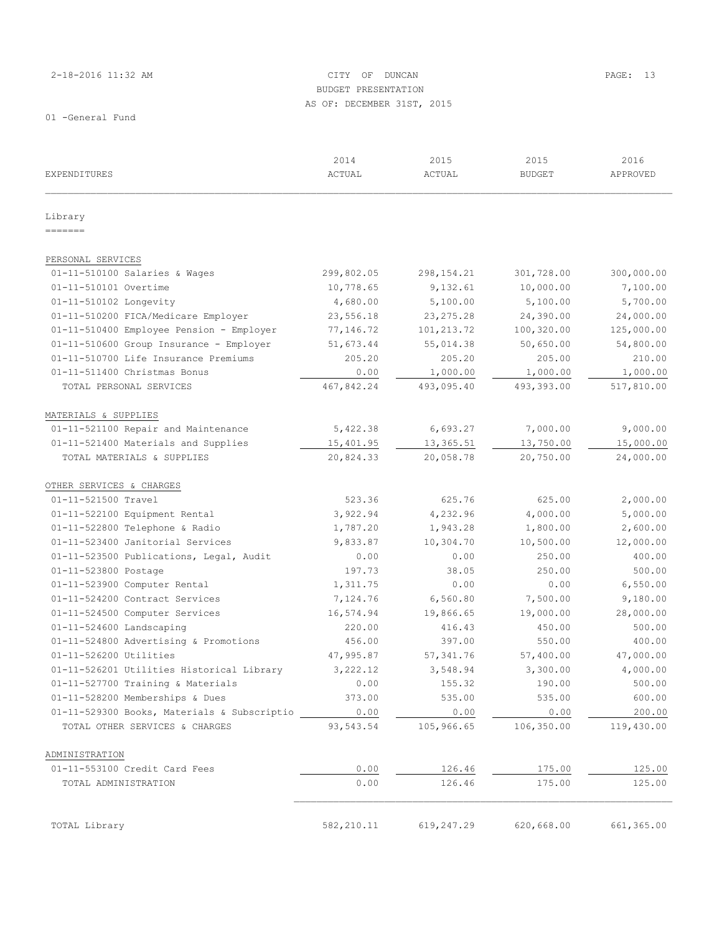# 2-18-2016 11:32 AM CITY OF DUNCAN PAGE: 13 BUDGET PRESENTATION AS OF: DECEMBER 31ST, 2015

| EXPENDITURES                                | 2014<br>ACTUAL | 2015<br>ACTUAL | 2015<br><b>BUDGET</b> | 2016<br>APPROVED |
|---------------------------------------------|----------------|----------------|-----------------------|------------------|
|                                             |                |                |                       |                  |
| Library<br>$=$ $=$ $=$ $=$ $=$ $=$          |                |                |                       |                  |
| PERSONAL SERVICES                           |                |                |                       |                  |
| 01-11-510100 Salaries & Wages               | 299,802.05     | 298, 154. 21   | 301,728.00            | 300,000.00       |
| 01-11-510101 Overtime                       | 10,778.65      | 9,132.61       | 10,000.00             | 7,100.00         |
| 01-11-510102 Longevity                      | 4,680.00       | 5,100.00       | 5,100.00              | 5,700.00         |
| 01-11-510200 FICA/Medicare Employer         | 23,556.18      | 23, 275. 28    | 24,390.00             | 24,000.00        |
| 01-11-510400 Employee Pension - Employer    | 77,146.72      | 101,213.72     | 100,320.00            | 125,000.00       |
| 01-11-510600 Group Insurance - Employer     | 51,673.44      | 55,014.38      | 50,650.00             | 54,800.00        |
| 01-11-510700 Life Insurance Premiums        | 205.20         | 205.20         | 205.00                | 210.00           |
| 01-11-511400 Christmas Bonus                | 0.00           | 1,000.00       | 1,000.00              | 1,000.00         |
| TOTAL PERSONAL SERVICES                     | 467,842.24     | 493,095.40     | 493,393.00            | 517,810.00       |
| MATERIALS & SUPPLIES                        |                |                |                       |                  |
| 01-11-521100 Repair and Maintenance         | 5,422.38       | 6,693.27       | 7,000.00              | 9,000.00         |
| 01-11-521400 Materials and Supplies         | 15,401.95      | 13,365.51      | 13,750.00             | 15,000.00        |
| TOTAL MATERIALS & SUPPLIES                  | 20,824.33      | 20,058.78      | 20,750.00             | 24,000.00        |
| OTHER SERVICES & CHARGES                    |                |                |                       |                  |
| 01-11-521500 Travel                         | 523.36         | 625.76         | 625.00                | 2,000.00         |
| 01-11-522100 Equipment Rental               | 3,922.94       | 4,232.96       | 4,000.00              | 5,000.00         |
| 01-11-522800 Telephone & Radio              | 1,787.20       | 1,943.28       | 1,800.00              | 2,600.00         |
| 01-11-523400 Janitorial Services            | 9,833.87       | 10,304.70      | 10,500.00             | 12,000.00        |
| 01-11-523500 Publications, Legal, Audit     | 0.00           | 0.00           | 250.00                | 400.00           |
| 01-11-523800 Postage                        | 197.73         | 38.05          | 250.00                | 500.00           |
| 01-11-523900 Computer Rental                | 1,311.75       | 0.00           | 0.00                  | 6,550.00         |
| 01-11-524200 Contract Services              | 7,124.76       | 6,560.80       | 7,500.00              | 9,180.00         |
| 01-11-524500 Computer Services              | 16,574.94      | 19,866.65      | 19,000.00             | 28,000.00        |
| 01-11-524600 Landscaping                    | 220.00         | 416.43         | 450.00                | 500.00           |
| 01-11-524800 Advertising & Promotions       | 456.00         | 397.00         | 550.00                | 400.00           |
| 01-11-526200 Utilities                      | 47,995.87      | 57, 341.76     | 57,400.00             | 47,000.00        |
| 01-11-526201 Utilities Historical Library   | 3,222.12       | 3,548.94       | 3,300.00              | 4,000.00         |
| 01-11-527700 Training & Materials           | 0.00           | 155.32         | 190.00                | 500.00           |
| 01-11-528200 Memberships & Dues             | 373.00         | 535.00         | 535.00                | 600.00           |
| 01-11-529300 Books, Materials & Subscriptio | 0.00           | 0.00           | 0.00                  | 200.00           |
| TOTAL OTHER SERVICES & CHARGES              | 93,543.54      | 105,966.65     | 106,350.00            | 119,430.00       |
| ADMINISTRATION                              |                |                |                       |                  |
| 01-11-553100 Credit Card Fees               | 0.00           | 126.46         | 175.00                | 125.00           |
| TOTAL ADMINISTRATION                        | 0.00           | 126.46         | 175.00                | 125.00           |
|                                             |                |                |                       |                  |
| TOTAL Library                               | 582,210.11     | 619,247.29     | 620,668.00            | 661,365.00       |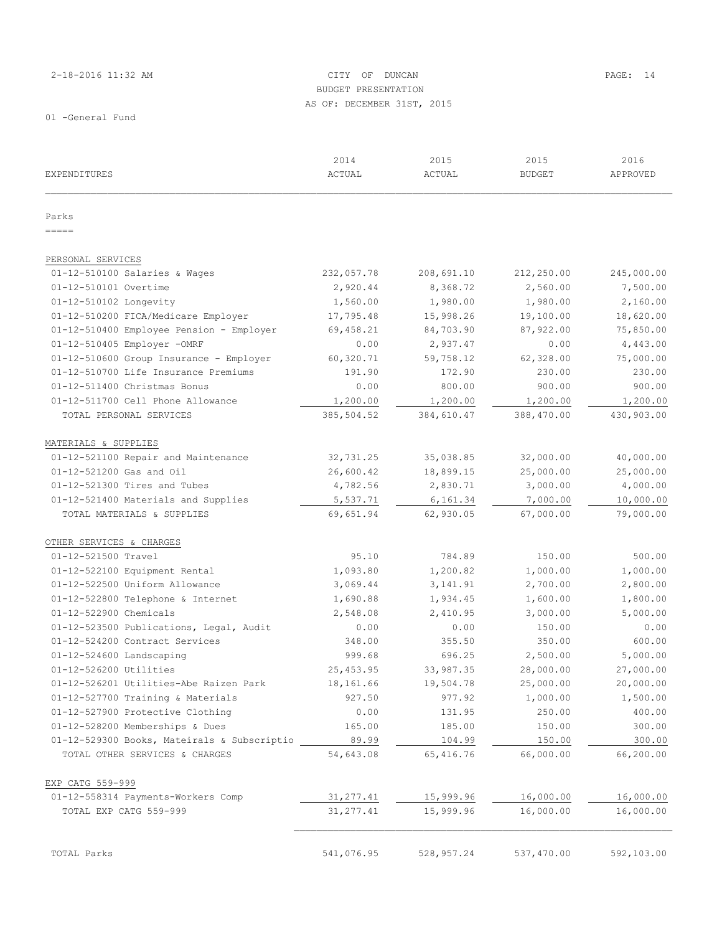# 2-18-2016 11:32 AM CITY OF DUNCAN PAGE: 14 BUDGET PRESENTATION AS OF: DECEMBER 31ST, 2015

| EXPENDITURES                                | 2014<br>ACTUAL | 2015<br>ACTUAL | 2015<br><b>BUDGET</b> | 2016<br>APPROVED |
|---------------------------------------------|----------------|----------------|-----------------------|------------------|
| Parks                                       |                |                |                       |                  |
| $=$ $=$ $=$ $=$                             |                |                |                       |                  |
| PERSONAL SERVICES                           |                |                |                       |                  |
| 01-12-510100 Salaries & Wages               | 232,057.78     | 208,691.10     | 212,250.00            | 245,000.00       |
| 01-12-510101 Overtime                       | 2,920.44       | 8,368.72       | 2,560.00              | 7,500.00         |
| 01-12-510102 Longevity                      | 1,560.00       | 1,980.00       | 1,980.00              | 2,160.00         |
| 01-12-510200 FICA/Medicare Employer         | 17,795.48      | 15,998.26      | 19,100.00             | 18,620.00        |
| 01-12-510400 Employee Pension - Employer    | 69,458.21      | 84,703.90      | 87,922.00             | 75,850.00        |
| 01-12-510405 Employer -OMRF                 | 0.00           | 2,937.47       | 0.00                  | 4,443.00         |
| 01-12-510600 Group Insurance - Employer     | 60,320.71      | 59,758.12      | 62,328.00             | 75,000.00        |
| 01-12-510700 Life Insurance Premiums        | 191.90         | 172.90         | 230.00                | 230.00           |
| 01-12-511400 Christmas Bonus                | 0.00           | 800.00         | 900.00                | 900.00           |
| 01-12-511700 Cell Phone Allowance           | 1,200.00       | 1,200.00       | 1,200.00              | 1,200.00         |
| TOTAL PERSONAL SERVICES                     | 385,504.52     | 384,610.47     | 388,470.00            | 430,903.00       |
| MATERIALS & SUPPLIES                        |                |                |                       |                  |
| 01-12-521100 Repair and Maintenance         | 32,731.25      | 35,038.85      | 32,000.00             | 40,000.00        |
| 01-12-521200 Gas and Oil                    | 26,600.42      | 18,899.15      | 25,000.00             | 25,000.00        |
| 01-12-521300 Tires and Tubes                | 4,782.56       | 2,830.71       | 3,000.00              | 4,000.00         |
| 01-12-521400 Materials and Supplies         | 5,537.71       | 6,161.34       | 7,000.00              | 10,000.00        |
| TOTAL MATERIALS & SUPPLIES                  | 69,651.94      | 62,930.05      | 67,000.00             | 79,000.00        |
| OTHER SERVICES & CHARGES                    |                |                |                       |                  |
| 01-12-521500 Travel                         | 95.10          | 784.89         | 150.00                | 500.00           |
| 01-12-522100 Equipment Rental               | 1,093.80       | 1,200.82       | 1,000.00              | 1,000.00         |
| 01-12-522500 Uniform Allowance              | 3,069.44       | 3, 141.91      | 2,700.00              | 2,800.00         |
| 01-12-522800 Telephone & Internet           | 1,690.88       | 1,934.45       | 1,600.00              | 1,800.00         |
| 01-12-522900 Chemicals                      | 2,548.08       | 2,410.95       | 3,000.00              | 5,000.00         |
| 01-12-523500 Publications, Legal, Audit     | 0.00           | 0.00           | 150.00                | 0.00             |
| 01-12-524200 Contract Services              | 348.00         | 355.50         | 350.00                | 600.00           |
| 01-12-524600 Landscaping                    | 999.68         | 696.25         | 2,500.00              | 5,000.00         |
| 01-12-526200 Utilities                      | 25, 453.95     | 33,987.35      | 28,000.00             | 27,000.00        |
| 01-12-526201 Utilities-Abe Raizen Park      | 18,161.66      | 19,504.78      | 25,000.00             | 20,000.00        |
| 01-12-527700 Training & Materials           | 927.50         | 977.92         | 1,000.00              | 1,500.00         |
| 01-12-527900 Protective Clothing            | 0.00           | 131.95         | 250.00                | 400.00           |
| 01-12-528200 Memberships & Dues             | 165.00         | 185.00         | 150.00                | 300.00           |
| 01-12-529300 Books, Mateirals & Subscriptio | 89.99          | 104.99         | 150.00                | 300.00           |
| TOTAL OTHER SERVICES & CHARGES              | 54,643.08      | 65, 416.76     | 66,000.00             | 66,200.00        |
| EXP CATG 559-999                            |                |                |                       |                  |
| 01-12-558314 Payments-Workers Comp          | 31, 277.41     | 15,999.96      | 16,000.00             | 16,000.00        |
| TOTAL EXP CATG 559-999                      | 31, 277.41     | 15,999.96      | 16,000.00             | 16,000.00        |
|                                             |                |                |                       |                  |
| TOTAL Parks                                 | 541,076.95     | 528, 957.24    | 537,470.00            | 592,103.00       |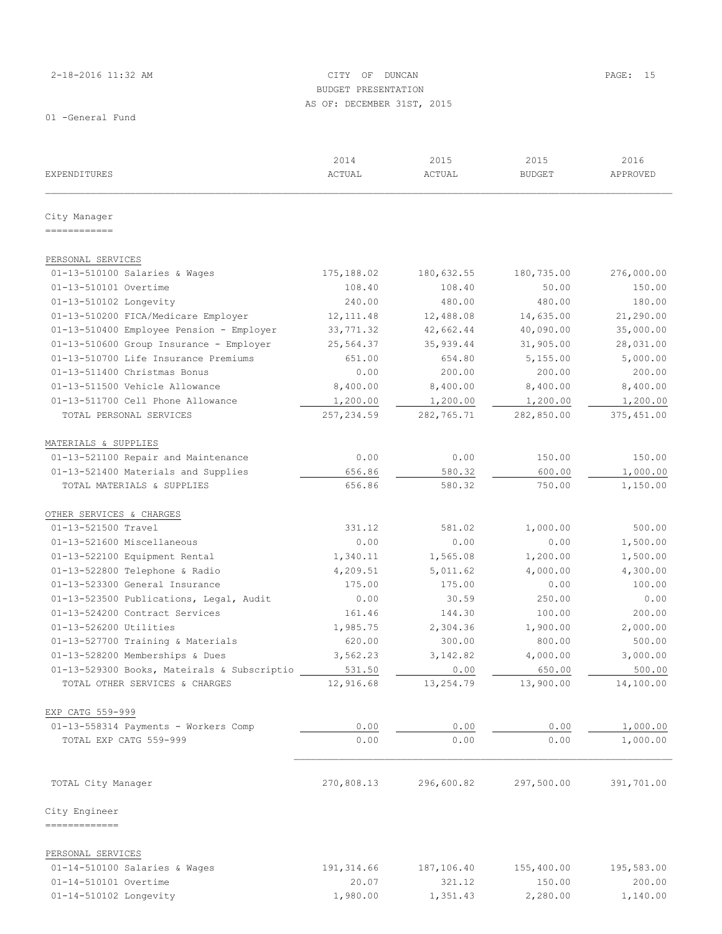# 2-18-2016 11:32 AM CITY OF DUNCAN PAGE: 15 BUDGET PRESENTATION AS OF: DECEMBER 31ST, 2015

| EXPENDITURES                                    | 2014<br>ACTUAL | 2015<br>ACTUAL | 2015<br><b>BUDGET</b> | 2016<br>APPROVED |
|-------------------------------------------------|----------------|----------------|-----------------------|------------------|
| City Manager                                    |                |                |                       |                  |
| ============                                    |                |                |                       |                  |
| PERSONAL SERVICES                               |                |                |                       |                  |
| 01-13-510100 Salaries & Wages                   | 175,188.02     | 180,632.55     | 180,735.00            | 276,000.00       |
| 01-13-510101 Overtime                           | 108.40         | 108.40         | 50.00                 | 150.00           |
| 01-13-510102 Longevity                          | 240.00         | 480.00         | 480.00                | 180.00           |
| 01-13-510200 FICA/Medicare Employer             | 12, 111.48     | 12,488.08      | 14,635.00             | 21,290.00        |
| 01-13-510400 Employee Pension - Employer        | 33,771.32      | 42,662.44      | 40,090.00             | 35,000.00        |
| 01-13-510600 Group Insurance - Employer         | 25,564.37      | 35, 939.44     | 31,905.00             | 28,031.00        |
| 01-13-510700 Life Insurance Premiums            | 651.00         | 654.80         | 5,155.00              | 5,000.00         |
| 01-13-511400 Christmas Bonus                    | 0.00           | 200.00         | 200.00                | 200.00           |
| 01-13-511500 Vehicle Allowance                  | 8,400.00       | 8,400.00       | 8,400.00              | 8,400.00         |
| 01-13-511700 Cell Phone Allowance               | 1,200.00       | 1,200.00       | 1,200.00              | 1,200.00         |
| TOTAL PERSONAL SERVICES                         | 257,234.59     | 282,765.71     | 282,850.00            | 375,451.00       |
| MATERIALS & SUPPLIES                            |                |                |                       |                  |
| 01-13-521100 Repair and Maintenance             | 0.00           | 0.00           | 150.00                | 150.00           |
| 01-13-521400 Materials and Supplies             | 656.86         | 580.32         | 600.00                | 1,000.00         |
| TOTAL MATERIALS & SUPPLIES                      | 656.86         | 580.32         | 750.00                | 1,150.00         |
|                                                 |                |                |                       |                  |
| OTHER SERVICES & CHARGES<br>01-13-521500 Travel | 331.12         | 581.02         | 1,000.00              | 500.00           |
| 01-13-521600 Miscellaneous                      | 0.00           | 0.00           | 0.00                  | 1,500.00         |
| 01-13-522100 Equipment Rental                   | 1,340.11       | 1,565.08       | 1,200.00              | 1,500.00         |
| 01-13-522800 Telephone & Radio                  | 4,209.51       | 5,011.62       | 4,000.00              | 4,300.00         |
| 01-13-523300 General Insurance                  | 175.00         | 175.00         | 0.00                  | 100.00           |
| 01-13-523500 Publications, Legal, Audit         | 0.00           | 30.59          | 250.00                | 0.00             |
| 01-13-524200 Contract Services                  | 161.46         | 144.30         | 100.00                | 200.00           |
| 01-13-526200 Utilities                          | 1,985.75       | 2,304.36       | 1,900.00              | 2,000.00         |
| 01-13-527700 Training & Materials               | 620.00         | 300.00         | 800.00                | 500.00           |
| 01-13-528200 Memberships & Dues                 | 3,562.23       | 3,142.82       | 4,000.00              | 3,000.00         |
| 01-13-529300 Books, Mateirals & Subscriptio     | 531.50         | 0.00           | 650.00                | 500.00           |
| TOTAL OTHER SERVICES & CHARGES                  | 12,916.68      | 13,254.79      | 13,900.00             | 14,100.00        |
| EXP CATG 559-999                                |                |                |                       |                  |
| 01-13-558314 Payments - Workers Comp            | 0.00           | 0.00           | 0.00                  | 1,000.00         |
| TOTAL EXP CATG 559-999                          | 0.00           | 0.00           | 0.00                  | 1,000.00         |
|                                                 |                |                |                       |                  |
| TOTAL City Manager                              | 270,808.13     | 296,600.82     | 297,500.00            | 391,701.00       |
| City Engineer                                   |                |                |                       |                  |
| _____________                                   |                |                |                       |                  |
| PERSONAL SERVICES                               |                |                |                       |                  |
| $01-14-510100$ Salaries & Wages                 | 191,314.66     | 187,106.40     | 155,400.00            | 195,583.00       |
| 01-14-510101 Overtime                           | 20.07          | 321.12         | 150.00                | 200.00           |
| 01-14-510102 Longevity                          | 1,980.00       | 1,351.43       | 2,280.00              | 1,140.00         |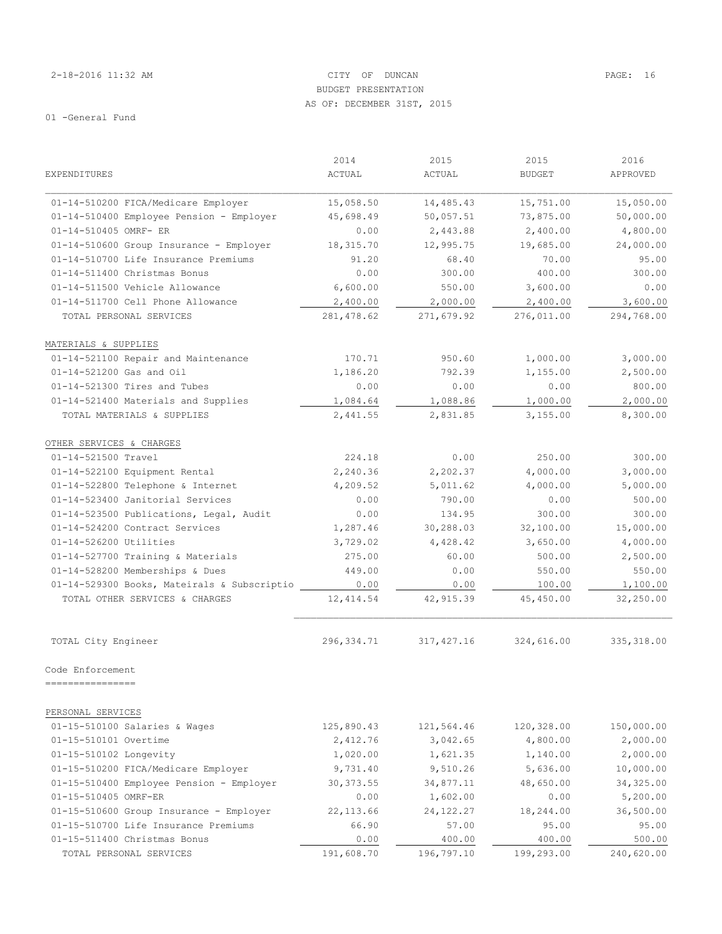#### 2-18-2016 11:32 AM CITY OF DUNCAN PAGE: 16 BUDGET PRESENTATION AS OF: DECEMBER 31ST, 2015

|                                             | 2014          | 2015        | 2015          | 2016        |
|---------------------------------------------|---------------|-------------|---------------|-------------|
| <b>EXPENDITURES</b>                         | <b>ACTUAL</b> | ACTUAL      | <b>BUDGET</b> | APPROVED    |
| 01-14-510200 FICA/Medicare Employer         | 15,058.50     | 14,485.43   | 15,751.00     | 15,050.00   |
| 01-14-510400 Employee Pension - Employer    | 45,698.49     | 50,057.51   | 73,875.00     | 50,000.00   |
| 01-14-510405 OMRF- ER                       | 0.00          | 2,443.88    | 2,400.00      | 4,800.00    |
| 01-14-510600 Group Insurance - Employer     | 18,315.70     | 12,995.75   | 19,685.00     | 24,000.00   |
| 01-14-510700 Life Insurance Premiums        | 91.20         | 68.40       | 70.00         | 95.00       |
| 01-14-511400 Christmas Bonus                | 0.00          | 300.00      | 400.00        | 300.00      |
| 01-14-511500 Vehicle Allowance              | 6,600.00      | 550.00      | 3,600.00      | 0.00        |
| 01-14-511700 Cell Phone Allowance           | 2,400.00      | 2,000.00    | 2,400.00      | 3,600.00    |
| TOTAL PERSONAL SERVICES                     | 281, 478.62   | 271,679.92  | 276,011.00    | 294,768.00  |
| MATERIALS & SUPPLIES                        |               |             |               |             |
| 01-14-521100 Repair and Maintenance         | 170.71        | 950.60      | 1,000.00      | 3,000.00    |
| 01-14-521200 Gas and Oil                    | 1,186.20      | 792.39      | 1,155.00      | 2,500.00    |
| 01-14-521300 Tires and Tubes                | 0.00          | 0.00        | 0.00          | 800.00      |
| 01-14-521400 Materials and Supplies         | 1,084.64      | 1,088.86    | 1,000.00      | 2,000.00    |
| TOTAL MATERIALS & SUPPLIES                  | 2,441.55      | 2,831.85    | 3,155.00      | 8,300.00    |
| OTHER SERVICES & CHARGES                    |               |             |               |             |
| 01-14-521500 Travel                         | 224.18        | 0.00        | 250.00        | 300.00      |
| 01-14-522100 Equipment Rental               | 2,240.36      | 2,202.37    | 4,000.00      | 3,000.00    |
| 01-14-522800 Telephone & Internet           | 4,209.52      | 5,011.62    | 4,000.00      | 5,000.00    |
| 01-14-523400 Janitorial Services            | 0.00          | 790.00      | 0.00          | 500.00      |
| 01-14-523500 Publications, Legal, Audit     | 0.00          | 134.95      | 300.00        | 300.00      |
| 01-14-524200 Contract Services              | 1,287.46      | 30,288.03   | 32,100.00     | 15,000.00   |
| 01-14-526200 Utilities                      | 3,729.02      | 4,428.42    | 3,650.00      | 4,000.00    |
| 01-14-527700 Training & Materials           | 275.00        | 60.00       | 500.00        | 2,500.00    |
| 01-14-528200 Memberships & Dues             | 449.00        | 0.00        | 550.00        | 550.00      |
| 01-14-529300 Books, Mateirals & Subscriptio | 0.00          | 0.00        | 100.00        | 1,100.00    |
| TOTAL OTHER SERVICES & CHARGES              | 12, 414.54    | 42, 915.39  | 45,450.00     | 32,250.00   |
| TOTAL City Engineer                         | 296,334.71    | 317, 427.16 | 324,616.00    | 335, 318.00 |
| Code Enforcement                            |               |             |               |             |
|                                             |               |             |               |             |
| PERSONAL SERVICES                           |               |             |               |             |
| 01-15-510100 Salaries & Wages               | 125,890.43    | 121,564.46  | 120,328.00    | 150,000.00  |
| 01-15-510101 Overtime                       | 2,412.76      | 3,042.65    | 4,800.00      | 2,000.00    |
| 01-15-510102 Longevity                      | 1,020.00      | 1,621.35    | 1,140.00      | 2,000.00    |
| 01-15-510200 FICA/Medicare Employer         | 9,731.40      | 9,510.26    | 5,636.00      | 10,000.00   |
| 01-15-510400 Employee Pension - Employer    | 30, 373.55    | 34,877.11   | 48,650.00     | 34,325.00   |
| 01-15-510405 OMRF-ER                        | 0.00          | 1,602.00    | 0.00          | 5,200.00    |
| 01-15-510600 Group Insurance - Employer     | 22, 113.66    | 24, 122. 27 | 18,244.00     | 36,500.00   |
| 01-15-510700 Life Insurance Premiums        | 66.90         | 57.00       | 95.00         | 95.00       |
| 01-15-511400 Christmas Bonus                | 0.00          | 400.00      | 400.00        | 500.00      |
| TOTAL PERSONAL SERVICES                     | 191,608.70    | 196,797.10  | 199,293.00    | 240,620.00  |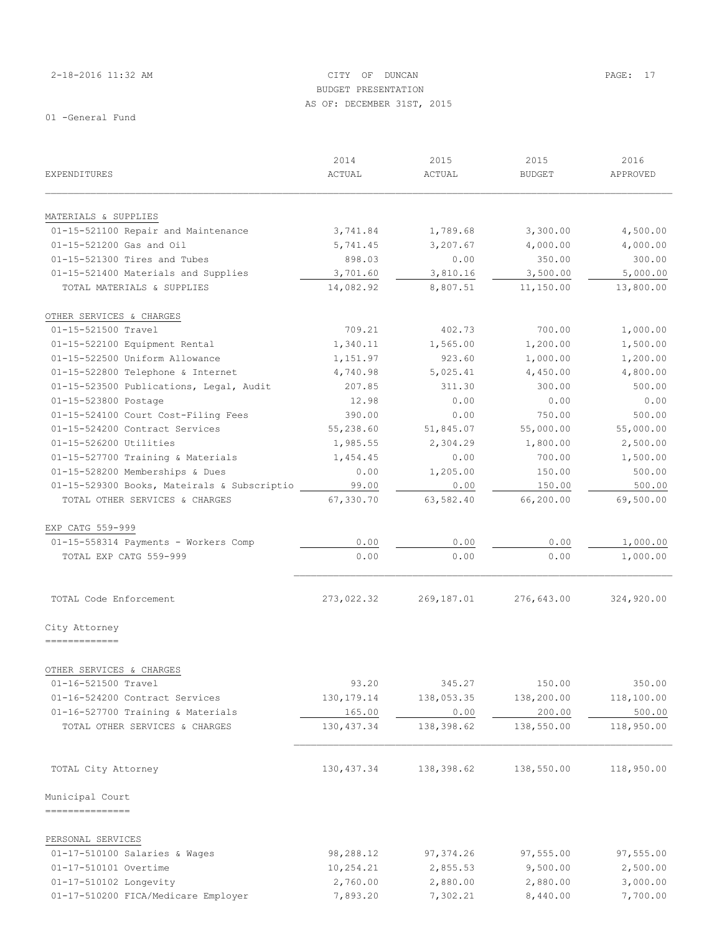#### 2-18-2016 11:32 AM CITY OF DUNCAN PAGE: 17 BUDGET PRESENTATION AS OF: DECEMBER 31ST, 2015

|                                             | 2014         | 2015       | 2015          | 2016       |
|---------------------------------------------|--------------|------------|---------------|------------|
| EXPENDITURES                                | ACTUAL       | ACTUAL     | <b>BUDGET</b> | APPROVED   |
| MATERIALS & SUPPLIES                        |              |            |               |            |
| 01-15-521100 Repair and Maintenance         | 3,741.84     | 1,789.68   | 3,300.00      | 4,500.00   |
| 01-15-521200 Gas and Oil                    | 5,741.45     | 3,207.67   | 4,000.00      | 4,000.00   |
| 01-15-521300 Tires and Tubes                | 898.03       | 0.00       | 350.00        | 300.00     |
| 01-15-521400 Materials and Supplies         | 3,701.60     | 3,810.16   | 3,500.00      | 5,000.00   |
| TOTAL MATERIALS & SUPPLIES                  | 14,082.92    | 8,807.51   | 11,150.00     | 13,800.00  |
| OTHER SERVICES & CHARGES                    |              |            |               |            |
| 01-15-521500 Travel                         | 709.21       | 402.73     | 700.00        | 1,000.00   |
| 01-15-522100 Equipment Rental               | 1,340.11     | 1,565.00   | 1,200.00      | 1,500.00   |
| 01-15-522500 Uniform Allowance              | 1,151.97     | 923.60     | 1,000.00      | 1,200.00   |
| 01-15-522800 Telephone & Internet           | 4,740.98     | 5,025.41   | 4,450.00      | 4,800.00   |
| 01-15-523500 Publications, Legal, Audit     | 207.85       | 311.30     | 300.00        | 500.00     |
| 01-15-523800 Postage                        | 12.98        | 0.00       | 0.00          | 0.00       |
| 01-15-524100 Court Cost-Filing Fees         | 390.00       | 0.00       | 750.00        | 500.00     |
| 01-15-524200 Contract Services              | 55,238.60    | 51,845.07  | 55,000.00     | 55,000.00  |
| 01-15-526200 Utilities                      | 1,985.55     | 2,304.29   | 1,800.00      | 2,500.00   |
| 01-15-527700 Training & Materials           | 1,454.45     | 0.00       | 700.00        | 1,500.00   |
| 01-15-528200 Memberships & Dues             | 0.00         | 1,205.00   | 150.00        | 500.00     |
| 01-15-529300 Books, Mateirals & Subscriptio | 99.00        | 0.00       | 150.00        | 500.00     |
| TOTAL OTHER SERVICES & CHARGES              | 67,330.70    | 63,582.40  | 66,200.00     | 69,500.00  |
| EXP CATG 559-999                            |              |            |               |            |
| 01-15-558314 Payments - Workers Comp        | 0.00         | 0.00       | 0.00          | 1,000.00   |
| TOTAL EXP CATG 559-999                      | 0.00         | 0.00       | 0.00          | 1,000.00   |
| TOTAL Code Enforcement                      | 273,022.32   | 269,187.01 | 276,643.00    | 324,920.00 |
| City Attorney                               |              |            |               |            |
| =============                               |              |            |               |            |
|                                             |              |            |               |            |
| OTHER SERVICES & CHARGES                    |              |            |               |            |
| 01-16-521500 Travel                         | 93.20        | 345.27     | 150.00        | 350.00     |
| 01-16-524200 Contract Services              | 130, 179. 14 | 138,053.35 | 138,200.00    | 118,100.00 |
| 01-16-527700 Training & Materials           | 165.00       | 0.00       | 200.00        | 500.00     |
| TOTAL OTHER SERVICES & CHARGES              | 130, 437.34  | 138,398.62 | 138,550.00    | 118,950.00 |
| TOTAL City Attorney                         | 130, 437.34  | 138,398.62 | 138,550.00    | 118,950.00 |
| Municipal Court                             |              |            |               |            |
| ________________                            |              |            |               |            |
| PERSONAL SERVICES                           |              |            |               |            |
| 01-17-510100 Salaries & Wages               | 98,288.12    | 97, 374.26 | 97,555.00     | 97,555.00  |
| 01-17-510101 Overtime                       | 10,254.21    | 2,855.53   | 9,500.00      | 2,500.00   |
| 01-17-510102 Longevity                      | 2,760.00     | 2,880.00   | 2,880.00      | 3,000.00   |
| 01-17-510200 FICA/Medicare Employer         | 7,893.20     | 7,302.21   | 8,440.00      | 7,700.00   |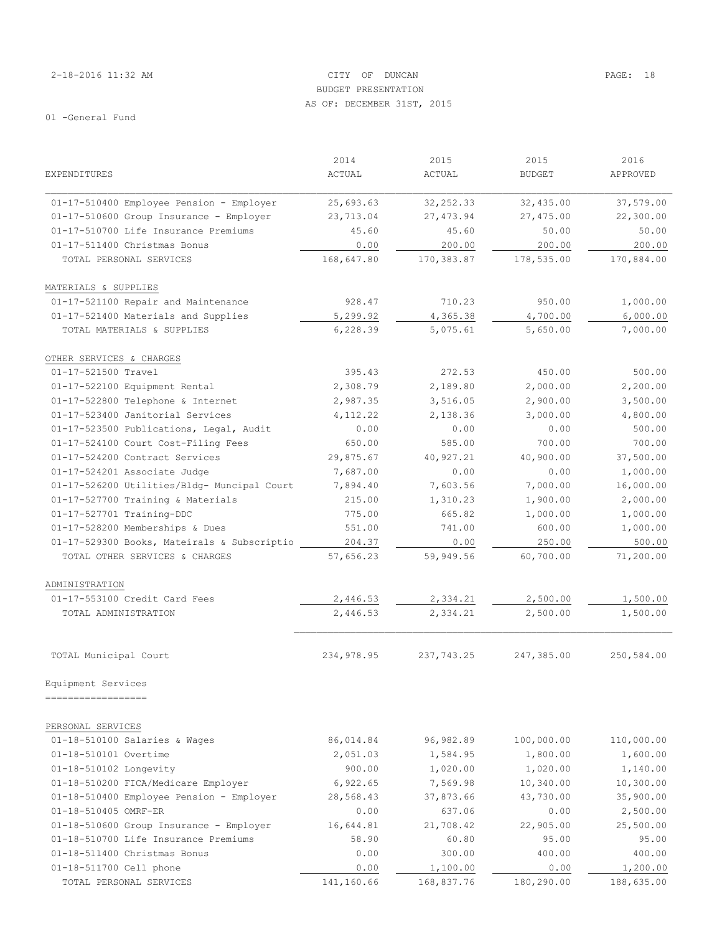#### 2-18-2016 11:32 AM CITY OF DUNCAN PAGE: 18 BUDGET PRESENTATION AS OF: DECEMBER 31ST, 2015

|                                             | 2014       | 2015          | 2015          | 2016       |
|---------------------------------------------|------------|---------------|---------------|------------|
| EXPENDITURES                                | ACTUAL     | <b>ACTUAL</b> | <b>BUDGET</b> | APPROVED   |
| 01-17-510400 Employee Pension - Employer    | 25,693.63  | 32, 252.33    | 32,435.00     | 37,579.00  |
| 01-17-510600 Group Insurance - Employer     | 23,713.04  | 27, 473.94    | 27,475.00     | 22,300.00  |
| 01-17-510700 Life Insurance Premiums        | 45.60      | 45.60         | 50.00         | 50.00      |
| 01-17-511400 Christmas Bonus                | 0.00       | 200.00        | 200.00        | 200.00     |
| TOTAL PERSONAL SERVICES                     | 168,647.80 | 170,383.87    | 178,535.00    | 170,884.00 |
| MATERIALS & SUPPLIES                        |            |               |               |            |
| 01-17-521100 Repair and Maintenance         | 928.47     | 710.23        | 950.00        | 1,000.00   |
| 01-17-521400 Materials and Supplies         | 5,299.92   | 4,365.38      | 4,700.00      | 6,000.00   |
| TOTAL MATERIALS & SUPPLIES                  | 6,228.39   | 5,075.61      | 5,650.00      | 7,000.00   |
| OTHER SERVICES & CHARGES                    |            |               |               |            |
| 01-17-521500 Travel                         | 395.43     | 272.53        | 450.00        | 500.00     |
| 01-17-522100 Equipment Rental               | 2,308.79   | 2,189.80      | 2,000.00      | 2,200.00   |
| 01-17-522800 Telephone & Internet           | 2,987.35   | 3,516.05      | 2,900.00      | 3,500.00   |
| 01-17-523400 Janitorial Services            | 4,112.22   | 2,138.36      | 3,000.00      | 4,800.00   |
| 01-17-523500 Publications, Legal, Audit     | 0.00       | 0.00          | 0.00          | 500.00     |
| 01-17-524100 Court Cost-Filing Fees         | 650.00     | 585.00        | 700.00        | 700.00     |
| 01-17-524200 Contract Services              | 29,875.67  | 40,927.21     | 40,900.00     | 37,500.00  |
| 01-17-524201 Associate Judge                | 7,687.00   | 0.00          | 0.00          | 1,000.00   |
| 01-17-526200 Utilities/Bldg- Muncipal Court | 7,894.40   | 7,603.56      | 7,000.00      | 16,000.00  |
| 01-17-527700 Training & Materials           | 215.00     | 1,310.23      | 1,900.00      | 2,000.00   |
| 01-17-527701 Training-DDC                   | 775.00     | 665.82        | 1,000.00      | 1,000.00   |
| 01-17-528200 Memberships & Dues             | 551.00     | 741.00        | 600.00        | 1,000.00   |
| 01-17-529300 Books, Mateirals & Subscriptio | 204.37     | 0.00          | 250.00        | 500.00     |
| TOTAL OTHER SERVICES & CHARGES              | 57,656.23  | 59,949.56     | 60,700.00     | 71,200.00  |
| ADMINISTRATION                              |            |               |               |            |
| 01-17-553100 Credit Card Fees               | 2,446.53   | 2,334.21      | 2,500.00      | 1,500.00   |
| TOTAL ADMINISTRATION                        | 2,446.53   | 2,334.21      | 2,500.00      | 1,500.00   |
|                                             |            |               |               |            |
| TOTAL Municipal Court                       | 234,978.95 | 237,743.25    | 247,385.00    | 250,584.00 |
| Equipment Services<br>===================   |            |               |               |            |
|                                             |            |               |               |            |
| PERSONAL SERVICES                           |            |               |               |            |
| 01-18-510100 Salaries & Wages               | 86,014.84  | 96,982.89     | 100,000.00    | 110,000.00 |
| 01-18-510101 Overtime                       | 2,051.03   | 1,584.95      | 1,800.00      | 1,600.00   |
| 01-18-510102 Longevity                      | 900.00     | 1,020.00      | 1,020.00      | 1,140.00   |
| 01-18-510200 FICA/Medicare Employer         | 6,922.65   | 7,569.98      | 10,340.00     | 10,300.00  |
| 01-18-510400 Employee Pension - Employer    | 28,568.43  | 37,873.66     | 43,730.00     | 35,900.00  |
| 01-18-510405 OMRF-ER                        | 0.00       | 637.06        | 0.00          | 2,500.00   |
| 01-18-510600 Group Insurance - Employer     | 16,644.81  | 21,708.42     | 22,905.00     | 25,500.00  |
| 01-18-510700 Life Insurance Premiums        | 58.90      | 60.80         | 95.00         | 95.00      |
| 01-18-511400 Christmas Bonus                | 0.00       | 300.00        | 400.00        | 400.00     |
| 01-18-511700 Cell phone                     | 0.00       | 1,100.00      | 0.00          | 1,200.00   |
| TOTAL PERSONAL SERVICES                     | 141,160.66 | 168,837.76    | 180,290.00    | 188,635.00 |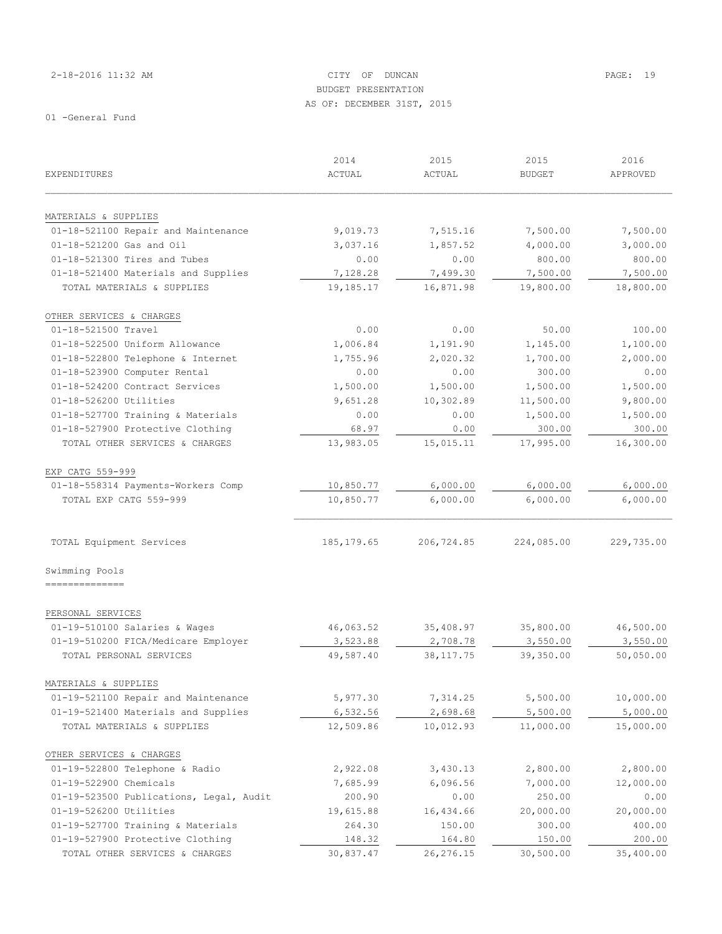# 2-18-2016 11:32 AM CITY OF DUNCAN PAGE: 19 BUDGET PRESENTATION AS OF: DECEMBER 31ST, 2015

|                                         | 2014        | 2015          | 2015          | 2016       |
|-----------------------------------------|-------------|---------------|---------------|------------|
| EXPENDITURES                            | ACTUAL      | <b>ACTUAL</b> | <b>BUDGET</b> | APPROVED   |
| MATERIALS & SUPPLIES                    |             |               |               |            |
| 01-18-521100 Repair and Maintenance     | 9,019.73    | 7,515.16      | 7,500.00      | 7,500.00   |
| 01-18-521200 Gas and Oil                | 3,037.16    | 1,857.52      | 4,000.00      | 3,000.00   |
| 01-18-521300 Tires and Tubes            | 0.00        | 0.00          | 800.00        | 800.00     |
| 01-18-521400 Materials and Supplies     | 7,128.28    | 7,499.30      | 7,500.00      | 7,500.00   |
| TOTAL MATERIALS & SUPPLIES              | 19,185.17   | 16,871.98     | 19,800.00     | 18,800.00  |
| OTHER SERVICES & CHARGES                |             |               |               |            |
| 01-18-521500 Travel                     | 0.00        | 0.00          | 50.00         | 100.00     |
| 01-18-522500 Uniform Allowance          | 1,006.84    | 1,191.90      | 1,145.00      | 1,100.00   |
| 01-18-522800 Telephone & Internet       | 1,755.96    | 2,020.32      | 1,700.00      | 2,000.00   |
| 01-18-523900 Computer Rental            | 0.00        | 0.00          | 300.00        | 0.00       |
| 01-18-524200 Contract Services          | 1,500.00    | 1,500.00      | 1,500.00      | 1,500.00   |
| 01-18-526200 Utilities                  | 9,651.28    | 10,302.89     | 11,500.00     | 9,800.00   |
| 01-18-527700 Training & Materials       | 0.00        | 0.00          | 1,500.00      | 1,500.00   |
| 01-18-527900 Protective Clothing        | 68.97       | 0.00          | 300.00        | 300.00     |
| TOTAL OTHER SERVICES & CHARGES          | 13,983.05   | 15,015.11     | 17,995.00     | 16,300.00  |
| EXP CATG 559-999                        |             |               |               |            |
| 01-18-558314 Payments-Workers Comp      | 10,850.77   | 6,000.00      | 6,000.00      | 6,000.00   |
| TOTAL EXP CATG 559-999                  | 10,850.77   | 6,000.00      | 6,000.00      | 6,000.00   |
| TOTAL Equipment Services                | 185, 179.65 | 206,724.85    | 224,085.00    | 229,735.00 |
| Swimming Pools                          |             |               |               |            |
| ===============                         |             |               |               |            |
| PERSONAL SERVICES                       |             |               |               |            |
| 01-19-510100 Salaries & Wages           | 46,063.52   | 35,408.97     | 35,800.00     | 46,500.00  |
| 01-19-510200 FICA/Medicare Employer     | 3,523.88    | 2,708.78      | 3,550.00      | 3,550.00   |
| TOTAL PERSONAL SERVICES                 | 49,587.40   | 38, 117.75    | 39,350.00     | 50,050.00  |
| MATERIALS & SUPPLIES                    |             |               |               |            |
| 01-19-521100 Repair and Maintenance     | 5,977.30    | 7,314.25      | 5,500.00      | 10,000.00  |
| 01-19-521400 Materials and Supplies     | 6,532.56    | 2,698.68      | 5,500.00      | 5,000.00   |
| TOTAL MATERIALS & SUPPLIES              | 12,509.86   | 10,012.93     | 11,000.00     | 15,000.00  |
| OTHER SERVICES & CHARGES                |             |               |               |            |
| 01-19-522800 Telephone & Radio          | 2,922.08    | 3,430.13      | 2,800.00      | 2,800.00   |
| 01-19-522900 Chemicals                  | 7,685.99    | 6,096.56      | 7,000.00      | 12,000.00  |
| 01-19-523500 Publications, Legal, Audit | 200.90      | 0.00          | 250.00        | 0.00       |
| 01-19-526200 Utilities                  | 19,615.88   | 16,434.66     | 20,000.00     | 20,000.00  |
| 01-19-527700 Training & Materials       | 264.30      | 150.00        | 300.00        | 400.00     |
| 01-19-527900 Protective Clothing        | 148.32      | 164.80        | 150.00        | 200.00     |
| TOTAL OTHER SERVICES & CHARGES          | 30,837.47   | 26,276.15     | 30,500.00     | 35,400.00  |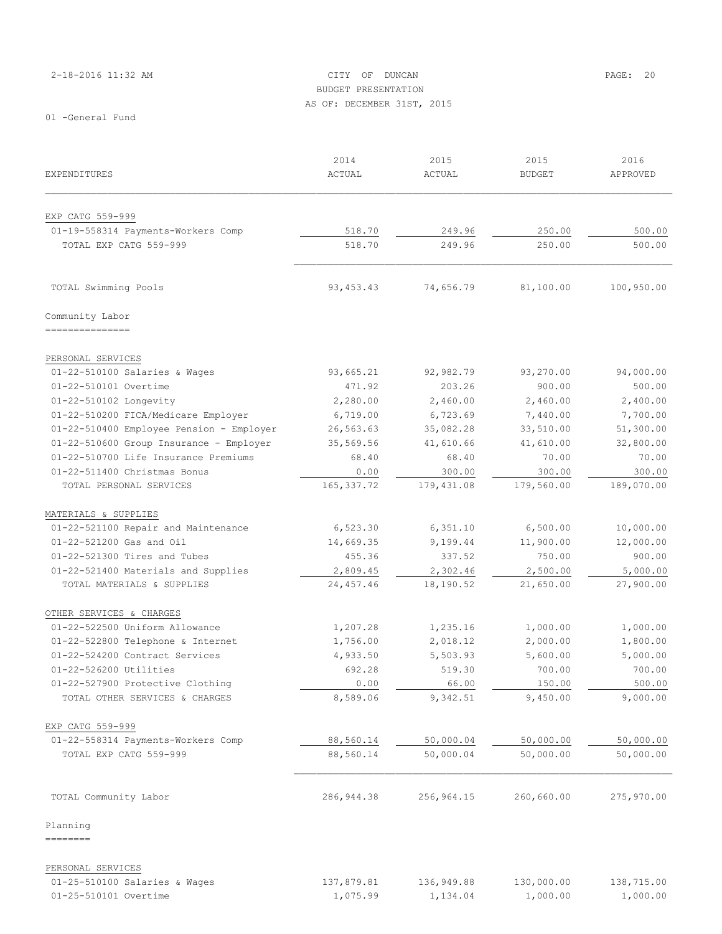|  |  |  | 2-18-2016 11:32 AM |  |  |  |
|--|--|--|--------------------|--|--|--|
|--|--|--|--------------------|--|--|--|

# CITY OF DUNCAN PAGE: 20 BUDGET PRESENTATION AS OF: DECEMBER 31ST, 2015

|                                          | 2014        | 2015          | 2015          | 2016       |
|------------------------------------------|-------------|---------------|---------------|------------|
| EXPENDITURES                             | ACTUAL      | <b>ACTUAL</b> | <b>BUDGET</b> | APPROVED   |
|                                          |             |               |               |            |
| EXP CATG 559-999                         |             |               |               |            |
| 01-19-558314 Payments-Workers Comp       | 518.70      | 249.96        | 250.00        | 500.00     |
| TOTAL EXP CATG 559-999                   | 518.70      | 249.96        | 250.00        | 500.00     |
| TOTAL Swimming Pools                     | 93, 453. 43 | 74,656.79     | 81,100.00     | 100,950.00 |
| Community Labor                          |             |               |               |            |
| ----------------                         |             |               |               |            |
| PERSONAL SERVICES                        |             |               |               |            |
| 01-22-510100 Salaries & Wages            | 93,665.21   | 92,982.79     | 93,270.00     | 94,000.00  |
| 01-22-510101 Overtime                    | 471.92      | 203.26        | 900.00        | 500.00     |
| 01-22-510102 Longevity                   | 2,280.00    | 2,460.00      | 2,460.00      | 2,400.00   |
| 01-22-510200 FICA/Medicare Employer      | 6,719.00    | 6,723.69      | 7,440.00      | 7,700.00   |
| 01-22-510400 Employee Pension - Employer | 26,563.63   | 35,082.28     | 33,510.00     | 51,300.00  |
| 01-22-510600 Group Insurance - Employer  | 35,569.56   | 41,610.66     | 41,610.00     | 32,800.00  |
| 01-22-510700 Life Insurance Premiums     | 68.40       | 68.40         | 70.00         | 70.00      |
| 01-22-511400 Christmas Bonus             | 0.00        | 300.00        | 300.00        | 300.00     |
| TOTAL PERSONAL SERVICES                  | 165, 337.72 | 179,431.08    | 179,560.00    | 189,070.00 |
| MATERIALS & SUPPLIES                     |             |               |               |            |
| 01-22-521100 Repair and Maintenance      | 6,523.30    | 6,351.10      | 6,500.00      | 10,000.00  |
| 01-22-521200 Gas and Oil                 | 14,669.35   | 9,199.44      | 11,900.00     | 12,000.00  |
| 01-22-521300 Tires and Tubes             | 455.36      | 337.52        | 750.00        | 900.00     |
| 01-22-521400 Materials and Supplies      | 2,809.45    | 2,302.46      | 2,500.00      | 5,000.00   |
| TOTAL MATERIALS & SUPPLIES               | 24,457.46   | 18,190.52     | 21,650.00     | 27,900.00  |
| OTHER SERVICES & CHARGES                 |             |               |               |            |
| 01-22-522500 Uniform Allowance           | 1,207.28    | 1,235.16      | 1,000.00      | 1,000.00   |
| 01-22-522800 Telephone & Internet        | 1,756.00    | 2,018.12      | 2,000.00      | 1,800.00   |
| 01-22-524200 Contract Services           | 4,933.50    | 5,503.93      | 5,600.00      | 5,000.00   |
| 01-22-526200 Utilities                   | 692.28      | 519.30        | 700.00        | 700.00     |
| 01-22-527900 Protective Clothing         | 0.00        | 66.00         | 150.00        | 500.00     |
| TOTAL OTHER SERVICES & CHARGES           | 8,589.06    | 9,342.51      | 9,450.00      | 9,000.00   |
| EXP CATG 559-999                         |             |               |               |            |
| 01-22-558314 Payments-Workers Comp       | 88,560.14   | 50,000.04     | 50,000.00     | 50,000.00  |
| TOTAL EXP CATG 559-999                   | 88,560.14   | 50,000.04     | 50,000.00     | 50,000.00  |
| TOTAL Community Labor                    | 286, 944.38 | 256,964.15    | 260,660.00    | 275,970.00 |
| Planning<br>========                     |             |               |               |            |
| PERSONAL SERVICES                        |             |               |               |            |
| 01-25-510100 Salaries & Wages            | 137,879.81  | 136,949.88    | 130,000.00    | 138,715.00 |
| 01-25-510101 Overtime                    | 1,075.99    | 1,134.04      | 1,000.00      | 1,000.00   |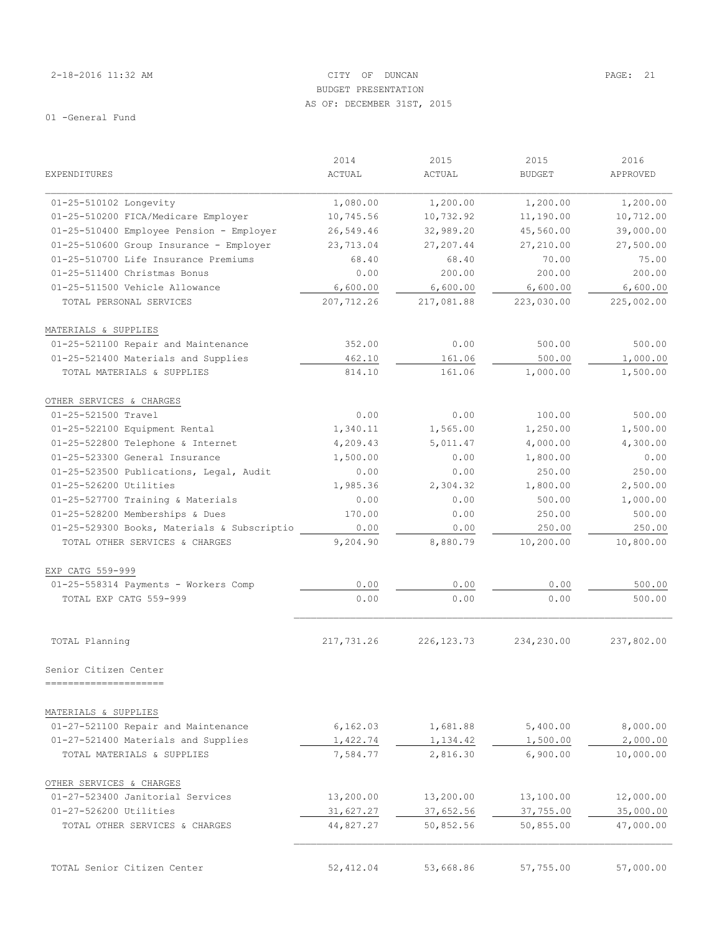# 2-18-2016 11:32 AM CITY OF DUNCAN PAGE: 21 BUDGET PRESENTATION AS OF: DECEMBER 31ST, 2015

|                                                                   | 2014                 | 2015                 | 2015                 | 2016                  |
|-------------------------------------------------------------------|----------------------|----------------------|----------------------|-----------------------|
| EXPENDITURES                                                      | ACTUAL               | ACTUAL               | <b>BUDGET</b>        | APPROVED              |
| 01-25-510102 Longevity                                            | 1,080.00             | 1,200.00             | 1,200.00             | 1,200.00              |
| 01-25-510200 FICA/Medicare Employer                               | 10,745.56            | 10,732.92            | 11,190.00            | 10,712.00             |
| 01-25-510400 Employee Pension - Employer                          | 26,549.46            | 32,989.20            | 45,560.00            | 39,000.00             |
| 01-25-510600 Group Insurance - Employer                           | 23,713.04            | 27,207.44            | 27,210.00            | 27,500.00             |
| 01-25-510700 Life Insurance Premiums                              | 68.40                | 68.40                | 70.00                | 75.00                 |
| 01-25-511400 Christmas Bonus                                      | 0.00                 | 200.00               | 200.00               | 200.00                |
| 01-25-511500 Vehicle Allowance                                    | 6,600.00             | 6,600.00             | 6,600.00             | 6,600.00              |
| TOTAL PERSONAL SERVICES                                           | 207,712.26           | 217,081.88           | 223,030.00           | 225,002.00            |
| MATERIALS & SUPPLIES                                              |                      |                      |                      |                       |
| 01-25-521100 Repair and Maintenance                               | 352.00               | 0.00                 | 500.00               | 500.00                |
| 01-25-521400 Materials and Supplies                               | 462.10               | 161.06               | 500.00               | 1,000.00              |
| TOTAL MATERIALS & SUPPLIES                                        | 814.10               | 161.06               | 1,000.00             | 1,500.00              |
| OTHER SERVICES & CHARGES                                          |                      |                      |                      |                       |
| 01-25-521500 Travel                                               | 0.00                 | 0.00                 | 100.00               | 500.00                |
| 01-25-522100 Equipment Rental                                     | 1,340.11             | 1,565.00             | 1,250.00             | 1,500.00              |
| 01-25-522800 Telephone & Internet                                 | 4,209.43             | 5,011.47             | 4,000.00             | 4,300.00              |
| 01-25-523300 General Insurance                                    | 1,500.00             | 0.00                 | 1,800.00             | 0.00                  |
| 01-25-523500 Publications, Legal, Audit                           | 0.00                 | 0.00                 | 250.00               | 250.00                |
| 01-25-526200 Utilities                                            | 1,985.36             | 2,304.32             | 1,800.00             | 2,500.00              |
| 01-25-527700 Training & Materials                                 | 0.00                 | 0.00                 | 500.00               | 1,000.00              |
| 01-25-528200 Memberships & Dues                                   | 170.00               | 0.00                 | 250.00               | 500.00                |
| 01-25-529300 Books, Materials & Subscriptio                       | 0.00                 | 0.00                 | 250.00               | 250.00                |
| TOTAL OTHER SERVICES & CHARGES                                    | 9,204.90             | 8,880.79             | 10,200.00            | 10,800.00             |
| EXP CATG 559-999                                                  |                      |                      |                      |                       |
| 01-25-558314 Payments - Workers Comp                              | 0.00                 | 0.00                 | 0.00                 | 500.00                |
| TOTAL EXP CATG 559-999                                            | 0.00                 | 0.00                 | 0.00                 | 500.00                |
|                                                                   |                      |                      |                      |                       |
| TOTAL Planning                                                    | 217,731.26           | 226, 123.73          | 234,230.00           | 237,802.00            |
| Senior Citizen Center                                             |                      |                      |                      |                       |
|                                                                   |                      |                      |                      |                       |
| MATERIALS & SUPPLIES                                              |                      |                      |                      |                       |
| 01-27-521100 Repair and Maintenance                               | 6, 162.03            | 1,681.88             | 5,400.00             | 8,000.00              |
| 01-27-521400 Materials and Supplies<br>TOTAL MATERIALS & SUPPLIES | 1,422.74<br>7,584.77 | 1,134.42<br>2,816.30 | 1,500.00<br>6,900.00 | 2,000.00<br>10,000.00 |
| OTHER SERVICES & CHARGES                                          |                      |                      |                      |                       |
| 01-27-523400 Janitorial Services                                  | 13,200.00            | 13,200.00            | 13,100.00            | 12,000.00             |
| 01-27-526200 Utilities                                            | 31,627.27            | 37,652.56            | 37,755.00            | 35,000.00             |
| TOTAL OTHER SERVICES & CHARGES                                    | 44,827.27            | 50,852.56            | 50,855.00            | 47,000.00             |
|                                                                   |                      |                      |                      |                       |
| TOTAL Senior Citizen Center                                       | 52,412.04            | 53,668.86            | 57,755.00            | 57,000.00             |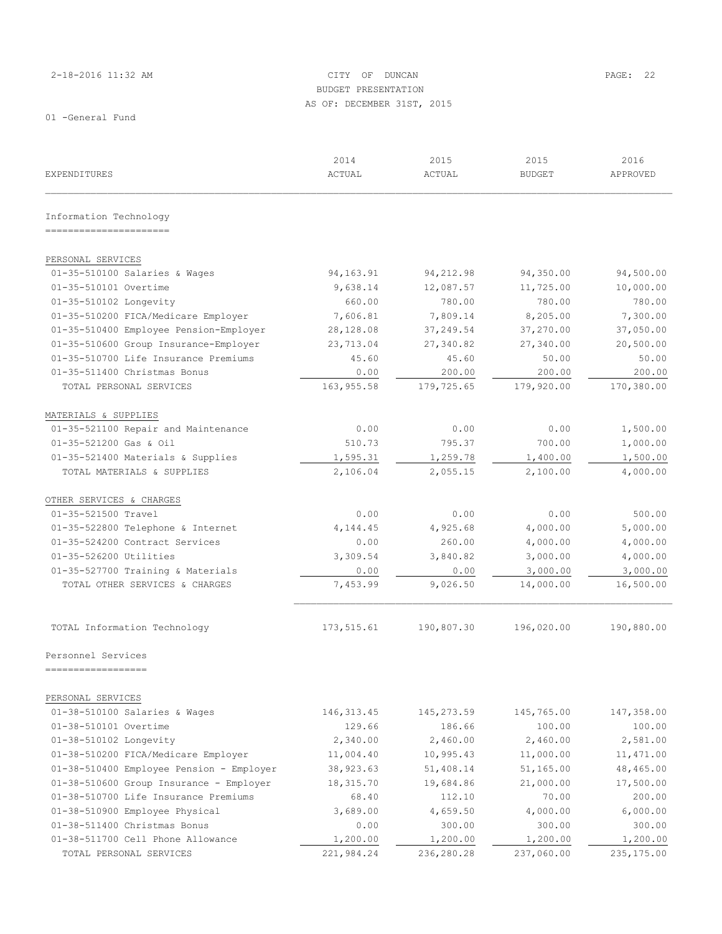# 2-18-2016 11:32 AM CITY OF DUNCAN PAGE: 22 BUDGET PRESENTATION AS OF: DECEMBER 31ST, 2015

| EXPENDITURES                             | 2014<br>ACTUAL | 2015<br>ACTUAL | 2015<br><b>BUDGET</b> | 2016<br>APPROVED |
|------------------------------------------|----------------|----------------|-----------------------|------------------|
| Information Technology                   |                |                |                       |                  |
| _______________________                  |                |                |                       |                  |
| PERSONAL SERVICES                        |                |                |                       |                  |
| 01-35-510100 Salaries & Wages            | 94,163.91      | 94, 212.98     | 94,350.00             | 94,500.00        |
| 01-35-510101 Overtime                    | 9,638.14       | 12,087.57      | 11,725.00             | 10,000.00        |
| 01-35-510102 Longevity                   | 660.00         | 780.00         | 780.00                | 780.00           |
| 01-35-510200 FICA/Medicare Employer      | 7,606.81       | 7,809.14       | 8,205.00              | 7,300.00         |
| 01-35-510400 Employee Pension-Employer   | 28,128.08      | 37,249.54      | 37,270.00             | 37,050.00        |
| 01-35-510600 Group Insurance-Employer    | 23,713.04      | 27,340.82      | 27,340.00             | 20,500.00        |
| 01-35-510700 Life Insurance Premiums     | 45.60          | 45.60          | 50.00                 | 50.00            |
| 01-35-511400 Christmas Bonus             | 0.00           | 200.00         | 200.00                | 200.00           |
| TOTAL PERSONAL SERVICES                  | 163,955.58     | 179,725.65     | 179,920.00            | 170,380.00       |
| MATERIALS & SUPPLIES                     |                |                |                       |                  |
| 01-35-521100 Repair and Maintenance      | 0.00           | 0.00           | 0.00                  | 1,500.00         |
| 01-35-521200 Gas & Oil                   | 510.73         | 795.37         | 700.00                | 1,000.00         |
| 01-35-521400 Materials & Supplies        | 1,595.31       | 1,259.78       | 1,400.00              | 1,500.00         |
| TOTAL MATERIALS & SUPPLIES               | 2,106.04       | 2,055.15       | 2,100.00              | 4,000.00         |
| OTHER SERVICES & CHARGES                 |                |                |                       |                  |
| 01-35-521500 Travel                      | 0.00           | 0.00           | 0.00                  | 500.00           |
| 01-35-522800 Telephone & Internet        | 4,144.45       | 4,925.68       | 4,000.00              | 5,000.00         |
| 01-35-524200 Contract Services           | 0.00           | 260.00         | 4,000.00              | 4,000.00         |
| 01-35-526200 Utilities                   | 3,309.54       | 3,840.82       | 3,000.00              | 4,000.00         |
| 01-35-527700 Training & Materials        | 0.00           | 0.00           | 3,000.00              | 3,000.00         |
| TOTAL OTHER SERVICES & CHARGES           | 7,453.99       | 9,026.50       | 14,000.00             | 16,500.00        |
|                                          |                |                |                       |                  |
| TOTAL Information Technology             | 173,515.61     | 190,807.30     | 196,020.00            | 190,880.00       |
| Personnel Services                       |                |                |                       |                  |
| -------------------                      |                |                |                       |                  |
| PERSONAL SERVICES                        |                |                |                       |                  |
| 01-38-510100 Salaries & Wages            | 146, 313.45    | 145, 273.59    | 145,765.00            | 147,358.00       |
| 01-38-510101 Overtime                    | 129.66         | 186.66         | 100.00                | 100.00           |
| 01-38-510102 Longevity                   | 2,340.00       | 2,460.00       | 2,460.00              | 2,581.00         |
| 01-38-510200 FICA/Medicare Employer      | 11,004.40      | 10,995.43      | 11,000.00             | 11,471.00        |
| 01-38-510400 Employee Pension - Employer | 38,923.63      | 51,408.14      | 51,165.00             | 48,465.00        |
| 01-38-510600 Group Insurance - Employer  | 18,315.70      | 19,684.86      | 21,000.00             | 17,500.00        |
| 01-38-510700 Life Insurance Premiums     | 68.40          | 112.10         | 70.00                 | 200.00           |
| 01-38-510900 Employee Physical           | 3,689.00       | 4,659.50       | 4,000.00              | 6,000.00         |
| 01-38-511400 Christmas Bonus             | 0.00           | 300.00         | 300.00                | 300.00           |
| 01-38-511700 Cell Phone Allowance        | 1,200.00       | 1,200.00       | 1,200.00              | 1,200.00         |
| TOTAL PERSONAL SERVICES                  | 221,984.24     | 236,280.28     | 237,060.00            | 235, 175.00      |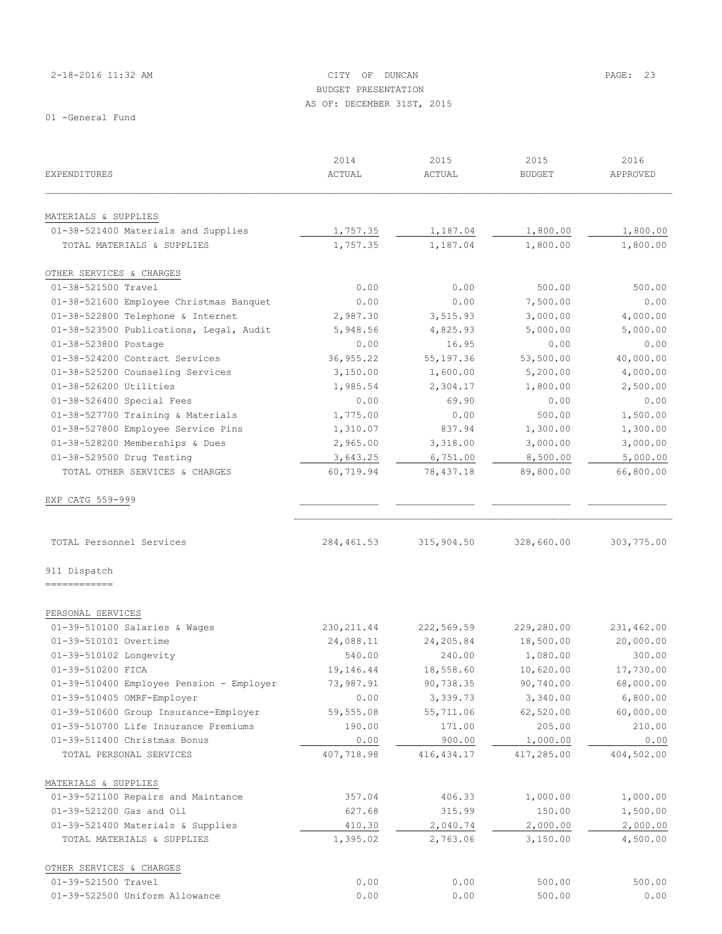# 2-18-2016 11:32 AM CITY OF DUNCAN PAGE: 23 BUDGET PRESENTATION AS OF: DECEMBER 31ST, 2015

|                                          | 2014          | 2015          | 2015          | 2016       |
|------------------------------------------|---------------|---------------|---------------|------------|
| <b>EXPENDITURES</b>                      | <b>ACTUAL</b> | <b>ACTUAL</b> | <b>BUDGET</b> | APPROVED   |
| MATERIALS & SUPPLIES                     |               |               |               |            |
| 01-38-521400 Materials and Supplies      | 1,757.35      | 1,187.04      | 1,800.00      | 1,800.00   |
| TOTAL MATERIALS & SUPPLIES               | 1,757.35      | 1,187.04      | 1,800.00      | 1,800.00   |
| OTHER SERVICES & CHARGES                 |               |               |               |            |
| 01-38-521500 Travel                      | 0.00          | 0.00          | 500.00        | 500.00     |
| 01-38-521600 Employee Christmas Banquet  | 0.00          | 0.00          | 7,500.00      | 0.00       |
| 01-38-522800 Telephone & Internet        | 2,987.30      | 3,515.93      | 3,000.00      | 4,000.00   |
| 01-38-523500 Publications, Legal, Audit  | 5,948.56      | 4,825.93      | 5,000.00      | 5,000.00   |
| 01-38-523800 Postage                     | 0.00          | 16.95         | 0.00          | 0.00       |
| 01-38-524200 Contract Services           | 36,955.22     | 55, 197.36    | 53,500.00     | 40,000.00  |
| 01-38-525200 Counseling Services         | 3,150.00      | 1,600.00      | 5,200.00      | 4,000.00   |
| 01-38-526200 Utilities                   | 1,985.54      | 2,304.17      | 1,800.00      | 2,500.00   |
| 01-38-526400 Special Fees                | 0.00          | 69.90         | 0.00          | 0.00       |
| 01-38-527700 Training & Materials        | 1,775.00      | 0.00          | 500.00        | 1,500.00   |
| 01-38-527800 Employee Service Pins       | 1,310.07      | 837.94        | 1,300.00      | 1,300.00   |
| 01-38-528200 Memberships & Dues          | 2,965.00      | 3,318.00      | 3,000.00      | 3,000.00   |
| 01-38-529500 Drug Testing                | 3,643.25      | 6,751.00      | 8,500.00      | 5,000.00   |
| TOTAL OTHER SERVICES & CHARGES           | 60,719.94     | 78,437.18     | 89,800.00     | 66,800.00  |
| EXP CATG 559-999                         |               |               |               |            |
|                                          |               |               |               |            |
| TOTAL Personnel Services                 | 284, 461.53   | 315,904.50    | 328,660.00    | 303,775.00 |
| 911 Dispatch<br>-------------            |               |               |               |            |
|                                          |               |               |               |            |
| PERSONAL SERVICES                        |               |               |               |            |
| 01-39-510100 Salaries & Wages            | 230, 211.44   | 222,569.59    | 229,280.00    | 231,462.00 |
| 01-39-510101 Overtime                    | 24,088.11     | 24, 205.84    | 18,500.00     | 20,000.00  |
| 01-39-510102 Longevity                   | 540.00        | 240.00        | 1,080.00      | 300.00     |
| 01-39-510200 FICA                        | 19,146.44     | 18,558.60     | 10,620.00     | 17,730.00  |
| 01-39-510400 Employee Pension - Employer | 73,987.91     | 90,738.35     | 90,740.00     | 68,000.00  |
| 01-39-510405 OMRF-Employer               | 0.00          | 3,339.73      | 3,340.00      | 6,800.00   |
| 01-39-510600 Group Insurance-Employer    | 59,555.08     | 55,711.06     | 62,520.00     | 60,000.00  |
| 01-39-510700 Life Insurance Premiums     | 190.00        | 171.00        | 205.00        | 210.00     |
| 01-39-511400 Christmas Bonus             | 0.00          | 900.00        | 1,000.00      | 0.00       |
| TOTAL PERSONAL SERVICES                  | 407,718.98    | 416, 434.17   | 417,285.00    | 404,502.00 |
| MATERIALS & SUPPLIES                     |               |               |               |            |
| 01-39-521100 Repairs and Maintance       | 357.04        | 406.33        | 1,000.00      | 1,000.00   |
| 01-39-521200 Gas and Oil                 | 627.68        | 315.99        | 150.00        | 1,500.00   |
| 01-39-521400 Materials & Supplies        | 410.30        | 2,040.74      | 2,000.00      | 2,000.00   |
| TOTAL MATERIALS & SUPPLIES               | 1,395.02      | 2,763.06      | 3,150.00      | 4,500.00   |
| OTHER SERVICES & CHARGES                 |               |               |               |            |
| 01-39-521500 Travel                      | 0.00          | 0.00          | 500.00        | 500.00     |
| 01-39-522500 Uniform Allowance           | 0.00          | 0.00          | 500.00        | 0.00       |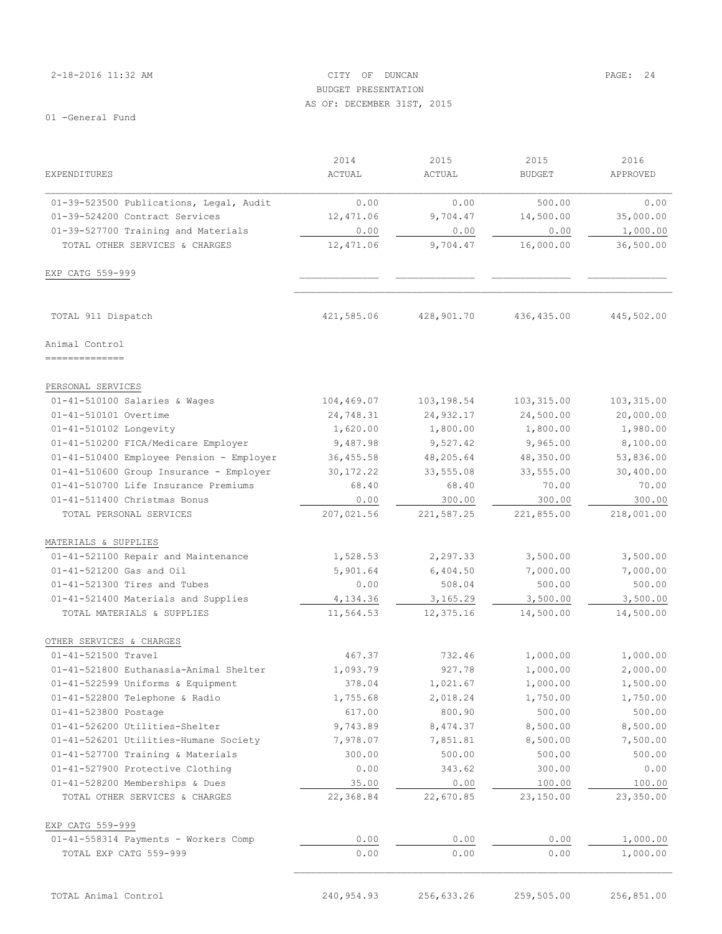# 2014 2015 2015 2016 EXPENDITURES ACTUAL ACTUAL BUDGET APPROVED  $\mathcal{L}_\text{max} = \mathcal{L}_\text{max} = \mathcal{L}_\text{max} = \mathcal{L}_\text{max} = \mathcal{L}_\text{max} = \mathcal{L}_\text{max} = \mathcal{L}_\text{max} = \mathcal{L}_\text{max} = \mathcal{L}_\text{max} = \mathcal{L}_\text{max} = \mathcal{L}_\text{max} = \mathcal{L}_\text{max} = \mathcal{L}_\text{max} = \mathcal{L}_\text{max} = \mathcal{L}_\text{max} = \mathcal{L}_\text{max} = \mathcal{L}_\text{max} = \mathcal{L}_\text{max} = \mathcal{$  01-39-523500 Publications, Legal, Audit 0.00 0.00 500.00 0.00 01-39-524200 Contract Services 12,471.06 9,704.47 14,500.00 35,000.00 01-39-527700 Training and Materials 0.00 0.00 0.00 1,000.00 TOTAL OTHER SERVICES & CHARGES 12,471.06 9,704.47 16,000.00 36,500.00 EXP CATG 559-999  $\mathcal{L}_\text{max}$  TOTAL 911 Dispatch 421,585.06 428,901.70 436,435.00 445,502.00 Animal Control ============== PERSONAL SERVICES 01-41-510100 Salaries & Wages 104,469.07 103,198.54 103,315.00 103,315.00 01-41-510101 Overtime 24,748.31 24,932.17 24,500.00 20,000.00 01-41-510102 Longevity 1,620.00 1,800.00 1,800.00 1,980.00 01-41-510200 FICA/Medicare Employer 9,487.98 9,527.42 9,965.00 8,100.00 01-41-510400 Employee Pension - Employer 36,455.58 48,205.64 48,350.00 53,836.00 01-41-510600 Group Insurance - Employer 30,172.22 33,555.08 33,555.00 30,400.00 01-41-510700 Life Insurance Premiums 68.40 68.40 70.00 70.00 01-41-511400 Christmas Bonus 0.00 300.00 300.00 300.00 TOTAL PERSONAL SERVICES 207,021.56 221,587.25 221,855.00 218,001.00 MATERIALS & SUPPLIES 01-41-521100 Repair and Maintenance  $1,528.53$  2,297.33 3,500.00 3,500.00 01-41-521200 Gas and Oil 5,901.64 6,404.50 7,000.00 7,000.00 01-41-521300 Tires and Tubes 0.00 508.04 500.00 500.00 01-41-521400 Materials and Supplies  $4,134.36$   $3,165.29$   $3,500.00$   $3,500.00$  TOTAL MATERIALS & SUPPLIES 11,564.53 12,375.16 14,500.00 14,500.00 OTHER SERVICES & CHARGES 01-41-521500 Travel 467.37 732.46 1,000.00 1,000.00 01-41-521800 Euthanasia-Animal Shelter 1,093.79 927.78 1,000.00 2,000.00 01-41-522599 Uniforms & Equipment 378.04 1,021.67 1,000.00 1,500.00 01-41-522800 Telephone & Radio 1,755.68 2,018.24 1,750.00 1,750.00 01-41-523800 Postage 617.00 800.90 500.00 500.00 01-41-526200 Utilities-Shelter 9,743.89 8,474.37 8,500.00 8,500.00 01-41-526201 Utilities-Humane Society 7,978.07 7,851.81 8,500.00 7,500.00 01-41-527700 Training & Materials 300.00 500.00 500.00 500.00 01-41-527900 Protective Clothing 0.00 343.62 300.00 0.00 01-41-528200 Memberships & Dues 35.00 0.00 100.00 100.00 TOTAL OTHER SERVICES & CHARGES 22,368.84 22,670.85 23,150.00 23,350.00 EXP CATG 559-999 01-41-558314 Payments - Workers Comp 0.00 0.00 0.00 1,000.00 TOTAL EXP CATG 559-999 0.00 0.00 0.00 1,000.00  $\mathcal{L}_\text{max}$

TOTAL Animal Control 240,954.93 256,633.26 259,505.00 256,851.00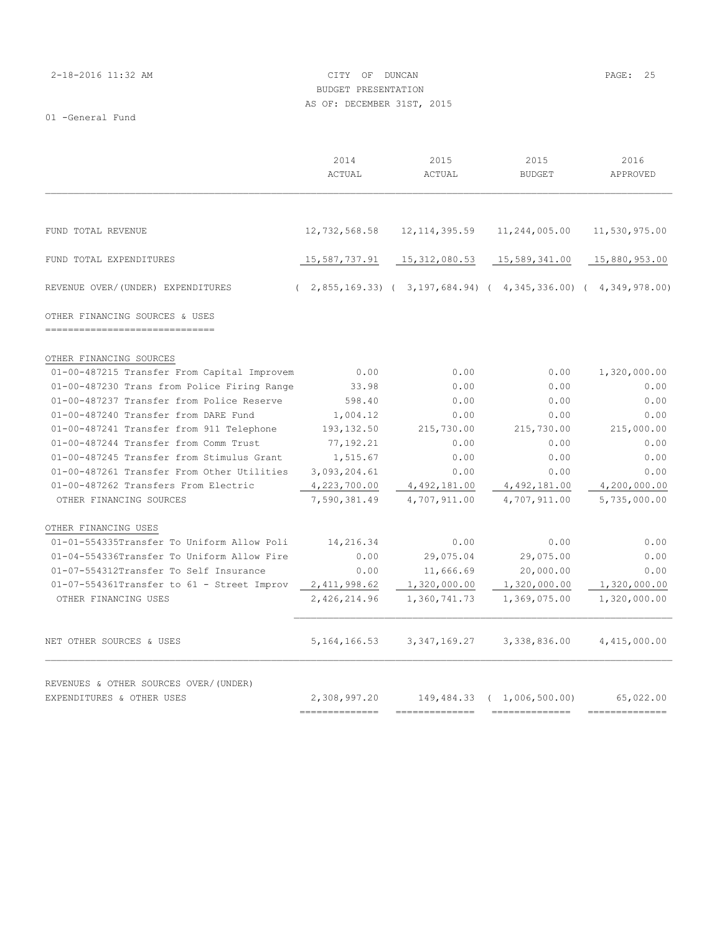2-18-2016 11:32 AM CITY OF DUNCAN PAGE: 25 BUDGET PRESENTATION AS OF: DECEMBER 31ST, 2015

|                                                                    | 2014<br>ACTUAL  | 2015<br>ACTUAL | 2015<br><b>BUDGET</b>                                                           | 2016<br>APPROVED |
|--------------------------------------------------------------------|-----------------|----------------|---------------------------------------------------------------------------------|------------------|
| FUND TOTAL REVENUE                                                 |                 |                | 12,732,568.58  12,114,395.59  11,244,005.00                                     | 11,530,975.00    |
| FUND TOTAL EXPENDITURES                                            | 15,587,737.91   | 15,312,080.53  | 15,589,341.00                                                                   | 15,880,953.00    |
| REVENUE OVER/(UNDER) EXPENDITURES                                  |                 |                | $(2, 855, 169, 33)$ $(3, 197, 684, 94)$ $(4, 345, 336, 00)$ $(4, 349, 978, 00)$ |                  |
| OTHER FINANCING SOURCES & USES<br>-------------------------        |                 |                |                                                                                 |                  |
| OTHER FINANCING SOURCES                                            |                 |                |                                                                                 |                  |
| 01-00-487215 Transfer From Capital Improvem                        | 0.00            | 0.00           | 0.00                                                                            | 1,320,000.00     |
| 01-00-487230 Trans from Police Firing Range                        | 33.98           | 0.00           | 0.00                                                                            | 0.00             |
| 01-00-487237 Transfer from Police Reserve                          | 598.40          | 0.00           | 0.00                                                                            | 0.00             |
| 01-00-487240 Transfer from DARE Fund                               | 1,004.12        | 0.00           | 0.00                                                                            | 0.00             |
| 01-00-487241 Transfer from 911 Telephone                           | 193,132.50      | 215,730.00     | 215,730.00                                                                      | 215,000.00       |
| 01-00-487244 Transfer from Comm Trust                              | 77,192.21       | 0.00           | 0.00                                                                            | 0.00             |
| 01-00-487245 Transfer from Stimulus Grant                          | 1,515.67        | 0.00           | 0.00                                                                            | 0.00             |
| 01-00-487261 Transfer From Other Utilities                         | 3,093,204.61    | 0.00           | 0.00                                                                            | 0.00             |
| 01-00-487262 Transfers From Electric                               | 4,223,700.00    | 4,492,181.00   | 4,492,181.00                                                                    | 4,200,000.00     |
| OTHER FINANCING SOURCES                                            | 7,590,381.49    | 4,707,911.00   | 4,707,911.00                                                                    | 5,735,000.00     |
| OTHER FINANCING USES                                               |                 |                |                                                                                 |                  |
| 01-01-554335Transfer To Uniform Allow Poli                         | 14,216.34       | 0.00           | 0.00                                                                            | 0.00             |
| 01-04-554336Transfer To Uniform Allow Fire                         | 0.00            | 29,075.04      | 29,075.00                                                                       | 0.00             |
| 01-07-554312Transfer To Self Insurance                             | 0.00            | 11,666.69      | 20,000.00                                                                       | 0.00             |
| $01-07-554361$ Transfer to $61$ - Street Improv 2,411,998.62       |                 | 1,320,000.00   | 1,320,000.00                                                                    | 1,320,000.00     |
| OTHER FINANCING USES                                               | 2,426,214.96    | 1,360,741.73   | 1,369,075.00                                                                    | 1,320,000.00     |
| NET OTHER SOURCES & USES                                           | 5, 164, 166. 53 | 3,347,169.27   | 3,338,836.00                                                                    | 4,415,000.00     |
| REVENUES & OTHER SOURCES OVER/(UNDER)<br>EXPENDITURES & OTHER USES | 2,308,997.20    |                | 149,484.33 ( 1,006,500.00)                                                      | 65,022.00        |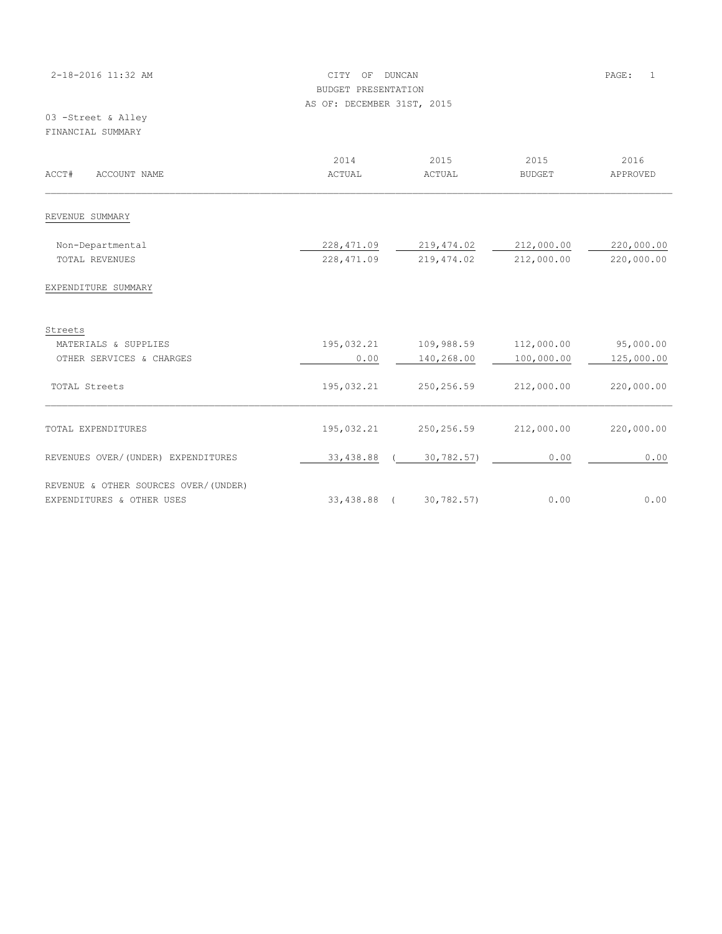| 2-18-2016 11:32 AM | CITY OF DUNCAN             | PAGE: 1 |  |
|--------------------|----------------------------|---------|--|
|                    | BUDGET PRESENTATION        |         |  |
|                    | AS OF: DECEMBER 31ST, 2015 |         |  |
| 03 -Street & Alley |                            |         |  |

FINANCIAL SUMMARY

|                                      | 2014       | 2015        | 2015          | 2016       |
|--------------------------------------|------------|-------------|---------------|------------|
| ACCT#<br>ACCOUNT NAME                | ACTUAL     | ACTUAL      | <b>BUDGET</b> | APPROVED   |
| REVENUE SUMMARY                      |            |             |               |            |
| Non-Departmental                     | 228,471.09 | 219,474.02  | 212,000.00    | 220,000.00 |
| TOTAL REVENUES                       | 228,471.09 | 219, 474.02 | 212,000.00    | 220,000.00 |
| EXPENDITURE SUMMARY                  |            |             |               |            |
| Streets                              |            |             |               |            |
| MATERIALS & SUPPLIES                 | 195,032.21 | 109,988.59  | 112,000.00    | 95,000.00  |
| OTHER SERVICES & CHARGES             | 0.00       | 140,268.00  | 100,000.00    | 125,000.00 |
| TOTAL Streets                        | 195,032.21 | 250, 256.59 | 212,000.00    | 220,000.00 |
| TOTAL EXPENDITURES                   | 195,032.21 | 250,256.59  | 212,000.00    | 220,000.00 |
| REVENUES OVER/(UNDER) EXPENDITURES   | 33,438.88  | 30, 782.57) | 0.00          | 0.00       |
| REVENUE & OTHER SOURCES OVER/(UNDER) |            |             |               |            |
| EXPENDITURES & OTHER USES            | 33,438.88  | 30, 782.57) | 0.00          | 0.00       |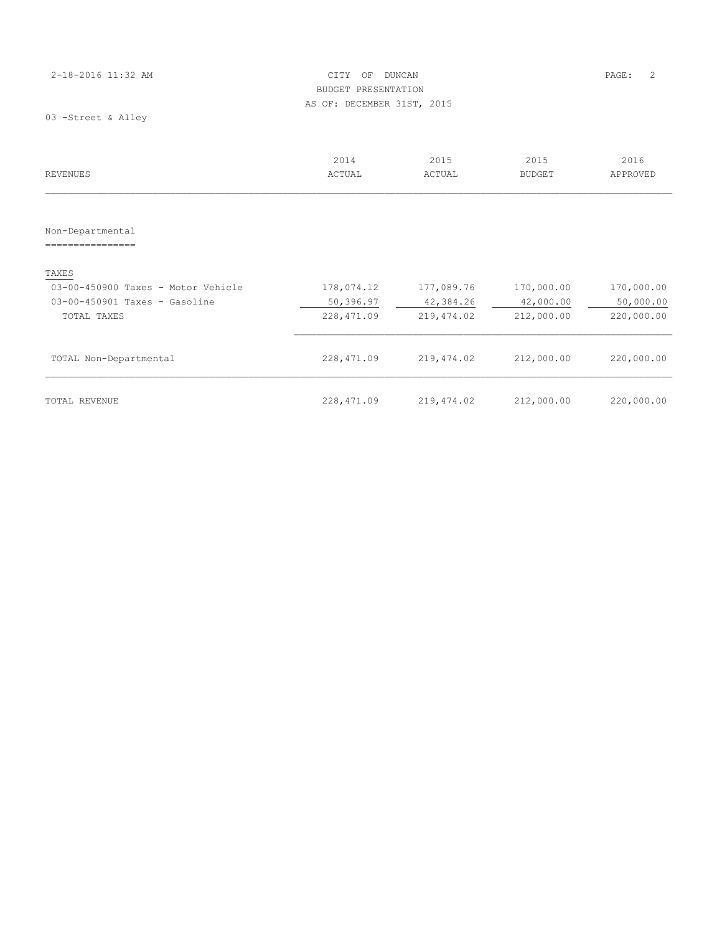| 2-18-2016 11:32 AM | CITY OF DUNCAN             | PAGE: 2 |  |
|--------------------|----------------------------|---------|--|
|                    | BUDGET PRESENTATION        |         |  |
|                    | AS OF: DECEMBER 31ST, 2015 |         |  |

03 -Street & Alley

| <b>REVENUES</b>                    | 2014<br>ACTUAL | 2015<br>ACTUAL | 2015<br><b>BUDGET</b> | 2016<br>APPROVED |
|------------------------------------|----------------|----------------|-----------------------|------------------|
|                                    |                |                |                       |                  |
| Non-Departmental                   |                |                |                       |                  |
|                                    |                |                |                       |                  |
| TAXES                              |                |                |                       |                  |
| 03-00-450900 Taxes - Motor Vehicle | 178,074.12     | 177,089.76     | 170,000.00            | 170,000.00       |
| $03-00-450901$ Taxes - Gasoline    | 50,396.97      | 42,384.26      | 42,000.00             | 50,000.00        |
| TOTAL TAXES                        | 228,471.09     | 219,474.02     | 212,000.00            | 220,000.00       |
| TOTAL Non-Departmental             | 228,471.09     | 219,474.02     | 212,000.00            | 220,000.00       |
| TOTAL REVENUE                      | 228,471.09     | 219,474.02     | 212,000.00            | 220,000.00       |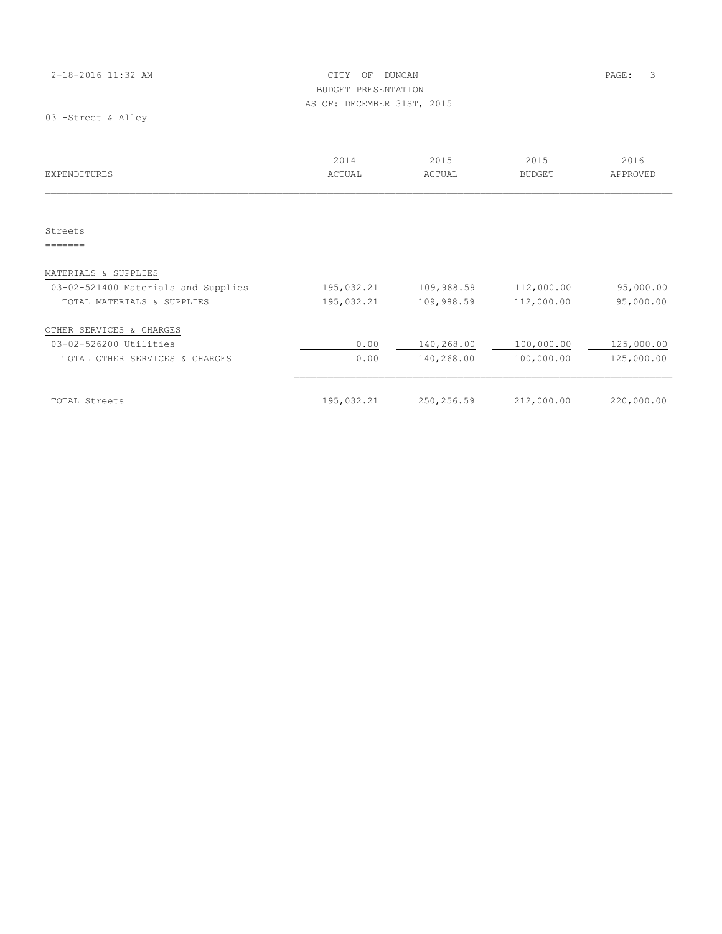# 2-18-2016 11:32 AM CITY OF DUNCAN PAGE: 3 BUDGET PRESENTATION AS OF: DECEMBER 31ST, 2015

03 -Street & Alley

| EXPENDITURES                        | 2014<br>ACTUAL | 2015<br>ACTUAL | 2015<br><b>BUDGET</b> | 2016<br>APPROVED |
|-------------------------------------|----------------|----------------|-----------------------|------------------|
|                                     |                |                |                       |                  |
| Streets                             |                |                |                       |                  |
|                                     |                |                |                       |                  |
| MATERIALS & SUPPLIES                |                |                |                       |                  |
| 03-02-521400 Materials and Supplies | 195,032.21     | 109,988.59     | 112,000.00            | 95,000.00        |
| TOTAL MATERIALS & SUPPLIES          | 195,032.21     | 109,988.59     | 112,000.00            | 95,000.00        |
| OTHER SERVICES & CHARGES            |                |                |                       |                  |
| 03-02-526200 Utilities              | 0.00           | 140,268.00     | 100,000.00            | 125,000.00       |
| TOTAL OTHER SERVICES & CHARGES      | 0.00           | 140,268.00     | 100,000.00            | 125,000.00       |
|                                     |                |                |                       |                  |
| TOTAL Streets                       | 195,032.21     | 250,256.59     | 212,000.00            | 220,000.00       |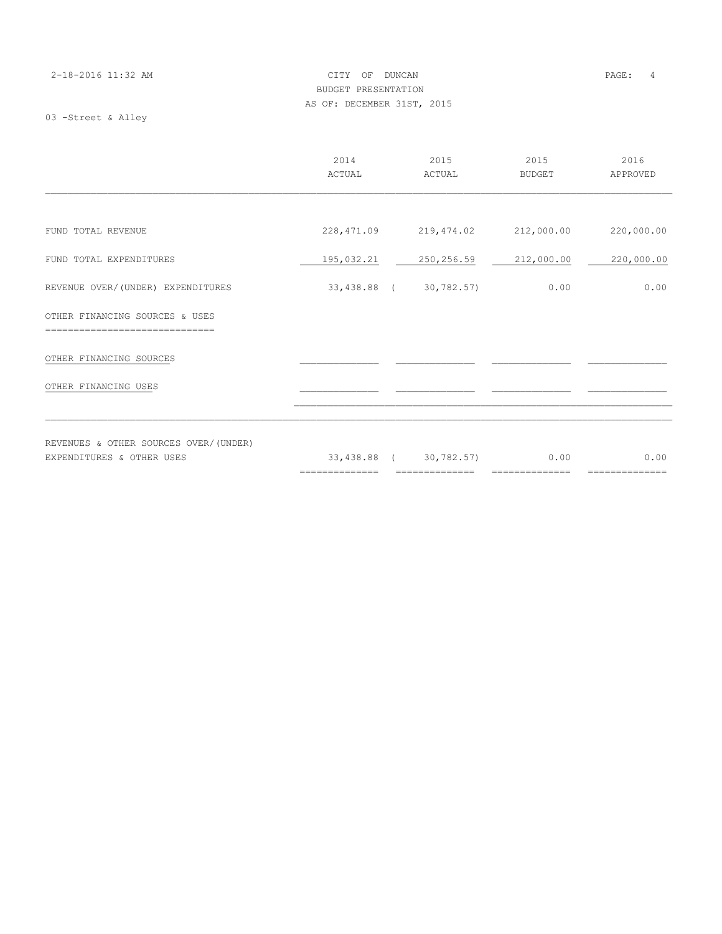| 2-18-2016 11:32 AM | CITY OF DUNCAN             | PAGE: 4 |  |
|--------------------|----------------------------|---------|--|
|                    | BUDGET PRESENTATION        |         |  |
|                    | AS OF: DECEMBER 31ST, 2015 |         |  |
| 03 -Street & Alley |                            |         |  |

|                                   | 2014       | 2015                  | 2015          | 2016       |
|-----------------------------------|------------|-----------------------|---------------|------------|
|                                   | ACTUAL     | ACTUAL                | <b>BUDGET</b> | APPROVED   |
|                                   |            |                       |               |            |
| FUND TOTAL REVENUE                | 228,471.09 | 219,474.02            | 212,000.00    | 220,000.00 |
| FUND TOTAL EXPENDITURES           | 195,032.21 | 250,256.59            | 212,000.00    | 220,000.00 |
| REVENUE OVER/(UNDER) EXPENDITURES |            | 33,438.88 (30,782.57) | 0.00          | 0.00       |
| OTHER FINANCING SOURCES & USES    |            |                       |               |            |
|                                   |            |                       |               |            |
| OTHER FINANCING SOURCES           |            |                       |               |            |
| OTHER FINANCING USES              |            |                       |               |            |
|                                   |            |                       |               |            |
|                                   |            |                       |               |            |

REVENUES & OTHER SOURCES OVER/(UNDER)

EXPENDITURES & OTHER USES 33,438.88 ( 30,782.57) 0.00 0.00 ============== ============== ============== ==============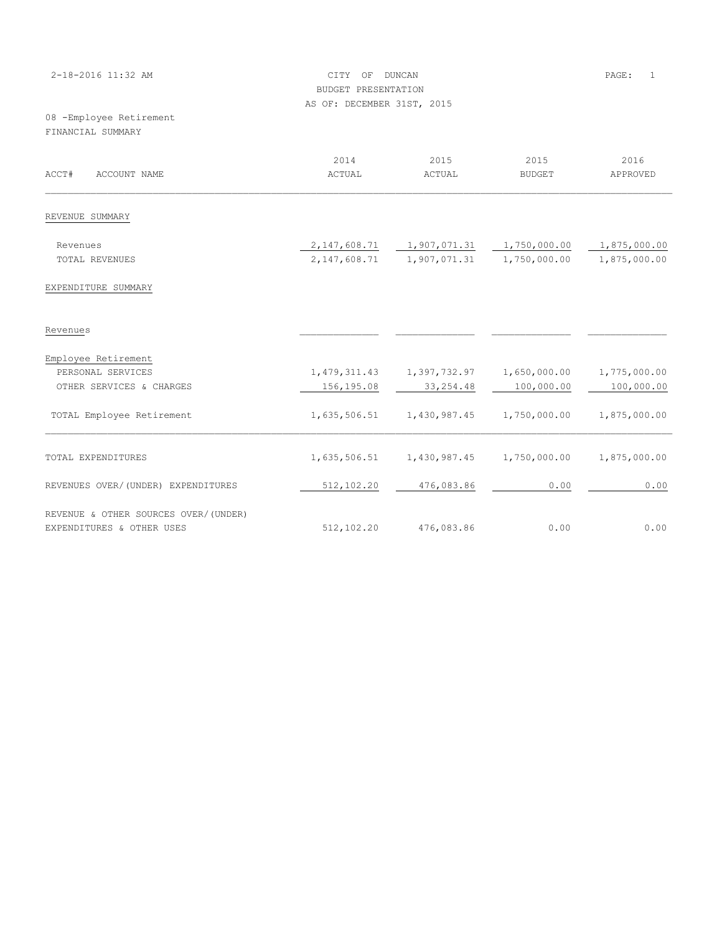| 2-18-2016 11:32 AM<br>OF DUNCAN<br>CITY<br>BUDGET PRESENTATION<br>AS OF: DECEMBER 31ST, 2015 |                |                                            |               | PAGE:<br>$\mathbf{1}$ |  |
|----------------------------------------------------------------------------------------------|----------------|--------------------------------------------|---------------|-----------------------|--|
| 08 -Employee Retirement                                                                      |                |                                            |               |                       |  |
| FINANCIAL SUMMARY                                                                            |                |                                            |               |                       |  |
|                                                                                              | 2014           | 2015                                       | 2015          | 2016                  |  |
| ACCT#<br>ACCOUNT NAME                                                                        | ACTUAL         | ACTUAL                                     | <b>BUDGET</b> | APPROVED              |  |
| REVENUE SUMMARY                                                                              |                |                                            |               |                       |  |
| Revenues                                                                                     | 2,147,608.71   | 1,907,071.31                               | 1,750,000.00  | 1,875,000.00          |  |
| TOTAL REVENUES                                                                               | 2, 147, 608.71 | 1,907,071.31                               | 1,750,000.00  | 1,875,000.00          |  |
| EXPENDITURE SUMMARY                                                                          |                |                                            |               |                       |  |
| Revenues                                                                                     |                |                                            |               |                       |  |
| Employee Retirement                                                                          |                |                                            |               |                       |  |
| PERSONAL SERVICES                                                                            |                | 1,479,311.43   1,397,732.97   1,650,000.00 |               | 1,775,000.00          |  |
| OTHER SERVICES & CHARGES                                                                     | 156,195.08     | 33, 254.48                                 | 100,000.00    | 100,000.00            |  |
| TOTAL Employee Retirement                                                                    | 1,635,506.51   | 1,430,987.45                               | 1,750,000.00  | 1,875,000.00          |  |
| TOTAL EXPENDITURES                                                                           |                | 1,635,506.51  1,430,987.45  1,750,000.00   |               | 1,875,000.00          |  |
| REVENUES OVER/(UNDER) EXPENDITURES                                                           | 512,102.20     | 476,083.86                                 | 0.00          | 0.00                  |  |
| REVENUE & OTHER SOURCES OVER/(UNDER)                                                         |                |                                            |               |                       |  |
| EXPENDITURES & OTHER USES                                                                    | 512,102.20     | 476,083.86                                 | 0.00          | 0.00                  |  |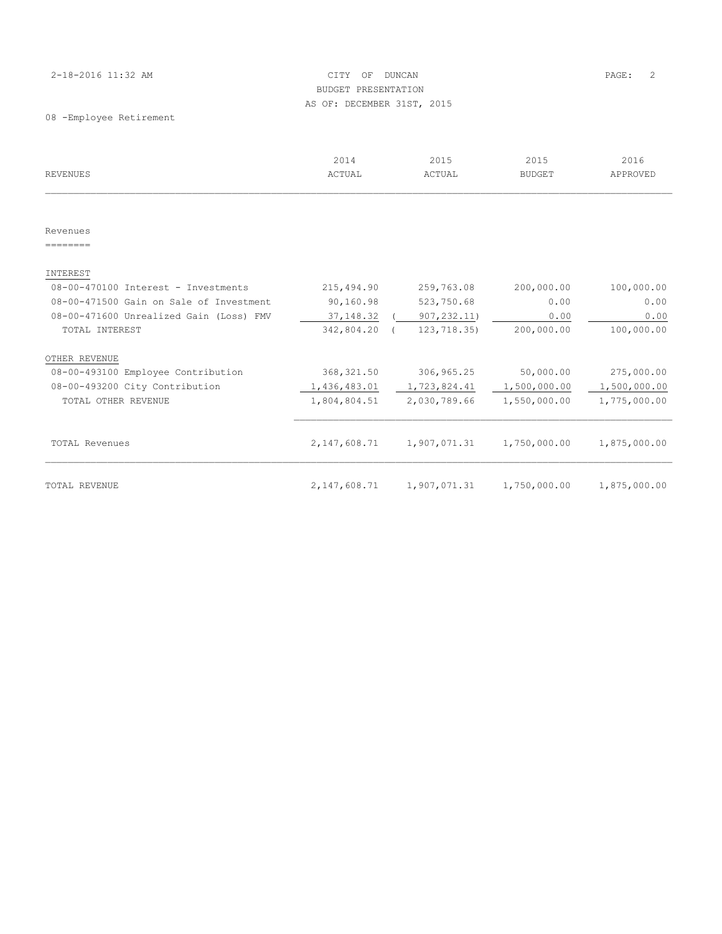# 2-18-2016 11:32 AM CITY OF DUNCAN PAGE: 2 BUDGET PRESENTATION AS OF: DECEMBER 31ST, 2015

08 -Employee Retirement

| <b>REVENUES</b>                         | 2014<br>ACTUAL | 2015<br>ACTUAL                  | 2015<br><b>BUDGET</b> | 2016<br>APPROVED |
|-----------------------------------------|----------------|---------------------------------|-----------------------|------------------|
|                                         |                |                                 |                       |                  |
| Revenues                                |                |                                 |                       |                  |
| ========                                |                |                                 |                       |                  |
| INTEREST                                |                |                                 |                       |                  |
| 08-00-470100 Interest - Investments     | 215,494.90     | 259,763.08                      | 200,000.00            | 100,000.00       |
| 08-00-471500 Gain on Sale of Investment | 90,160.98      | 523,750.68                      | 0.00                  | 0.00             |
| 08-00-471600 Unrealized Gain (Loss) FMV | 37, 148.32     | 907, 232.11)                    | 0.00                  | 0.00             |
| TOTAL INTEREST                          | 342,804.20     | 123,718.35)                     | 200,000.00            | 100,000.00       |
| OTHER REVENUE                           |                |                                 |                       |                  |
| 08-00-493100 Employee Contribution      | 368, 321.50    | 306,965.25                      | 50,000.00             | 275,000.00       |
| 08-00-493200 City Contribution          |                | 1,436,483.01 1,723,824.41       | 1,500,000.00          | 1,500,000.00     |
| TOTAL OTHER REVENUE                     | 1,804,804.51   | 2,030,789.66                    | 1,550,000.00          | 1,775,000.00     |
| <b>TOTAL Revenues</b>                   |                | 2, 147, 608. 71 1, 907, 071. 31 | 1,750,000.00          | 1,875,000.00     |
|                                         |                |                                 |                       |                  |
| <b>TOTAL REVENUE</b>                    | 2, 147, 608.71 | 1,907,071.31                    | 1,750,000.00          | 1,875,000.00     |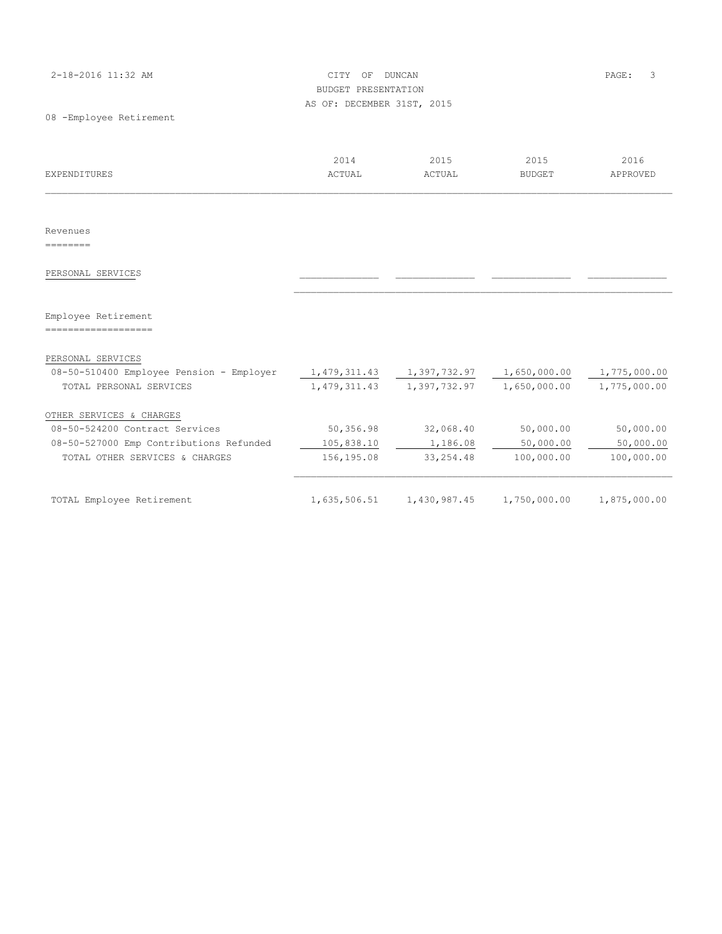|  | 2-18-2016 11:32 AM |  |  |
|--|--------------------|--|--|
|  |                    |  |  |

CITY OF DUNCAN PAGE: 3 BUDGET PRESENTATION AS OF: DECEMBER 31ST, 2015

08 -Employee Retirement

| <b>EXPENDITURES</b>                        | 2014<br>ACTUAL | 2015<br>ACTUAL                                            | 2015<br><b>BUDGET</b> | 2016<br>APPROVED |
|--------------------------------------------|----------------|-----------------------------------------------------------|-----------------------|------------------|
|                                            |                |                                                           |                       |                  |
| Revenues                                   |                |                                                           |                       |                  |
| ========                                   |                |                                                           |                       |                  |
| PERSONAL SERVICES                          |                |                                                           |                       |                  |
| Employee Retirement<br>------------------- |                |                                                           |                       |                  |
| PERSONAL SERVICES                          |                |                                                           |                       |                  |
| 08-50-510400 Employee Pension - Employer   |                | 1,479,311.43   1,397,732.97   1,650,000.00   1,775,000.00 |                       |                  |
| TOTAL PERSONAL SERVICES                    |                | 1,479,311.43 1,397,732.97                                 | 1,650,000.00          | 1,775,000.00     |
| OTHER SERVICES & CHARGES                   |                |                                                           |                       |                  |
| 08-50-524200 Contract Services             | 50,356.98      | 32,068.40                                                 | 50,000.00             | 50,000.00        |
| 08-50-527000 Emp Contributions Refunded    | 105,838.10     | 1,186.08                                                  | 50,000.00             | 50,000.00        |
| TOTAL OTHER SERVICES & CHARGES             | 156,195.08     | 33, 254.48                                                | 100,000.00            | 100,000.00       |
| TOTAL Employee Retirement                  |                | 1,635,506.51  1,430,987.45  1,750,000.00                  |                       | 1,875,000.00     |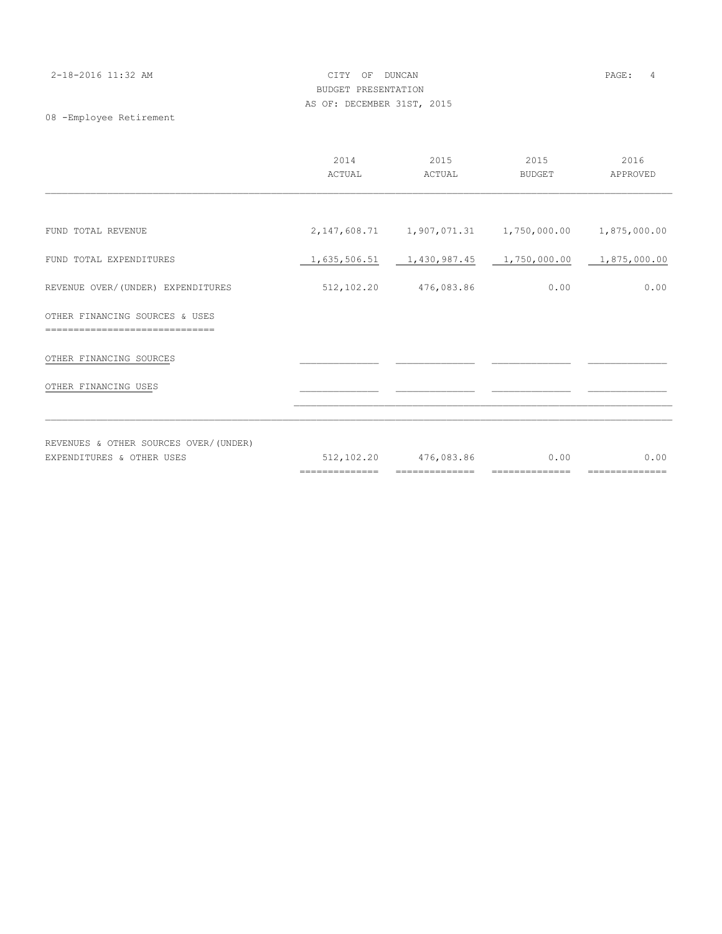| 2-18-2016 11:32 AM     | CITY OF DUNCAN             | 4<br>PAGE: |  |
|------------------------|----------------------------|------------|--|
|                        | BUDGET PRESENTATION        |            |  |
|                        | AS OF: DECEMBER 31ST, 2015 |            |  |
| 00 Building Billyon at |                            |            |  |

08 -Employee Retirement

|                                   | 2014<br>ACTUAL | 2015<br>ACTUAL | 2015<br><b>BUDGET</b>                                                | 2016<br>APPROVED |
|-----------------------------------|----------------|----------------|----------------------------------------------------------------------|------------------|
|                                   |                |                |                                                                      |                  |
| FUND TOTAL REVENUE                |                |                | 2, 147, 608.71    1, 907, 071.31    1, 750, 000.00    1, 875, 000.00 |                  |
| FUND TOTAL EXPENDITURES           |                |                | $1,635,506.51$ $1,430,987.45$ $1,750,000.00$ $1,875,000.00$          |                  |
| REVENUE OVER/(UNDER) EXPENDITURES | 512,102.20     | 476,083.86     | 0.00                                                                 | 0.00             |
| OTHER FINANCING SOURCES & USES    |                |                |                                                                      |                  |
| OTHER FINANCING SOURCES           |                |                |                                                                      |                  |
| OTHER FINANCING USES              |                |                |                                                                      |                  |
|                                   |                |                |                                                                      |                  |
|                                   |                |                |                                                                      |                  |

REVENUES & OTHER SOURCES OVER/(UNDER) EXPENDITURES & OTHER USES 6 0.00 ============== ============== ============== ==============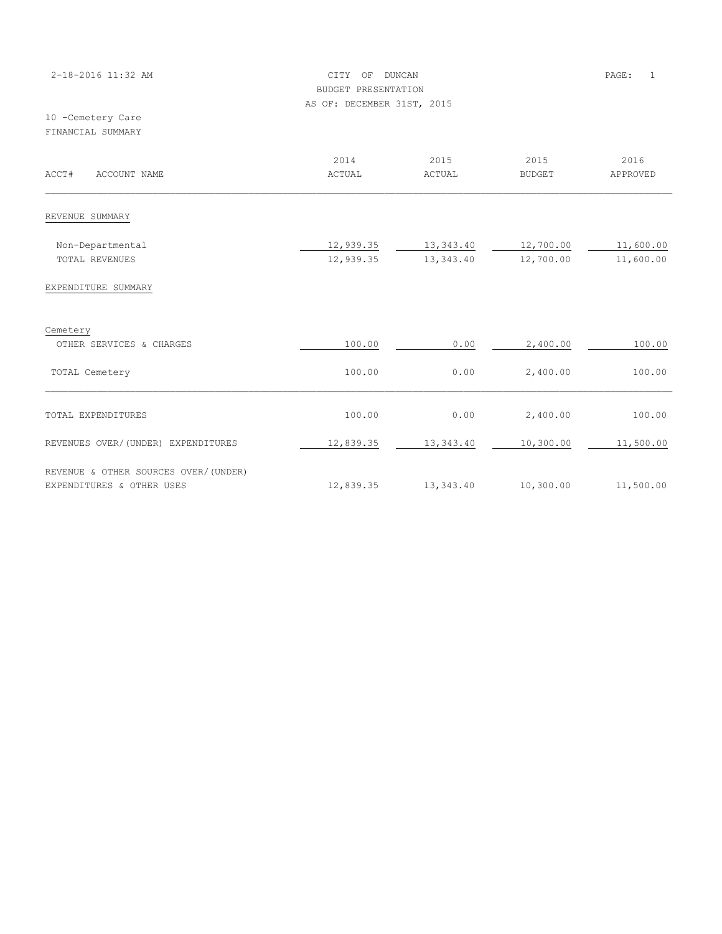| 2-18-2016 11:32 AM | CITY OF DUNCAN             | PAGE: 1 |  |
|--------------------|----------------------------|---------|--|
|                    | BUDGET PRESENTATION        |         |  |
|                    | AS OF: DECEMBER 31ST, 2015 |         |  |
| 10 -Cemetery Care  |                            |         |  |

FINANCIAL SUMMARY

| ACCT#<br>ACCOUNT NAME                                             | 2014<br>ACTUAL         | 2015<br>ACTUAL         | 2015<br><b>BUDGET</b>  | 2016<br>APPROVED       |
|-------------------------------------------------------------------|------------------------|------------------------|------------------------|------------------------|
| REVENUE SUMMARY                                                   |                        |                        |                        |                        |
| Non-Departmental<br>TOTAL REVENUES                                | 12,939.35<br>12,939.35 | 13,343.40<br>13,343.40 | 12,700.00<br>12,700.00 | 11,600.00<br>11,600.00 |
| EXPENDITURE SUMMARY                                               |                        |                        |                        |                        |
| Cemetery<br>OTHER SERVICES & CHARGES                              | 100.00                 | 0.00                   | 2,400.00               | 100.00                 |
| TOTAL Cemetery                                                    | 100.00                 | 0.00                   | 2,400.00               | 100.00                 |
| TOTAL EXPENDITURES                                                | 100.00                 | 0.00                   | 2,400.00               | 100.00                 |
| REVENUES OVER/(UNDER) EXPENDITURES                                | 12,839.35              | 13,343.40              | 10,300.00              | 11,500.00              |
| REVENUE & OTHER SOURCES OVER/(UNDER)<br>EXPENDITURES & OTHER USES | 12,839.35              | 13,343.40              | 10,300.00              | 11,500.00              |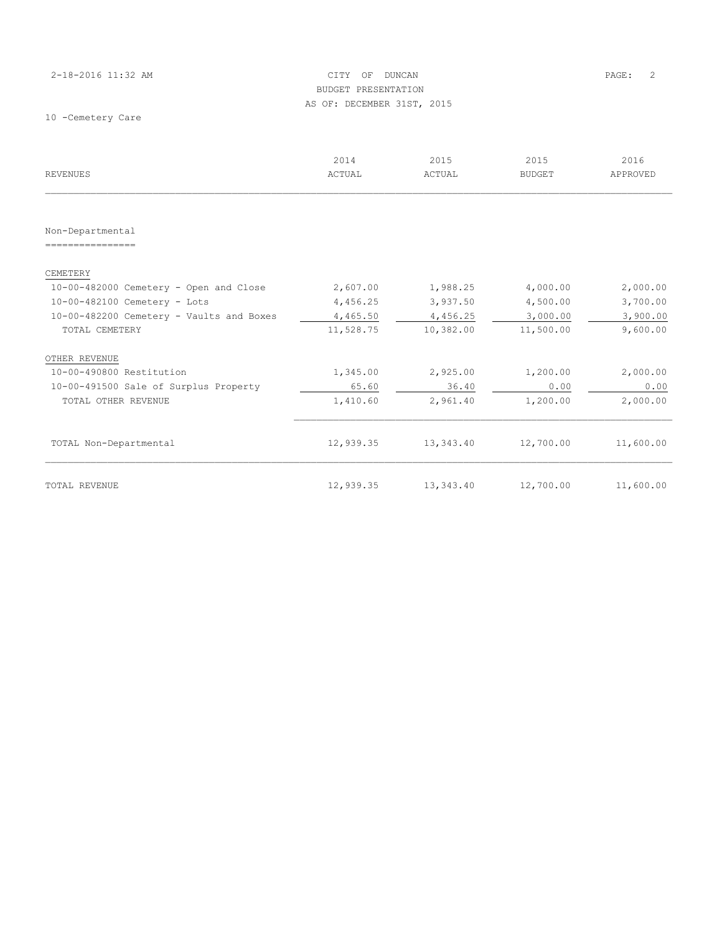# 2-18-2016 11:32 AM CITY OF DUNCAN PAGE: 2 BUDGET PRESENTATION AS OF: DECEMBER 31ST, 2015

10 -Cemetery Care

|                                          | 2014      | 2015      | 2015          | 2016      |
|------------------------------------------|-----------|-----------|---------------|-----------|
| <b>REVENUES</b>                          | ACTUAL    | ACTUAL    | <b>BUDGET</b> | APPROVED  |
|                                          |           |           |               |           |
| Non-Departmental                         |           |           |               |           |
| ---------------                          |           |           |               |           |
| CEMETERY                                 |           |           |               |           |
| 10-00-482000 Cemetery - Open and Close   | 2,607.00  | 1,988.25  | 4,000.00      | 2,000.00  |
| 10-00-482100 Cemetery - Lots             | 4,456.25  | 3,937.50  | 4,500.00      | 3,700.00  |
| 10-00-482200 Cemetery - Vaults and Boxes | 4,465.50  | 4,456.25  | 3,000.00      | 3,900.00  |
| TOTAL CEMETERY                           | 11,528.75 | 10,382.00 | 11,500.00     | 9,600.00  |
| OTHER REVENUE                            |           |           |               |           |
| 10-00-490800 Restitution                 | 1,345.00  | 2,925.00  | 1,200.00      | 2,000.00  |
| 10-00-491500 Sale of Surplus Property    | 65.60     | 36.40     | 0.00          | 0.00      |
| TOTAL OTHER REVENUE                      | 1,410.60  | 2,961.40  | 1,200.00      | 2,000.00  |
| TOTAL Non-Departmental                   | 12,939.35 | 13,343.40 | 12,700.00     | 11,600.00 |
| TOTAL REVENUE                            | 12,939.35 | 13,343.40 | 12,700.00     | 11,600.00 |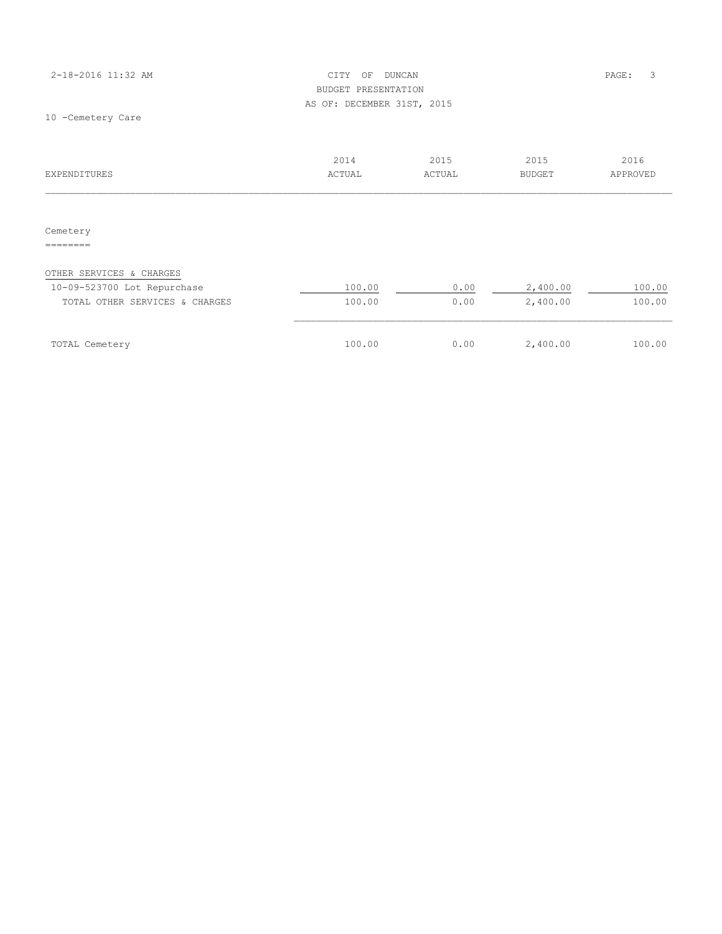| 2-18-2016 11:32 AM | CITY OF DUNCAN             | PAGE: 3 |  |
|--------------------|----------------------------|---------|--|
|                    | BUDGET PRESENTATION        |         |  |
|                    | AS OF: DECEMBER 31ST, 2015 |         |  |

10 -Cemetery Care

| EXPENDITURES                   | 2014<br>ACTUAL | 2015<br>ACTUAL | 2015<br><b>BUDGET</b> | 2016<br>APPROVED |
|--------------------------------|----------------|----------------|-----------------------|------------------|
|                                |                |                |                       |                  |
| Cemetery                       |                |                |                       |                  |
|                                |                |                |                       |                  |
| OTHER SERVICES & CHARGES       |                |                |                       |                  |
| 10-09-523700 Lot Repurchase    | 100.00         | 0.00           | 2,400.00              | 100.00           |
| TOTAL OTHER SERVICES & CHARGES | 100.00         | 0.00           | 2,400.00              | 100.00           |
|                                |                |                |                       |                  |
| TOTAL Cemetery                 | 100.00         | 0.00           | 2,400.00              | 100.00           |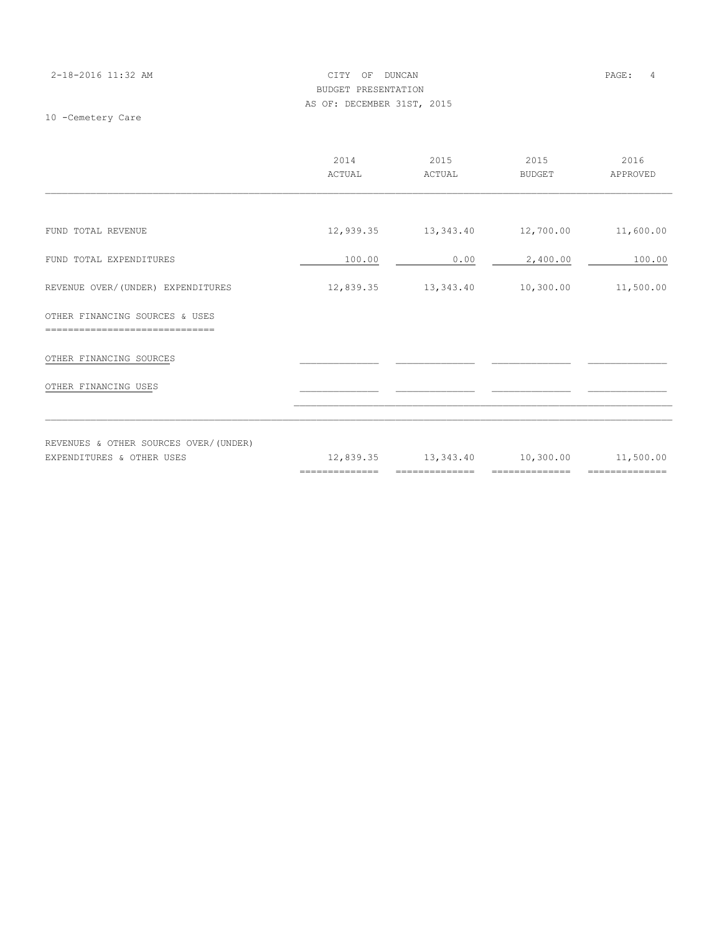| 2-18-2016 11:32 AM | CITY OF DUNCAN             | 4<br>$\texttt{PAGE}$ : |  |
|--------------------|----------------------------|------------------------|--|
|                    | BUDGET PRESENTATION        |                        |  |
|                    | AS OF: DECEMBER 31ST, 2015 |                        |  |
|                    |                            |                        |  |

10 -Cemetery Care

|                                                                    | 2014<br>ACTUAL | 2015<br>ACTUAL                | 2015<br><b>BUDGET</b> | 2016<br>APPROVED |
|--------------------------------------------------------------------|----------------|-------------------------------|-----------------------|------------------|
|                                                                    |                |                               |                       |                  |
| FUND TOTAL REVENUE                                                 |                | 12,939.35 13,343.40 12,700.00 |                       | 11,600.00        |
| FUND TOTAL EXPENDITURES                                            | 100.00         | 0.00                          | 2,400.00              | 100.00           |
| REVENUE OVER/(UNDER) EXPENDITURES                                  |                | 12,839.35 13,343.40           | 10,300.00             | 11,500.00        |
| OTHER FINANCING SOURCES & USES                                     |                |                               |                       |                  |
| OTHER FINANCING SOURCES                                            |                |                               |                       |                  |
| OTHER FINANCING USES                                               |                |                               |                       |                  |
|                                                                    |                |                               |                       |                  |
| REVENUES & OTHER SOURCES OVER/(UNDER)<br>EXPENDITURES & OTHER USES |                | 12,839.35 13,343.40 10,300.00 |                       | 11,500.00        |

============== ============== ============== ==============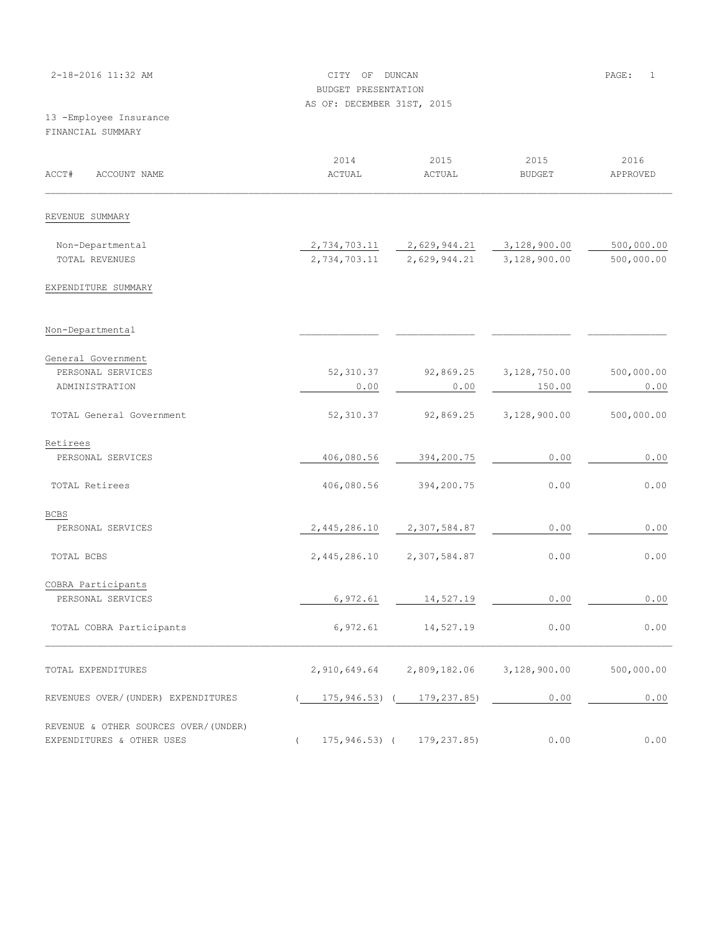|                                  | BUDGET PRESENTATION        |                               |                           |            |
|----------------------------------|----------------------------|-------------------------------|---------------------------|------------|
|                                  | AS OF: DECEMBER 31ST, 2015 |                               |                           |            |
| 13 -Employee Insurance           |                            |                               |                           |            |
| FINANCIAL SUMMARY                |                            |                               |                           |            |
|                                  |                            |                               |                           |            |
|                                  | 2014                       | 2015                          | 2015                      | 2016       |
| ACCT#<br>ACCOUNT NAME            | ACTUAL                     | ACTUAL                        | <b>BUDGET</b>             | APPROVED   |
|                                  |                            |                               |                           |            |
|                                  |                            |                               |                           |            |
| REVENUE SUMMARY                  |                            |                               |                           |            |
| Non-Departmental                 | 2,734,703.11               | $2,629,944.21$ $3,128,900.00$ |                           | 500,000.00 |
| TOTAL REVENUES                   | 2,734,703.11               |                               | 2,629,944.21 3,128,900.00 | 500,000.00 |
|                                  |                            |                               |                           |            |
| EXPENDITURE SUMMARY              |                            |                               |                           |            |
|                                  |                            |                               |                           |            |
|                                  |                            |                               |                           |            |
| Non-Departmental                 |                            |                               |                           |            |
| General Government               |                            |                               |                           |            |
| PERSONAL SERVICES                | 52,310.37                  |                               | 92,869.25 3,128,750.00    | 500,000.00 |
| ADMINISTRATION                   | 0.00                       | 0.00                          | 150.00                    | 0.00       |
|                                  |                            |                               |                           |            |
| TOTAL General Government         | 52,310.37                  | 92,869.25                     | 3,128,900.00              | 500,000.00 |
|                                  |                            |                               |                           |            |
| Retirees                         |                            |                               |                           |            |
| PERSONAL SERVICES                | 406,080.56                 | 394,200.75                    | 0.00                      | 0.00       |
|                                  |                            |                               |                           |            |
| TOTAL Retirees                   | 406,080.56                 | 394,200.75                    | 0.00                      | 0.00       |
|                                  |                            |                               |                           |            |
| <b>BCBS</b><br>PERSONAL SERVICES | 2,445,286.10               | 2,307,584.87                  | 0.00                      | 0.00       |
|                                  |                            |                               |                           |            |
| TOTAL BCBS                       |                            | 2,445,286.10 2,307,584.87     | 0.00                      | 0.00       |
|                                  |                            |                               |                           |            |
| COBRA Participants               |                            |                               |                           |            |
| PERSONAL SERVICES                | 6,972.61                   | 14,527.19                     | 0.00                      | 0.00       |

TOTAL COBRA Participants  $6,972.61$   $14,527.19$  0.00 0.00  $\mathcal{L}_\text{max} = \mathcal{L}_\text{max} = \mathcal{L}_\text{max} = \mathcal{L}_\text{max} = \mathcal{L}_\text{max} = \mathcal{L}_\text{max} = \mathcal{L}_\text{max} = \mathcal{L}_\text{max} = \mathcal{L}_\text{max} = \mathcal{L}_\text{max} = \mathcal{L}_\text{max} = \mathcal{L}_\text{max} = \mathcal{L}_\text{max} = \mathcal{L}_\text{max} = \mathcal{L}_\text{max} = \mathcal{L}_\text{max} = \mathcal{L}_\text{max} = \mathcal{L}_\text{max} = \mathcal{$ 

TOTAL EXPENDITURES 2,910,649.64 2,809,182.06 3,128,900.00 500,000.00

REVENUES OVER/(UNDER) EXPENDITURES (175,946.53) (179,237.85) 0.00 0.00 0.00

EXPENDITURES & OTHER USES ( 175,946.53) ( 179,237.85) 0.00 0.00

REVENUE & OTHER SOURCES OVER/(UNDER)

2-18-2016 11:32 AM CITY OF DUNCAN PAGE: 1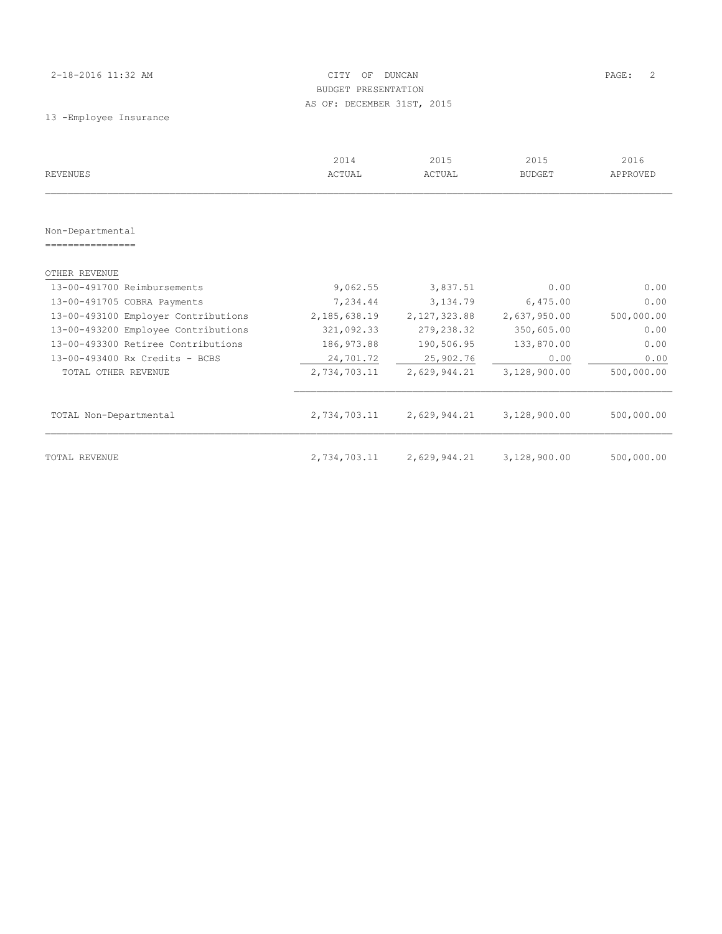#### 2-18-2016 11:32 AM CITY OF DUNCAN PAGE: 2 BUDGET PRESENTATION AS OF: DECEMBER 31ST, 2015

13 -Employee Insurance

|                                     | 2014         | 2015         | 2015          | 2016       |
|-------------------------------------|--------------|--------------|---------------|------------|
| <b>REVENUES</b>                     | ACTUAL       | ACTUAL       | <b>BUDGET</b> | APPROVED   |
|                                     |              |              |               |            |
| Non-Departmental                    |              |              |               |            |
| ===============                     |              |              |               |            |
| OTHER REVENUE                       |              |              |               |            |
| 13-00-491700 Reimbursements         | 9,062.55     | 3,837.51     | 0.00          | 0.00       |
| 13-00-491705 COBRA Payments         | 7,234.44     | 3,134.79     | 6,475.00      | 0.00       |
| 13-00-493100 Employer Contributions | 2,185,638.19 | 2,127,323.88 | 2,637,950.00  | 500,000.00 |
| 13-00-493200 Employee Contributions | 321,092.33   | 279,238.32   | 350,605.00    | 0.00       |
| 13-00-493300 Retiree Contributions  | 186,973.88   | 190,506.95   | 133,870.00    | 0.00       |
| 13-00-493400 Rx Credits - BCBS      | 24,701.72    | 25,902.76    | 0.00          | 0.00       |
| TOTAL OTHER REVENUE                 | 2,734,703.11 | 2,629,944.21 | 3,128,900.00  | 500,000.00 |
| TOTAL Non-Departmental              | 2,734,703.11 | 2,629,944.21 | 3,128,900.00  | 500,000.00 |
|                                     |              |              |               |            |
| <b>TOTAL REVENUE</b>                | 2,734,703.11 | 2,629,944.21 | 3,128,900.00  | 500,000.00 |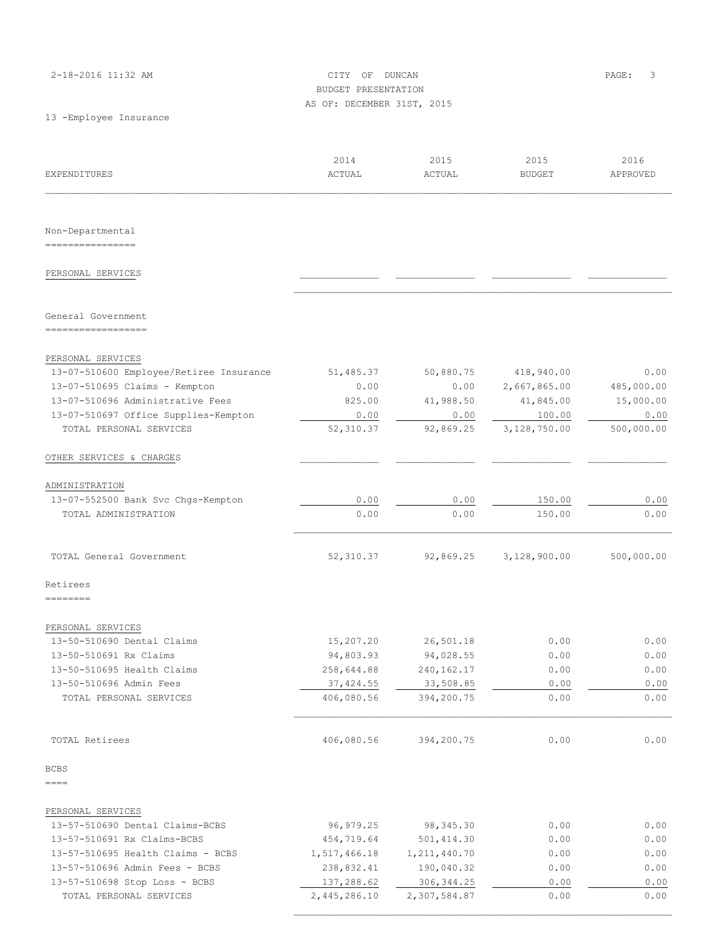| 2-18-2016 11:32 AM |  |  |  |  |  |  |  |
|--------------------|--|--|--|--|--|--|--|
|--------------------|--|--|--|--|--|--|--|

CITY OF DUNCAN PAGE: 3 BUDGET PRESENTATION AS OF: DECEMBER 31ST, 2015

13 -Employee Insurance

| EXPENDITURES                                       | 2014<br>ACTUAL           | 2015<br>ACTUAL          | 2015<br><b>BUDGET</b> | 2016<br>APPROVED |
|----------------------------------------------------|--------------------------|-------------------------|-----------------------|------------------|
|                                                    |                          |                         |                       |                  |
| Non-Departmental<br>----------------               |                          |                         |                       |                  |
|                                                    |                          |                         |                       |                  |
| PERSONAL SERVICES                                  |                          |                         |                       |                  |
| General Government<br>------------------           |                          |                         |                       |                  |
| PERSONAL SERVICES                                  |                          |                         |                       |                  |
| 13-07-510600 Employee/Retiree Insurance            | 51,485.37                | 50,880.75               | 418,940.00            | 0.00             |
| 13-07-510695 Claims - Kempton                      | 0.00                     | 0.00                    | 2,667,865.00          | 485,000.00       |
| 13-07-510696 Administrative Fees                   | 825.00                   | 41,988.50               | 41,845.00             | 15,000.00        |
| 13-07-510697 Office Supplies-Kempton               | 0.00                     | 0.00                    | 100.00                | 0.00             |
| TOTAL PERSONAL SERVICES                            | 52,310.37                | 92,869.25               | 3,128,750.00          | 500,000.00       |
| OTHER SERVICES & CHARGES                           |                          |                         |                       |                  |
| ADMINISTRATION                                     |                          |                         |                       |                  |
| 13-07-552500 Bank Svc Chgs-Kempton                 | 0.00                     | 0.00                    | 150.00                | 0.00             |
| TOTAL ADMINISTRATION                               | 0.00                     | 0.00                    | 150.00                | 0.00             |
| TOTAL General Government                           | 52,310.37                | 92,869.25               | 3,128,900.00          | 500,000.00       |
| Retirees                                           |                          |                         |                       |                  |
| ---------                                          |                          |                         |                       |                  |
| PERSONAL SERVICES                                  |                          |                         |                       |                  |
| 13-50-510690 Dental Claims                         | 15,207.20                | 26,501.18               | 0.00                  | 0.00             |
| 13-50-510691 Rx Claims                             | 94,803.93                | 94,028.55               | 0.00                  | 0.00             |
| 13-50-510695 Health Claims                         | 258,644.88               | 240,162.17              | 0.00                  | 0.00             |
| 13-50-510696 Admin Fees<br>TOTAL PERSONAL SERVICES | 37, 424.55<br>406,080.56 | 33,508.85<br>394,200.75 | 0.00<br>0.00          | 0.00<br>0.00     |
| TOTAL Retirees                                     | 406,080.56               | 394,200.75              | 0.00                  | 0.00             |
|                                                    |                          |                         |                       |                  |
| <b>BCBS</b><br>====                                |                          |                         |                       |                  |
| PERSONAL SERVICES                                  |                          |                         |                       |                  |
| 13-57-510690 Dental Claims-BCBS                    | 96,979.25                | 98,345.30               | 0.00                  | 0.00             |
| 13-57-510691 Rx Claims-BCBS                        | 454,719.64               | 501,414.30              | 0.00                  | 0.00             |
| 13-57-510695 Health Claims - BCBS                  | 1,517,466.18             | 1, 211, 440.70          | 0.00                  | 0.00             |
| 13-57-510696 Admin Fees - BCBS                     | 238,832.41               | 190,040.32              | 0.00                  | 0.00             |
| 13-57-510698 Stop Loss - BCBS                      | 137,288.62               | 306, 344.25             | 0.00                  | 0.00             |
| TOTAL PERSONAL SERVICES                            | 2,445,286.10             | 2,307,584.87            | 0.00                  | 0.00             |

 $\mathcal{L}_\text{max}$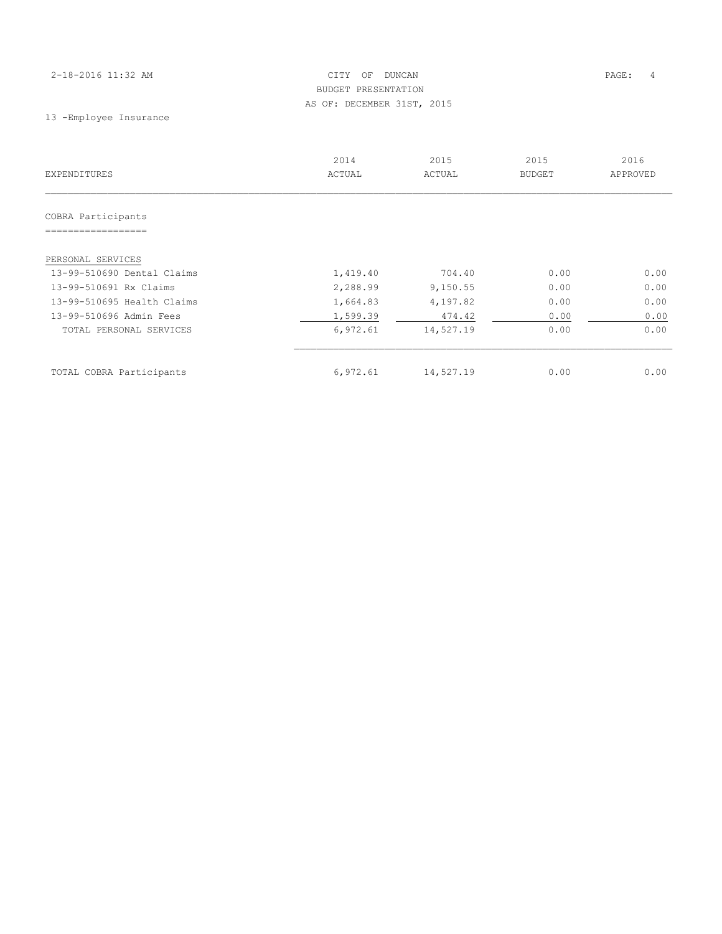# 2-18-2016 11:32 AM CITY OF DUNCAN PAGE: 4 BUDGET PRESENTATION AS OF: DECEMBER 31ST, 2015

13 -Employee Insurance

| <b>EXPENDITURES</b>        | 2014<br>ACTUAL | 2015<br>ACTUAL | 2015<br><b>BUDGET</b> | 2016<br>APPROVED |
|----------------------------|----------------|----------------|-----------------------|------------------|
|                            |                |                |                       |                  |
| COBRA Participants         |                |                |                       |                  |
|                            |                |                |                       |                  |
| PERSONAL SERVICES          |                |                |                       |                  |
| 13-99-510690 Dental Claims | 1,419.40       | 704.40         | 0.00                  | 0.00             |
| 13-99-510691 Rx Claims     | 2,288.99       | 9,150.55       | 0.00                  | 0.00             |
| 13-99-510695 Health Claims | 1,664.83       | 4,197.82       | 0.00                  | 0.00             |
| 13-99-510696 Admin Fees    | 1,599.39       | 474.42         | 0.00                  | 0.00             |
| TOTAL PERSONAL SERVICES    | 6,972.61       | 14,527.19      | 0.00                  | 0.00             |
| TOTAL COBRA Participants   | 6,972.61       | 14,527.19      | 0.00                  | 0.00             |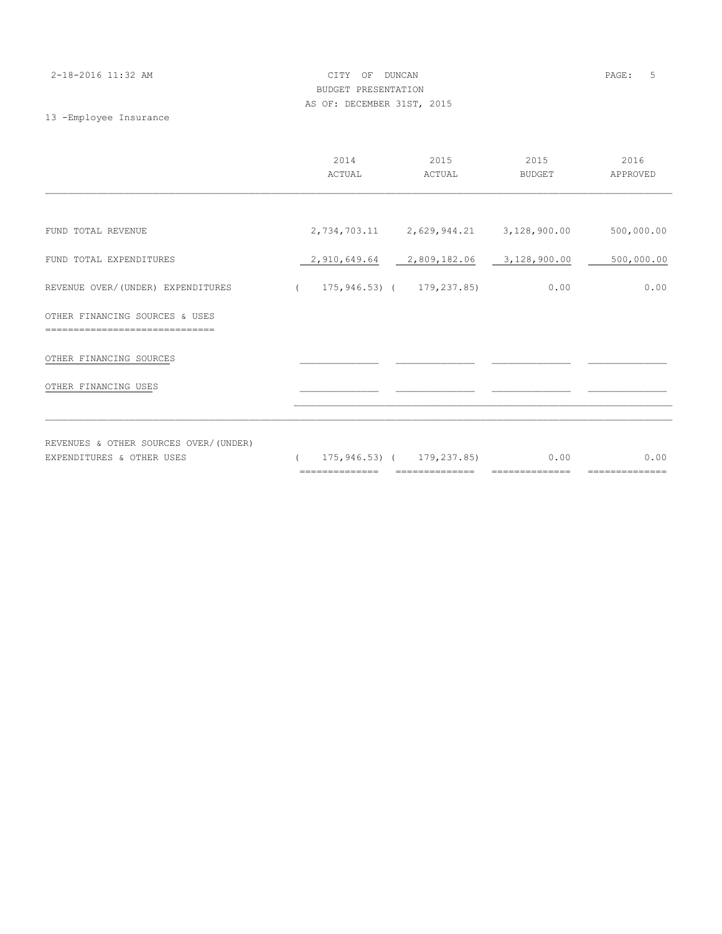| 2-18-2016 11:32 AM | CITY OF DUNCAN             | PAGE: 5 |  |
|--------------------|----------------------------|---------|--|
|                    | BUDGET PRESENTATION        |         |  |
|                    | AS OF: DECEMBER 31ST, 2015 |         |  |

13 -Employee Insurance

|                                       | 2014<br>ACTUAL                  | 2015<br>ACTUAL                                    | 2015<br>BUDGET | 2016<br>APPROVED |
|---------------------------------------|---------------------------------|---------------------------------------------------|----------------|------------------|
|                                       |                                 |                                                   |                |                  |
| FUND TOTAL REVENUE                    |                                 | 2, 734, 703.11 2, 629, 944.21 3, 128, 900.00      |                | 500,000.00       |
| FUND TOTAL EXPENDITURES               |                                 | 2,910,649.64 2,809,182.06 3,128,900.00 500,000.00 |                |                  |
| REVENUE OVER/(UNDER) EXPENDITURES     | $(175, 946.53)$ $(179, 237.85)$ |                                                   | 0.00           | 0.00             |
| OTHER FINANCING SOURCES & USES        |                                 |                                                   |                |                  |
| OTHER FINANCING SOURCES               |                                 |                                                   |                |                  |
| OTHER FINANCING USES                  |                                 |                                                   |                |                  |
|                                       |                                 |                                                   |                |                  |
| REVENUES & OTHER SOURCES OVER/(UNDER) |                                 |                                                   |                |                  |

|                           | ___ | -------------<br>______________ | _____<br>______________           | ___<br>______________ |      |
|---------------------------|-----|---------------------------------|-----------------------------------|-----------------------|------|
| EXPENDITURES & OTHER USES |     |                                 | $175, 946, 53$ ( $179, 237, 85$ ) | 0.00                  | 0.00 |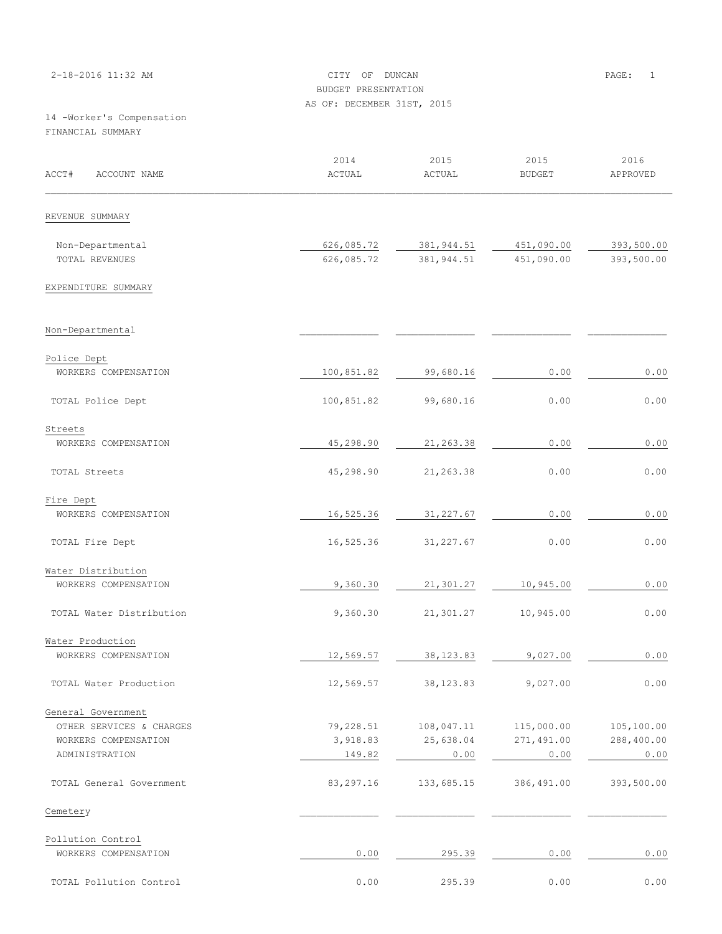|                                                | BUDGET PRESENTATION        |             |               |            |
|------------------------------------------------|----------------------------|-------------|---------------|------------|
|                                                | AS OF: DECEMBER 31ST, 2015 |             |               |            |
| 14 -Worker's Compensation<br>FINANCIAL SUMMARY |                            |             |               |            |
|                                                |                            |             |               |            |
|                                                | 2014                       | 2015        | 2015          | 2016       |
| ACCT#<br>ACCOUNT NAME                          | ACTUAL                     | ACTUAL      | <b>BUDGET</b> | APPROVED   |
|                                                |                            |             |               |            |
| REVENUE SUMMARY                                |                            |             |               |            |
| Non-Departmental                               | 626,085.72                 | 381,944.51  | 451,090.00    | 393,500.00 |
| TOTAL REVENUES                                 | 626,085.72                 | 381, 944.51 | 451,090.00    | 393,500.00 |
|                                                |                            |             |               |            |
| EXPENDITURE SUMMARY                            |                            |             |               |            |
| Non-Departmental                               |                            |             |               |            |
| Police Dept                                    |                            |             |               |            |
| WORKERS COMPENSATION                           | 100,851.82                 | 99,680.16   | 0.00          | 0.00       |
| TOTAL Police Dept                              | 100,851.82                 | 99,680.16   | 0.00          | 0.00       |
| Streets                                        |                            |             |               |            |
| WORKERS COMPENSATION                           | 45,298.90                  | 21, 263.38  | 0.00          | 0.00       |
| TOTAL Streets                                  | 45,298.90                  | 21, 263.38  | 0.00          | 0.00       |
| Fire Dept                                      |                            |             |               |            |
| WORKERS COMPENSATION                           | 16,525.36                  | 31, 227.67  | 0.00          | 0.00       |
| TOTAL Fire Dept                                | 16,525.36                  | 31, 227.67  | 0.00          | 0.00       |
| Water Distribution                             |                            |             |               |            |
| WORKERS COMPENSATION                           | 9,360.30                   | 21,301.27   | 10,945.00     | 0.00       |
| TOTAL Water Distribution                       | 9,360.30                   | 21,301.27   | 10,945.00     | 0.00       |
| Water Production                               |                            |             |               |            |
| WORKERS COMPENSATION                           | 12,569.57                  | 38, 123.83  | 9,027.00      | 0.00       |
| TOTAL Water Production                         | 12,569.57                  | 38, 123.83  | 9,027.00      | 0.00       |
| General Government                             |                            |             |               |            |
| OTHER SERVICES & CHARGES                       | 79,228.51                  | 108,047.11  | 115,000.00    | 105,100.00 |
| WORKERS COMPENSATION                           | 3,918.83                   | 25,638.04   | 271,491.00    | 288,400.00 |
| ADMINISTRATION                                 | 149.82                     | 0.00        | 0.00          | 0.00       |
| TOTAL General Government                       | 83,297.16                  | 133,685.15  | 386, 491.00   | 393,500.00 |
| Cemetery                                       |                            |             |               |            |
| Pollution Control                              |                            |             |               |            |

WORKERS COMPENSATION  $\underbrace{\hspace{1.5cm}0.00}_{0.00}$  0.00  $\underbrace{\hspace{1.5cm}295.39}_{0.00}$  0.00 0.00

2-18-2016 11:32 AM CITY OF DUNCAN PAGE: 1

TOTAL Pollution Control 0.00 295.39 0.00 0.00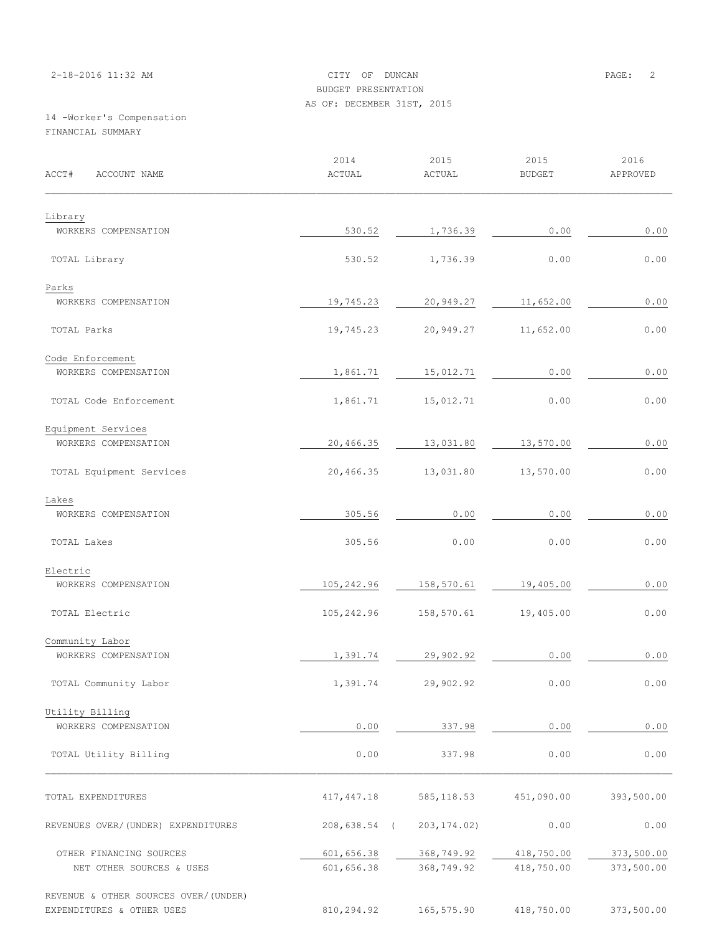|  |  |  | 2-18-2016 11:32 AM |  |  |  |
|--|--|--|--------------------|--|--|--|
|--|--|--|--------------------|--|--|--|

# CITY OF DUNCAN PAGE: 2 BUDGET PRESENTATION AS OF: DECEMBER 31ST, 2015

14 -Worker's Compensation FINANCIAL SUMMARY

| ACCT#<br>ACCOUNT NAME                                             | 2014<br>ACTUAL           | 2015<br>ACTUAL           | 2015<br><b>BUDGET</b>    | 2016<br>APPROVED         |
|-------------------------------------------------------------------|--------------------------|--------------------------|--------------------------|--------------------------|
| Library                                                           |                          |                          |                          |                          |
| WORKERS COMPENSATION                                              | 530.52                   | 1,736.39                 | 0.00                     | 0.00                     |
| TOTAL Library                                                     | 530.52                   | 1,736.39                 | 0.00                     | 0.00                     |
| Parks<br>WORKERS COMPENSATION                                     | 19,745.23                | 20,949.27                | 11,652.00                | 0.00                     |
| TOTAL Parks                                                       | 19,745.23                | 20,949.27                | 11,652.00                | 0.00                     |
| Code Enforcement<br>WORKERS COMPENSATION                          | 1,861.71                 | 15,012.71                | 0.00                     | 0.00                     |
| TOTAL Code Enforcement                                            | 1,861.71                 | 15,012.71                | 0.00                     | 0.00                     |
| Equipment Services<br>WORKERS COMPENSATION                        | 20,466.35                | 13,031.80                | 13,570.00                | 0.00                     |
| TOTAL Equipment Services                                          | 20,466.35                | 13,031.80                | 13,570.00                | 0.00                     |
| Lakes<br>WORKERS COMPENSATION                                     | 305.56                   | 0.00                     | 0.00                     | 0.00                     |
| TOTAL Lakes                                                       | 305.56                   | 0.00                     | 0.00                     | 0.00                     |
| Electric<br>WORKERS COMPENSATION                                  | 105,242.96               | 158,570.61               | 19,405.00                | 0.00                     |
| TOTAL Electric                                                    | 105,242.96               | 158,570.61               | 19,405.00                | 0.00                     |
| Community Labor<br>WORKERS COMPENSATION                           | 1,391.74                 | 29,902.92                | 0.00                     | 0.00                     |
| TOTAL Community Labor                                             | 1,391.74                 | 29,902.92                | 0.00                     | 0.00                     |
| Utility Billing<br>WORKERS COMPENSATION                           | 0.00                     | 337.98                   | 0.00                     | 0.00                     |
| TOTAL Utility Billing                                             | 0.00                     | 337.98                   | 0.00                     | 0.00                     |
| TOTAL EXPENDITURES                                                | 417, 447.18              | 585, 118.53              | 451,090.00               | 393,500.00               |
| REVENUES OVER/(UNDER) EXPENDITURES                                |                          | 208,638.54 ( 203,174.02) | 0.00                     | 0.00                     |
| OTHER FINANCING SOURCES<br>NET OTHER SOURCES & USES               | 601,656.38<br>601,656.38 | 368,749.92<br>368,749.92 | 418,750.00<br>418,750.00 | 373,500.00<br>373,500.00 |
| REVENUE & OTHER SOURCES OVER/(UNDER)<br>EXPENDITURES & OTHER USES | 810,294.92               | 165,575.90               | 418,750.00               | 373,500.00               |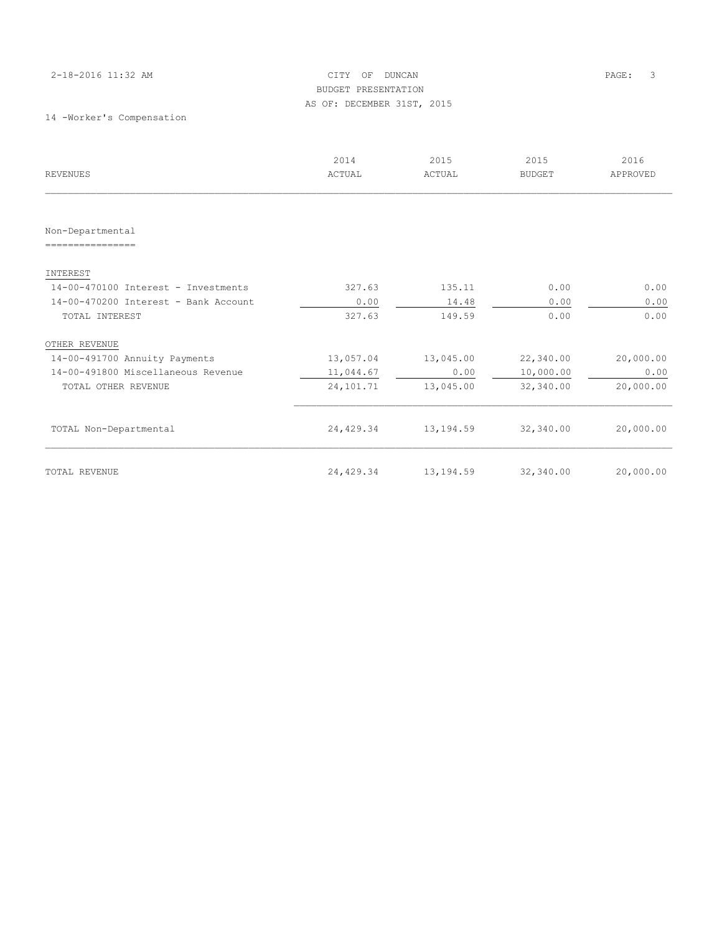# 2-18-2016 11:32 AM CITY OF DUNCAN PAGE: 3 BUDGET PRESENTATION AS OF: DECEMBER 31ST, 2015

| <b>REVENUES</b>                      | 2014<br>ACTUAL | 2015<br>ACTUAL | 2015<br><b>BUDGET</b> | 2016<br>APPROVED |
|--------------------------------------|----------------|----------------|-----------------------|------------------|
|                                      |                |                |                       |                  |
| Non-Departmental                     |                |                |                       |                  |
| ================                     |                |                |                       |                  |
| INTEREST                             |                |                |                       |                  |
| 14-00-470100 Interest - Investments  | 327.63         | 135.11         | 0.00                  | 0.00             |
| 14-00-470200 Interest - Bank Account | 0.00           | 14.48          | 0.00                  | 0.00             |
| TOTAL INTEREST                       | 327.63         | 149.59         | 0.00                  | 0.00             |
| OTHER REVENUE                        |                |                |                       |                  |
| 14-00-491700 Annuity Payments        | 13,057.04      | 13,045.00      | 22,340.00             | 20,000.00        |
| 14-00-491800 Miscellaneous Revenue   | 11,044.67      | 0.00           | 10,000.00             | 0.00             |
| TOTAL OTHER REVENUE                  | 24,101.71      | 13,045.00      | 32,340.00             | 20,000.00        |
| TOTAL Non-Departmental               | 24,429.34      | 13,194.59      | 32,340.00             | 20,000.00        |
|                                      |                |                |                       |                  |
| TOTAL REVENUE                        | 24,429.34      | 13,194.59      | 32,340.00             | 20,000.00        |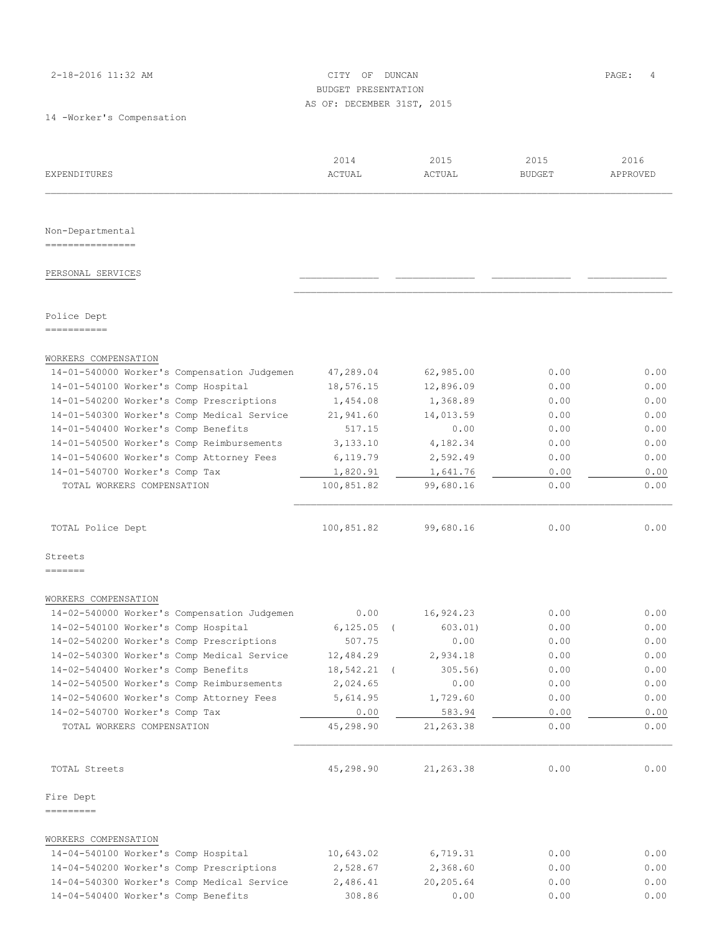# 2-18-2016 11:32 AM CITY OF DUNCAN PAGE: 4 BUDGET PRESENTATION AS OF: DECEMBER 31ST, 2015

| EXPENDITURES                                | 2014<br>ACTUAL | 2015<br>ACTUAL | 2015<br><b>BUDGET</b> | 2016<br>APPROVED |
|---------------------------------------------|----------------|----------------|-----------------------|------------------|
|                                             |                |                |                       |                  |
| Non-Departmental<br>================        |                |                |                       |                  |
|                                             |                |                |                       |                  |
| PERSONAL SERVICES                           |                |                |                       |                  |
| Police Dept<br>===========                  |                |                |                       |                  |
| WORKERS COMPENSATION                        |                |                |                       |                  |
| 14-01-540000 Worker's Compensation Judgemen | 47,289.04      | 62,985.00      | 0.00                  | 0.00             |
| 14-01-540100 Worker's Comp Hospital         | 18,576.15      | 12,896.09      | 0.00                  | 0.00             |
| 14-01-540200 Worker's Comp Prescriptions    | 1,454.08       | 1,368.89       | 0.00                  | 0.00             |
| 14-01-540300 Worker's Comp Medical Service  | 21,941.60      | 14,013.59      | 0.00                  | 0.00             |
| 14-01-540400 Worker's Comp Benefits         | 517.15         | 0.00           | 0.00                  | 0.00             |
| 14-01-540500 Worker's Comp Reimbursements   | 3,133.10       | 4,182.34       | 0.00                  | 0.00             |
| 14-01-540600 Worker's Comp Attorney Fees    | 6,119.79       | 2,592.49       | 0.00                  | 0.00             |
| 14-01-540700 Worker's Comp Tax              | 1,820.91       | 1,641.76       | 0.00                  | 0.00             |
| TOTAL WORKERS COMPENSATION                  | 100,851.82     | 99,680.16      | 0.00                  | 0.00             |
| TOTAL Police Dept                           | 100,851.82     | 99,680.16      | 0.00                  | 0.00             |
| Streets<br>--------                         |                |                |                       |                  |
|                                             |                |                |                       |                  |
| WORKERS COMPENSATION                        |                |                |                       |                  |
| 14-02-540000 Worker's Compensation Judgemen | 0.00           | 16,924.23      | 0.00                  | 0.00             |
| 14-02-540100 Worker's Comp Hospital         | $6, 125.05$ (  | 603.01)        | 0.00                  | 0.00             |
| 14-02-540200 Worker's Comp Prescriptions    | 507.75         | 0.00           | 0.00                  | 0.00             |
| 14-02-540300 Worker's Comp Medical Service  | 12,484.29      | 2,934.18       | 0.00                  | 0.00             |
| 14-02-540400 Worker's Comp Benefits         | $18,542.21$ (  | $305.56$ )     | 0.00                  | 0.00             |
| 14-02-540500 Worker's Comp Reimbursements   | 2,024.65       | 0.00           | 0.00                  | 0.00             |
| 14-02-540600 Worker's Comp Attorney Fees    | 5,614.95       | 1,729.60       | 0.00                  | 0.00             |
| 14-02-540700 Worker's Comp Tax              | 0.00           | 583.94         | 0.00                  | 0.00             |
| TOTAL WORKERS COMPENSATION                  | 45,298.90      | 21,263.38      | 0.00                  | 0.00             |
| TOTAL Streets                               | 45,298.90      | 21,263.38      | 0.00                  | 0.00             |
| Fire Dept                                   |                |                |                       |                  |
| =========                                   |                |                |                       |                  |
| WORKERS COMPENSATION                        |                |                |                       |                  |
| 14-04-540100 Worker's Comp Hospital         | 10,643.02      | 6,719.31       | 0.00                  | 0.00             |
| 14-04-540200 Worker's Comp Prescriptions    | 2,528.67       | 2,368.60       | 0.00                  | 0.00             |
| 14-04-540300 Worker's Comp Medical Service  | 2,486.41       | 20,205.64      | 0.00                  | 0.00             |
| 14-04-540400 Worker's Comp Benefits         | 308.86         | 0.00           | 0.00                  | 0.00             |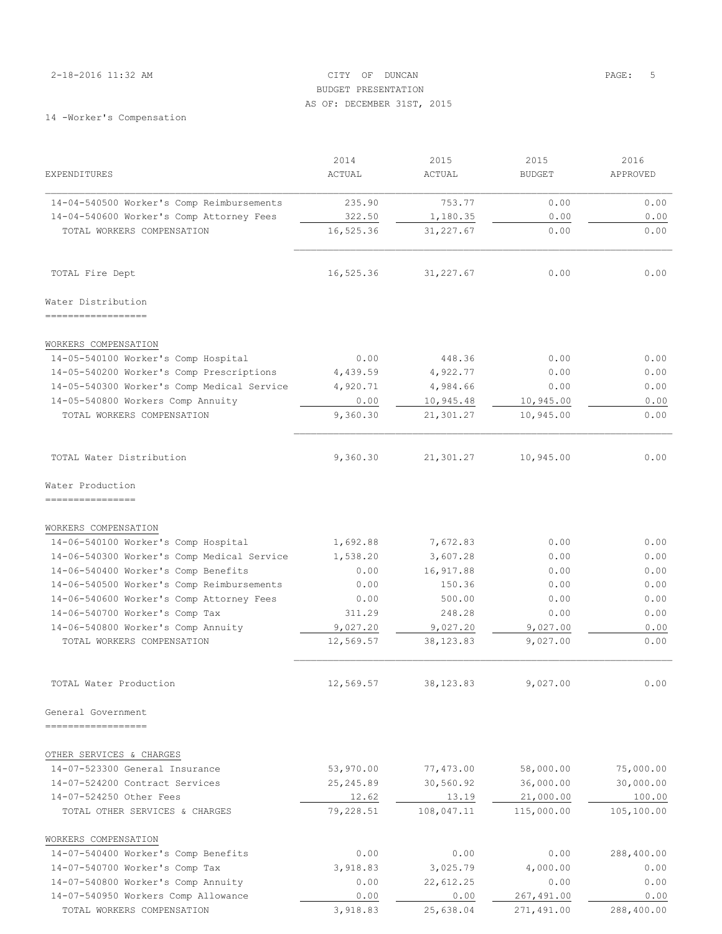## 2-18-2016 11:32 AM CITY OF DUNCAN PAGE: 5 BUDGET PRESENTATION AS OF: DECEMBER 31ST, 2015

| EXPENDITURES                               | 2014<br>ACTUAL | 2015<br>ACTUAL | 2015<br><b>BUDGET</b> | 2016<br>APPROVED |
|--------------------------------------------|----------------|----------------|-----------------------|------------------|
| 14-04-540500 Worker's Comp Reimbursements  | 235.90         | 753.77         | 0.00                  | 0.00             |
| 14-04-540600 Worker's Comp Attorney Fees   | 322.50         | 1,180.35       | 0.00                  | 0.00             |
| TOTAL WORKERS COMPENSATION                 | 16,525.36      | 31,227.67      | 0.00                  | 0.00             |
| TOTAL Fire Dept                            | 16,525.36      | 31, 227.67     | 0.00                  | 0.00             |
| Water Distribution<br>-------------------  |                |                |                       |                  |
| WORKERS COMPENSATION                       |                |                |                       |                  |
| 14-05-540100 Worker's Comp Hospital        | 0.00           | 448.36         | 0.00                  | 0.00             |
| 14-05-540200 Worker's Comp Prescriptions   | 4,439.59       | 4,922.77       | 0.00                  | 0.00             |
| 14-05-540300 Worker's Comp Medical Service | 4,920.71       | 4,984.66       | 0.00                  | 0.00             |
| 14-05-540800 Workers Comp Annuity          | 0.00           | 10,945.48      | 10,945.00             | 0.00             |
| TOTAL WORKERS COMPENSATION                 | 9,360.30       | 21,301.27      | 10,945.00             | 0.00             |
| TOTAL Water Distribution                   | 9,360.30       | 21,301.27      | 10,945.00             | 0.00             |
| Water Production                           |                |                |                       |                  |
| WORKERS COMPENSATION                       |                |                |                       |                  |
| 14-06-540100 Worker's Comp Hospital        | 1,692.88       | 7,672.83       | 0.00                  | 0.00             |
| 14-06-540300 Worker's Comp Medical Service | 1,538.20       | 3,607.28       | 0.00                  | 0.00             |
| 14-06-540400 Worker's Comp Benefits        | 0.00           | 16,917.88      | 0.00                  | 0.00             |
| 14-06-540500 Worker's Comp Reimbursements  | 0.00           | 150.36         | 0.00                  | 0.00             |
| 14-06-540600 Worker's Comp Attorney Fees   | 0.00           | 500.00         | 0.00                  | 0.00             |
| 14-06-540700 Worker's Comp Tax             | 311.29         | 248.28         | 0.00                  | 0.00             |
| 14-06-540800 Worker's Comp Annuity         | 9,027.20       | 9,027.20       | 9,027.00              | 0.00             |
| TOTAL WORKERS COMPENSATION                 | 12,569.57      | 38, 123.83     | 9,027.00              | 0.00             |
| TOTAL Water Production                     | 12,569.57      | 38,123.83      | 9,027.00              | 0.00             |
| General Government<br>-------------------  |                |                |                       |                  |
| OTHER SERVICES & CHARGES                   |                |                |                       |                  |
| 14-07-523300 General Insurance             | 53,970.00      | 77,473.00      | 58,000.00             | 75,000.00        |
| 14-07-524200 Contract Services             | 25, 245.89     | 30,560.92      | 36,000.00             | 30,000.00        |
| 14-07-524250 Other Fees                    | 12.62          | 13.19          | 21,000.00             | 100.00           |
| TOTAL OTHER SERVICES & CHARGES             | 79,228.51      | 108,047.11     | 115,000.00            | 105,100.00       |
| WORKERS COMPENSATION                       |                |                |                       |                  |
| 14-07-540400 Worker's Comp Benefits        | 0.00           | 0.00           | 0.00                  | 288,400.00       |
| 14-07-540700 Worker's Comp Tax             | 3,918.83       | 3,025.79       | 4,000.00              | 0.00             |
| 14-07-540800 Worker's Comp Annuity         | 0.00           | 22,612.25      | 0.00                  | 0.00             |
| 14-07-540950 Workers Comp Allowance        | 0.00           | 0.00           | 267,491.00            | 0.00             |
| TOTAL WORKERS COMPENSATION                 | 3,918.83       | 25,638.04      | 271,491.00            | 288,400.00       |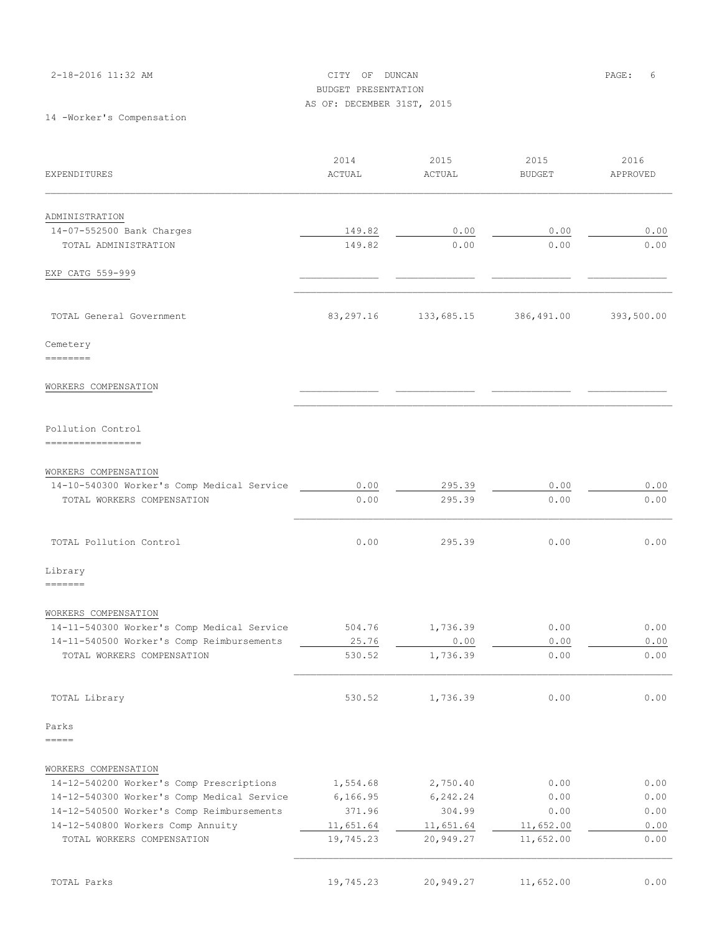| 2-18-2016 11:32 AM        | CITY OF DUNCAN             | PAGE: | - 6 |
|---------------------------|----------------------------|-------|-----|
|                           | BUDGET PRESENTATION        |       |     |
|                           | AS OF: DECEMBER 31ST, 2015 |       |     |
| 14 -Worker's Compensation |                            |       |     |

| EXPENDITURES              | 2014<br>ACTUAL | 2015<br>ACTUAL | 2015<br><b>BUDGET</b> | 2016<br>APPROVED |
|---------------------------|----------------|----------------|-----------------------|------------------|
|                           |                |                |                       |                  |
| ADMINISTRATION            |                |                |                       |                  |
| 14-07-552500 Bank Charges | 149.82         | 0.00           | 0.00                  | 0.00             |
| TOTAL ADMINISTRATION      | 149.82         | 0.00           | 0.00                  | 0.00             |
| EXP CATG 559-999          |                |                |                       |                  |
| TOTAL General Government  | 83,297.16      | 133,685.15     | 386,491.00            | 393,500.00       |

Cemetery

========

#### WORKERS COMPENSATION \_\_\_\_\_\_\_\_\_\_\_\_\_\_ \_\_\_\_\_\_\_\_\_\_\_\_\_\_ \_\_\_\_\_\_\_\_\_\_\_\_\_\_ \_\_\_\_\_\_\_\_\_\_\_\_\_\_

Pollution Control

=================

#### WORKERS COMPENSATION

| 14-10-540300 Worker's Comp Medical Service | 0.00      | 295.39    | 0.00      | 0.00 |
|--------------------------------------------|-----------|-----------|-----------|------|
| TOTAL WORKERS COMPENSATION                 | 0.00      | 295.39    | 0.00      | 0.00 |
| TOTAL Pollution Control                    | 0.00      | 295.39    | 0.00      | 0.00 |
| Library                                    |           |           |           |      |
| =======                                    |           |           |           |      |
| WORKERS COMPENSATION                       |           |           |           |      |
| 14-11-540300 Worker's Comp Medical Service | 504.76    | 1,736.39  | 0.00      | 0.00 |
| 14-11-540500 Worker's Comp Reimbursements  | 25.76     | 0.00      | 0.00      | 0.00 |
| TOTAL WORKERS COMPENSATION                 | 530.52    | 1,736.39  | 0.00      | 0.00 |
| TOTAL Library                              | 530.52    | 1,736.39  | 0.00      | 0.00 |
| Parks                                      |           |           |           |      |
| =====                                      |           |           |           |      |
| WORKERS COMPENSATION                       |           |           |           |      |
| 14-12-540200 Worker's Comp Prescriptions   | 1,554.68  | 2,750.40  | 0.00      | 0.00 |
| 14-12-540300 Worker's Comp Medical Service | 6, 166.95 | 6,242.24  | 0.00      | 0.00 |
| 14-12-540500 Worker's Comp Reimbursements  | 371.96    | 304.99    | 0.00      | 0.00 |
| 14-12-540800 Workers Comp Annuity          | 11,651.64 | 11,651.64 | 11,652.00 | 0.00 |
| TOTAL WORKERS COMPENSATION                 | 19,745.23 | 20,949.27 | 11,652.00 | 0.00 |
|                                            |           |           |           |      |

 $\mathcal{L}_\text{max}$ 

TOTAL Parks 19,745.23 20,949.27 11,652.00 0.00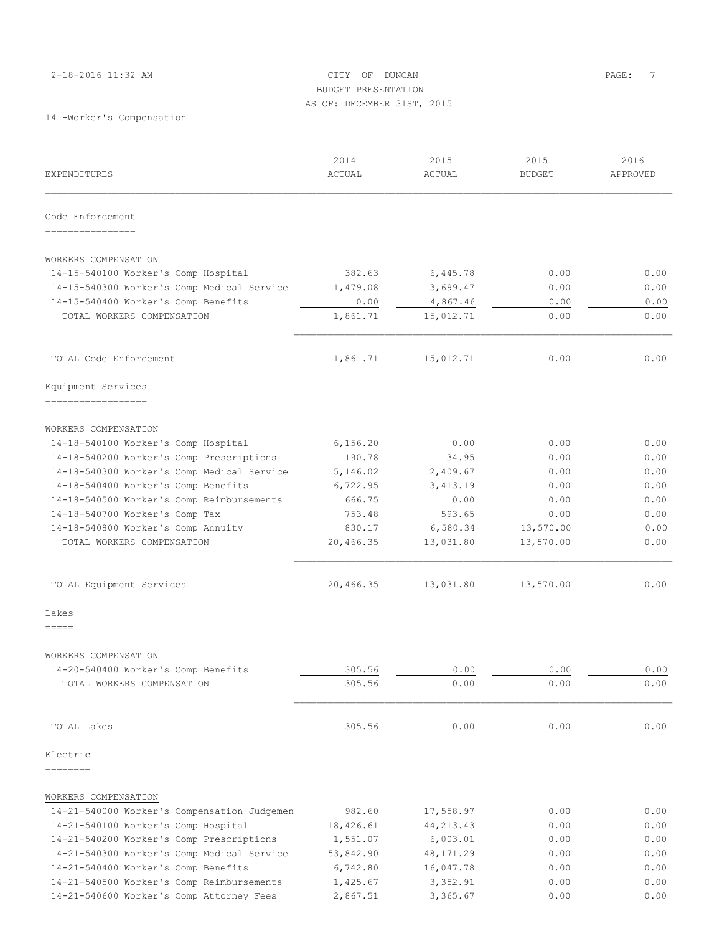# 2-18-2016 11:32 AM CITY OF DUNCAN PAGE: 7 BUDGET PRESENTATION AS OF: DECEMBER 31ST, 2015

| EXPENDITURES                                | 2014<br>ACTUAL | 2015<br>ACTUAL | 2015<br><b>BUDGET</b> | 2016<br>APPROVED |
|---------------------------------------------|----------------|----------------|-----------------------|------------------|
|                                             |                |                |                       |                  |
| Code Enforcement<br>________________        |                |                |                       |                  |
|                                             |                |                |                       |                  |
| WORKERS COMPENSATION                        |                |                |                       |                  |
| 14-15-540100 Worker's Comp Hospital         | 382.63         | 6,445.78       | 0.00                  | 0.00             |
| 14-15-540300 Worker's Comp Medical Service  | 1,479.08       | 3,699.47       | 0.00                  | 0.00             |
| 14-15-540400 Worker's Comp Benefits         | 0.00           | 4,867.46       | 0.00                  | 0.00             |
| TOTAL WORKERS COMPENSATION                  | 1,861.71       | 15,012.71      | 0.00                  | 0.00             |
| TOTAL Code Enforcement                      | 1,861.71       | 15,012.71      | 0.00                  | 0.00             |
| Equipment Services                          |                |                |                       |                  |
| ------------------                          |                |                |                       |                  |
| WORKERS COMPENSATION                        |                |                |                       |                  |
| 14-18-540100 Worker's Comp Hospital         | 6, 156.20      | 0.00           | 0.00                  | 0.00             |
| 14-18-540200 Worker's Comp Prescriptions    | 190.78         | 34.95          | 0.00                  | 0.00             |
| 14-18-540300 Worker's Comp Medical Service  | 5,146.02       | 2,409.67       | 0.00                  | 0.00             |
| 14-18-540400 Worker's Comp Benefits         | 6,722.95       | 3,413.19       | 0.00                  | 0.00             |
| 14-18-540500 Worker's Comp Reimbursements   | 666.75         | 0.00           | 0.00                  | 0.00             |
| 14-18-540700 Worker's Comp Tax              | 753.48         | 593.65         | 0.00                  | 0.00             |
| 14-18-540800 Worker's Comp Annuity          | 830.17         | 6,580.34       | 13,570.00             | 0.00             |
| TOTAL WORKERS COMPENSATION                  | 20,466.35      | 13,031.80      | 13,570.00             | 0.00             |
| TOTAL Equipment Services                    | 20,466.35      | 13,031.80      | 13,570.00             | 0.00             |
| Lakes                                       |                |                |                       |                  |
| =====                                       |                |                |                       |                  |
| WORKERS COMPENSATION                        |                |                |                       |                  |
| 14-20-540400 Worker's Comp Benefits         | 305.56         | 0.00           | 0.00                  | 0.00             |
| TOTAL WORKERS COMPENSATION                  | 305.56         | 0.00           | 0.00                  | 0.00             |
| TOTAL Lakes                                 | 305.56         | 0.00           | 0.00                  | 0.00             |
| Electric                                    |                |                |                       |                  |
| ========                                    |                |                |                       |                  |
| WORKERS COMPENSATION                        |                |                |                       |                  |
| 14-21-540000 Worker's Compensation Judgemen | 982.60         | 17,558.97      | 0.00                  | 0.00             |
| 14-21-540100 Worker's Comp Hospital         | 18,426.61      | 44, 213.43     | 0.00                  | 0.00             |
| 14-21-540200 Worker's Comp Prescriptions    | 1,551.07       | 6,003.01       | 0.00                  | 0.00             |
| 14-21-540300 Worker's Comp Medical Service  | 53,842.90      | 48, 171.29     | 0.00                  | 0.00             |
| 14-21-540400 Worker's Comp Benefits         | 6,742.80       | 16,047.78      | 0.00                  | 0.00             |
| 14-21-540500 Worker's Comp Reimbursements   | 1,425.67       | 3,352.91       | 0.00                  | 0.00             |
| 14-21-540600 Worker's Comp Attorney Fees    | 2,867.51       | 3,365.67       | 0.00                  | 0.00             |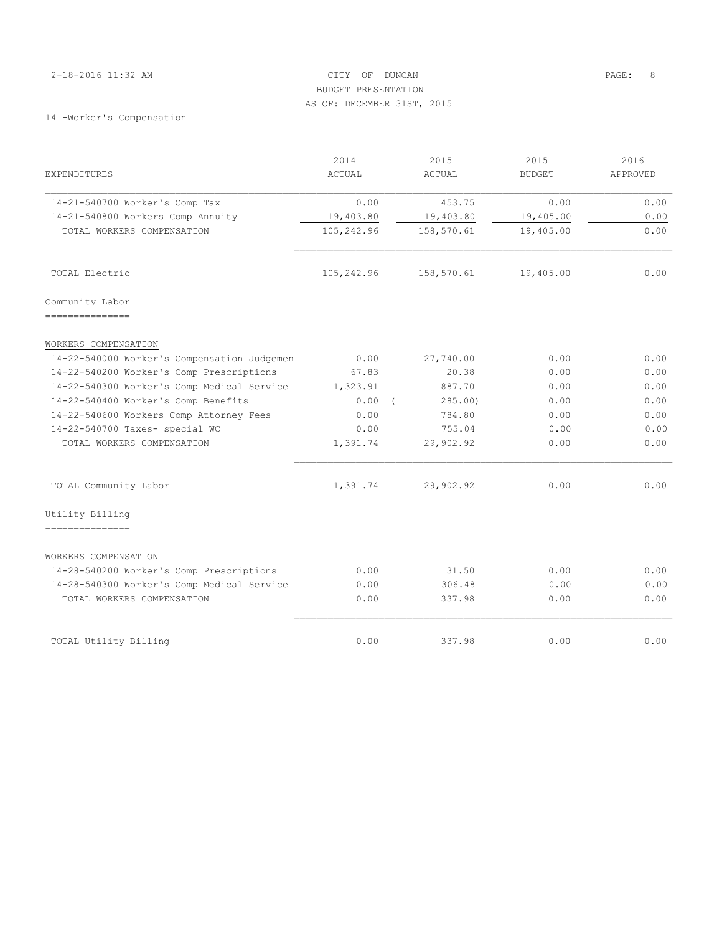#### 2-18-2016 11:32 AM CITY OF DUNCAN PAGE: 8 BUDGET PRESENTATION AS OF: DECEMBER 31ST, 2015

|                                             | 2014               | 2015       | 2015          | 2016     |
|---------------------------------------------|--------------------|------------|---------------|----------|
| EXPENDITURES                                | <b>ACTUAL</b>      | ACTUAL     | <b>BUDGET</b> | APPROVED |
| 14-21-540700 Worker's Comp Tax              | 0.00               | 453.75     | 0.00          | 0.00     |
| 14-21-540800 Workers Comp Annuity           | 19,403.80          | 19,403.80  | 19,405.00     | 0.00     |
| TOTAL WORKERS COMPENSATION                  | 105,242.96         | 158,570.61 | 19,405.00     | 0.00     |
| TOTAL Electric                              | 105,242.96         | 158,570.61 | 19,405.00     | 0.00     |
| Community Labor                             |                    |            |               |          |
| WORKERS COMPENSATION                        |                    |            |               |          |
| 14-22-540000 Worker's Compensation Judgemen | 0.00               | 27,740.00  | 0.00          | 0.00     |
| 14-22-540200 Worker's Comp Prescriptions    | 67.83              | 20.38      | 0.00          | 0.00     |
| 14-22-540300 Worker's Comp Medical Service  | 1,323.91           | 887.70     | 0.00          | 0.00     |
| 14-22-540400 Worker's Comp Benefits         | 0.00<br>$\sqrt{2}$ | 285.00     | 0.00          | 0.00     |
| 14-22-540600 Workers Comp Attorney Fees     | 0.00               | 784.80     | 0.00          | 0.00     |
| 14-22-540700 Taxes- special WC              | 0.00               | 755.04     | 0.00          | 0.00     |
| TOTAL WORKERS COMPENSATION                  | 1,391.74           | 29,902.92  | 0.00          | 0.00     |
| TOTAL Community Labor                       | 1,391.74           | 29,902.92  | 0.00          | 0.00     |
| Utility Billinq<br>----------------         |                    |            |               |          |
| WORKERS COMPENSATION                        |                    |            |               |          |
| 14-28-540200 Worker's Comp Prescriptions    | 0.00               | 31.50      | 0.00          | 0.00     |
| 14-28-540300 Worker's Comp Medical Service  | 0.00               | 306.48     | 0.00          | 0.00     |
| TOTAL WORKERS COMPENSATION                  | 0.00               | 337.98     | 0.00          | 0.00     |
| TOTAL Utility Billing                       | 0.00               | 337.98     | 0.00          | 0.00     |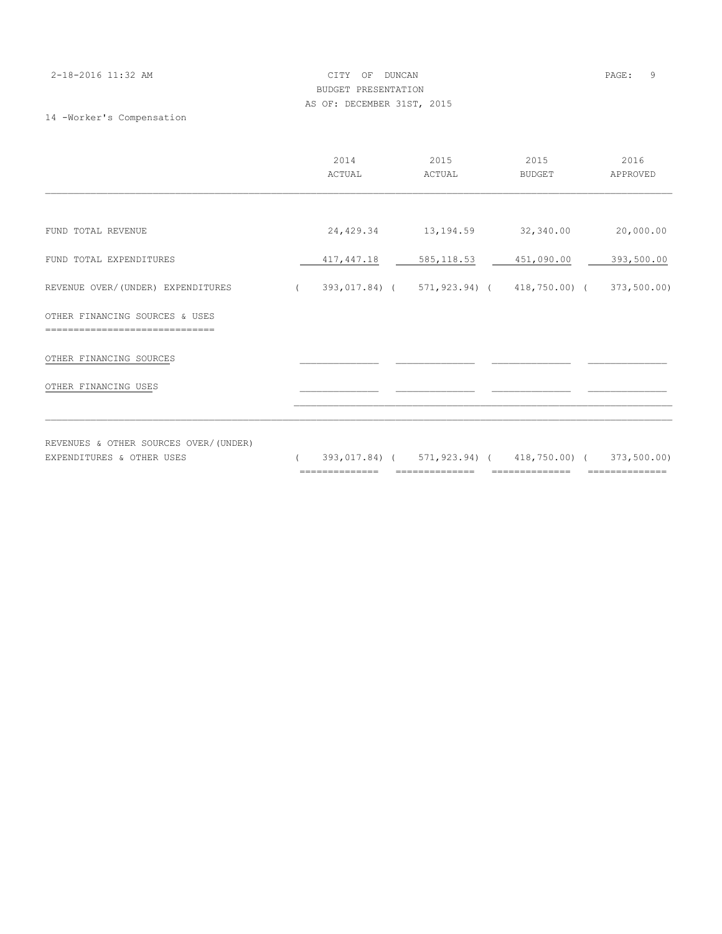14 -Worker's Compensation

|                                                                    | 2014<br>ACTUAL | 2015<br>ACTUAL                                     | 2015<br><b>BUDGET</b> | 2016<br>APPROVED |
|--------------------------------------------------------------------|----------------|----------------------------------------------------|-----------------------|------------------|
|                                                                    |                |                                                    |                       |                  |
| FUND TOTAL REVENUE                                                 |                | 24,429.34 13,194.59                                | 32,340.00             | 20,000.00        |
| FUND TOTAL EXPENDITURES                                            | 417,447.18     | 585,118.53                                         | 451,090.00            | 393,500.00       |
| REVENUE OVER/(UNDER) EXPENDITURES                                  |                | 393,017.84) (571,923.94) (418,750.00) (373,500.00) |                       |                  |
| OTHER FINANCING SOURCES & USES<br>========================         |                |                                                    |                       |                  |
| OTHER FINANCING SOURCES                                            |                |                                                    |                       |                  |
| OTHER FINANCING USES                                               |                |                                                    |                       |                  |
|                                                                    |                |                                                    |                       |                  |
| REVENUES & OTHER SOURCES OVER/(UNDER)<br>EXPENDITURES & OTHER USES |                | 393,017.84) (571,923.94) (418,750.00) (373,500.00) |                       |                  |

============== ============== ============== ==============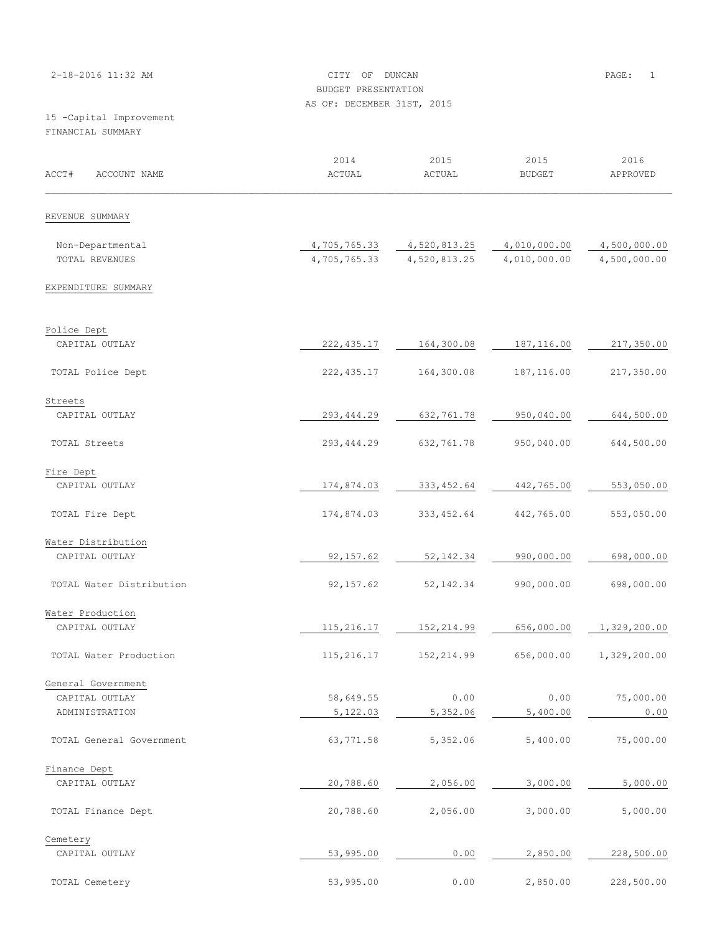| 2-18-2016 11:32 AM                           | CITY OF DUNCAN<br>BUDGET PRESENTATION | PAGE:<br>$\mathbf{1}$ |                       |                  |  |
|----------------------------------------------|---------------------------------------|-----------------------|-----------------------|------------------|--|
|                                              | AS OF: DECEMBER 31ST, 2015            |                       |                       |                  |  |
| 15 -Capital Improvement<br>FINANCIAL SUMMARY |                                       |                       |                       |                  |  |
| ACCT#<br>ACCOUNT NAME                        | 2014<br>ACTUAL                        | 2015<br>ACTUAL        | 2015<br><b>BUDGET</b> | 2016<br>APPROVED |  |
| REVENUE SUMMARY                              |                                       |                       |                       |                  |  |
| Non-Departmental                             | 4,705,765.33                          | 4,520,813.25          | 4,010,000.00          | 4,500,000.00     |  |
| TOTAL REVENUES                               | 4,705,765.33                          | 4,520,813.25          | 4,010,000.00          | 4,500,000.00     |  |
| EXPENDITURE SUMMARY                          |                                       |                       |                       |                  |  |
| Police Dept                                  |                                       |                       |                       |                  |  |
| CAPITAL OUTLAY                               | 222, 435.17                           | 164,300.08            | 187, 116.00           | 217,350.00       |  |
| TOTAL Police Dept                            | 222, 435.17                           | 164,300.08            | 187, 116.00           | 217,350.00       |  |
| Streets                                      |                                       |                       |                       |                  |  |
| CAPITAL OUTLAY                               | 293, 444.29                           | 632,761.78            | 950,040.00            | 644,500.00       |  |
| TOTAL Streets                                | 293,444.29                            | 632,761.78            | 950,040.00            | 644,500.00       |  |
| Fire Dept                                    |                                       |                       |                       |                  |  |
| CAPITAL OUTLAY                               | 174,874.03                            | 333, 452.64           | 442,765.00            | 553,050.00       |  |
| TOTAL Fire Dept                              | 174,874.03                            | 333, 452.64           | 442,765.00            | 553,050.00       |  |
| Water Distribution                           |                                       |                       |                       |                  |  |
| CAPITAL OUTLAY                               | 92, 157.62                            | 52, 142.34            | 990,000.00            | 698,000.00       |  |
| TOTAL Water Distribution                     | 92, 157.62                            | 52, 142.34            | 990,000.00            | 698,000.00       |  |
| Water Production                             |                                       |                       |                       |                  |  |
| CAPITAL OUTLAY                               | 115,216.17                            | 152, 214.99           | 656,000.00            | 1,329,200.00     |  |
| TOTAL Water Production                       | 115,216.17                            | 152,214.99            | 656,000.00            | 1,329,200.00     |  |
| General Government                           |                                       |                       |                       |                  |  |
| CAPITAL OUTLAY                               | 58,649.55                             | 0.00                  | 0.00                  | 75,000.00        |  |
| ADMINISTRATION                               | 5,122.03                              | 5, 352.06             | 5,400.00              | 0.00             |  |
| TOTAL General Government                     | 63,771.58                             | 5,352.06              | 5,400.00              | 75,000.00        |  |
| Finance Dept                                 |                                       |                       |                       |                  |  |
| CAPITAL OUTLAY                               | 20,788.60                             | 2,056.00              | 3,000.00              | 5,000.00         |  |
| TOTAL Finance Dept                           | 20,788.60                             | 2,056.00              | 3,000.00              | 5,000.00         |  |
| Cemetery                                     |                                       |                       |                       |                  |  |
| CAPITAL OUTLAY                               | 53,995.00                             | 0.00                  | 2,850.00              | 228,500.00       |  |
| TOTAL Cemetery                               | 53,995.00                             | 0.00                  | 2,850.00              | 228,500.00       |  |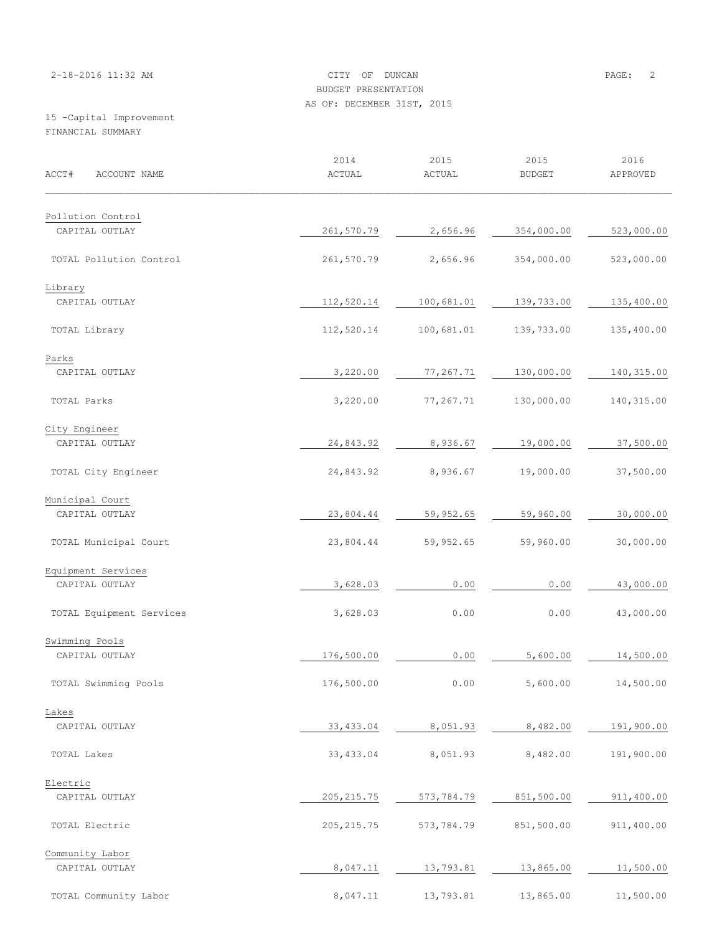2-18-2016 11:32 AM CITY OF DUNCAN PAGE: 2 BUDGET PRESENTATION AS OF: DECEMBER 31ST, 2015

15 -Capital Improvement FINANCIAL SUMMARY

| ACCT#<br>ACCOUNT NAME    | 2014<br>ACTUAL | 2015<br>ACTUAL | 2015<br><b>BUDGET</b> | 2016<br>APPROVED |
|--------------------------|----------------|----------------|-----------------------|------------------|
| Pollution Control        |                |                |                       |                  |
| CAPITAL OUTLAY           | 261,570.79     | 2,656.96       | 354,000.00            | 523,000.00       |
| TOTAL Pollution Control  | 261,570.79     | 2,656.96       | 354,000.00            | 523,000.00       |
| Library                  |                |                |                       |                  |
| CAPITAL OUTLAY           | 112,520.14     | 100,681.01     | 139,733.00            | 135,400.00       |
| TOTAL Library            | 112,520.14     | 100,681.01     | 139,733.00            | 135,400.00       |
| Parks                    |                |                |                       |                  |
| CAPITAL OUTLAY           | 3,220.00       | 77,267.71      | 130,000.00            | 140, 315.00      |
| TOTAL Parks              | 3,220.00       | 77,267.71      | 130,000.00            | 140, 315.00      |
| City Engineer            |                |                |                       |                  |
| CAPITAL OUTLAY           | 24,843.92      | 8,936.67       | 19,000.00             | 37,500.00        |
| TOTAL City Engineer      | 24,843.92      | 8,936.67       | 19,000.00             | 37,500.00        |
| Municipal Court          |                |                |                       |                  |
| CAPITAL OUTLAY           | 23,804.44      | 59,952.65      | 59,960.00             | 30,000.00        |
| TOTAL Municipal Court    | 23,804.44      | 59,952.65      | 59,960.00             | 30,000.00        |
| Equipment Services       |                |                |                       |                  |
| CAPITAL OUTLAY           | 3,628.03       | 0.00           | 0.00                  | 43,000.00        |
| TOTAL Equipment Services | 3,628.03       | 0.00           | 0.00                  | 43,000.00        |
| Swimming Pools           |                |                |                       |                  |
| CAPITAL OUTLAY           | 176,500.00     | 0.00           | 5,600.00              | 14,500.00        |
| TOTAL Swimming Pools     | 176,500.00     | 0.00           | 5,600.00              | 14,500.00        |
| Lakes                    |                |                |                       |                  |
| CAPITAL OUTLAY           | 33, 433.04     | 8,051.93       | 8,482.00              | 191,900.00       |
| TOTAL Lakes              | 33,433.04      | 8,051.93       | 8,482.00              | 191,900.00       |
| Electric                 |                |                |                       |                  |
| CAPITAL OUTLAY           | 205, 215.75    | 573,784.79     | 851,500.00            | 911,400.00       |
| TOTAL Electric           | 205, 215.75    | 573,784.79     | 851,500.00            | 911,400.00       |
| Community Labor          |                |                |                       |                  |
| CAPITAL OUTLAY           | 8,047.11       | 13,793.81      | 13,865.00             | 11,500.00        |
| TOTAL Community Labor    | 8,047.11       | 13,793.81      | 13,865.00             | 11,500.00        |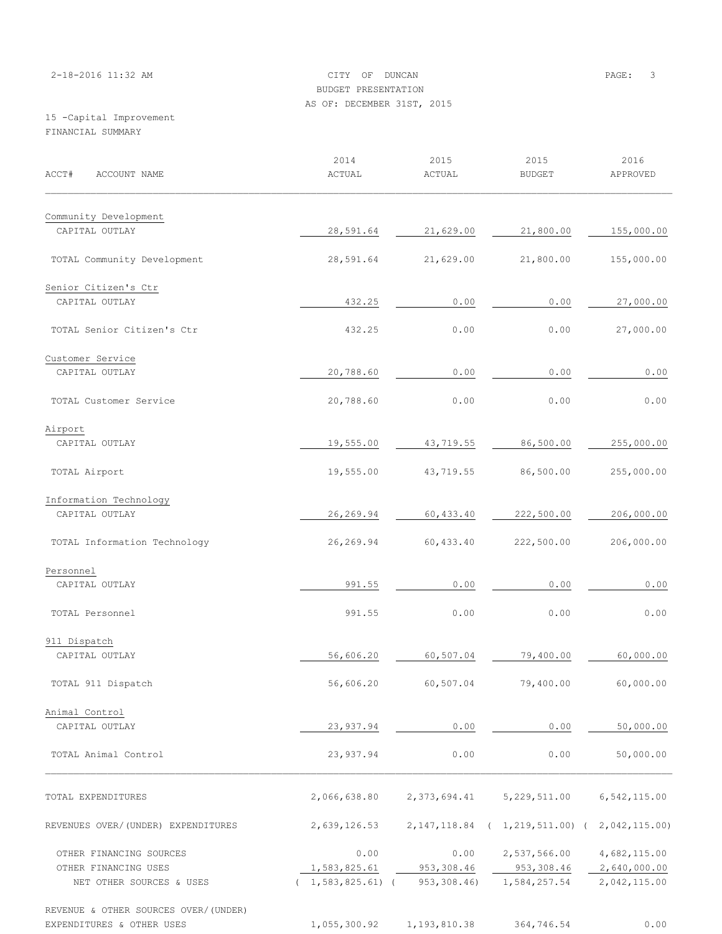# 2-18-2016 11:32 AM CITY OF DUNCAN PAGE: 3 BUDGET PRESENTATION AS OF: DECEMBER 31ST, 2015

15 -Capital Improvement FINANCIAL SUMMARY

| ACCT#<br>ACCOUNT NAME                | 2014<br>ACTUAL                   | 2015<br>ACTUAL | 2015<br><b>BUDGET</b>                              | 2016<br>APPROVED |
|--------------------------------------|----------------------------------|----------------|----------------------------------------------------|------------------|
| Community Development                |                                  |                |                                                    |                  |
| CAPITAL OUTLAY                       | 28,591.64                        | 21,629.00      | 21,800.00                                          | 155,000.00       |
| TOTAL Community Development          | 28,591.64                        | 21,629.00      | 21,800.00                                          | 155,000.00       |
| Senior Citizen's Ctr                 |                                  |                |                                                    |                  |
| CAPITAL OUTLAY                       | 432.25                           | 0.00           | 0.00                                               | 27,000.00        |
| TOTAL Senior Citizen's Ctr           | 432.25                           | 0.00           | 0.00                                               | 27,000.00        |
| Customer Service                     |                                  |                |                                                    |                  |
| CAPITAL OUTLAY                       | 20,788.60                        | 0.00           | 0.00                                               | 0.00             |
| TOTAL Customer Service               | 20,788.60                        | 0.00           | 0.00                                               | 0.00             |
| Airport                              |                                  |                |                                                    |                  |
| CAPITAL OUTLAY                       | 19,555.00                        | 43,719.55      | 86,500.00                                          | 255,000.00       |
| TOTAL Airport                        | 19,555.00                        | 43,719.55      | 86,500.00                                          | 255,000.00       |
| Information Technology               |                                  |                |                                                    |                  |
| CAPITAL OUTLAY                       | 26,269.94                        | 60,433.40      | 222,500.00                                         | 206,000.00       |
| TOTAL Information Technology         | 26,269.94                        | 60,433.40      | 222,500.00                                         | 206,000.00       |
| Personnel                            |                                  |                |                                                    |                  |
| CAPITAL OUTLAY                       | 991.55                           | 0.00           | 0.00                                               | 0.00             |
| TOTAL Personnel                      | 991.55                           | 0.00           | 0.00                                               | 0.00             |
| 911 Dispatch                         |                                  |                |                                                    |                  |
| CAPITAL OUTLAY                       | 56,606.20                        | 60,507.04      | 79,400.00                                          | 60,000.00        |
| TOTAL 911 Dispatch                   | 56,606.20                        | 60,507.04      | 79,400.00                                          | 60,000.00        |
| Animal Control                       |                                  |                |                                                    |                  |
| CAPITAL OUTLAY                       | 23,937.94                        | 0.00           | 0.00                                               | 50,000.00        |
| TOTAL Animal Control                 | 23,937.94                        | 0.00           | 0.00                                               | 50,000.00        |
| TOTAL EXPENDITURES                   | 2,066,638.80                     |                | 2, 373, 694.41 5, 229, 511.00                      | 6,542,115.00     |
|                                      |                                  |                |                                                    |                  |
| REVENUES OVER/(UNDER) EXPENDITURES   | 2,639,126.53                     |                | 2, 147, 118.84 ( 1, 219, 511.00) ( 2, 042, 115.00) |                  |
| OTHER FINANCING SOURCES              | 0.00                             | 0.00           | 2,537,566.00                                       | 4,682,115.00     |
| OTHER FINANCING USES                 | 1,583,825.61                     | 953,308.46     | 953,308.46                                         | 2,640,000.00     |
| NET OTHER SOURCES & USES             | $(1, 583, 825.61)$ (953, 308.46) |                | 1,584,257.54                                       | 2,042,115.00     |
| REVENUE & OTHER SOURCES OVER/(UNDER) |                                  |                |                                                    |                  |
| EXPENDITURES & OTHER USES            | 1,055,300.92                     | 1, 193, 810.38 | 364,746.54                                         | 0.00             |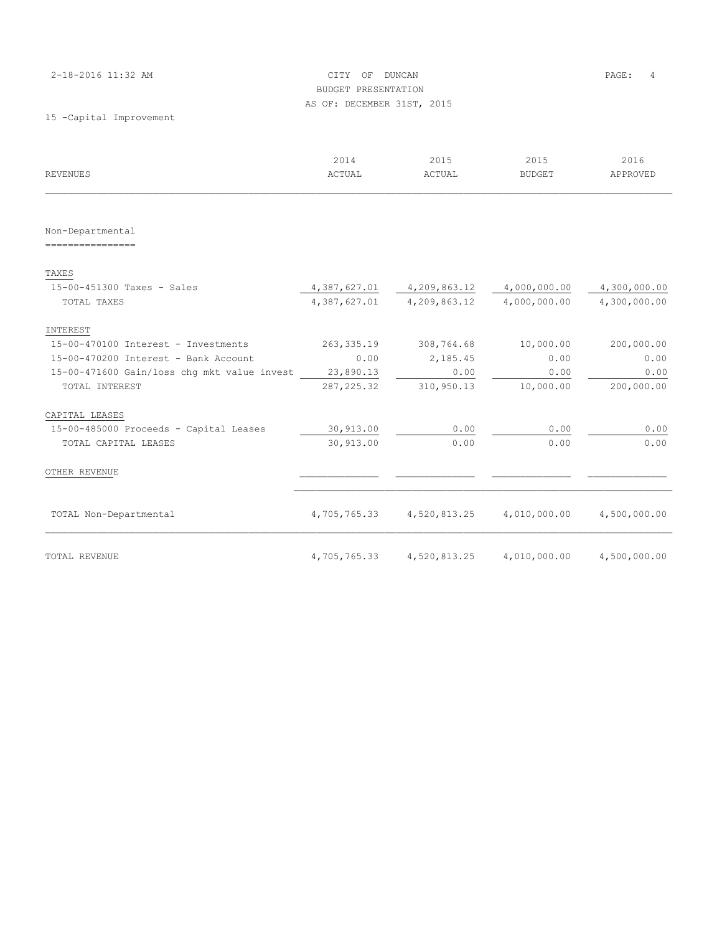| 2-18-2016 11:32 AM |
|--------------------|
|--------------------|

## CITY OF DUNCAN PAGE: 4 BUDGET PRESENTATION AS OF: DECEMBER 31ST, 2015

| <b>REVENUES</b>                             | 2014<br>ACTUAL | 2015<br>ACTUAL | 2015<br><b>BUDGET</b> | 2016<br>APPROVED |
|---------------------------------------------|----------------|----------------|-----------------------|------------------|
|                                             |                |                |                       |                  |
| Non-Departmental                            |                |                |                       |                  |
| ----------------                            |                |                |                       |                  |
| TAXES                                       |                |                |                       |                  |
| 15-00-451300 Taxes - Sales                  | 4,387,627.01   | 4,209,863.12   | 4,000,000.00          | 4,300,000.00     |
| TOTAL TAXES                                 | 4,387,627.01   | 4,209,863.12   | 4,000,000.00          | 4,300,000.00     |
| INTEREST                                    |                |                |                       |                  |
| 15-00-470100 Interest - Investments         | 263, 335.19    | 308,764.68     | 10,000.00             | 200,000.00       |
| 15-00-470200 Interest - Bank Account        | 0.00           | 2,185.45       | 0.00                  | 0.00             |
| 15-00-471600 Gain/loss chq mkt value invest | 23,890.13      | 0.00           | 0.00                  | 0.00             |
| TOTAL INTEREST                              | 287, 225.32    | 310,950.13     | 10,000.00             | 200,000.00       |
| CAPITAL LEASES                              |                |                |                       |                  |
| 15-00-485000 Proceeds - Capital Leases      | 30, 913.00     | 0.00           | 0.00                  | 0.00             |
| TOTAL CAPITAL LEASES                        | 30,913.00      | 0.00           | 0.00                  | 0.00             |
| OTHER REVENUE                               |                |                |                       |                  |
| TOTAL Non-Departmental                      | 4,705,765.33   | 4,520,813.25   | 4,010,000.00          | 4,500,000.00     |
| TOTAL REVENUE                               | 4,705,765.33   | 4,520,813.25   | 4,010,000.00          | 4,500,000.00     |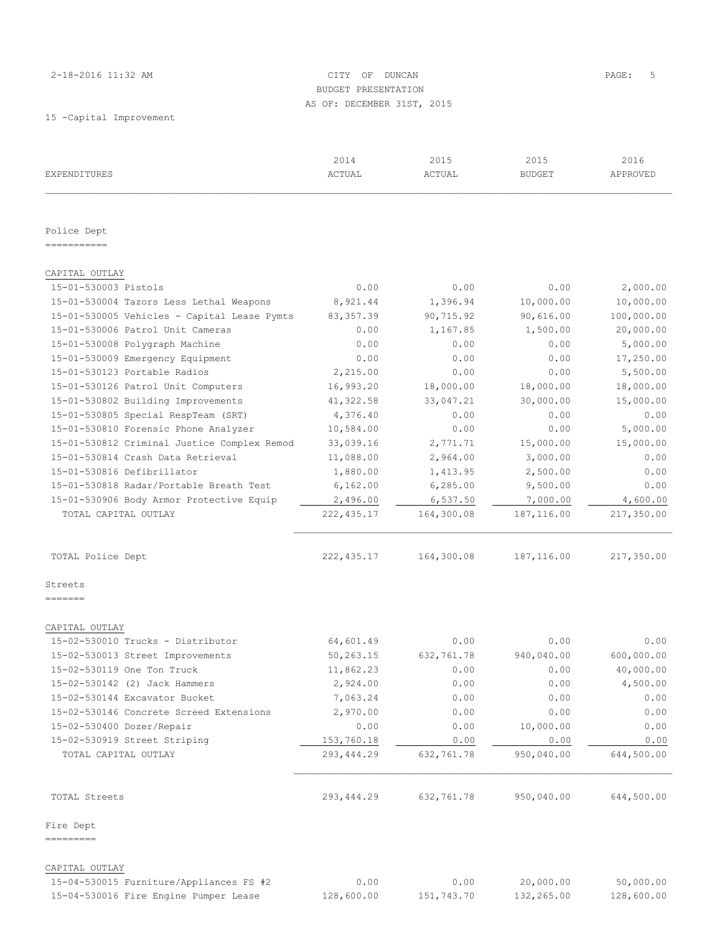## 2-18-2016 11:32 AM CITY OF DUNCAN PAGE: 5 BUDGET PRESENTATION AS OF: DECEMBER 31ST, 2015

| EXPENDITURES                                | 2014<br><b>ACTUAL</b> | 2015<br>ACTUAL | 2015<br><b>BUDGET</b> | 2016<br>APPROVED |
|---------------------------------------------|-----------------------|----------------|-----------------------|------------------|
|                                             |                       |                |                       |                  |
| Police Dept                                 |                       |                |                       |                  |
| ===========                                 |                       |                |                       |                  |
| CAPITAL OUTLAY                              |                       |                |                       |                  |
| 15-01-530003 Pistols                        | 0.00                  | 0.00           | 0.00                  | 2,000.00         |
| 15-01-530004 Tazors Less Lethal Weapons     | 8,921.44              | 1,396.94       | 10,000.00             | 10,000.00        |
| 15-01-530005 Vehicles - Capital Lease Pymts | 83, 357.39            | 90,715.92      | 90,616.00             | 100,000.00       |
| 15-01-530006 Patrol Unit Cameras            | 0.00                  | 1,167.85       | 1,500.00              | 20,000.00        |
| 15-01-530008 Polygraph Machine              | 0.00                  | 0.00           | 0.00                  | 5,000.00         |
| 15-01-530009 Emergency Equipment            | 0.00                  | 0.00           | 0.00                  | 17,250.00        |
| 15-01-530123 Portable Radios                | 2,215.00              | 0.00           | 0.00                  | 5,500.00         |
| 15-01-530126 Patrol Unit Computers          | 16,993.20             | 18,000.00      | 18,000.00             | 18,000.00        |
| 15-01-530802 Building Improvements          | 41,322.58             | 33,047.21      | 30,000.00             | 15,000.00        |
| 15-01-530805 Special RespTeam (SRT)         | 4,376.40              | 0.00           | 0.00                  | 0.00             |
| 15-01-530810 Forensic Phone Analyzer        | 10,584.00             | 0.00           | 0.00                  | 5,000.00         |
| 15-01-530812 Criminal Justice Complex Remod | 33,039.16             | 2,771.71       | 15,000.00             | 15,000.00        |
| 15-01-530814 Crash Data Retrieval           | 11,088.00             | 2,964.00       | 3,000.00              | 0.00             |
| 15-01-530816 Defibrillator                  | 1,880.00              | 1,413.95       | 2,500.00              | 0.00             |
| 15-01-530818 Radar/Portable Breath Test     | 6, 162.00             | 6, 285.00      | 9,500.00              | 0.00             |
| 15-01-530906 Body Armor Protective Equip    | 2,496.00              | 6,537.50       | 7,000.00              | 4,600.00         |
| TOTAL CAPITAL OUTLAY                        | 222,435.17            | 164,300.08     | 187,116.00            | 217,350.00       |
| TOTAL Police Dept                           | 222, 435.17           | 164,300.08     | 187,116.00            | 217,350.00       |
| Streets                                     |                       |                |                       |                  |
| =======                                     |                       |                |                       |                  |
| CAPITAL OUTLAY                              |                       |                |                       |                  |
| 15-02-530010 Trucks - Distributor           | 64,601.49             | 0.00           | 0.00                  | 0.00             |
| 15-02-530013 Street Improvements            | 50,263.15             | 632,761.78     | 940,040.00            | 600,000.00       |
| 15-02-530119 One Ton Truck                  | 11,862.23             | 0.00           | 0.00                  | 40,000.00        |
| 15-02-530142 (2) Jack Hammers               | 2,924.00              | 0.00           | 0.00                  | 4,500.00         |
| 15-02-530144 Excavator Bucket               | 7,063.24              | 0.00           | 0.00                  | 0.00             |
| 15-02-530146 Concrete Screed Extensions     | 2,970.00              | 0.00           | 0.00                  | 0.00             |
| 15-02-530400 Dozer/Repair                   | 0.00                  | 0.00           | 10,000.00             | 0.00             |
| 15-02-530919 Street Striping                | 153,760.18            | 0.00           | 0.00                  | 0.00             |
| TOTAL CAPITAL OUTLAY                        | 293, 444.29           | 632,761.78     | 950,040.00            | 644,500.00       |
| TOTAL Streets                               | 293,444.29            | 632,761.78     | 950,040.00            | 644,500.00       |
| Fire Dept                                   |                       |                |                       |                  |
| =========                                   |                       |                |                       |                  |
| CAPITAL OUTLAY                              |                       |                |                       |                  |
| 15-04-530015 Furniture/Appliances FS #2     | 0.00                  | 0.00           | 20,000.00             | 50,000.00        |
| 15-04-530016 Fire Engine Pumper Lease       | 128,600.00            | 151,743.70     | 132,265.00            | 128,600.00       |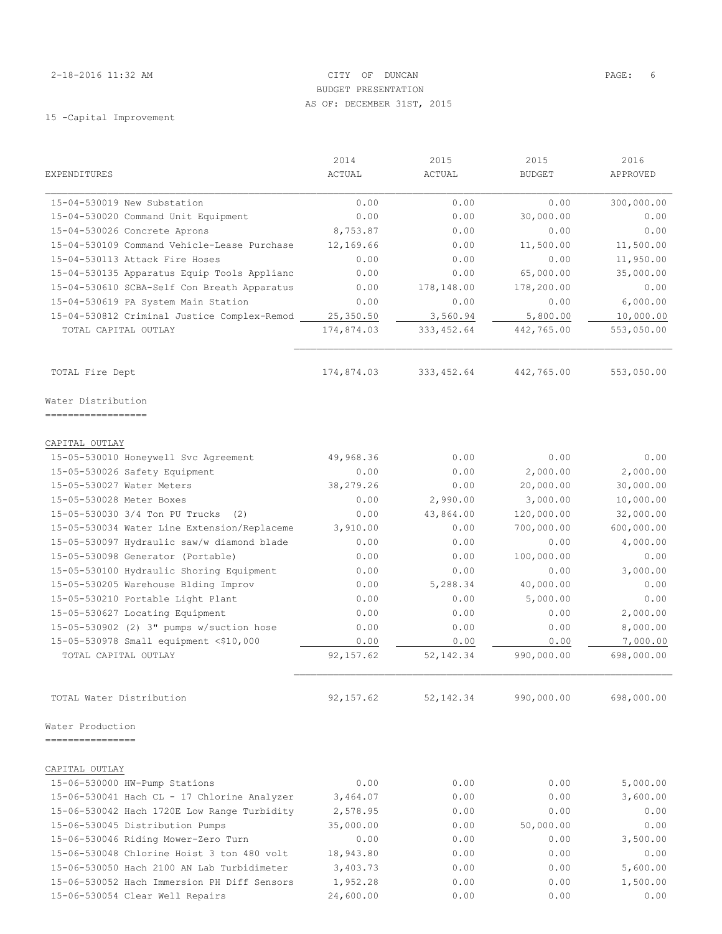## 2-18-2016 11:32 AM CITY OF DUNCAN PAGE: 6 BUDGET PRESENTATION AS OF: DECEMBER 31ST, 2015

15 -Capital Improvement

|                                                                           | 2014               | 2015               | 2015                  | 2016                   |
|---------------------------------------------------------------------------|--------------------|--------------------|-----------------------|------------------------|
| EXPENDITURES                                                              | ACTUAL             | ACTUAL             | <b>BUDGET</b>         | APPROVED               |
| 15-04-530019 New Substation                                               | 0.00               | 0.00               | 0.00                  | 300,000.00             |
| 15-04-530020 Command Unit Equipment                                       | 0.00               | 0.00               | 30,000.00             | 0.00                   |
| 15-04-530026 Concrete Aprons                                              | 8,753.87           | 0.00               | 0.00                  | 0.00                   |
| 15-04-530109 Command Vehicle-Lease Purchase                               | 12,169.66          | 0.00               | 11,500.00             | 11,500.00              |
| 15-04-530113 Attack Fire Hoses                                            | 0.00               | 0.00               | 0.00                  | 11,950.00              |
| 15-04-530135 Apparatus Equip Tools Applianc                               | 0.00               | 0.00               | 65,000.00             | 35,000.00              |
| 15-04-530610 SCBA-Self Con Breath Apparatus                               | 0.00               | 178,148.00         | 178,200.00            | 0.00                   |
| 15-04-530619 PA System Main Station                                       | 0.00               | 0.00               | 0.00                  | 6,000.00               |
| 15-04-530812 Criminal Justice Complex-Remod                               | 25,350.50          | 3,560.94           | 5,800.00              | 10,000.00              |
| TOTAL CAPITAL OUTLAY                                                      | 174,874.03         | 333, 452.64        | 442,765.00            | 553,050.00             |
| TOTAL Fire Dept                                                           | 174,874.03         | 333, 452.64        | 442,765.00            | 553,050.00             |
| Water Distribution                                                        |                    |                    |                       |                        |
|                                                                           |                    |                    |                       |                        |
| CAPITAL OUTLAY<br>15-05-530010 Honeywell Svc Agreement                    | 49,968.36          | 0.00               | 0.00                  | 0.00                   |
| 15-05-530026 Safety Equipment                                             | 0.00               | 0.00               | 2,000.00              | 2,000.00               |
| 15-05-530027 Water Meters                                                 | 38,279.26          | 0.00               | 20,000.00             | 30,000.00              |
| 15-05-530028 Meter Boxes                                                  | 0.00               | 2,990.00           | 3,000.00              | 10,000.00              |
| 15-05-530030 3/4 Ton PU Trucks<br>(2)                                     | 0.00               | 43,864.00          | 120,000.00            | 32,000.00              |
| 15-05-530034 Water Line Extension/Replaceme                               | 3,910.00           | 0.00               | 700,000.00            | 600,000.00             |
| 15-05-530097 Hydraulic saw/w diamond blade                                | 0.00               | 0.00               | 0.00                  | 4,000.00               |
|                                                                           |                    | 0.00               | 100,000.00            |                        |
| 15-05-530098 Generator (Portable)                                         | 0.00               | 0.00               | 0.00                  | 0.00                   |
| 15-05-530100 Hydraulic Shoring Equipment                                  | 0.00               |                    |                       | 3,000.00               |
| 15-05-530205 Warehouse Blding Improv<br>15-05-530210 Portable Light Plant | 0.00<br>0.00       | 5,288.34<br>0.00   | 40,000.00<br>5,000.00 | 0.00<br>0.00           |
| 15-05-530627 Locating Equipment                                           | 0.00               | 0.00               | 0.00                  | 2,000.00               |
| 15-05-530902 (2) 3" pumps w/suction hose                                  |                    | 0.00               |                       |                        |
|                                                                           | 0.00               |                    | 0.00<br>0.00          | 8,000.00               |
| 15-05-530978 Small equipment <\$10,000<br>TOTAL CAPITAL OUTLAY            | 0.00<br>92, 157.62 | 0.00<br>52, 142.34 | 990,000.00            | 7,000.00<br>698,000.00 |
| TOTAL Water Distribution                                                  | 92, 157.62         | 52, 142.34         | 990,000.00            | 698,000.00             |
| Water Production                                                          |                    |                    |                       |                        |
| ================                                                          |                    |                    |                       |                        |
| CAPITAL OUTLAY                                                            |                    |                    |                       |                        |
| 15-06-530000 HW-Pump Stations                                             | 0.00               | 0.00               | 0.00                  | 5,000.00               |
| 15-06-530041 Hach CL - 17 Chlorine Analyzer                               | 3,464.07           | 0.00               | 0.00                  | 3,600.00               |
| 15-06-530042 Hach 1720E Low Range Turbidity                               | 2,578.95           | 0.00               | 0.00                  | 0.00                   |
| 15-06-530045 Distribution Pumps                                           | 35,000.00          | 0.00               | 50,000.00             | 0.00                   |
| 15-06-530046 Riding Mower-Zero Turn                                       | 0.00               | 0.00               | 0.00                  | 3,500.00               |
| 15-06-530048 Chlorine Hoist 3 ton 480 volt                                | 18,943.80          | 0.00               | 0.00                  | 0.00                   |
| 15-06-530050 Hach 2100 AN Lab Turbidimeter                                | 3,403.73           | 0.00               | 0.00                  | 5,600.00               |
| 15-06-530052 Hach Immersion PH Diff Sensors                               | 1,952.28           | 0.00               | 0.00                  | 1,500.00               |

15-06-530054 Clear Well Repairs 24,600.00 0.00 0.00 0.00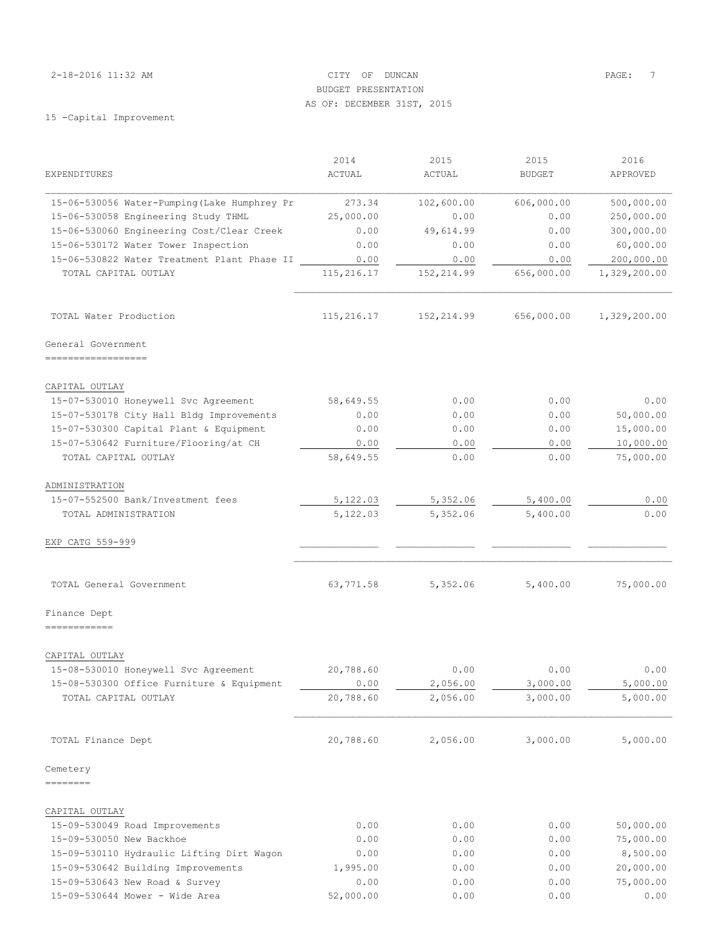# 2-18-2016 11:32 AM CITY OF DUNCAN PAGE: 7 BUDGET PRESENTATION AS OF: DECEMBER 31ST, 2015

|                                              | 2014       | 2015       | 2015          | 2016         |
|----------------------------------------------|------------|------------|---------------|--------------|
| EXPENDITURES                                 | ACTUAL     | ACTUAL     | <b>BUDGET</b> | APPROVED     |
| 15-06-530056 Water-Pumping (Lake Humphrey Pr | 273.34     | 102,600.00 | 606,000.00    | 500,000.00   |
| 15-06-530058 Engineering Study THML          | 25,000.00  | 0.00       | 0.00          | 250,000.00   |
| 15-06-530060 Engineering Cost/Clear Creek    | 0.00       | 49,614.99  | 0.00          | 300,000.00   |
| 15-06-530172 Water Tower Inspection          | 0.00       | 0.00       | 0.00          | 60,000.00    |
| 15-06-530822 Water Treatment Plant Phase II  | 0.00       | 0.00       | 0.00          | 200,000.00   |
| TOTAL CAPITAL OUTLAY                         | 115,216.17 | 152,214.99 | 656,000.00    | 1,329,200.00 |
| TOTAL Water Production                       | 115,216.17 | 152,214.99 | 656,000.00    | 1,329,200.00 |
| General Government                           |            |            |               |              |
| -------------------                          |            |            |               |              |
| CAPITAL OUTLAY                               |            |            |               |              |
| 15-07-530010 Honeywell Svc Agreement         | 58,649.55  | 0.00       | 0.00          | 0.00         |
| 15-07-530178 City Hall Bldg Improvements     | 0.00       | 0.00       | 0.00          | 50,000.00    |
| 15-07-530300 Capital Plant & Equipment       | 0.00       | 0.00       | 0.00          | 15,000.00    |
| 15-07-530642 Furniture/Flooring/at CH        | 0.00       | 0.00       | 0.00          | 10,000.00    |
| TOTAL CAPITAL OUTLAY                         | 58,649.55  | 0.00       | 0.00          | 75,000.00    |
| ADMINISTRATION                               |            |            |               |              |
| 15-07-552500 Bank/Investment fees            | 5,122.03   | 5,352.06   | 5,400.00      | 0.00         |
| TOTAL ADMINISTRATION                         | 5,122.03   | 5,352.06   | 5,400.00      | 0.00         |
| EXP CATG 559-999                             |            |            |               |              |
| TOTAL General Government                     | 63,771.58  | 5,352.06   | 5,400.00      | 75,000.00    |
| Finance Dept<br>------------                 |            |            |               |              |
| CAPITAL OUTLAY                               |            |            |               |              |
| 15-08-530010 Honeywell Svc Agreement         | 20,788.60  | 0.00       | 0.00          | 0.00         |
| 15-08-530300 Office Furniture & Equipment    | 0.00       | 2,056.00   | 3,000.00      | 5,000.00     |
| TOTAL CAPITAL OUTLAY                         | 20,788.60  | 2,056.00   | 3,000.00      | 5,000.00     |
| TOTAL Finance Dept                           | 20,788.60  | 2,056.00   | 3,000.00      | 5,000.00     |
| Cemetery                                     |            |            |               |              |
| ========                                     |            |            |               |              |
| CAPITAL OUTLAY                               |            |            |               |              |
| 15-09-530049 Road Improvements               | 0.00       | 0.00       | 0.00          | 50,000.00    |
| 15-09-530050 New Backhoe                     | 0.00       | 0.00       | 0.00          | 75,000.00    |
| 15-09-530110 Hydraulic Lifting Dirt Wagon    | 0.00       | 0.00       | 0.00          | 8,500.00     |
| 15-09-530642 Building Improvements           | 1,995.00   | 0.00       | 0.00          | 20,000.00    |
| 15-09-530643 New Road & Survey               | 0.00       | 0.00       | 0.00          | 75,000.00    |
| 15-09-530644 Mower - Wide Area               | 52,000.00  | 0.00       | 0.00          | 0.00         |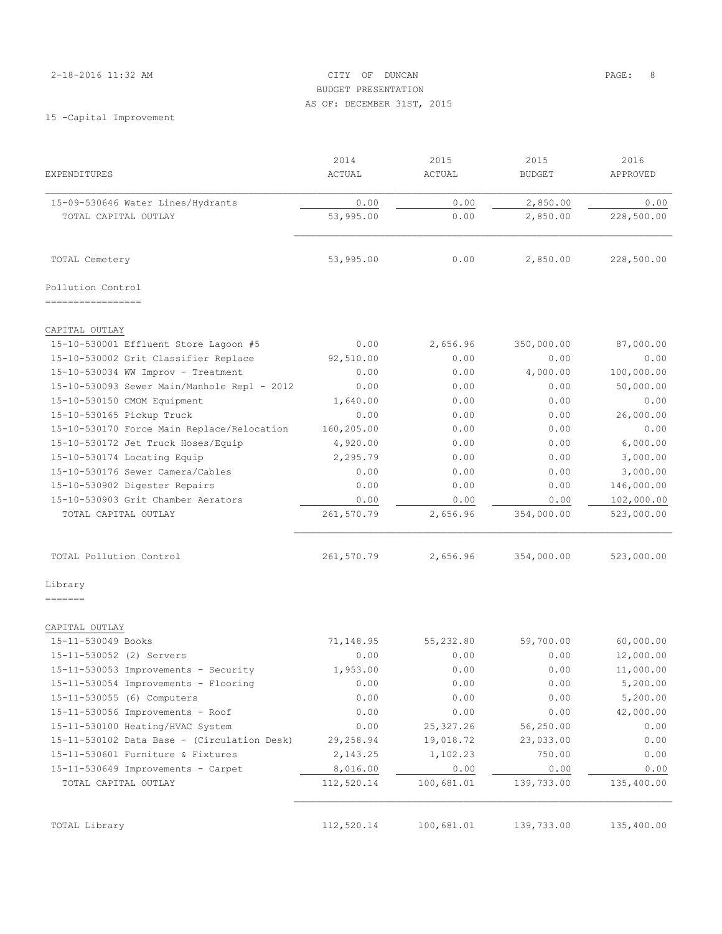| 2-18-2016 11:32 AM |  |  |  |  |  |  |
|--------------------|--|--|--|--|--|--|
|--------------------|--|--|--|--|--|--|

## CITY OF DUNCAN PAGE: 8 BUDGET PRESENTATION AS OF: DECEMBER 31ST, 2015

| EXPENDITURES                                | 2014<br><b>ACTUAL</b> | 2015<br>ACTUAL         | 2015<br><b>BUDGET</b> | 2016<br>APPROVED |
|---------------------------------------------|-----------------------|------------------------|-----------------------|------------------|
| 15-09-530646 Water Lines/Hydrants           | 0.00                  | 0.00                   | 2,850.00              | 0.00             |
| TOTAL CAPITAL OUTLAY                        | 53,995.00             | 0.00                   | 2,850.00              | 228,500.00       |
| TOTAL Cemetery                              | 53,995.00             | 0.00                   | 2,850.00              | 228,500.00       |
|                                             |                       |                        |                       |                  |
| Pollution Control<br>------------------     |                       |                        |                       |                  |
|                                             |                       |                        |                       |                  |
| CAPITAL OUTLAY                              |                       |                        |                       |                  |
| 15-10-530001 Effluent Store Lagoon #5       | 0.00                  | 2,656.96               | 350,000.00            | 87,000.00        |
| 15-10-530002 Grit Classifier Replace        | 92,510.00             | 0.00                   | 0.00                  | 0.00             |
| 15-10-530034 WW Improv - Treatment          | 0.00                  | 0.00                   | 4,000.00              | 100,000.00       |
| 15-10-530093 Sewer Main/Manhole Repl - 2012 | 0.00                  | 0.00                   | 0.00                  | 50,000.00        |
| 15-10-530150 CMOM Equipment                 | 1,640.00              | 0.00                   | 0.00                  | 0.00             |
| 15-10-530165 Pickup Truck                   | 0.00                  | 0.00                   | 0.00                  | 26,000.00        |
| 15-10-530170 Force Main Replace/Relocation  | 160,205.00            | 0.00                   | 0.00                  | 0.00             |
| 15-10-530172 Jet Truck Hoses/Equip          | 4,920.00              | 0.00                   | 0.00                  | 6,000.00         |
| 15-10-530174 Locating Equip                 | 2,295.79              | 0.00                   | 0.00                  | 3,000.00         |
| 15-10-530176 Sewer Camera/Cables            | 0.00                  | 0.00                   | 0.00                  | 3,000.00         |
| 15-10-530902 Digester Repairs               | 0.00                  | 0.00                   | 0.00                  | 146,000.00       |
| 15-10-530903 Grit Chamber Aerators          | 0.00                  | 0.00                   | 0.00                  | 102,000.00       |
| TOTAL CAPITAL OUTLAY                        | 261,570.79            | 2,656.96               | 354,000.00            | 523,000.00       |
| TOTAL Pollution Control                     | 261,570.79            | 2,656.96               | 354,000.00            | 523,000.00       |
| Library                                     |                       |                        |                       |                  |
| =======                                     |                       |                        |                       |                  |
| CAPITAL OUTLAY                              |                       |                        |                       |                  |
| 15-11-530049 Books                          | 71,148.95             | 55,232.80              | 59,700.00             | 60,000.00        |
| 15-11-530052 (2) Servers                    | 0.00                  | 0.00                   | 0.00                  | 12,000.00        |
| 15-11-530053 Improvements - Security        | 1,953.00              | 0.00                   | 0.00                  | 11,000.00        |
| 15-11-530054 Improvements - Flooring        | 0.00                  | 0.00                   | 0.00                  | 5,200.00         |
| 15-11-530055 (6) Computers                  | 0.00                  | 0.00                   | 0.00                  | 5,200.00         |
| 15-11-530056 Improvements - Roof            | 0.00                  | 0.00                   | 0.00                  | 42,000.00        |
| 15-11-530100 Heating/HVAC System            | 0.00                  | 25, 327.26             | 56,250.00             | 0.00             |
| 15-11-530102 Data Base - (Circulation Desk) | 29,258.94             | 19,018.72              | 23,033.00             | 0.00             |
| 15-11-530601 Furniture & Fixtures           | 2,143.25              | 1,102.23               | 750.00                | 0.00             |
| 15-11-530649 Improvements - Carpet          | 8,016.00              | ${\tt 0}$ . ${\tt 00}$ | 0.00                  | 0.00             |
| TOTAL CAPITAL OUTLAY                        | 112,520.14            | 100,681.01             | 139,733.00            | 135,400.00       |
| TOTAL Library                               | 112,520.14            | 100,681.01             | 139,733.00            | 135,400.00       |
|                                             |                       |                        |                       |                  |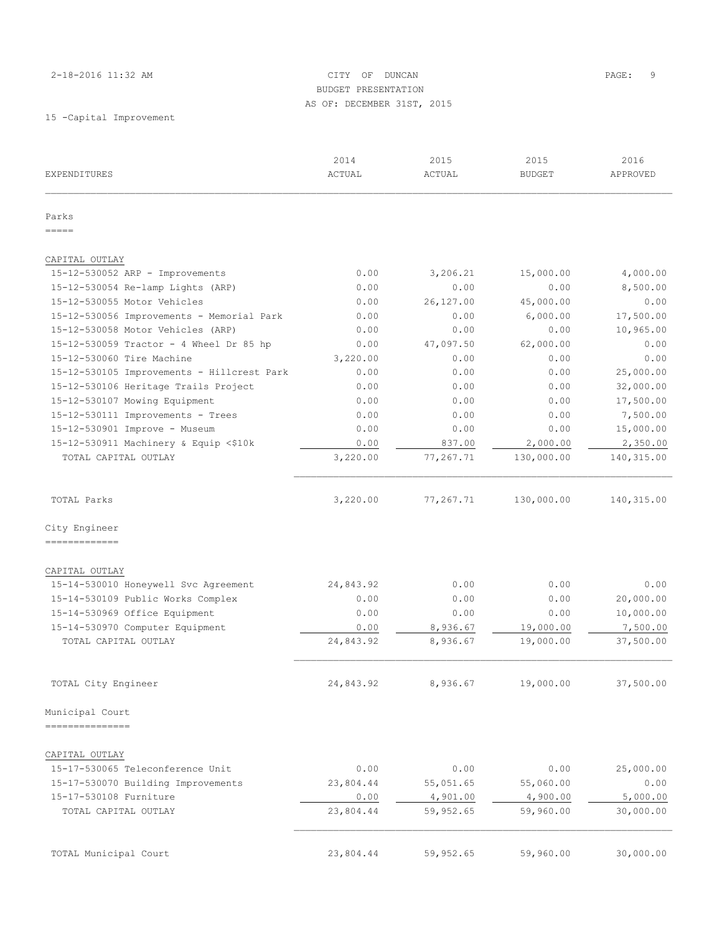# 2-18-2016 11:32 AM CITY OF DUNCAN PAGE: 9 BUDGET PRESENTATION AS OF: DECEMBER 31ST, 2015

| EXPENDITURES                               | 2014<br>ACTUAL | 2015<br>ACTUAL | 2015<br><b>BUDGET</b> | 2016<br>APPROVED |
|--------------------------------------------|----------------|----------------|-----------------------|------------------|
| Parks<br>=====                             |                |                |                       |                  |
| CAPITAL OUTLAY                             |                |                |                       |                  |
| 15-12-530052 ARP - Improvements            | 0.00           | 3,206.21       | 15,000.00             | 4,000.00         |
| 15-12-530054 Re-lamp Lights (ARP)          | 0.00           | 0.00           | 0.00                  | 8,500.00         |
| 15-12-530055 Motor Vehicles                | 0.00           | 26,127.00      | 45,000.00             | 0.00             |
| 15-12-530056 Improvements - Memorial Park  | 0.00           | 0.00           | 6,000.00              | 17,500.00        |
| 15-12-530058 Motor Vehicles (ARP)          | 0.00           | 0.00           | 0.00                  | 10,965.00        |
| 15-12-530059 Tractor - 4 Wheel Dr 85 hp    | 0.00           | 47,097.50      | 62,000.00             | 0.00             |
| 15-12-530060 Tire Machine                  | 3,220.00       | 0.00           | 0.00                  | 0.00             |
| 15-12-530105 Improvements - Hillcrest Park | 0.00           | 0.00           | 0.00                  | 25,000.00        |
| 15-12-530106 Heritage Trails Project       | 0.00           | 0.00           | 0.00                  | 32,000.00        |
| 15-12-530107 Mowing Equipment              | 0.00           | 0.00           | 0.00                  | 17,500.00        |
| 15-12-530111 Improvements - Trees          | 0.00           | 0.00           | 0.00                  | 7,500.00         |
| 15-12-530901 Improve - Museum              | 0.00           | 0.00           | 0.00                  | 15,000.00        |
| 15-12-530911 Machinery & Equip <\$10k      | 0.00           | 837.00         | 2,000.00              | 2,350.00         |
| TOTAL CAPITAL OUTLAY                       | 3,220.00       | 77,267.71      | 130,000.00            | 140,315.00       |
| TOTAL Parks                                | 3,220.00       | 77,267.71      | 130,000.00            | 140,315.00       |
| City Engineer                              |                |                |                       |                  |
| -------------                              |                |                |                       |                  |
| CAPITAL OUTLAY                             |                |                |                       |                  |
| 15-14-530010 Honeywell Svc Agreement       | 24,843.92      | 0.00           | 0.00                  | 0.00             |
| 15-14-530109 Public Works Complex          | 0.00           | 0.00           | 0.00                  | 20,000.00        |
| 15-14-530969 Office Equipment              | 0.00           | 0.00           | 0.00                  | 10,000.00        |
| 15-14-530970 Computer Equipment            | 0.00           | 8,936.67       | 19,000.00             | 7,500.00         |
| TOTAL CAPITAL OUTLAY                       | 24,843.92      | 8,936.67       | 19,000.00             | 37,500.00        |
| TOTAL City Engineer                        | 24,843.92      | 8,936.67       | 19,000.00             | 37,500.00        |
| Municipal Court                            |                |                |                       |                  |
| ===============                            |                |                |                       |                  |
| CAPITAL OUTLAY                             |                |                |                       |                  |
| 15-17-530065 Teleconference Unit           | 0.00           | 0.00           | 0.00                  | 25,000.00        |
| 15-17-530070 Building Improvements         | 23,804.44      | 55,051.65      | 55,060.00             | 0.00             |
| 15-17-530108 Furniture                     | 0.00           | 4,901.00       | 4,900.00              | 5,000.00         |
| TOTAL CAPITAL OUTLAY                       | 23,804.44      | 59,952.65      | 59,960.00             | 30,000.00        |
| TOTAL Municipal Court                      | 23,804.44      | 59,952.65      | 59,960.00             | 30,000.00        |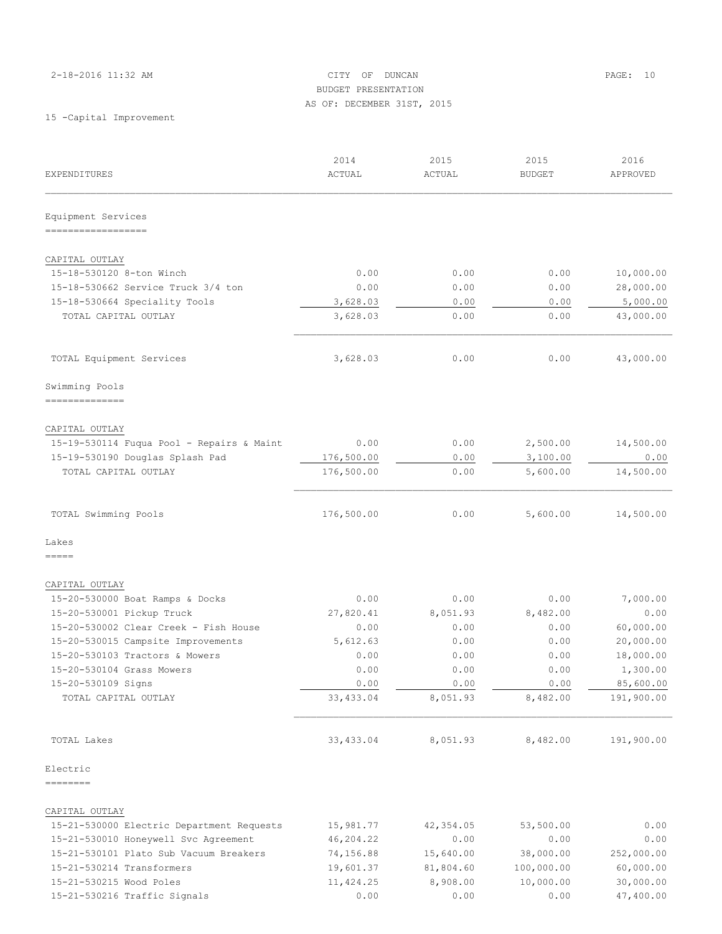# 2-18-2016 11:32 AM CITY OF DUNCAN PAGE: 10 BUDGET PRESENTATION AS OF: DECEMBER 31ST, 2015

| EXPENDITURES                              | 2014<br><b>ACTUAL</b> | 2015<br>ACTUAL | 2015<br><b>BUDGET</b> | 2016<br>APPROVED |
|-------------------------------------------|-----------------------|----------------|-----------------------|------------------|
| Equipment Services                        |                       |                |                       |                  |
| ==================                        |                       |                |                       |                  |
| CAPITAL OUTLAY                            |                       |                |                       |                  |
| 15-18-530120 8-ton Winch                  | 0.00                  | 0.00           | 0.00                  | 10,000.00        |
| 15-18-530662 Service Truck 3/4 ton        | 0.00                  | 0.00           | 0.00                  | 28,000.00        |
| 15-18-530664 Speciality Tools             | 3,628.03              | 0.00           | 0.00                  | 5,000.00         |
| TOTAL CAPITAL OUTLAY                      | 3,628.03              | 0.00           | 0.00                  | 43,000.00        |
| TOTAL Equipment Services                  | 3,628.03              | 0.00           | 0.00                  | 43,000.00        |
| Swimming Pools                            |                       |                |                       |                  |
| --------------                            |                       |                |                       |                  |
| CAPITAL OUTLAY                            |                       |                |                       |                  |
| 15-19-530114 Fuqua Pool - Repairs & Maint | 0.00                  | 0.00           | 2,500.00              | 14,500.00        |
| 15-19-530190 Douglas Splash Pad           | 176,500.00            | 0.00           | 3,100.00              | 0.00             |
| TOTAL CAPITAL OUTLAY                      | 176,500.00            | 0.00           | 5,600.00              | 14,500.00        |
| TOTAL Swimming Pools                      | 176,500.00            | 0.00           | 5,600.00              | 14,500.00        |
| Lakes                                     |                       |                |                       |                  |
| $=$ $=$ $=$ $=$                           |                       |                |                       |                  |
| CAPITAL OUTLAY                            |                       |                |                       |                  |
| 15-20-530000 Boat Ramps & Docks           | 0.00                  | 0.00           | 0.00                  | 7,000.00         |
| 15-20-530001 Pickup Truck                 | 27,820.41             | 8,051.93       | 8,482.00              | 0.00             |
| 15-20-530002 Clear Creek - Fish House     | 0.00                  | 0.00           | 0.00                  | 60,000.00        |
| 15-20-530015 Campsite Improvements        | 5,612.63              | 0.00           | 0.00                  | 20,000.00        |
| 15-20-530103 Tractors & Mowers            | 0.00                  | 0.00           | 0.00                  | 18,000.00        |
| 15-20-530104 Grass Mowers                 | 0.00                  | 0.00           | 0.00                  | 1,300.00         |
| 15-20-530109 Signs                        | 0.00                  | 0.00           | 0.00                  | 85,600.00        |
| TOTAL CAPITAL OUTLAY                      | 33, 433.04            | 8,051.93       | 8,482.00              | 191,900.00       |
| TOTAL Lakes                               | 33, 433.04            | 8,051.93       | 8,482.00              | 191,900.00       |
| Electric                                  |                       |                |                       |                  |
| --------                                  |                       |                |                       |                  |
| CAPITAL OUTLAY                            |                       |                |                       |                  |
| 15-21-530000 Electric Department Requests | 15,981.77             | 42,354.05      | 53,500.00             | 0.00             |
| 15-21-530010 Honeywell Svc Agreement      | 46,204.22             | 0.00           | 0.00                  | 0.00             |
| 15-21-530101 Plato Sub Vacuum Breakers    | 74,156.88             | 15,640.00      | 38,000.00             | 252,000.00       |
| 15-21-530214 Transformers                 | 19,601.37             | 81,804.60      | 100,000.00            | 60,000.00        |
| 15-21-530215 Wood Poles                   | 11, 424.25            | 8,908.00       | 10,000.00             | 30,000.00        |
| 15-21-530216 Traffic Signals              | 0.00                  | 0.00           | 0.00                  | 47,400.00        |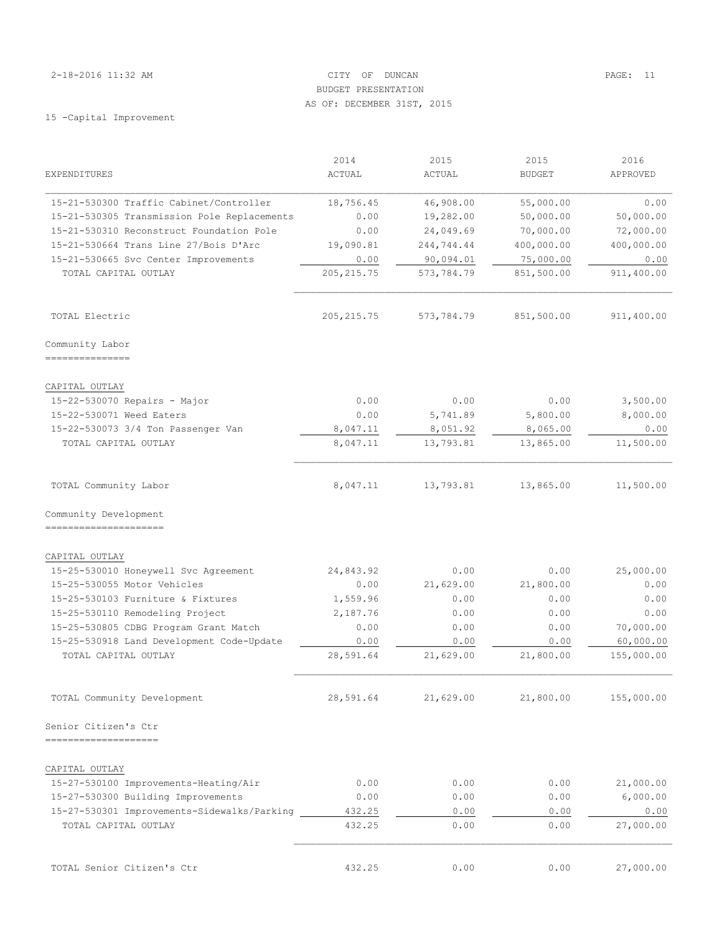| 2-18-2016 11:32 AM       | PAGE: 11<br>CITY OF DUNCAN |  |
|--------------------------|----------------------------|--|
|                          | BUDGET PRESENTATION        |  |
|                          | AS OF: DECEMBER 31ST, 2015 |  |
| 15 - Capital Improvement |                            |  |

|                                             | 2014        | 2015       | 2015          | 2016       |
|---------------------------------------------|-------------|------------|---------------|------------|
| EXPENDITURES                                | ACTUAL      | ACTUAL     | <b>BUDGET</b> | APPROVED   |
|                                             |             |            |               |            |
| 15-21-530300 Traffic Cabinet/Controller     | 18,756.45   | 46,908.00  | 55,000.00     | 0.00       |
| 15-21-530305 Transmission Pole Replacements | 0.00        | 19,282.00  | 50,000.00     | 50,000.00  |
| 15-21-530310 Reconstruct Foundation Pole    | 0.00        | 24,049.69  | 70,000.00     | 72,000.00  |
| 15-21-530664 Trans Line 27/Bois D'Arc       | 19,090.81   | 244,744.44 | 400,000.00    | 400,000.00 |
| 15-21-530665 Svc Center Improvements        | 0.00        | 90,094.01  | 75,000.00     | 0.00       |
| TOTAL CAPITAL OUTLAY                        | 205, 215.75 | 573,784.79 | 851,500.00    | 911,400.00 |
| TOTAL Electric                              | 205, 215.75 | 573,784.79 | 851,500.00    | 911,400.00 |
| Community Labor                             |             |            |               |            |
| ---------------                             |             |            |               |            |
| CAPITAL OUTLAY                              |             |            |               |            |
| 15-22-530070 Repairs - Major                | 0.00        | 0.00       | 0.00          | 3,500.00   |
| 15-22-530071 Weed Eaters                    | 0.00        | 5,741.89   | 5,800.00      | 8,000.00   |
| 15-22-530073 3/4 Ton Passenger Van          | 8,047.11    | 8,051.92   | 8,065.00      | 0.00       |
| TOTAL CAPITAL OUTLAY                        | 8,047.11    | 13,793.81  | 13,865.00     | 11,500.00  |
| TOTAL Community Labor                       | 8,047.11    | 13,793.81  | 13,865.00     | 11,500.00  |
| Community Development                       |             |            |               |            |
| ----------------------                      |             |            |               |            |
| CAPITAL OUTLAY                              |             |            |               |            |
| 15-25-530010 Honeywell Svc Agreement        | 24,843.92   | 0.00       | 0.00          | 25,000.00  |
| 15-25-530055 Motor Vehicles                 | 0.00        | 21,629.00  | 21,800.00     | 0.00       |
| 15-25-530103 Furniture & Fixtures           | 1,559.96    | 0.00       | 0.00          | 0.00       |
| 15-25-530110 Remodeling Project             | 2,187.76    | 0.00       | 0.00          | 0.00       |
| 15-25-530805 CDBG Program Grant Match       | 0.00        | 0.00       | 0.00          | 70,000.00  |
| 15-25-530918 Land Development Code-Update   | 0.00        | 0.00       | 0.00          | 60,000.00  |
| TOTAL CAPITAL OUTLAY                        | 28,591.64   | 21,629.00  | 21,800.00     | 155,000.00 |
| TOTAL Community Development                 | 28,591.64   | 21,629.00  | 21,800.00     | 155,000.00 |
| Senior Citizen's Ctr                        |             |            |               |            |
| ---------------------                       |             |            |               |            |
| CAPITAL OUTLAY                              |             |            |               |            |
| 15-27-530100 Improvements-Heating/Air       | 0.00        | 0.00       | 0.00          | 21,000.00  |
| 15-27-530300 Building Improvements          | 0.00        | 0.00       | 0.00          | 6,000.00   |
| 15-27-530301 Improvements-Sidewalks/Parking | 432.25      | 0.00       | 0.00          | 0.00       |
| TOTAL CAPITAL OUTLAY                        | 432.25      | 0.00       | 0.00          | 27,000.00  |
| TOTAL Senior Citizen's Ctr                  | 432.25      | 0.00       | 0.00          | 27,000.00  |
|                                             |             |            |               |            |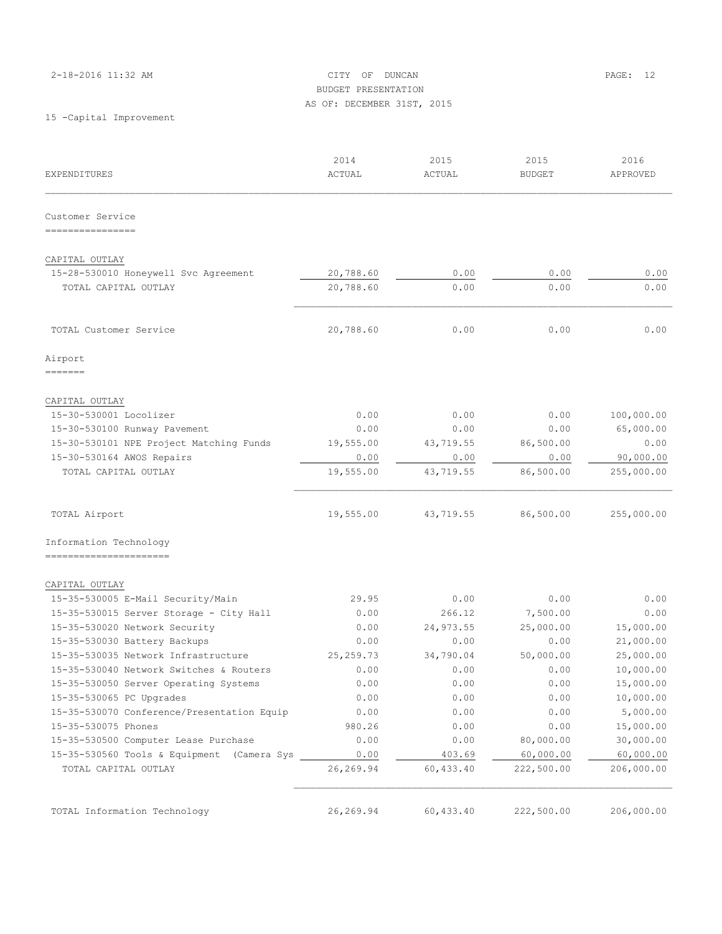#### 2-18-2016 11:32 AM CITY OF DUNCAN PAGE: 12 BUDGET PRESENTATION AS OF: DECEMBER 31ST, 2015

| EXPENDITURES                                                             | 2014<br>ACTUAL | 2015<br>ACTUAL | 2015<br><b>BUDGET</b> | 2016<br>APPROVED  |
|--------------------------------------------------------------------------|----------------|----------------|-----------------------|-------------------|
| Customer Service<br>================                                     |                |                |                       |                   |
| CAPITAL OUTLAY                                                           |                |                |                       |                   |
| 15-28-530010 Honeywell Svc Agreement                                     | 20,788.60      | 0.00           | 0.00                  | 0.00              |
| TOTAL CAPITAL OUTLAY                                                     | 20,788.60      | 0.00           | 0.00                  | 0.00              |
| TOTAL Customer Service                                                   | 20,788.60      | 0.00           | 0.00                  | 0.00              |
| Airport                                                                  |                |                |                       |                   |
| =======                                                                  |                |                |                       |                   |
| CAPITAL OUTLAY                                                           |                |                |                       |                   |
| 15-30-530001 Locolizer                                                   | 0.00           | 0.00           | 0.00                  | 100,000.00        |
| 15-30-530100 Runway Pavement                                             | 0.00           | 0.00           | 0.00                  | 65,000.00         |
| 15-30-530101 NPE Project Matching Funds                                  | 19,555.00      | 43,719.55      | 86,500.00             | 0.00              |
| 15-30-530164 AWOS Repairs                                                | 0.00           | 0.00           | 0.00                  | 90,000.00         |
| TOTAL CAPITAL OUTLAY                                                     | 19,555.00      | 43,719.55      | 86,500.00             | 255,000.00        |
| TOTAL Airport                                                            | 19,555.00      | 43,719.55      | 86,500.00             | 255,000.00        |
| Information Technology<br>_______________________                        |                |                |                       |                   |
|                                                                          |                |                |                       |                   |
| CAPITAL OUTLAY                                                           |                |                |                       |                   |
| 15-35-530005 E-Mail Security/Main                                        | 29.95          | 0.00<br>266.12 | 0.00                  | 0.00              |
| 15-35-530015 Server Storage - City Hall<br>15-35-530020 Network Security | 0.00<br>0.00   | 24,973.55      | 7,500.00<br>25,000.00 | 0.00<br>15,000.00 |
| 15-35-530030 Battery Backups                                             | 0.00           | 0.00           | 0.00                  | 21,000.00         |
| 15-35-530035 Network Infrastructure                                      | 25, 259.73     | 34,790.04      | 50,000.00             | 25,000.00         |
| 15-35-530040 Network Switches & Routers                                  | 0.00           | 0.00           | 0.00                  | 10,000.00         |
| 15-35-530050 Server Operating Systems                                    | 0.00           | 0.00           | 0.00                  | 15,000.00         |
| 15-35-530065 PC Upgrades                                                 | 0.00           | 0.00           | 0.00                  | 10,000.00         |
| 15-35-530070 Conference/Presentation Equip                               | 0.00           | 0.00           | 0.00                  | 5,000.00          |
| 15-35-530075 Phones                                                      | 980.26         | 0.00           | 0.00                  | 15,000.00         |
| 15-35-530500 Computer Lease Purchase                                     | 0.00           | 0.00           | 80,000.00             | 30,000.00         |
| 15-35-530560 Tools & Equipment<br>(Camera Sys                            | 0.00           | 403.69         | 60,000.00             | 60,000.00         |
| TOTAL CAPITAL OUTLAY                                                     | 26,269.94      | 60,433.40      | 222,500.00            | 206,000.00        |
|                                                                          |                |                |                       |                   |
| TOTAL Information Technology                                             | 26,269.94      | 60,433.40      | 222,500.00            | 206,000.00        |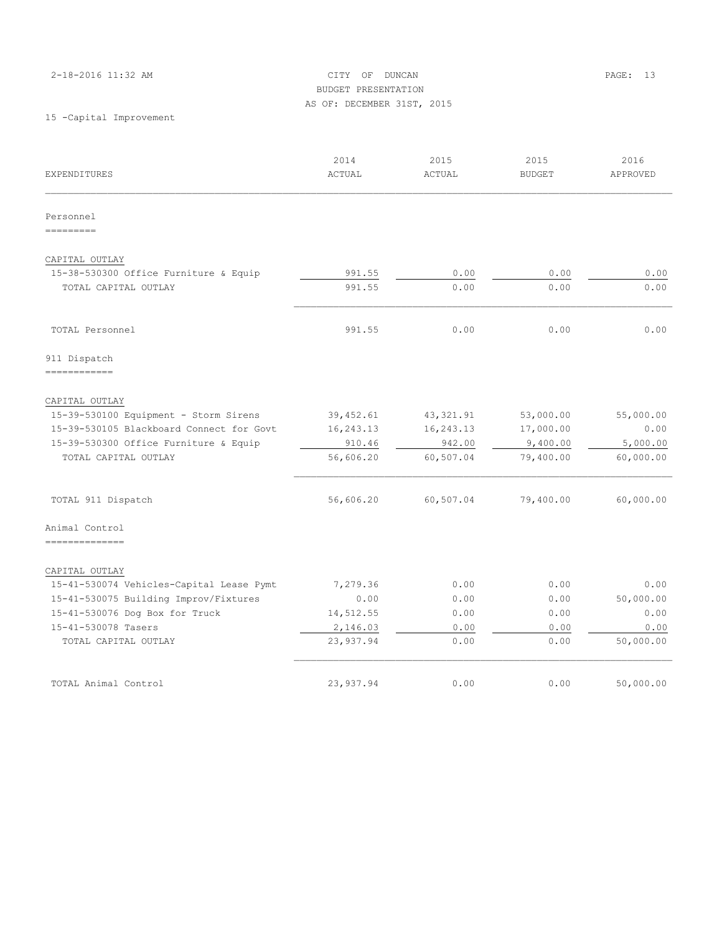# 2-18-2016 11:32 AM CITY OF DUNCAN PAGE: 13 BUDGET PRESENTATION AS OF: DECEMBER 31ST, 2015

| EXPENDITURES                             | 2014<br><b>ACTUAL</b> | 2015<br>ACTUAL | 2015<br><b>BUDGET</b> | 2016<br>APPROVED |
|------------------------------------------|-----------------------|----------------|-----------------------|------------------|
| Personnel<br>=========                   |                       |                |                       |                  |
| CAPITAL OUTLAY                           |                       |                |                       |                  |
| 15-38-530300 Office Furniture & Equip    | 991.55                | 0.00           | 0.00                  | 0.00             |
| TOTAL CAPITAL OUTLAY                     | 991.55                | 0.00           | 0.00                  | 0.00             |
| TOTAL Personnel                          | 991.55                | 0.00           | 0.00                  | 0.00             |
| 911 Dispatch<br>------------             |                       |                |                       |                  |
| CAPITAL OUTLAY                           |                       |                |                       |                  |
| 15-39-530100 Equipment - Storm Sirens    | 39,452.61             | 43, 321.91     | 53,000.00             | 55,000.00        |
| 15-39-530105 Blackboard Connect for Govt | 16,243.13             | 16,243.13      | 17,000.00             | 0.00             |
| 15-39-530300 Office Furniture & Equip    | 910.46                | 942.00         | 9,400.00              | 5,000.00         |
| TOTAL CAPITAL OUTLAY                     | 56,606.20             | 60,507.04      | 79,400.00             | 60,000.00        |
| TOTAL 911 Dispatch                       | 56,606.20             | 60,507.04      | 79,400.00             | 60,000.00        |
| Animal Control                           |                       |                |                       |                  |
| ---------------                          |                       |                |                       |                  |
| CAPITAL OUTLAY                           |                       |                |                       |                  |
| 15-41-530074 Vehicles-Capital Lease Pymt | 7,279.36              | 0.00           | 0.00                  | 0.00             |
| 15-41-530075 Building Improv/Fixtures    | 0.00                  | 0.00           | 0.00                  | 50,000.00        |
| 15-41-530076 Dog Box for Truck           | 14,512.55             | 0.00           | 0.00                  | 0.00             |
| 15-41-530078 Tasers                      | 2,146.03              | 0.00           | 0.00                  | 0.00             |
| TOTAL CAPITAL OUTLAY                     | 23,937.94             | 0.00           | 0.00                  | 50,000.00        |
| TOTAL Animal Control                     | 23,937.94             | 0.00           | 0.00                  | 50,000.00        |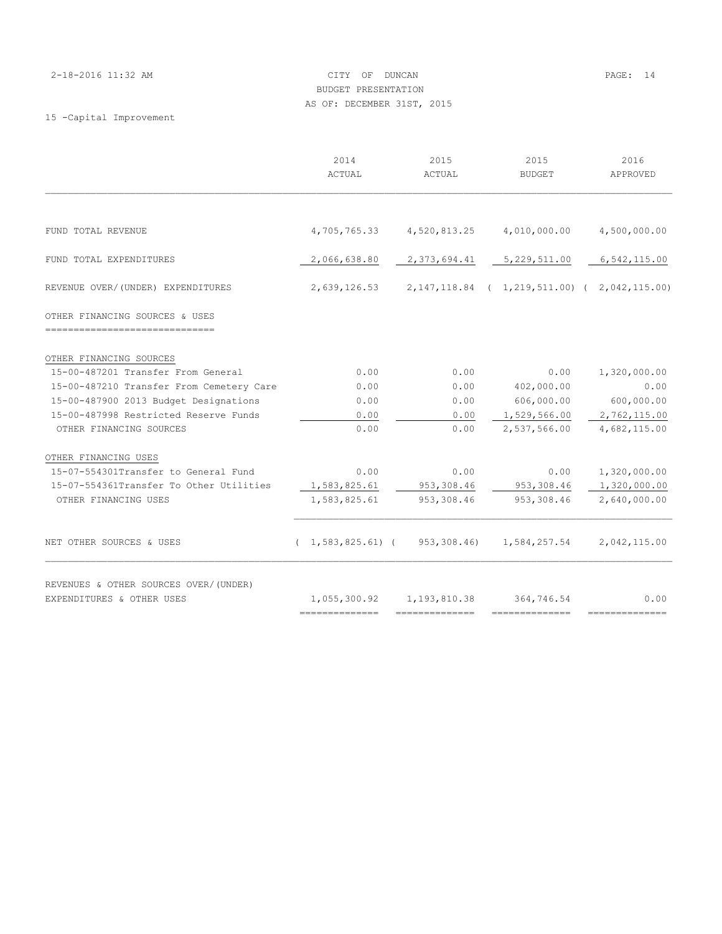#### 2-18-2016 11:32 AM CITY OF DUNCAN PAGE: 14 BUDGET PRESENTATION AS OF: DECEMBER 31ST, 2015

|                                          | 2014<br>ACTUAL                                 | 2015<br>ACTUAL | 2015<br><b>BUDGET</b>                  | 2016<br>APPROVED                                   |
|------------------------------------------|------------------------------------------------|----------------|----------------------------------------|----------------------------------------------------|
|                                          |                                                |                |                                        |                                                    |
| FUND TOTAL REVENUE                       |                                                |                | 4,705,765.33 4,520,813.25 4,010,000.00 | 4,500,000.00                                       |
| FUND TOTAL EXPENDITURES                  | 2,066,638.80                                   | 2,373,694.41   | 5, 229, 511.00                         | 6,542,115.00                                       |
| REVENUE OVER/(UNDER) EXPENDITURES        | 2,639,126.53                                   |                |                                        | 2, 147, 118.84 ( 1, 219, 511.00) ( 2, 042, 115.00) |
| OTHER FINANCING SOURCES & USES           |                                                |                |                                        |                                                    |
| OTHER FINANCING SOURCES                  |                                                |                |                                        |                                                    |
| 15-00-487201 Transfer From General       | 0.00                                           | 0.00           | 0.00                                   | 1,320,000.00                                       |
| 15-00-487210 Transfer From Cemetery Care | 0.00                                           | 0.00           | 402,000.00                             | 0.00                                               |
| 15-00-487900 2013 Budget Designations    | 0.00                                           | 0.00           | 606,000.00                             | 600,000.00                                         |
| 15-00-487998 Restricted Reserve Funds    | 0.00                                           | 0.00           | 1,529,566.00                           | 2,762,115.00                                       |
| OTHER FINANCING SOURCES                  | 0.00                                           | 0.00           | 2,537,566.00                           | 4,682,115.00                                       |
| OTHER FINANCING USES                     |                                                |                |                                        |                                                    |
| 15-07-554301Transfer to General Fund     | 0.00                                           | 0.00           | 0.00                                   | 1,320,000.00                                       |
| 15-07-554361Transfer To Other Utilities  | 1,583,825.61                                   | 953,308.46     | 953,308.46                             | 1,320,000.00                                       |
| OTHER FINANCING USES                     | 1,583,825.61                                   | 953,308.46     | 953,308.46                             | 2,640,000.00                                       |
| NET OTHER SOURCES & USES                 | $(1, 583, 825.61)$ (953, 308.46)               |                | 1,584,257.54                           | 2,042,115.00                                       |
| REVENUES & OTHER SOURCES OVER/(UNDER)    |                                                |                |                                        |                                                    |
| EXPENDITURES & OTHER USES                | 1,055,300.92    1,193,810.38<br>============== | ============== | 364,746.54<br>==============           | 0.00<br>==============                             |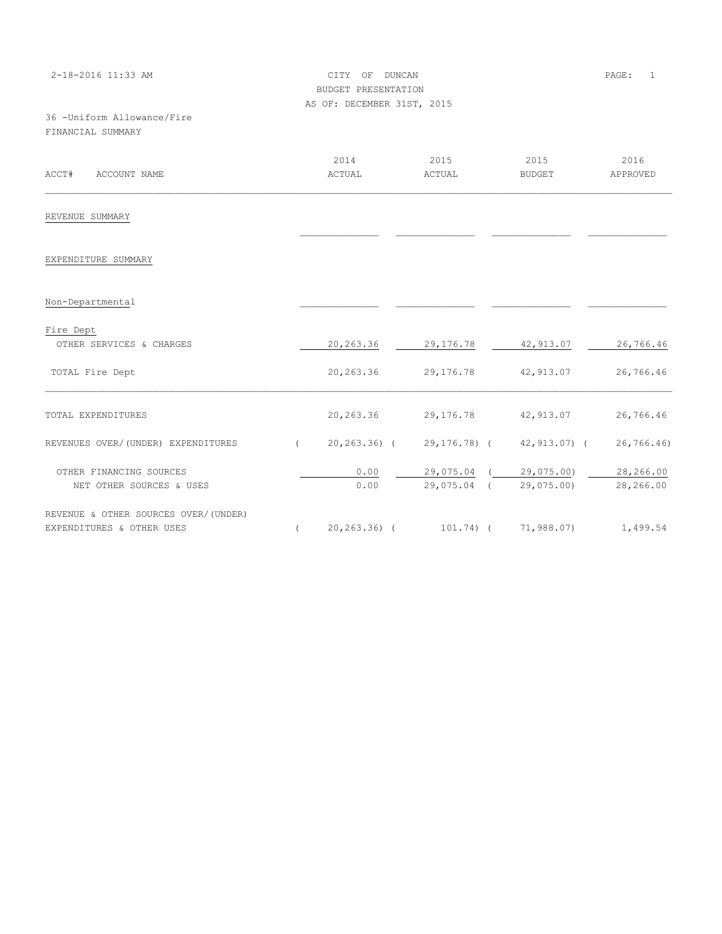| 2-18-2016 11:33 AM                    |            |                            | PAGE:<br>1 |                          |            |
|---------------------------------------|------------|----------------------------|------------|--------------------------|------------|
|                                       |            |                            |            |                          |            |
|                                       |            | AS OF: DECEMBER 31ST, 2015 |            |                          |            |
| 36 -Uniform Allowance/Fire            |            |                            |            |                          |            |
| FINANCIAL SUMMARY                     |            |                            |            |                          |            |
|                                       |            |                            |            |                          |            |
|                                       |            | 2014                       | 2015       | 2015                     | 2016       |
| ACCT#<br>ACCOUNT NAME                 |            | ACTUAL                     | ACTUAL     | BUDGET                   | APPROVED   |
| REVENUE SUMMARY                       |            |                            |            |                          |            |
| EXPENDITURE SUMMARY                   |            |                            |            |                          |            |
| Non-Departmental                      |            |                            |            |                          |            |
| Fire Dept                             |            |                            |            |                          |            |
| OTHER SERVICES & CHARGES              |            | 20,263.36                  | 29,176.78  | 42,913.07                | 26,766.46  |
| TOTAL Fire Dept                       |            | 20,263.36                  | 29,176.78  | 42,913.07                | 26,766.46  |
| TOTAL EXPENDITURES                    |            | 20, 263.36                 |            | 29,176.78 42,913.07      | 26,766.46  |
|                                       |            |                            |            |                          |            |
| REVENUES OVER/(UNDER) EXPENDITURES    | $\sqrt{2}$ | $20, 263.36$ (             |            | 29,176.78) (42,913.07) ( | 26, 766.46 |
| OTHER FINANCING SOURCES               |            | 0.00                       |            | 29,075.04 ( 29,075.00)   | 28,266.00  |
| NET OTHER SOURCES & USES              |            | 0.00                       |            | 29,075.04 ( 29,075.00)   | 28,266.00  |
| REVENUE & OTHER SOURCES OVER/ (UNDER) |            |                            |            |                          |            |
| EXPENDITURES & OTHER USES             | $\left($   | $20, 263.36$ (             | 101.74) (  | 71,988.07)               | 1,499.54   |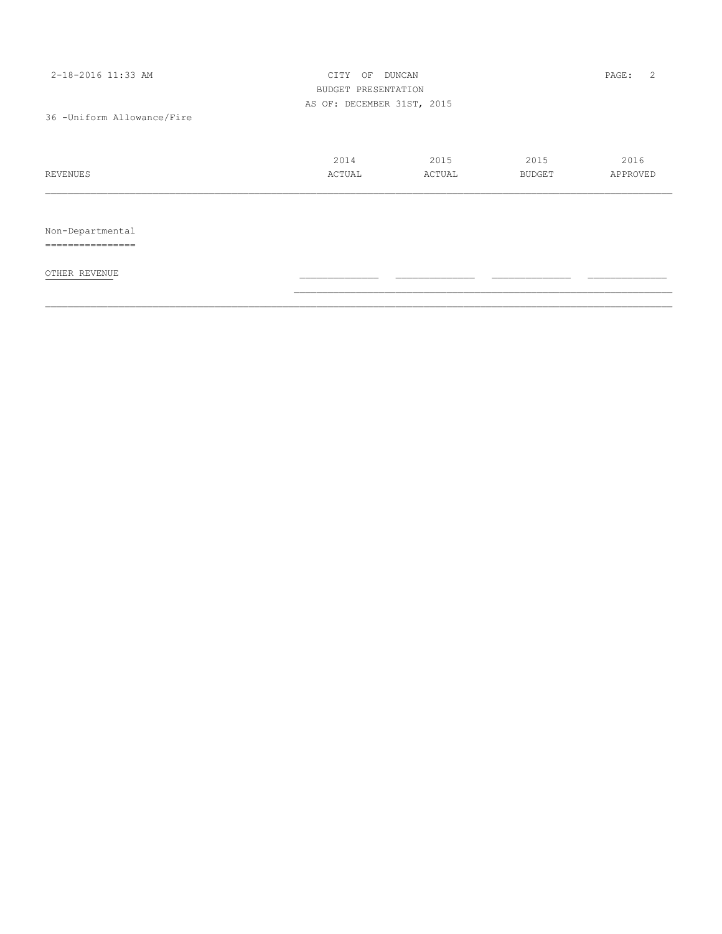| 2-18-2016 11:33 AM         | CITY<br>ΟF                 | DUNCAN |               | 2<br>PAGE: |
|----------------------------|----------------------------|--------|---------------|------------|
|                            | BUDGET PRESENTATION        |        |               |            |
|                            | AS OF: DECEMBER 31ST, 2015 |        |               |            |
| 36 -Uniform Allowance/Fire |                            |        |               |            |
|                            |                            |        |               |            |
|                            | 2014                       | 2015   | 2015          | 2016       |
| REVENUES                   | ACTUAL                     | ACTUAL | <b>BUDGET</b> | APPROVED   |
|                            |                            |        |               |            |
| Non-Departmental           |                            |        |               |            |
|                            |                            |        |               |            |
| OTHER REVENUE              |                            |        |               |            |
|                            |                            |        |               |            |

 $\mathcal{L}_\text{max} = \mathcal{L}_\text{max} = \mathcal{L}_\text{max} = \mathcal{L}_\text{max} = \mathcal{L}_\text{max} = \mathcal{L}_\text{max} = \mathcal{L}_\text{max} = \mathcal{L}_\text{max} = \mathcal{L}_\text{max} = \mathcal{L}_\text{max} = \mathcal{L}_\text{max} = \mathcal{L}_\text{max} = \mathcal{L}_\text{max} = \mathcal{L}_\text{max} = \mathcal{L}_\text{max} = \mathcal{L}_\text{max} = \mathcal{L}_\text{max} = \mathcal{L}_\text{max} = \mathcal{$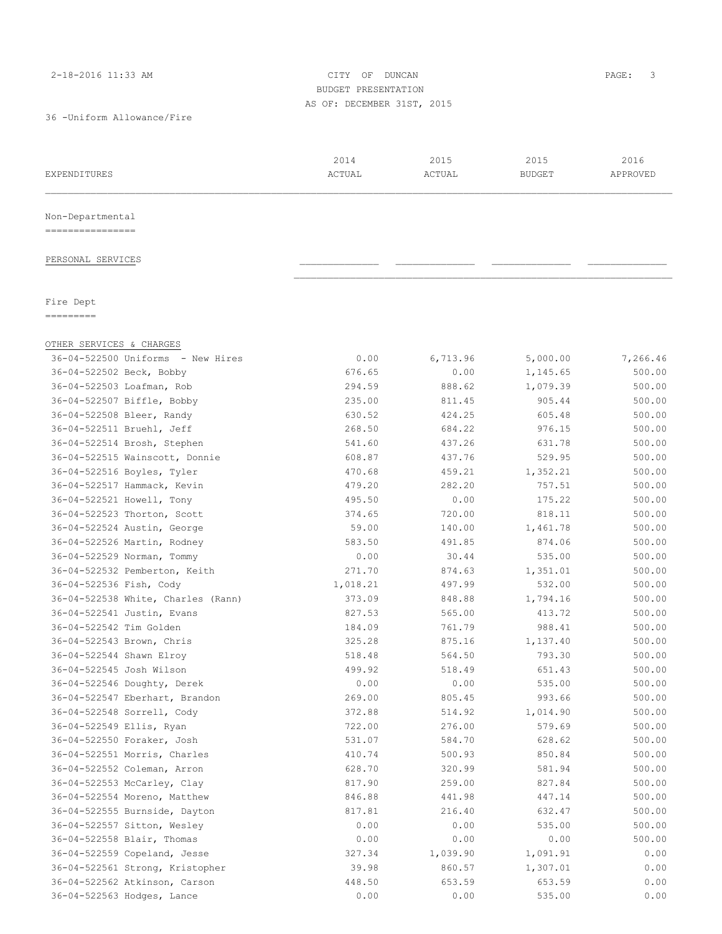2-18-2016 11:33 AM CITY OF DUNCAN PAGE: 3 BUDGET PRESENTATION AS OF: DECEMBER 31ST, 2015

36 -Uniform Allowance/Fire

| EXPENDITURES                       | 2014<br>ACTUAL | 2015<br>ACTUAL | 2015<br><b>BUDGET</b> | 2016<br>APPROVED |
|------------------------------------|----------------|----------------|-----------------------|------------------|
|                                    |                |                |                       |                  |
| Non-Departmental                   |                |                |                       |                  |
| ================                   |                |                |                       |                  |
| PERSONAL SERVICES                  |                |                |                       |                  |
|                                    |                |                |                       |                  |
| Fire Dept                          |                |                |                       |                  |
| =========                          |                |                |                       |                  |
| OTHER SERVICES & CHARGES           |                |                |                       |                  |
| 36-04-522500 Uniforms - New Hires  | 0.00           | 6,713.96       | 5,000.00              | 7,266.46         |
| 36-04-522502 Beck, Bobby           | 676.65         | 0.00           | 1,145.65              | 500.00           |
| 36-04-522503 Loafman, Rob          | 294.59         | 888.62         | 1,079.39              | 500.00           |
| 36-04-522507 Biffle, Bobby         | 235.00         | 811.45         | 905.44                | 500.00           |
| 36-04-522508 Bleer, Randy          | 630.52         | 424.25         | 605.48                | 500.00           |
| 36-04-522511 Bruehl, Jeff          | 268.50         | 684.22         | 976.15                | 500.00           |
| 36-04-522514 Brosh, Stephen        | 541.60         | 437.26         | 631.78                | 500.00           |
| 36-04-522515 Wainscott, Donnie     | 608.87         | 437.76         | 529.95                | 500.00           |
| 36-04-522516 Boyles, Tyler         | 470.68         | 459.21         | 1,352.21              | 500.00           |
| 36-04-522517 Hammack, Kevin        | 479.20         | 282.20         | 757.51                | 500.00           |
| 36-04-522521 Howell, Tony          | 495.50         | 0.00           | 175.22                | 500.00           |
| 36-04-522523 Thorton, Scott        | 374.65         | 720.00         | 818.11                | 500.00           |
| 36-04-522524 Austin, George        | 59.00          | 140.00         | 1,461.78              | 500.00           |
| 36-04-522526 Martin, Rodney        | 583.50         | 491.85         | 874.06                | 500.00           |
| 36-04-522529 Norman, Tommy         | 0.00           | 30.44          | 535.00                | 500.00           |
| 36-04-522532 Pemberton, Keith      | 271.70         | 874.63         | 1,351.01              | 500.00           |
| 36-04-522536 Fish, Cody            | 1,018.21       | 497.99         | 532.00                | 500.00           |
| 36-04-522538 White, Charles (Rann) | 373.09         | 848.88         | 1,794.16              | 500.00           |
| 36-04-522541 Justin, Evans         | 827.53         | 565.00         | 413.72                | 500.00           |
| 36-04-522542 Tim Golden            | 184.09         | 761.79         | 988.41                | 500.00           |
| 36-04-522543 Brown, Chris          | 325.28         | 875.16         | 1,137.40              | 500.00           |
| 36-04-522544 Shawn Elroy           | 518.48         | 564.50         | 793.30                | 500.00           |
| 36-04-522545 Josh Wilson           | 499.92         | 518.49         | 651.43                | 500.00           |
| 36-04-522546 Doughty, Derek        | 0.00           | 0.00           | 535.00                | 500.00           |
| 36-04-522547 Eberhart, Brandon     | 269.00         | 805.45         | 993.66                | 500.00           |
| 36-04-522548 Sorrell, Cody         | 372.88         | 514.92         | 1,014.90              | 500.00           |
| 36-04-522549 Ellis, Ryan           | 722.00         | 276.00         | 579.69                | 500.00           |
| 36-04-522550 Foraker, Josh         | 531.07         | 584.70         | 628.62                | 500.00           |
| 36-04-522551 Morris, Charles       | 410.74         | 500.93         | 850.84                | 500.00           |
| 36-04-522552 Coleman, Arron        | 628.70         | 320.99         | 581.94                | 500.00           |
| 36-04-522553 McCarley, Clay        | 817.90         | 259.00         | 827.84                | 500.00           |
| 36-04-522554 Moreno, Matthew       | 846.88         | 441.98         | 447.14                | 500.00           |
| 36-04-522555 Burnside, Dayton      | 817.81         | 216.40         | 632.47                | 500.00           |
| 36-04-522557 Sitton, Wesley        | 0.00           | 0.00           | 535.00                | 500.00           |
| 36-04-522558 Blair, Thomas         | 0.00           | 0.00           | 0.00                  | 500.00           |
| 36-04-522559 Copeland, Jesse       | 327.34         | 1,039.90       | 1,091.91              | 0.00             |
| 36-04-522561 Strong, Kristopher    | 39.98          | 860.57         | 1,307.01              | 0.00             |
| 36-04-522562 Atkinson, Carson      | 448.50         | 653.59         | 653.59                | 0.00             |
| 36-04-522563 Hodges, Lance         | 0.00           | 0.00           | 535.00                | 0.00             |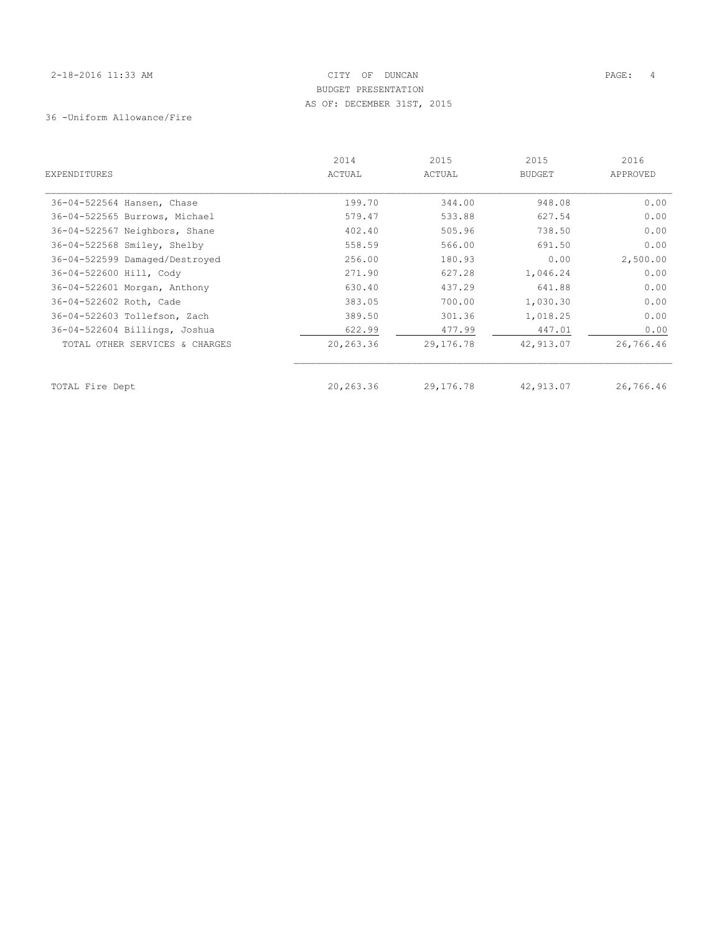# 2-18-2016 11:33 AM CITY OF DUNCAN PAGE: 4 BUDGET PRESENTATION AS OF: DECEMBER 31ST, 2015

# 36 -Uniform Allowance/Fire

|                                | 2014      | 2015      | 2015          | 2016      |
|--------------------------------|-----------|-----------|---------------|-----------|
| EXPENDITURES                   | ACTUAL    | ACTUAL    | <b>BUDGET</b> | APPROVED  |
| 36-04-522564 Hansen, Chase     | 199.70    | 344.00    | 948.08        | 0.00      |
| 36-04-522565 Burrows, Michael  | 579.47    | 533.88    | 627.54        | 0.00      |
| 36-04-522567 Neighbors, Shane  | 402.40    | 505.96    | 738.50        | 0.00      |
| 36-04-522568 Smiley, Shelby    | 558.59    | 566.00    | 691.50        | 0.00      |
| 36-04-522599 Damaged/Destroyed | 256.00    | 180.93    | 0.00          | 2,500.00  |
| 36-04-522600 Hill, Cody        | 271.90    | 627.28    | 1,046.24      | 0.00      |
| 36-04-522601 Morgan, Anthony   | 630.40    | 437.29    | 641.88        | 0.00      |
| 36-04-522602 Roth, Cade        | 383.05    | 700.00    | 1,030.30      | 0.00      |
| 36-04-522603 Tollefson, Zach   | 389.50    | 301.36    | 1,018.25      | 0.00      |
| 36-04-522604 Billings, Joshua  | 622.99    | 477.99    | 447.01        | 0.00      |
| TOTAL OTHER SERVICES & CHARGES | 20,263.36 | 29,176.78 | 42,913.07     | 26,766.46 |
|                                |           |           |               |           |
| TOTAL Fire Dept                | 20,263.36 | 29,176.78 | 42,913.07     | 26,766.46 |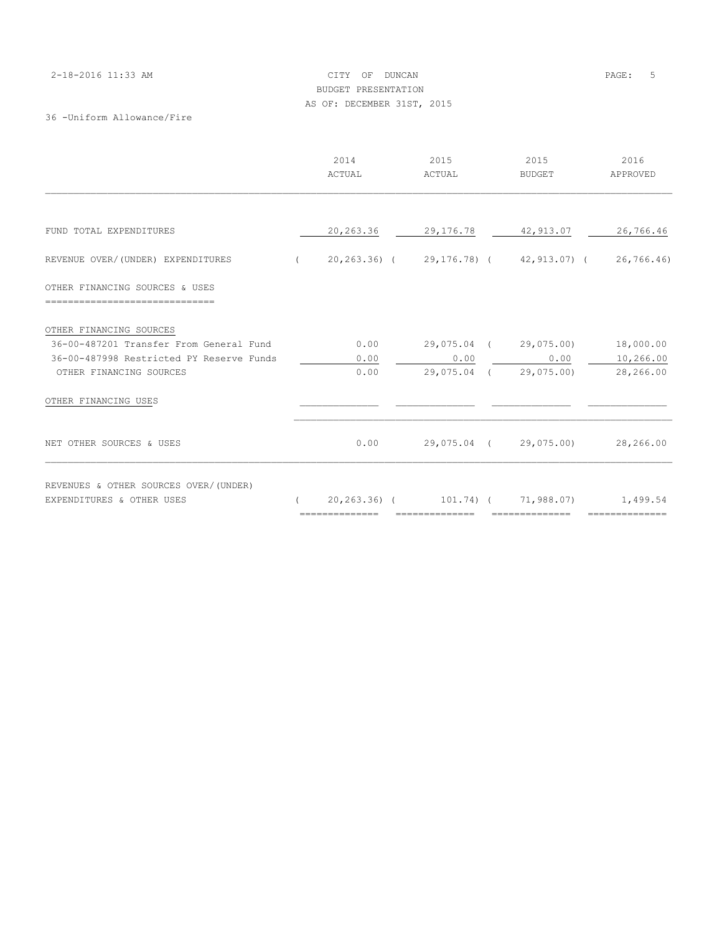# 2-18-2016 11:33 AM CITY OF DUNCAN PAGE: 5 BUDGET PRESENTATION AS OF: DECEMBER 31ST, 2015

36 -Uniform Allowance/Fire

|                                                                     |            | 2014<br>ACTUAL | 2015<br>ACTUAL                                                                                                                                                                                                                                                                                                                                                                                                                                                                         | 2015<br>BUDGET                                               | 2016<br>APPROVED       |
|---------------------------------------------------------------------|------------|----------------|----------------------------------------------------------------------------------------------------------------------------------------------------------------------------------------------------------------------------------------------------------------------------------------------------------------------------------------------------------------------------------------------------------------------------------------------------------------------------------------|--------------------------------------------------------------|------------------------|
| FUND TOTAL EXPENDITURES                                             |            | 20,263.36      | 29,176.78                                                                                                                                                                                                                                                                                                                                                                                                                                                                              | 42,913.07                                                    | 26,766.46              |
| REVENUE OVER/(UNDER) EXPENDITURES                                   | $\sqrt{2}$ |                |                                                                                                                                                                                                                                                                                                                                                                                                                                                                                        | 20,263.36) ( 29,176.78) ( 42,913.07) (                       | 26, 766.46             |
| OTHER FINANCING SOURCES & USES<br>========================          |            |                |                                                                                                                                                                                                                                                                                                                                                                                                                                                                                        |                                                              |                        |
| OTHER FINANCING SOURCES                                             |            |                |                                                                                                                                                                                                                                                                                                                                                                                                                                                                                        |                                                              |                        |
| 36-00-487201 Transfer From General Fund                             |            | 0.00           |                                                                                                                                                                                                                                                                                                                                                                                                                                                                                        | 29,075.04 ( 29,075.00)                                       | 18,000.00              |
| 36-00-487998 Restricted PY Reserve Funds<br>OTHER FINANCING SOURCES |            | 0.00<br>0.00   | 0.00                                                                                                                                                                                                                                                                                                                                                                                                                                                                                   | 0.00<br>29,075.04 ( 29,075.00)                               | 10,266.00<br>28,266.00 |
| OTHER FINANCING USES                                                |            |                |                                                                                                                                                                                                                                                                                                                                                                                                                                                                                        |                                                              |                        |
| NET OTHER SOURCES & USES                                            |            | 0.00           |                                                                                                                                                                                                                                                                                                                                                                                                                                                                                        | 29,075.04 ( 29,075.00)                                       | 28,266.00              |
| REVENUES & OTHER SOURCES OVER/(UNDER)<br>EXPENDITURES & OTHER USES  |            | -------------- | $\begin{array}{cccccccccc} \multicolumn{2}{c}{} & \multicolumn{2}{c}{} & \multicolumn{2}{c}{} & \multicolumn{2}{c}{} & \multicolumn{2}{c}{} & \multicolumn{2}{c}{} & \multicolumn{2}{c}{} & \multicolumn{2}{c}{} & \multicolumn{2}{c}{} & \multicolumn{2}{c}{} & \multicolumn{2}{c}{} & \multicolumn{2}{c}{} & \multicolumn{2}{c}{} & \multicolumn{2}{c}{} & \multicolumn{2}{c}{} & \multicolumn{2}{c}{} & \multicolumn{2}{c}{} & \multicolumn{2}{c}{} & \multicolumn{2}{c}{} & \mult$ | 20,263.36) ( 101.74) ( 71,988.07) 1,499.54<br>============== | ==============         |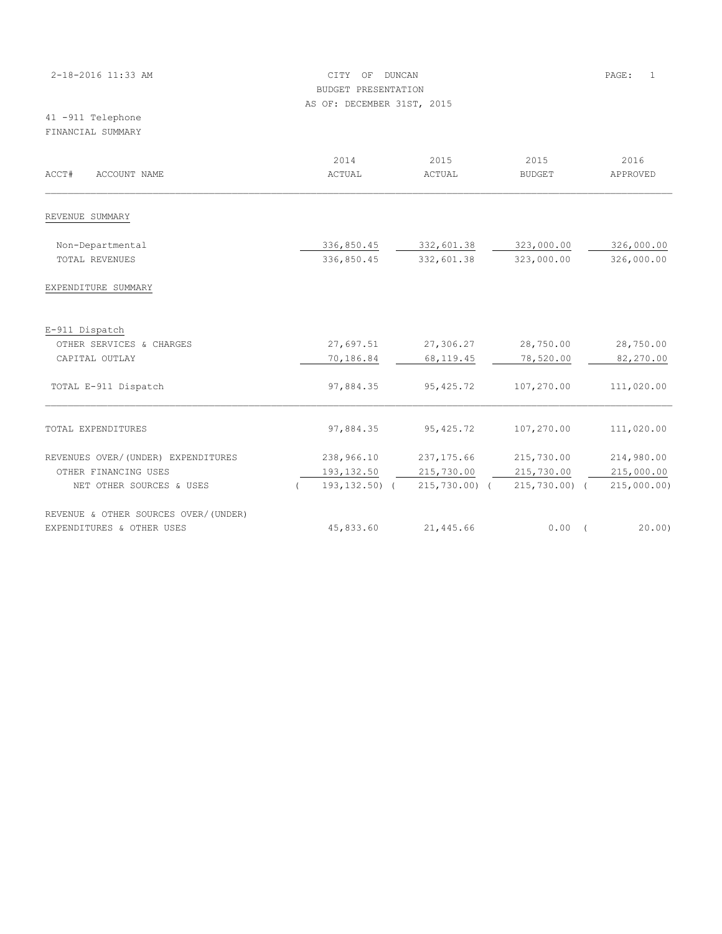| 2-18-2016 11:33 AM | CITY OF DUNCAN             | $\overline{1}$<br>PAGE: |
|--------------------|----------------------------|-------------------------|
|                    | BUDGET PRESENTATION        |                         |
|                    | AS OF: DECEMBER 31ST, 2015 |                         |
| 41 -911 Telephone  |                            |                         |
| FINANCIAL SUMMARY  |                            |                         |

| ACCT#<br>ACCOUNT NAME                 | 2014<br>ACTUAL   | 2015<br>ACTUAL | 2015<br><b>BUDGET</b> | 2016<br>APPROVED |
|---------------------------------------|------------------|----------------|-----------------------|------------------|
| REVENUE SUMMARY                       |                  |                |                       |                  |
| Non-Departmental                      | 336,850.45       | 332,601.38     | 323,000.00            | 326,000.00       |
| TOTAL REVENUES                        | 336,850.45       | 332,601.38     | 323,000.00            | 326,000.00       |
| EXPENDITURE SUMMARY                   |                  |                |                       |                  |
| E-911 Dispatch                        |                  |                |                       |                  |
| OTHER SERVICES & CHARGES              | 27,697.51        | 27,306.27      | 28,750.00             | 28,750.00        |
| CAPITAL OUTLAY                        | 70,186.84        | 68, 119.45     | 78,520.00             | 82,270.00        |
| TOTAL E-911 Dispatch                  | 97,884.35        | 95, 425.72     | 107,270.00            | 111,020.00       |
| TOTAL EXPENDITURES                    | 97,884.35        | 95, 425.72     | 107,270.00            | 111,020.00       |
| REVENUES OVER/(UNDER) EXPENDITURES    | 238,966.10       | 237, 175.66    | 215,730.00            | 214,980.00       |
| OTHER FINANCING USES                  | 193,132.50       | 215,730.00     | 215,730.00            | 215,000.00       |
| NET OTHER SOURCES & USES              | $193, 132, 50$ ( | $215,730.00$ ( | $215,730.00$ (        | 215,000.00)      |
| REVENUE & OTHER SOURCES OVER/ (UNDER) |                  |                |                       |                  |
| EXPENDITURES & OTHER USES             | 45,833.60        | 21,445.66      | $0.00$ (              | 20.00            |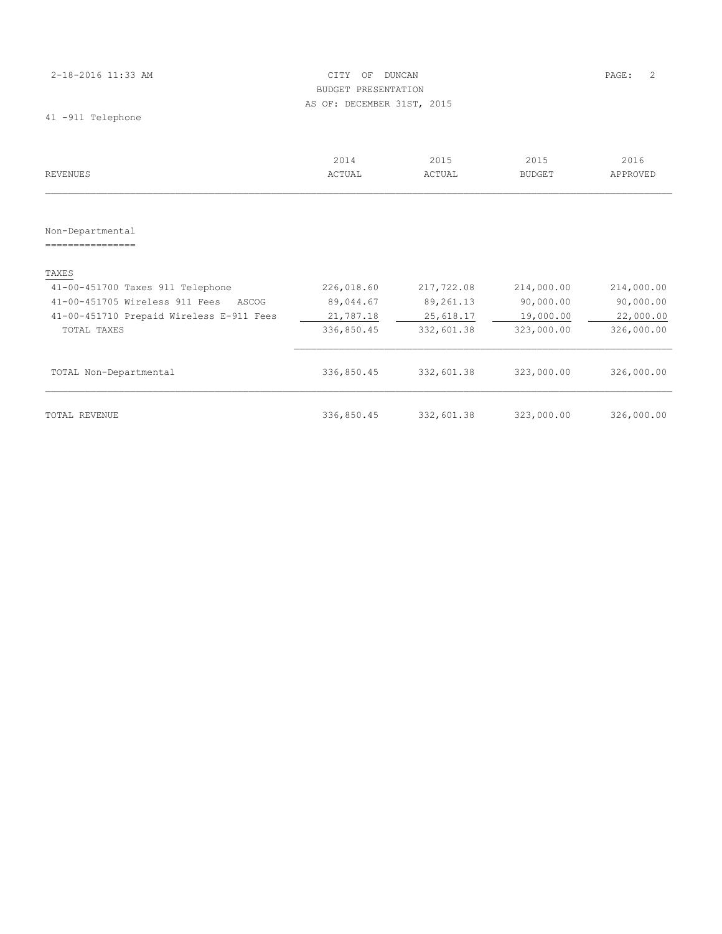# 2-18-2016 11:33 AM CITY OF DUNCAN PAGE: 2 BUDGET PRESENTATION AS OF: DECEMBER 31ST, 2015

41 -911 Telephone

|                                          | 2014       | 2015       | 2015          | 2016       |
|------------------------------------------|------------|------------|---------------|------------|
| <b>REVENUES</b>                          | ACTUAL     | ACTUAL     | <b>BUDGET</b> | APPROVED   |
|                                          |            |            |               |            |
| Non-Departmental                         |            |            |               |            |
|                                          |            |            |               |            |
| TAXES                                    |            |            |               |            |
| 41-00-451700 Taxes 911 Telephone         | 226,018.60 | 217,722.08 | 214,000.00    | 214,000.00 |
| 41-00-451705 Wireless 911 Fees<br>ASCOG  | 89,044.67  | 89,261.13  | 90,000.00     | 90,000.00  |
| 41-00-451710 Prepaid Wireless E-911 Fees | 21,787.18  | 25,618.17  | 19,000.00     | 22,000.00  |
| TOTAL TAXES                              | 336,850.45 | 332,601.38 | 323,000.00    | 326,000.00 |
|                                          |            |            |               |            |
| TOTAL Non-Departmental                   | 336,850.45 | 332,601.38 | 323,000.00    | 326,000.00 |
|                                          |            |            |               |            |
| TOTAL REVENUE                            | 336,850.45 | 332,601.38 | 323,000.00    | 326,000.00 |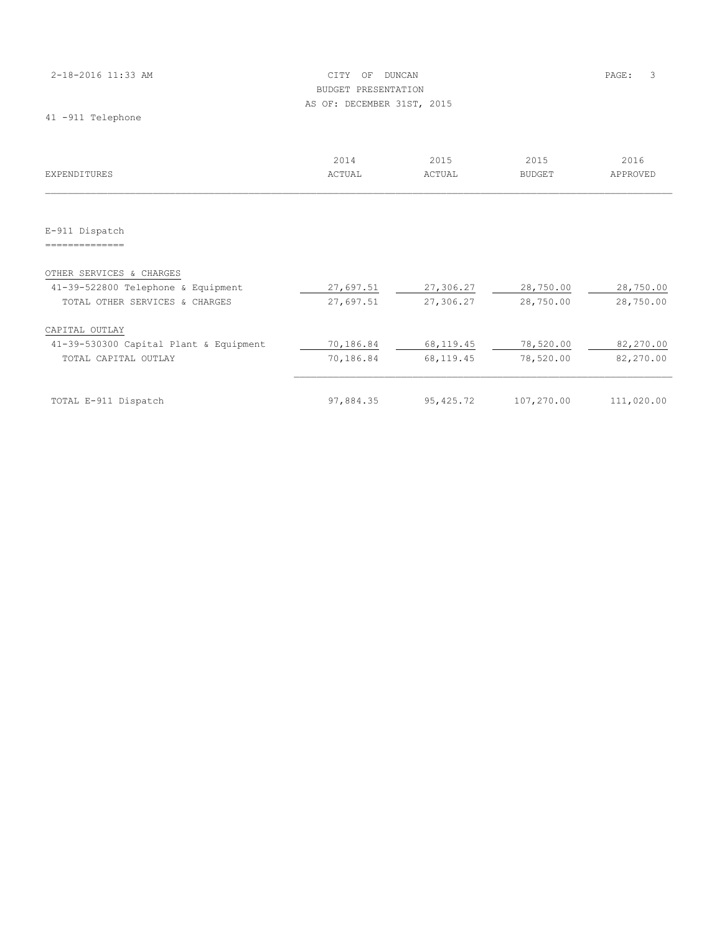| 2-18-2016 11:33 AM |  |  |
|--------------------|--|--|
|--------------------|--|--|

# CITY OF DUNCAN PAGE: 3 BUDGET PRESENTATION AS OF: DECEMBER 31ST, 2015

41 -911 Telephone

| <b>EXPENDITURES</b>                    | 2014<br>ACTUAL | 2015<br>ACTUAL | 2015<br><b>BUDGET</b> | 2016<br>APPROVED |
|----------------------------------------|----------------|----------------|-----------------------|------------------|
|                                        |                |                |                       |                  |
| E-911 Dispatch                         |                |                |                       |                  |
|                                        |                |                |                       |                  |
| OTHER SERVICES & CHARGES               |                |                |                       |                  |
| 41-39-522800 Telephone & Equipment     | 27,697.51      | 27,306.27      | 28,750.00             | 28,750.00        |
| TOTAL OTHER SERVICES & CHARGES         | 27,697.51      | 27,306.27      | 28,750.00             | 28,750.00        |
| CAPITAL OUTLAY                         |                |                |                       |                  |
| 41-39-530300 Capital Plant & Equipment | 70,186.84      | 68, 119.45     | 78,520.00             | 82,270.00        |
| TOTAL CAPITAL OUTLAY                   | 70,186.84      | 68, 119. 45    | 78,520.00             | 82,270.00        |
|                                        |                |                |                       |                  |
| TOTAL E-911 Dispatch                   | 97,884.35      | 95, 425.72     | 107,270.00            | 111,020.00       |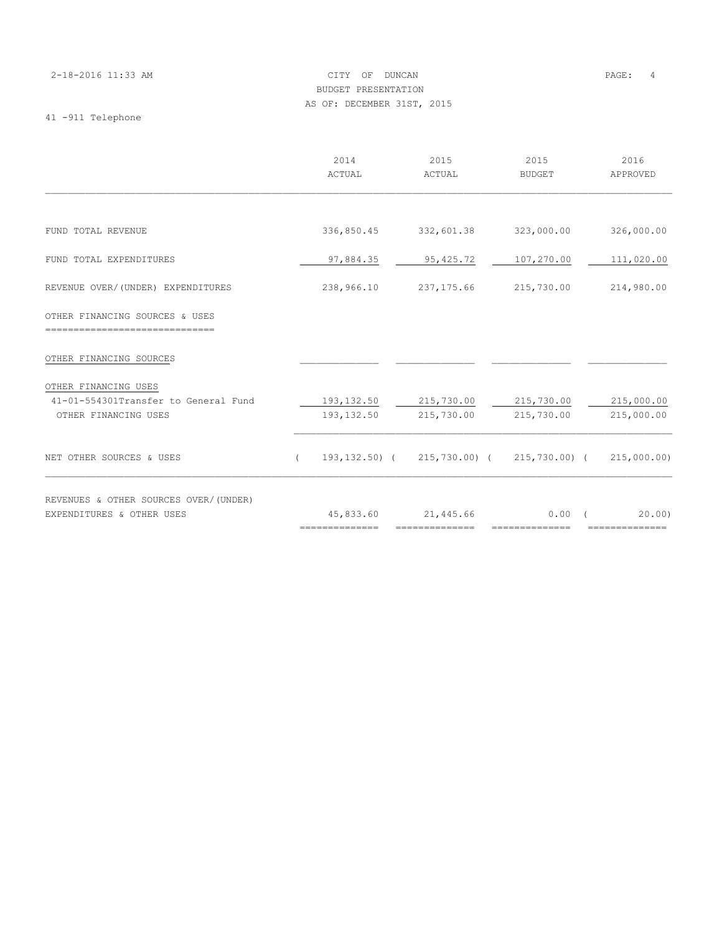| 2-18-2016 11:33 AM | CITY OF DUNCAN             | PAGE: 4 |  |
|--------------------|----------------------------|---------|--|
|                    | BUDGET PRESENTATION        |         |  |
|                    | AS OF: DECEMBER 31ST, 2015 |         |  |

41 -911 Telephone

|                                                                                      | 2014<br>ACTUAL                       | 2015<br>ACTUAL                                                  | 2015<br><b>BUDGET</b>      | 2016<br>APPROVED         |
|--------------------------------------------------------------------------------------|--------------------------------------|-----------------------------------------------------------------|----------------------------|--------------------------|
|                                                                                      |                                      |                                                                 |                            |                          |
| FUND TOTAL REVENUE                                                                   | 336,850.45                           | 332,601.38                                                      | 323,000.00                 | 326,000.00               |
| FUND TOTAL EXPENDITURES                                                              | 97,884.35                            | 95, 425.72                                                      | 107,270.00                 | 111,020.00               |
| REVENUE OVER/(UNDER) EXPENDITURES                                                    | 238,966.10                           | 237,175.66                                                      | 215,730.00                 | 214,980.00               |
| OTHER FINANCING SOURCES & USES                                                       |                                      |                                                                 |                            |                          |
| OTHER FINANCING SOURCES                                                              |                                      |                                                                 |                            |                          |
| OTHER FINANCING USES<br>41-01-554301Transfer to General Fund<br>OTHER FINANCING USES | 193,132.50 215,730.00<br>193, 132.50 | 215,730.00                                                      | 215,730.00<br>215,730.00   | 215,000.00<br>215,000.00 |
| NET OTHER SOURCES & USES                                                             |                                      | $193, 132.50$ ( $215, 730.00$ ( $215, 730.00$ ( $215, 000.00$ ) |                            |                          |
| REVENUES & OTHER SOURCES OVER/(UNDER)<br>EXPENDITURES & OTHER USES                   | 45,833.60<br>==============          | 21,445.66<br>==============                                     | $0.00$ (<br>============== | 20.001<br>============== |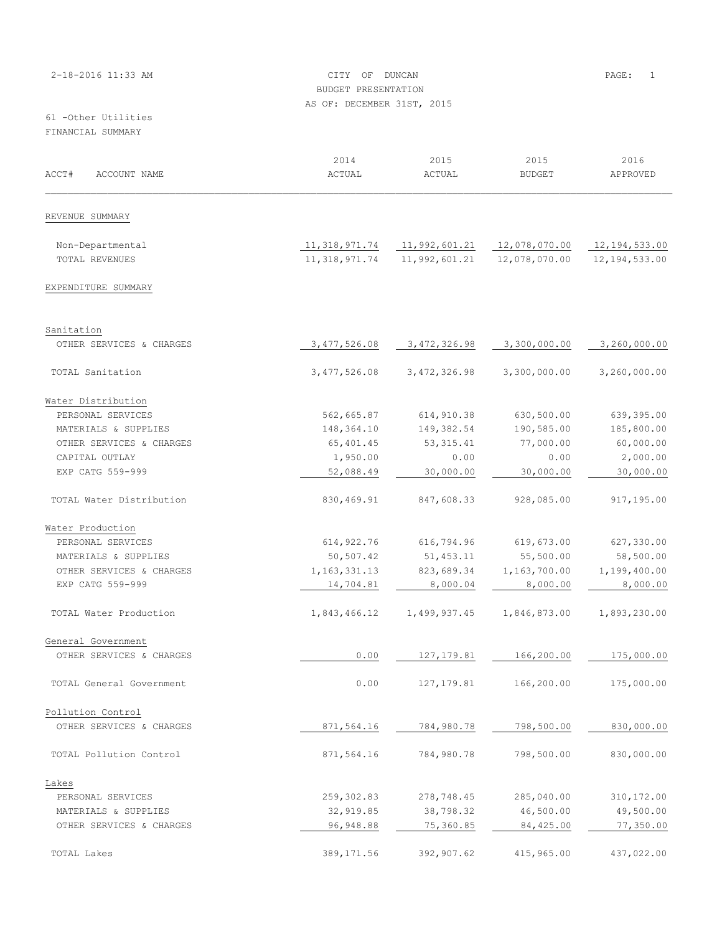| 2-18-2016 11:33 AM | CITY OF DUNCAN             | PAGE: |  |
|--------------------|----------------------------|-------|--|
|                    | BUDGET PRESENTATION        |       |  |
|                    | AS OF: DECEMBER 31ST, 2015 |       |  |

61 -Other Utilities FINANCIAL SUMMARY

| ACCT#<br>ACCOUNT NAME    | 2014<br>ACTUAL  | 2015<br>ACTUAL | 2015<br><b>BUDGET</b> | 2016<br>APPROVED |
|--------------------------|-----------------|----------------|-----------------------|------------------|
|                          |                 |                |                       |                  |
| REVENUE SUMMARY          |                 |                |                       |                  |
| Non-Departmental         | 11,318,971.74   | 11,992,601.21  | 12,078,070.00         | 12,194,533.00    |
| TOTAL REVENUES           | 11, 318, 971.74 | 11,992,601.21  | 12,078,070.00         | 12, 194, 533.00  |
| EXPENDITURE SUMMARY      |                 |                |                       |                  |
| Sanitation               |                 |                |                       |                  |
| OTHER SERVICES & CHARGES | 3,477,526.08    | 3, 472, 326.98 | 3,300,000.00          | 3,260,000.00     |
| TOTAL Sanitation         | 3,477,526.08    | 3, 472, 326.98 | 3,300,000.00          | 3,260,000.00     |
| Water Distribution       |                 |                |                       |                  |
| PERSONAL SERVICES        | 562,665.87      | 614, 910.38    | 630,500.00            | 639,395.00       |
| MATERIALS & SUPPLIES     | 148,364.10      | 149,382.54     | 190,585.00            | 185,800.00       |
| OTHER SERVICES & CHARGES | 65,401.45       | 53, 315.41     | 77,000.00             | 60,000.00        |
| CAPITAL OUTLAY           | 1,950.00        | 0.00           | 0.00                  | 2,000.00         |
| EXP CATG 559-999         | 52,088.49       | 30,000.00      | 30,000.00             | 30,000.00        |
| TOTAL Water Distribution | 830,469.91      | 847,608.33     | 928,085.00            | 917,195.00       |
| Water Production         |                 |                |                       |                  |
| PERSONAL SERVICES        | 614, 922.76     | 616,794.96     | 619,673.00            | 627,330.00       |
| MATERIALS & SUPPLIES     | 50,507.42       | 51, 453.11     | 55,500.00             | 58,500.00        |
| OTHER SERVICES & CHARGES | 1, 163, 331. 13 | 823,689.34     | 1,163,700.00          | 1,199,400.00     |
| EXP CATG 559-999         | 14,704.81       | 8,000.04       | 8,000.00              | 8,000.00         |
| TOTAL Water Production   | 1,843,466.12    | 1,499,937.45   | 1,846,873.00          | 1,893,230.00     |
| General Government       |                 |                |                       |                  |
| OTHER SERVICES & CHARGES | 0.00            | 127, 179.81    | 166,200.00            | 175,000.00       |
| TOTAL General Government | 0.00            | 127, 179.81    | 166,200.00            | 175,000.00       |
| Pollution Control        |                 |                |                       |                  |
| OTHER SERVICES & CHARGES | 871,564.16      | 784,980.78     | 798,500.00            | 830,000.00       |
| TOTAL Pollution Control  | 871,564.16      | 784,980.78     | 798,500.00            | 830,000.00       |
| Lakes                    |                 |                |                       |                  |
| PERSONAL SERVICES        | 259,302.83      | 278,748.45     | 285,040.00            | 310,172.00       |
| MATERIALS & SUPPLIES     | 32,919.85       | 38,798.32      | 46,500.00             | 49,500.00        |
| OTHER SERVICES & CHARGES | 96, 948.88      | 75,360.85      | 84, 425.00            | 77,350.00        |
| TOTAL Lakes              | 389, 171.56     | 392,907.62     | 415,965.00            | 437,022.00       |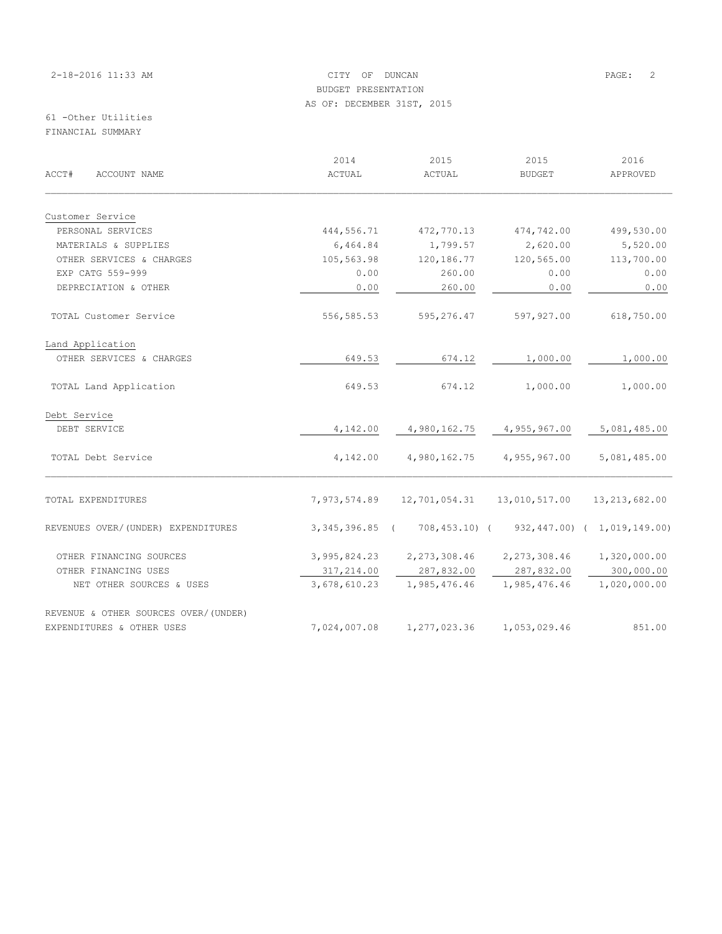# 2-18-2016 11:33 AM CITY OF DUNCAN PAGE: 2 BUDGET PRESENTATION AS OF: DECEMBER 31ST, 2015

61 -Other Utilities FINANCIAL SUMMARY

|                                      | 2014         | 2015                                                     | 2015                      | 2016                        |
|--------------------------------------|--------------|----------------------------------------------------------|---------------------------|-----------------------------|
| ACCT#<br>ACCOUNT NAME                | ACTUAL       | ACTUAL                                                   | <b>BUDGET</b>             | APPROVED                    |
|                                      |              |                                                          |                           |                             |
| Customer Service                     |              |                                                          |                           |                             |
| PERSONAL SERVICES                    | 444,556.71   | 472,770.13                                               | 474,742.00                | 499,530.00                  |
| MATERIALS & SUPPLIES                 | 6,464.84     | 1,799.57                                                 | 2,620.00                  | 5,520.00                    |
| OTHER SERVICES & CHARGES             | 105,563.98   | 120,186.77                                               | 120,565.00                | 113,700.00                  |
| EXP CATG 559-999                     | 0.00         | 260.00                                                   | 0.00                      | 0.00                        |
| DEPRECIATION & OTHER                 | 0.00         | 260.00                                                   | 0.00                      | 0.00                        |
| TOTAL Customer Service               | 556,585.53   | 595,276.47                                               | 597,927.00                | 618,750.00                  |
| Land Application                     |              |                                                          |                           |                             |
| OTHER SERVICES & CHARGES             | 649.53       | 674.12                                                   | 1,000.00                  | 1,000.00                    |
| TOTAL Land Application               | 649.53       | 674.12                                                   | 1,000.00                  | 1,000.00                    |
| Debt Service                         |              |                                                          |                           |                             |
| DEBT SERVICE                         | 4,142.00     | 4,980,162.75                                             | 4,955,967.00              | 5,081,485.00                |
| TOTAL Debt Service                   | 4,142.00     |                                                          | 4,980,162.75 4,955,967.00 | 5,081,485.00                |
| TOTAL EXPENDITURES                   | 7,973,574.89 | 12,701,054.31                                            |                           | 13,010,517.00 13,213,682.00 |
| REVENUES OVER/(UNDER) EXPENDITURES   |              | 3,345,396.85 ( 708,453.10) ( 932,447.00) ( 1,019,149.00) |                           |                             |
| OTHER FINANCING SOURCES              | 3,995,824.23 | 2, 273, 308.46                                           | 2, 273, 308.46            | 1,320,000.00                |
| OTHER FINANCING USES                 | 317,214.00   | 287,832.00                                               | 287,832.00                | 300,000.00                  |
| NET OTHER SOURCES & USES             |              | 3,678,610.23 1,985,476.46 1,985,476.46                   |                           | 1,020,000.00                |
| REVENUE & OTHER SOURCES OVER/(UNDER) |              |                                                          |                           |                             |
| EXPENDITURES & OTHER USES            | 7,024,007.08 | 1,277,023.36                                             | 1,053,029.46              | 851.00                      |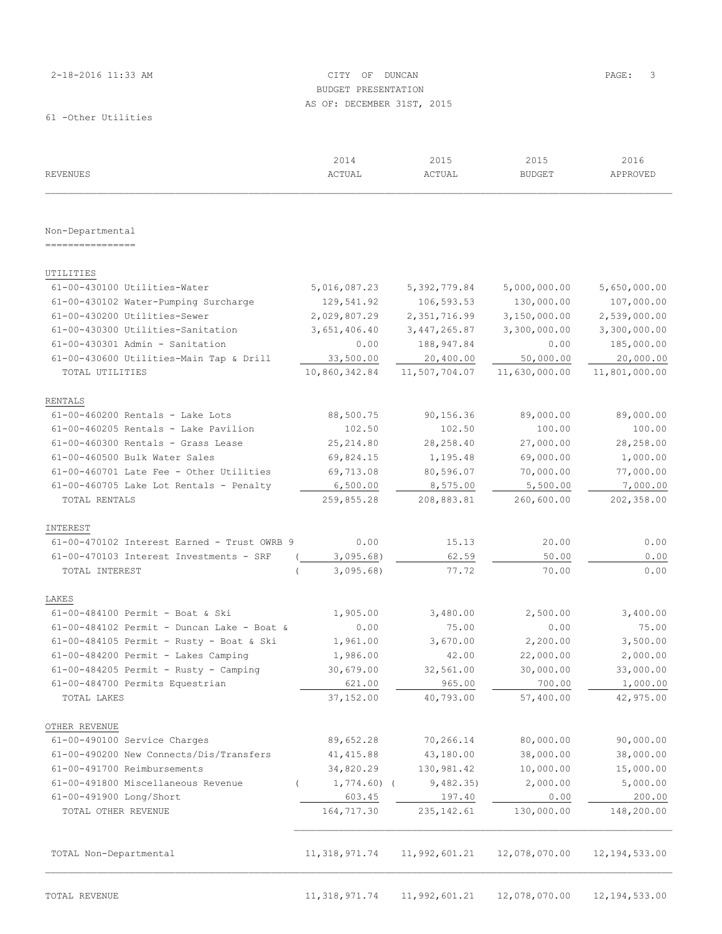# 2-18-2016 11:33 AM CITY OF DUNCAN PAGE: 3 BUDGET PRESENTATION AS OF: DECEMBER 31ST, 2015

| <b>REVENUES</b>                               | 2014<br>ACTUAL  | 2015<br>ACTUAL | 2015<br><b>BUDGET</b> | 2016<br>APPROVED |
|-----------------------------------------------|-----------------|----------------|-----------------------|------------------|
| Non-Departmental<br>----------------          |                 |                |                       |                  |
|                                               |                 |                |                       |                  |
| UTILITIES                                     |                 |                |                       |                  |
| 61-00-430100 Utilities-Water                  | 5,016,087.23    | 5,392,779.84   | 5,000,000.00          | 5,650,000.00     |
| 61-00-430102 Water-Pumping Surcharge          | 129,541.92      | 106,593.53     | 130,000.00            | 107,000.00       |
| 61-00-430200 Utilities-Sewer                  | 2,029,807.29    | 2,351,716.99   | 3,150,000.00          | 2,539,000.00     |
| 61-00-430300 Utilities-Sanitation             | 3,651,406.40    | 3, 447, 265.87 | 3,300,000.00          | 3,300,000.00     |
| $61-00-430301$ Admin - Sanitation             | 0.00            | 188, 947.84    | 0.00                  | 185,000.00       |
| 61-00-430600 Utilities-Main Tap & Drill       | 33,500.00       | 20,400.00      | 50,000.00             | 20,000.00        |
| TOTAL UTILITIES                               | 10,860,342.84   | 11,507,704.07  | 11,630,000.00         | 11,801,000.00    |
|                                               |                 |                |                       |                  |
| RENTALS<br>$61-00-460200$ Rentals - Lake Lots | 88,500.75       | 90,156.36      | 89,000.00             | 89,000.00        |
| 61-00-460205 Rentals - Lake Pavilion          | 102.50          | 102.50         | 100.00                | 100.00           |
| $61-00-460300$ Rentals - Grass Lease          | 25, 214.80      | 28, 258.40     | 27,000.00             | 28,258.00        |
| 61-00-460500 Bulk Water Sales                 | 69,824.15       | 1,195.48       | 69,000.00             | 1,000.00         |
| 61-00-460701 Late Fee - Other Utilities       | 69,713.08       | 80,596.07      | 70,000.00             | 77,000.00        |
| 61-00-460705 Lake Lot Rentals - Penalty       | 6,500.00        | 8,575.00       | 5,500.00              | 7,000.00         |
| TOTAL RENTALS                                 | 259,855.28      | 208,883.81     | 260,600.00            | 202,358.00       |
|                                               |                 |                |                       |                  |
| INTEREST                                      |                 |                |                       |                  |
| 61-00-470102 Interest Earned - Trust OWRB 9   | 0.00            | 15.13          | 20.00                 | 0.00             |
| 61-00-470103 Interest Investments - SRF       | 3,095.68)       | 62.59          | 50.00                 | 0.00             |
| TOTAL INTEREST                                | 3,095.68        | 77.72          | 70.00                 | 0.00             |
| LAKES                                         |                 |                |                       |                  |
| 61-00-484100 Permit - Boat & Ski              | 1,905.00        | 3,480.00       | 2,500.00              | 3,400.00         |
| $61-00-484102$ Permit - Duncan Lake - Boat &  | 0.00            | 75.00          | 0.00                  | 75.00            |
| 61-00-484105 Permit - Rusty - Boat & Ski      | 1,961.00        | 3,670.00       | 2,200.00              | 3,500.00         |
| $61-00-484200$ Permit - Lakes Camping         | 1,986.00        | 42.00          | 22,000.00             | 2,000.00         |
| $61-00-484205$ Permit - Rusty - Camping       | 30,679.00       | 32,561.00      | 30,000.00             | 33,000.00        |
| 61-00-484700 Permits Equestrian               | 621.00          | 965.00         | 700.00                | 1,000.00         |
| TOTAL LAKES                                   | 37,152.00       | 40,793.00      | 57,400.00             | 42,975.00        |
|                                               |                 |                |                       |                  |
| OTHER REVENUE<br>61-00-490100 Service Charges | 89,652.28       | 70,266.14      | 80,000.00             | 90,000.00        |
| 61-00-490200 New Connects/Dis/Transfers       | 41, 415.88      | 43,180.00      | 38,000.00             | 38,000.00        |
| 61-00-491700 Reimbursements                   | 34,820.29       | 130,981.42     | 10,000.00             | 15,000.00        |
| 61-00-491800 Miscellaneous Revenue            | $1,774.60$ (    | 9,482.35)      | 2,000.00              | 5,000.00         |
| 61-00-491900 Long/Short                       | 603.45          | 197.40         | 0.00                  | 200.00           |
| TOTAL OTHER REVENUE                           | 164,717.30      | 235, 142.61    | 130,000.00            | 148,200.00       |
|                                               |                 |                |                       |                  |
| TOTAL Non-Departmental                        | 11, 318, 971.74 | 11,992,601.21  | 12,078,070.00         | 12, 194, 533.00  |
|                                               |                 |                |                       |                  |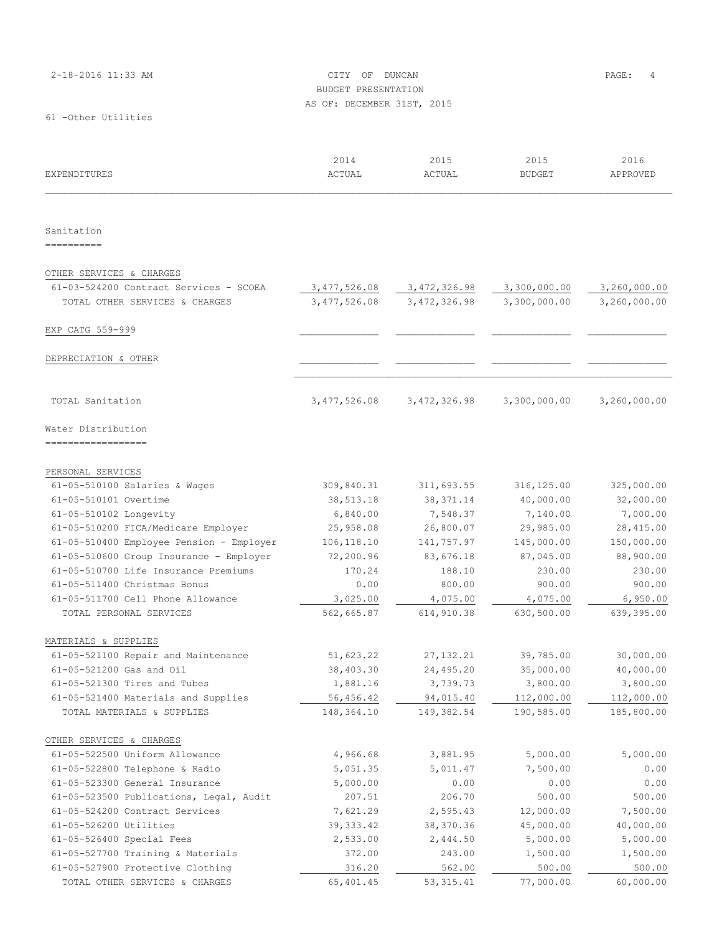|  | 2-18-2016 11:33 AM |  |  |  |  |  |  |
|--|--------------------|--|--|--|--|--|--|
|--|--------------------|--|--|--|--|--|--|

CITY OF DUNCAN PAGE: 4 BUDGET PRESENTATION AS OF: DECEMBER 31ST, 2015

| EXPENDITURES                             | 2014<br>ACTUAL | 2015<br>ACTUAL | 2015<br><b>BUDGET</b> | 2016<br>APPROVED |
|------------------------------------------|----------------|----------------|-----------------------|------------------|
| Sanitation                               |                |                |                       |                  |
| ==========                               |                |                |                       |                  |
|                                          |                |                |                       |                  |
| OTHER SERVICES & CHARGES                 |                |                |                       |                  |
| 61-03-524200 Contract Services - SCOEA   | 3,477,526.08   | 3, 472, 326.98 | 3,300,000.00          | 3,260,000.00     |
| TOTAL OTHER SERVICES & CHARGES           | 3, 477, 526.08 | 3, 472, 326.98 | 3,300,000.00          | 3,260,000.00     |
| EXP CATG 559-999                         |                |                |                       |                  |
| DEPRECIATION & OTHER                     |                |                |                       |                  |
|                                          |                |                |                       |                  |
| TOTAL Sanitation                         | 3, 477, 526.08 | 3, 472, 326.98 | 3,300,000.00          | 3,260,000.00     |
| Water Distribution                       |                |                |                       |                  |
| ------------------                       |                |                |                       |                  |
| PERSONAL SERVICES                        |                |                |                       |                  |
| 61-05-510100 Salaries & Wages            | 309,840.31     | 311,693.55     | 316,125.00            | 325,000.00       |
| 61-05-510101 Overtime                    | 38,513.18      | 38, 371.14     | 40,000.00             | 32,000.00        |
| 61-05-510102 Longevity                   | 6,840.00       | 7,548.37       | 7,140.00              | 7,000.00         |
| 61-05-510200 FICA/Medicare Employer      | 25,958.08      | 26,800.07      | 29,985.00             | 28, 415.00       |
| 61-05-510400 Employee Pension - Employer | 106, 118.10    | 141,757.97     | 145,000.00            | 150,000.00       |
| 61-05-510600 Group Insurance - Employer  | 72,200.96      | 83,676.18      | 87,045.00             | 88,900.00        |
| 61-05-510700 Life Insurance Premiums     | 170.24         | 188.10         | 230.00                | 230.00           |
| 61-05-511400 Christmas Bonus             | 0.00           | 800.00         | 900.00                | 900.00           |
| 61-05-511700 Cell Phone Allowance        | 3,025.00       | 4,075.00       | 4,075.00              | 6,950.00         |
| TOTAL PERSONAL SERVICES                  | 562,665.87     | 614, 910.38    | 630,500.00            | 639,395.00       |
| MATERIALS & SUPPLIES                     |                |                |                       |                  |
| 61-05-521100 Repair and Maintenance      | 51,623.22      | 27, 132.21     | 39,785.00             | 30,000.00        |
| 61-05-521200 Gas and Oil                 | 38,403.30      | 24,495.20      | 35,000.00             | 40,000.00        |
| 61-05-521300 Tires and Tubes             | 1,881.16       | 3,739.73       | 3,800.00              | 3,800.00         |
| 61-05-521400 Materials and Supplies      | 56,456.42      | 94,015.40      | 112,000.00            | 112,000.00       |
| TOTAL MATERIALS & SUPPLIES               | 148,364.10     | 149,382.54     | 190,585.00            | 185,800.00       |
| OTHER SERVICES & CHARGES                 |                |                |                       |                  |
| 61-05-522500 Uniform Allowance           | 4,966.68       | 3,881.95       | 5,000.00              | 5,000.00         |
| 61-05-522800 Telephone & Radio           | 5,051.35       | 5,011.47       | 7,500.00              | 0.00             |
| 61-05-523300 General Insurance           | 5,000.00       | 0.00           | 0.00                  | 0.00             |
| 61-05-523500 Publications, Legal, Audit  | 207.51         | 206.70         | 500.00                | 500.00           |
| 61-05-524200 Contract Services           | 7,621.29       | 2,595.43       | 12,000.00             | 7,500.00         |
| 61-05-526200 Utilities                   | 39, 333.42     | 38,370.36      | 45,000.00             | 40,000.00        |
| 61-05-526400 Special Fees                | 2,533.00       | 2,444.50       | 5,000.00              | 5,000.00         |
| 61-05-527700 Training & Materials        | 372.00         | 243.00         | 1,500.00              | 1,500.00         |
| 61-05-527900 Protective Clothing         | 316.20         | 562.00         | 500.00                | 500.00           |
| TOTAL OTHER SERVICES & CHARGES           | 65,401.45      | 53, 315.41     | 77,000.00             | 60,000.00        |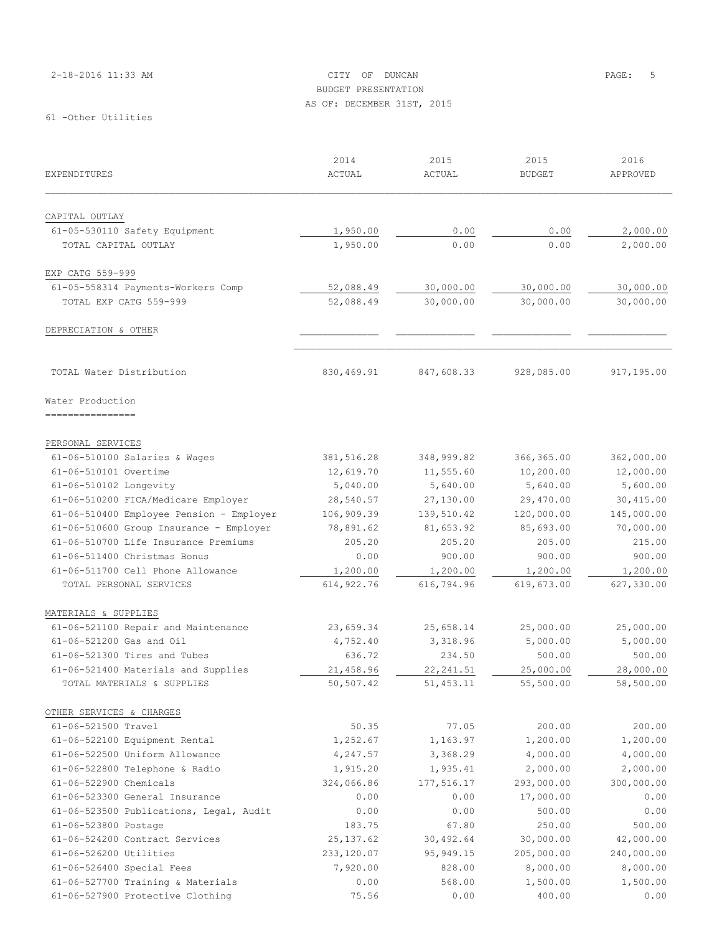|  |  |  | 2-18-2016 11:33 AM |  |  |  |
|--|--|--|--------------------|--|--|--|
|--|--|--|--------------------|--|--|--|

# 2018 CITY OF DUNCAN PAGE: 5 BUDGET PRESENTATION AS OF: DECEMBER 31ST, 2015

|                                                 | 2014          | 2015       | 2015          | 2016       |
|-------------------------------------------------|---------------|------------|---------------|------------|
| EXPENDITURES                                    | <b>ACTUAL</b> | ACTUAL     | <b>BUDGET</b> | APPROVED   |
|                                                 |               |            |               |            |
| CAPITAL OUTLAY<br>61-05-530110 Safety Equipment | 1,950.00      | 0.00       | 0.00          | 2,000.00   |
| TOTAL CAPITAL OUTLAY                            | 1,950.00      | 0.00       | 0.00          | 2,000.00   |
|                                                 |               |            |               |            |
| EXP CATG 559-999                                |               |            |               |            |
| 61-05-558314 Payments-Workers Comp              | 52,088.49     | 30,000.00  | 30,000.00     | 30,000.00  |
| TOTAL EXP CATG 559-999                          | 52,088.49     | 30,000.00  | 30,000.00     | 30,000.00  |
| DEPRECIATION & OTHER                            |               |            |               |            |
| TOTAL Water Distribution                        | 830,469.91    | 847,608.33 | 928,085.00    | 917,195.00 |
|                                                 |               |            |               |            |
| Water Production<br>________________            |               |            |               |            |
| PERSONAL SERVICES                               |               |            |               |            |
| 61-06-510100 Salaries & Wages                   | 381,516.28    | 348,999.82 | 366, 365.00   | 362,000.00 |
| 61-06-510101 Overtime                           | 12,619.70     | 11,555.60  | 10,200.00     | 12,000.00  |
| 61-06-510102 Longevity                          | 5,040.00      | 5,640.00   | 5,640.00      | 5,600.00   |
| 61-06-510200 FICA/Medicare Employer             | 28,540.57     | 27,130.00  | 29,470.00     | 30,415.00  |
| 61-06-510400 Employee Pension - Employer        | 106,909.39    | 139,510.42 | 120,000.00    | 145,000.00 |
| 61-06-510600 Group Insurance - Employer         | 78,891.62     | 81,653.92  | 85,693.00     | 70,000.00  |
| 61-06-510700 Life Insurance Premiums            | 205.20        | 205.20     | 205.00        | 215.00     |
| 61-06-511400 Christmas Bonus                    | 0.00          | 900.00     | 900.00        | 900.00     |
| 61-06-511700 Cell Phone Allowance               | 1,200.00      | 1,200.00   | 1,200.00      | 1,200.00   |
| TOTAL PERSONAL SERVICES                         | 614, 922.76   | 616,794.96 | 619,673.00    | 627,330.00 |
| MATERIALS & SUPPLIES                            |               |            |               |            |
| 61-06-521100 Repair and Maintenance             | 23,659.34     | 25,658.14  | 25,000.00     | 25,000.00  |
| 61-06-521200 Gas and Oil                        | 4,752.40      | 3,318.96   | 5,000.00      | 5,000.00   |
| 61-06-521300 Tires and Tubes                    | 636.72        | 234.50     | 500.00        | 500.00     |
| 61-06-521400 Materials and Supplies             | 21,458.96     | 22, 241.51 | 25,000.00     | 28,000.00  |
| TOTAL MATERIALS & SUPPLIES                      | 50,507.42     | 51,453.11  | 55,500.00     | 58,500.00  |
| OTHER SERVICES & CHARGES                        |               |            |               |            |
| 61-06-521500 Travel                             | 50.35         | 77.05      | 200.00        | 200.00     |
| 61-06-522100 Equipment Rental                   | 1,252.67      | 1,163.97   | 1,200.00      | 1,200.00   |
| 61-06-522500 Uniform Allowance                  | 4,247.57      | 3,368.29   | 4,000.00      | 4,000.00   |
| 61-06-522800 Telephone & Radio                  | 1,915.20      | 1,935.41   | 2,000.00      | 2,000.00   |
| 61-06-522900 Chemicals                          | 324,066.86    | 177,516.17 | 293,000.00    | 300,000.00 |
| 61-06-523300 General Insurance                  | 0.00          | 0.00       | 17,000.00     | 0.00       |
| 61-06-523500 Publications, Legal, Audit         | 0.00          | 0.00       | 500.00        | 0.00       |
| 61-06-523800 Postage                            | 183.75        | 67.80      | 250.00        | 500.00     |
| 61-06-524200 Contract Services                  | 25, 137.62    | 30,492.64  | 30,000.00     | 42,000.00  |
| 61-06-526200 Utilities                          | 233, 120.07   | 95, 949.15 | 205,000.00    | 240,000.00 |
| 61-06-526400 Special Fees                       | 7,920.00      | 828.00     | 8,000.00      | 8,000.00   |
| 61-06-527700 Training & Materials               | 0.00          | 568.00     | 1,500.00      | 1,500.00   |
| 61-06-527900 Protective Clothing                | 75.56         | 0.00       | 400.00        | 0.00       |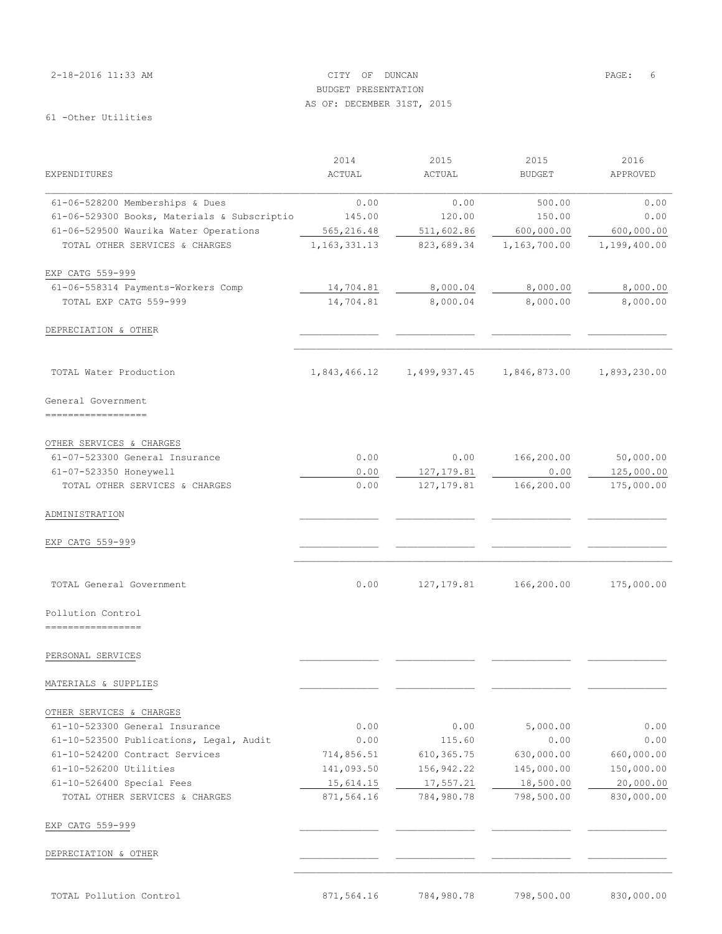| 2-18-2016 11:33 AM  | CITY OF DUNCAN             | PAGE: 6 |  |
|---------------------|----------------------------|---------|--|
|                     | BUDGET PRESENTATION        |         |  |
|                     | AS OF: DECEMBER 31ST, 2015 |         |  |
| 61 -Other Utilities |                            |         |  |

|                                                                                | 2014            | 2015                | 2015               | 2016                     |
|--------------------------------------------------------------------------------|-----------------|---------------------|--------------------|--------------------------|
| EXPENDITURES                                                                   | ACTUAL          | ACTUAL              | <b>BUDGET</b>      | APPROVED                 |
|                                                                                |                 |                     |                    |                          |
| 61-06-528200 Memberships & Dues<br>61-06-529300 Books, Materials & Subscriptio | 0.00<br>145.00  | 0.00<br>120.00      | 500.00<br>150.00   | 0.00<br>0.00             |
| 61-06-529500 Waurika Water Operations                                          | 565,216.48      | 511,602.86          | 600,000.00         | 600,000.00               |
| TOTAL OTHER SERVICES & CHARGES                                                 | 1, 163, 331. 13 | 823,689.34          | 1,163,700.00       | 1,199,400.00             |
| EXP CATG 559-999                                                               |                 |                     |                    |                          |
| 61-06-558314 Payments-Workers Comp                                             | 14,704.81       | 8,000.04            | 8,000.00           | 8,000.00                 |
| TOTAL EXP CATG 559-999                                                         | 14,704.81       | 8,000.04            | 8,000.00           | 8,000.00                 |
| DEPRECIATION & OTHER                                                           |                 |                     |                    |                          |
| TOTAL Water Production                                                         | 1,843,466.12    | 1,499,937.45        | 1,846,873.00       | 1,893,230.00             |
| General Government<br>------------------                                       |                 |                     |                    |                          |
|                                                                                |                 |                     |                    |                          |
| OTHER SERVICES & CHARGES                                                       |                 |                     |                    |                          |
| 61-07-523300 General Insurance                                                 | 0.00<br>0.00    | 0.00<br>127, 179.81 | 166,200.00<br>0.00 | 50,000.00                |
| 61-07-523350 Honeywell<br>TOTAL OTHER SERVICES & CHARGES                       | 0.00            | 127, 179.81         | 166,200.00         | 125,000.00<br>175,000.00 |
| ADMINISTRATION                                                                 |                 |                     |                    |                          |
| EXP CATG 559-999                                                               |                 |                     |                    |                          |
| TOTAL General Government                                                       | 0.00            | 127, 179.81         | 166,200.00         | 175,000.00               |
| Pollution Control                                                              |                 |                     |                    |                          |
| =================                                                              |                 |                     |                    |                          |
| PERSONAL SERVICES                                                              |                 |                     |                    |                          |
| MATERIALS & SUPPLIES                                                           |                 |                     |                    |                          |
| OTHER SERVICES & CHARGES                                                       |                 |                     |                    |                          |
| 61-10-523300 General Insurance                                                 | 0.00            | 0.00                | 5,000.00           | 0.00                     |
| 61-10-523500 Publications, Legal, Audit                                        | 0.00            | 115.60              | 0.00               | 0.00                     |
| 61-10-524200 Contract Services                                                 | 714,856.51      | 610, 365.75         | 630,000.00         | 660,000.00               |
| 61-10-526200 Utilities                                                         | 141,093.50      | 156,942.22          | 145,000.00         | 150,000.00               |
| 61-10-526400 Special Fees                                                      | 15,614.15       | 17,557.21           | 18,500.00          | 20,000.00                |
| TOTAL OTHER SERVICES & CHARGES                                                 | 871,564.16      | 784,980.78          | 798,500.00         | 830,000.00               |
| EXP CATG 559-999                                                               |                 |                     |                    |                          |
| DEPRECIATION & OTHER                                                           |                 |                     |                    |                          |
| TOTAL Pollution Control                                                        | 871,564.16      | 784,980.78          | 798,500.00         | 830,000.00               |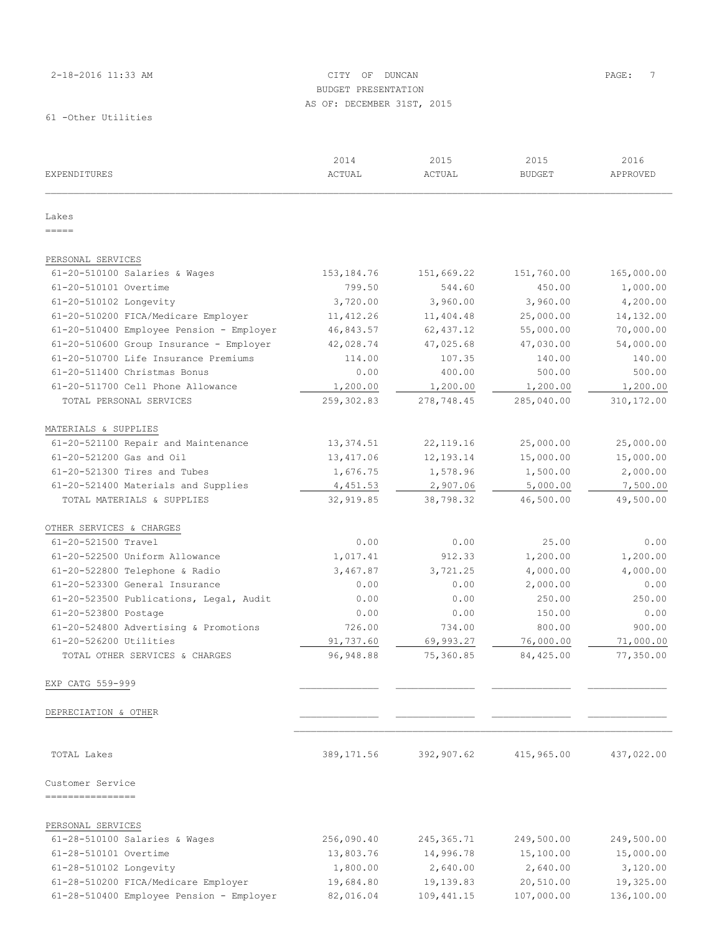# 2-18-2016 11:33 AM CITY OF DUNCAN PAGE: 7 BUDGET PRESENTATION AS OF: DECEMBER 31ST, 2015

|                                          | 2014         | 2015        | 2015          | 2016        |
|------------------------------------------|--------------|-------------|---------------|-------------|
| <b>EXPENDITURES</b>                      | ACTUAL       | ACTUAL      | <b>BUDGET</b> | APPROVED    |
| Lakes                                    |              |             |               |             |
| $=$ $=$ $=$ $=$                          |              |             |               |             |
| PERSONAL SERVICES                        |              |             |               |             |
| 61-20-510100 Salaries & Wages            | 153, 184. 76 | 151,669.22  | 151,760.00    | 165,000.00  |
| 61-20-510101 Overtime                    | 799.50       | 544.60      | 450.00        | 1,000.00    |
| 61-20-510102 Longevity                   | 3,720.00     | 3,960.00    | 3,960.00      | 4,200.00    |
| 61-20-510200 FICA/Medicare Employer      | 11, 412.26   | 11,404.48   | 25,000.00     | 14,132.00   |
| 61-20-510400 Employee Pension - Employer | 46,843.57    | 62, 437.12  | 55,000.00     | 70,000.00   |
| 61-20-510600 Group Insurance - Employer  | 42,028.74    | 47,025.68   | 47,030.00     | 54,000.00   |
| 61-20-510700 Life Insurance Premiums     | 114.00       | 107.35      | 140.00        | 140.00      |
| 61-20-511400 Christmas Bonus             | 0.00         | 400.00      | 500.00        | 500.00      |
| 61-20-511700 Cell Phone Allowance        | 1,200.00     | 1,200.00    | 1,200.00      | 1,200.00    |
| TOTAL PERSONAL SERVICES                  | 259,302.83   | 278,748.45  | 285,040.00    | 310, 172.00 |
| MATERIALS & SUPPLIES                     |              |             |               |             |
| 61-20-521100 Repair and Maintenance      | 13, 374.51   | 22, 119.16  | 25,000.00     | 25,000.00   |
| 61-20-521200 Gas and Oil                 | 13, 417.06   | 12, 193. 14 | 15,000.00     | 15,000.00   |
| 61-20-521300 Tires and Tubes             | 1,676.75     | 1,578.96    | 1,500.00      | 2,000.00    |
| 61-20-521400 Materials and Supplies      | 4,451.53     | 2,907.06    | 5,000.00      | 7,500.00    |
| TOTAL MATERIALS & SUPPLIES               | 32,919.85    | 38,798.32   | 46,500.00     | 49,500.00   |
| OTHER SERVICES & CHARGES                 |              |             |               |             |
| 61-20-521500 Travel                      | 0.00         | 0.00        | 25.00         | 0.00        |
| 61-20-522500 Uniform Allowance           | 1,017.41     | 912.33      | 1,200.00      | 1,200.00    |
| 61-20-522800 Telephone & Radio           | 3,467.87     | 3,721.25    | 4,000.00      | 4,000.00    |
| 61-20-523300 General Insurance           | 0.00         | 0.00        | 2,000.00      | 0.00        |
| 61-20-523500 Publications, Legal, Audit  | 0.00         | 0.00        | 250.00        | 250.00      |
| 61-20-523800 Postage                     | 0.00         | 0.00        | 150.00        | 0.00        |
| 61-20-524800 Advertising & Promotions    | 726.00       | 734.00      | 800.00        | 900.00      |
| 61-20-526200 Utilities                   | 91,737.60    | 69,993.27   | 76,000.00     | 71,000.00   |
| TOTAL OTHER SERVICES & CHARGES           | 96,948.88    | 75,360.85   | 84,425.00     | 77,350.00   |
| EXP CATG 559-999                         |              |             |               |             |
| DEPRECIATION & OTHER                     |              |             |               |             |
|                                          |              |             |               |             |
| TOTAL Lakes                              | 389,171.56   | 392,907.62  | 415,965.00    | 437,022.00  |
| Customer Service                         |              |             |               |             |
| _________________                        |              |             |               |             |
| PERSONAL SERVICES                        |              |             |               |             |
| $61 - 28 - 510100$ Salaries & Wages      | 256,090.40   | 245, 365.71 | 249,500.00    | 249,500.00  |
| 61-28-510101 Overtime                    | 13,803.76    | 14,996.78   | 15,100.00     | 15,000.00   |
| 61-28-510102 Longevity                   | 1,800.00     | 2,640.00    | 2,640.00      | 3,120.00    |
| 61-28-510200 FICA/Medicare Employer      | 19,684.80    | 19,139.83   | 20,510.00     | 19,325.00   |
| 61-28-510400 Employee Pension - Employer | 82,016.04    | 109, 441.15 | 107,000.00    | 136,100.00  |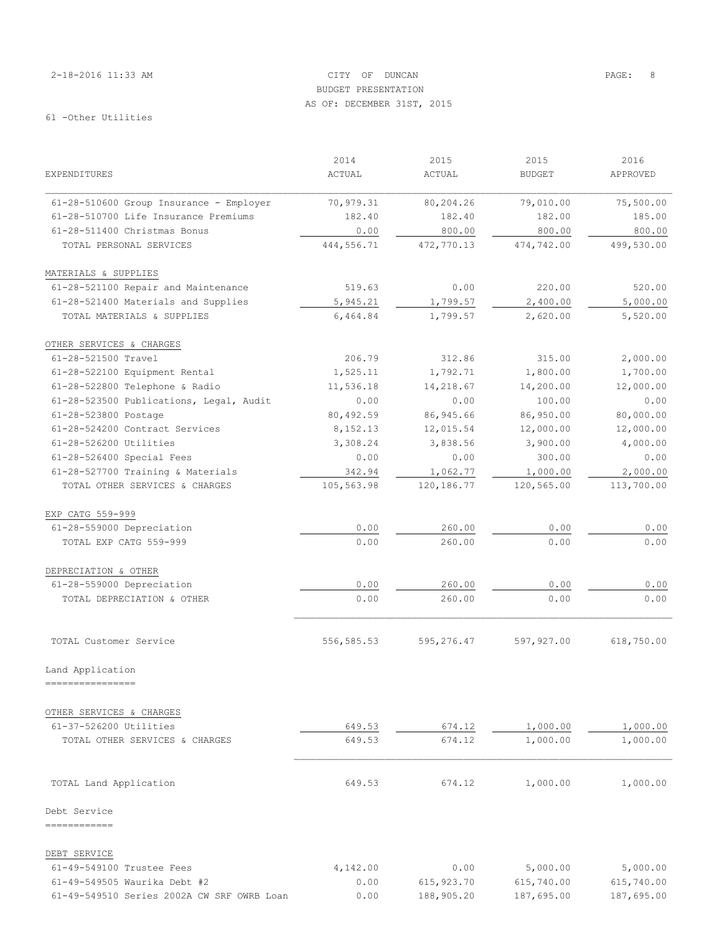# 2-18-2016 11:33 AM CITY OF DUNCAN PAGE: 8 BUDGET PRESENTATION AS OF: DECEMBER 31ST, 2015

|                                            | 2014          | 2015        | 2015          | 2016       |
|--------------------------------------------|---------------|-------------|---------------|------------|
| <b>EXPENDITURES</b>                        | <b>ACTUAL</b> | ACTUAL      | <b>BUDGET</b> | APPROVED   |
| 61-28-510600 Group Insurance - Employer    | 70,979.31     | 80,204.26   | 79,010.00     | 75,500.00  |
| 61-28-510700 Life Insurance Premiums       | 182.40        | 182.40      | 182.00        | 185.00     |
| $61 - 28 - 511400$ Christmas Bonus         | 0.00          | 800.00      | 800.00        | 800.00     |
| TOTAL PERSONAL SERVICES                    | 444,556.71    | 472,770.13  | 474,742.00    | 499,530.00 |
| MATERIALS & SUPPLIES                       |               |             |               |            |
| 61-28-521100 Repair and Maintenance        | 519.63        | 0.00        | 220.00        | 520.00     |
| 61-28-521400 Materials and Supplies        | 5,945.21      | 1,799.57    | 2,400.00      | 5,000.00   |
| TOTAL MATERIALS & SUPPLIES                 | 6,464.84      | 1,799.57    | 2,620.00      | 5,520.00   |
| OTHER SERVICES & CHARGES                   |               |             |               |            |
| 61-28-521500 Travel                        | 206.79        | 312.86      | 315.00        | 2,000.00   |
| 61-28-522100 Equipment Rental              | 1,525.11      | 1,792.71    | 1,800.00      | 1,700.00   |
| 61-28-522800 Telephone & Radio             | 11,536.18     | 14,218.67   | 14,200.00     | 12,000.00  |
| 61-28-523500 Publications, Legal, Audit    | 0.00          | 0.00        | 100.00        | 0.00       |
| 61-28-523800 Postage                       | 80,492.59     | 86, 945.66  | 86,950.00     | 80,000.00  |
| 61-28-524200 Contract Services             | 8,152.13      | 12,015.54   | 12,000.00     | 12,000.00  |
| 61-28-526200 Utilities                     | 3,308.24      | 3,838.56    | 3,900.00      | 4,000.00   |
| 61-28-526400 Special Fees                  | 0.00          | 0.00        | 300.00        | 0.00       |
| 61-28-527700 Training & Materials          | 342.94        | 1,062.77    | 1,000.00      | 2,000.00   |
| TOTAL OTHER SERVICES & CHARGES             | 105,563.98    | 120,186.77  | 120,565.00    | 113,700.00 |
| EXP CATG 559-999                           |               |             |               |            |
| 61-28-559000 Depreciation                  | 0.00          | 260.00      | 0.00          | 0.00       |
| TOTAL EXP CATG 559-999                     | 0.00          | 260.00      | 0.00          | 0.00       |
| DEPRECIATION & OTHER                       |               |             |               |            |
| 61-28-559000 Depreciation                  | 0.00          | 260.00      | 0.00          | 0.00       |
| TOTAL DEPRECIATION & OTHER                 | 0.00          | 260.00      | 0.00          | 0.00       |
| TOTAL Customer Service                     | 556,585.53    | 595,276.47  | 597,927.00    | 618,750.00 |
| Land Application                           |               |             |               |            |
|                                            |               |             |               |            |
| OTHER SERVICES & CHARGES                   |               |             |               |            |
| 61-37-526200 Utilities                     | 649.53        | 674.12      | 1,000.00      | 1,000.00   |
| TOTAL OTHER SERVICES & CHARGES             | 649.53        | 674.12      | 1,000.00      | 1,000.00   |
| TOTAL Land Application                     | 649.53        | 674.12      | 1,000.00      | 1,000.00   |
| Debt Service                               |               |             |               |            |
| ------------                               |               |             |               |            |
| DEBT SERVICE                               |               |             |               |            |
| 61-49-549100 Trustee Fees                  | 4,142.00      | 0.00        | 5,000.00      | 5,000.00   |
| 61-49-549505 Waurika Debt #2               | 0.00          | 615, 923.70 | 615,740.00    | 615,740.00 |
| 61-49-549510 Series 2002A CW SRF OWRB Loan | 0.00          | 188,905.20  | 187,695.00    | 187,695.00 |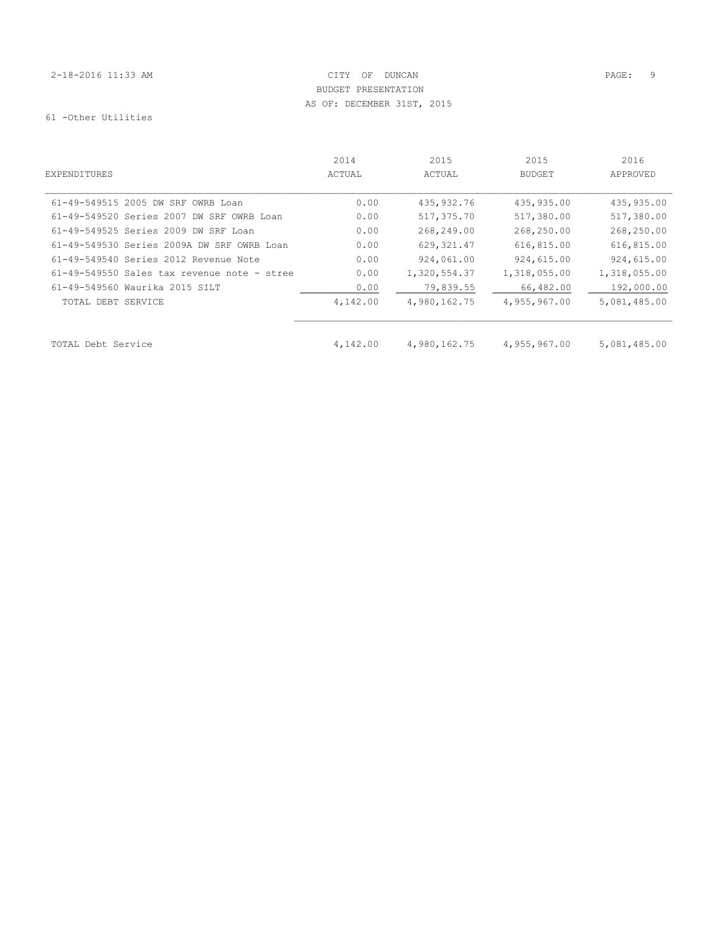# 2-18-2016 11:33 AM CITY OF DUNCAN PAGE: 9 BUDGET PRESENTATION AS OF: DECEMBER 31ST, 2015

61 -Other Utilities

|                                               | 2014     | 2015         | 2015          | 2016         |
|-----------------------------------------------|----------|--------------|---------------|--------------|
| EXPENDITURES                                  | ACTUAL   | ACTUAL       | <b>BUDGET</b> | APPROVED     |
| 61-49-549515 2005 DW SRF OWRB Loan            | 0.00     | 435,932.76   | 435,935.00    | 435,935.00   |
| 61-49-549520 Series 2007 DW SRF OWRB Loan     | 0.00     | 517,375.70   | 517,380.00    | 517,380.00   |
| 61-49-549525 Series 2009 DW SRF Loan          | 0.00     | 268,249.00   | 268,250.00    | 268,250.00   |
| 61-49-549530 Series 2009A DW SRF OWRB Loan    | 0.00     | 629,321.47   | 616,815.00    | 616,815.00   |
| 61-49-549540 Series 2012 Revenue Note         | 0.00     | 924,061.00   | 924,615.00    | 924,615.00   |
| $61-49-549550$ Sales tax revenue note - stree | 0.00     | 1,320,554.37 | 1,318,055.00  | 1,318,055.00 |
| 61-49-549560 Waurika 2015 SILT                | 0.00     | 79,839.55    | 66,482.00     | 192,000.00   |
| TOTAL DEBT SERVICE                            | 4,142.00 | 4,980,162.75 | 4,955,967.00  | 5,081,485.00 |
|                                               |          |              |               |              |
|                                               |          |              |               |              |

TOTAL Debt Service 4,142.00 4,980,162.75 4,955,967.00 5,081,485.00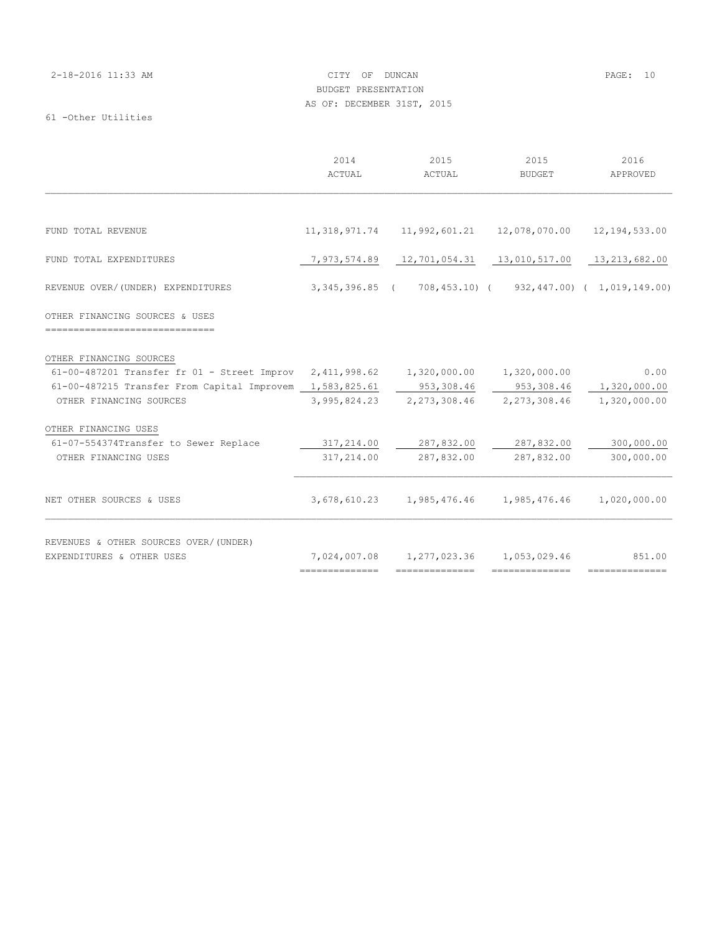### 2-18-2016 11:33 AM CITY OF DUNCAN PAGE: 10 BUDGET PRESENTATION AS OF: DECEMBER 31ST, 2015

|                                                                                    | 2014<br>ACTUAL  | 2015<br>ACTUAL                                                 | 2015<br>BUDGET                                  | 2016<br>APPROVED |
|------------------------------------------------------------------------------------|-----------------|----------------------------------------------------------------|-------------------------------------------------|------------------|
|                                                                                    |                 |                                                                |                                                 |                  |
| FUND TOTAL REVENUE                                                                 | 11,318,971.74   |                                                                | $11,992,601.21$ $12,078,070.00$ $12,194,533.00$ |                  |
| FUND TOTAL EXPENDITURES                                                            |                 | 7, 973, 574.89 12, 701, 054.31 13, 010, 517.00 13, 213, 682.00 |                                                 |                  |
| REVENUE OVER/(UNDER) EXPENDITURES                                                  |                 | 3,345,396.85 ( 708,453.10) ( 932,447.00) ( 1,019,149.00)       |                                                 |                  |
| OTHER FINANCING SOURCES & USES<br>================================                 |                 |                                                                |                                                 |                  |
| OTHER FINANCING SOURCES                                                            |                 |                                                                |                                                 |                  |
| 61-00-487201 Transfer fr 01 - Street Improv 2,411,998.62 1,320,000.00 1,320,000.00 |                 |                                                                |                                                 | 0.00             |
| 61-00-487215 Transfer From Capital Improvem 1,583,825.61                           |                 |                                                                | 953,308.46 953,308.46 1,320,000.00              |                  |
| OTHER FINANCING SOURCES                                                            |                 | 3,995,824.23 2,273,308.46 2,273,308.46 1,320,000.00            |                                                 |                  |
| OTHER FINANCING USES                                                               |                 |                                                                |                                                 |                  |
| 61-07-554374Transfer to Sewer Replace                                              | 317,214.00      |                                                                | 287,832.00 287,832.00 300,000.00                |                  |
| OTHER FINANCING USES                                                               | 317,214.00      | 287,832.00                                                     | 287,832.00                                      | 300,000.00       |
| NET OTHER SOURCES & USES                                                           |                 | 3,678,610.23 1,985,476.46 1,985,476.46 1,020,000.00            |                                                 |                  |
| REVENUES & OTHER SOURCES OVER/(UNDER)<br>EXPENDITURES & OTHER USES                 |                 | 7,024,007.08 1,277,023.36 1,053,029.46                         |                                                 | 851.00           |
|                                                                                    | --------------- | ==============                                                 | ==============                                  | ---------------  |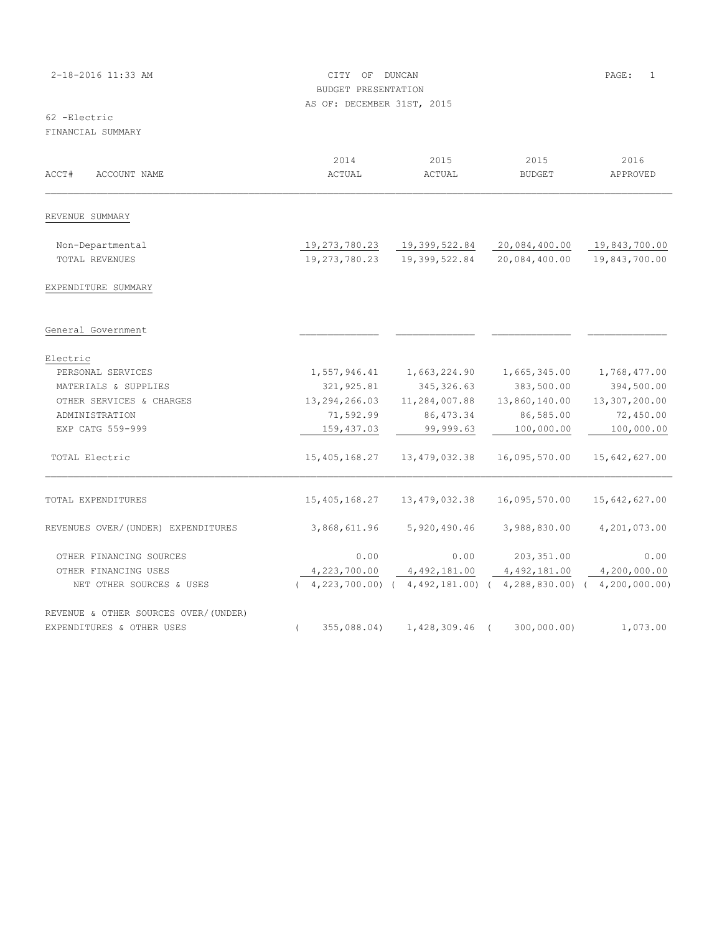| 2-18-2016 11:33 AM | CITY OF DUNCAN             | $\overline{1}$<br>PAGE: |
|--------------------|----------------------------|-------------------------|
|                    | BUDGET PRESENTATION        |                         |
|                    | AS OF: DECEMBER 31ST, 2015 |                         |
| 62 - Electric      |                            |                         |
| FINANCIAL SUMMARY  |                            |                         |

| ACCT#<br><b>ACCOUNT NAME</b>         | 2014<br>ACTUAL          | 2015<br>ACTUAL                                                              | 2015<br><b>BUDGET</b> | 2016<br>APPROVED |
|--------------------------------------|-------------------------|-----------------------------------------------------------------------------|-----------------------|------------------|
| REVENUE SUMMARY                      |                         |                                                                             |                       |                  |
| Non-Departmental                     | 19,273,780.23           | 19,399,522.84                                                               | 20,084,400.00         | 19,843,700.00    |
| TOTAL REVENUES                       | 19,273,780.23           | 19,399,522.84                                                               | 20,084,400.00         | 19,843,700.00    |
| EXPENDITURE SUMMARY                  |                         |                                                                             |                       |                  |
| General Government                   |                         |                                                                             |                       |                  |
| Electric                             |                         |                                                                             |                       |                  |
| PERSONAL SERVICES                    | 1,557,946.41            | 1,663,224.90                                                                | 1,665,345.00          | 1,768,477.00     |
| MATERIALS & SUPPLIES                 | 321,925.81              | 345, 326.63                                                                 | 383,500.00            | 394,500.00       |
| OTHER SERVICES & CHARGES             | 13, 294, 266.03         | 11,284,007.88                                                               | 13,860,140.00         | 13,307,200.00    |
| ADMINISTRATION                       | 71,592.99               | 86, 473.34                                                                  | 86,585.00             | 72,450.00        |
| EXP CATG 559-999                     | 159,437.03              | 99,999.63                                                                   | 100,000.00            | 100,000.00       |
| TOTAL Electric                       | 15, 405, 168.27         | 13, 479, 032.38                                                             | 16,095,570.00         | 15,642,627.00    |
| TOTAL EXPENDITURES                   | 15,405,168.27           | 13, 479, 032.38                                                             | 16,095,570.00         | 15,642,627.00    |
| REVENUES OVER/(UNDER) EXPENDITURES   | 3,868,611.96            | 5,920,490.46                                                                | 3,988,830.00          | 4,201,073.00     |
| OTHER FINANCING SOURCES              | 0.00                    | 0.00                                                                        | 203, 351.00           | 0.00             |
| OTHER FINANCING USES                 | 4,223,700.00            | 4,492,181.00                                                                | 4,492,181.00          | 4, 200, 000.00   |
| NET OTHER SOURCES & USES             |                         | $(4, 223, 700.00)$ $(4, 492, 181.00)$ $(4, 288, 830.00)$ $(4, 200, 000.00)$ |                       |                  |
| REVENUE & OTHER SOURCES OVER/(UNDER) |                         |                                                                             |                       |                  |
| EXPENDITURES & OTHER USES            | 355,088.04)<br>$\left($ | $1,428,309.46$ (                                                            | 300,000.00)           | 1,073.00         |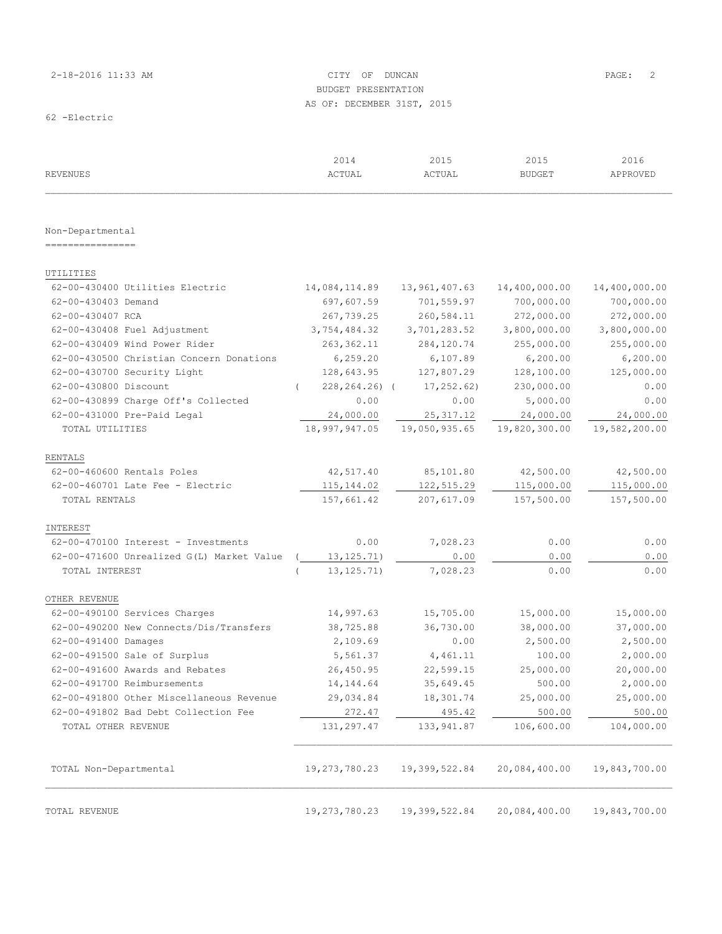# 2-18-2016 11:33 AM CITY OF DUNCAN PAGE: 2 BUDGET PRESENTATION AS OF: DECEMBER 31ST, 2015

| REVENUES                                  | 2014<br>ACTUAL                | 2015<br>ACTUAL | 2015<br><b>BUDGET</b> | 2016<br>APPROVED |
|-------------------------------------------|-------------------------------|----------------|-----------------------|------------------|
| Non-Departmental                          |                               |                |                       |                  |
| ================                          |                               |                |                       |                  |
| UTILITIES                                 |                               |                |                       |                  |
| 62-00-430400 Utilities Electric           | 14,084,114.89                 | 13,961,407.63  | 14,400,000.00         | 14,400,000.00    |
| 62-00-430403 Demand                       | 697,607.59                    | 701,559.97     | 700,000.00            | 700,000.00       |
| 62-00-430407 RCA                          | 267,739.25                    | 260,584.11     | 272,000.00            | 272,000.00       |
| 62-00-430408 Fuel Adjustment              | 3,754,484.32                  | 3,701,283.52   | 3,800,000.00          | 3,800,000.00     |
| 62-00-430409 Wind Power Rider             | 263, 362.11                   | 284, 120.74    | 255,000.00            | 255,000.00       |
| 62-00-430500 Christian Concern Donations  | 6, 259.20                     | 6,107.89       | 6, 200.00             | 6, 200.00        |
| 62-00-430700 Security Light               | 128,643.95                    | 127,807.29     | 128,100.00            | 125,000.00       |
| 62-00-430800 Discount                     | $228, 264.26$ ) (<br>$\left($ | 17, 252.62)    | 230,000.00            | 0.00             |
| 62-00-430899 Charge Off's Collected       | 0.00                          | 0.00           | 5,000.00              | 0.00             |
| 62-00-431000 Pre-Paid Legal               | 24,000.00                     | 25, 317.12     | 24,000.00             | 24,000.00        |
| TOTAL UTILITIES                           | 18,997,947.05                 | 19,050,935.65  | 19,820,300.00         | 19,582,200.00    |
|                                           |                               |                |                       |                  |
| RENTALS                                   |                               |                |                       |                  |
| 62-00-460600 Rentals Poles                | 42,517.40                     | 85,101.80      | 42,500.00             | 42,500.00        |
| $62-00-460701$ Late Fee - Electric        | 115, 144.02                   | 122,515.29     | 115,000.00            | 115,000.00       |
| TOTAL RENTALS                             | 157,661.42                    | 207,617.09     | 157,500.00            | 157,500.00       |
| INTEREST                                  |                               |                |                       |                  |
| 62-00-470100 Interest - Investments       | 0.00                          | 7,028.23       | 0.00                  | 0.00             |
| 62-00-471600 Unrealized G(L) Market Value | 13, 125. 71)                  | 0.00           | 0.00                  | 0.00             |
| TOTAL INTEREST                            | 13, 125.71)<br>$\left($       | 7,028.23       | 0.00                  | 0.00             |
|                                           |                               |                |                       |                  |
| OTHER REVENUE                             |                               |                |                       |                  |
| 62-00-490100 Services Charges             | 14,997.63                     | 15,705.00      | 15,000.00             | 15,000.00        |
| 62-00-490200 New Connects/Dis/Transfers   | 38,725.88                     | 36,730.00      | 38,000.00             | 37,000.00        |
| 62-00-491400 Damages                      | 2,109.69                      | 0.00           | 2,500.00              | 2,500.00         |
| 62-00-491500 Sale of Surplus              | 5,561.37                      | 4,461.11       | 100.00                | 2,000.00         |
| 62-00-491600 Awards and Rebates           | 26,450.95                     | 22,599.15      | 25,000.00             | 20,000.00        |
| 62-00-491700 Reimbursements               | 14, 144.64                    | 35,649.45      | 500.00                | 2,000.00         |
| 62-00-491800 Other Miscellaneous Revenue  | 29,034.84                     | 18,301.74      | 25,000.00             | 25,000.00        |
| 62-00-491802 Bad Debt Collection Fee      | 272.47                        | 495.42         | 500.00                | 500.00           |
| TOTAL OTHER REVENUE                       | 131,297.47                    | 133,941.87     | 106,600.00            | 104,000.00       |
| TOTAL Non-Departmental                    | 19,273,780.23                 | 19,399,522.84  | 20,084,400.00         | 19,843,700.00    |
| TOTAL REVENUE                             | 19,273,780.23                 | 19,399,522.84  | 20,084,400.00         | 19,843,700.00    |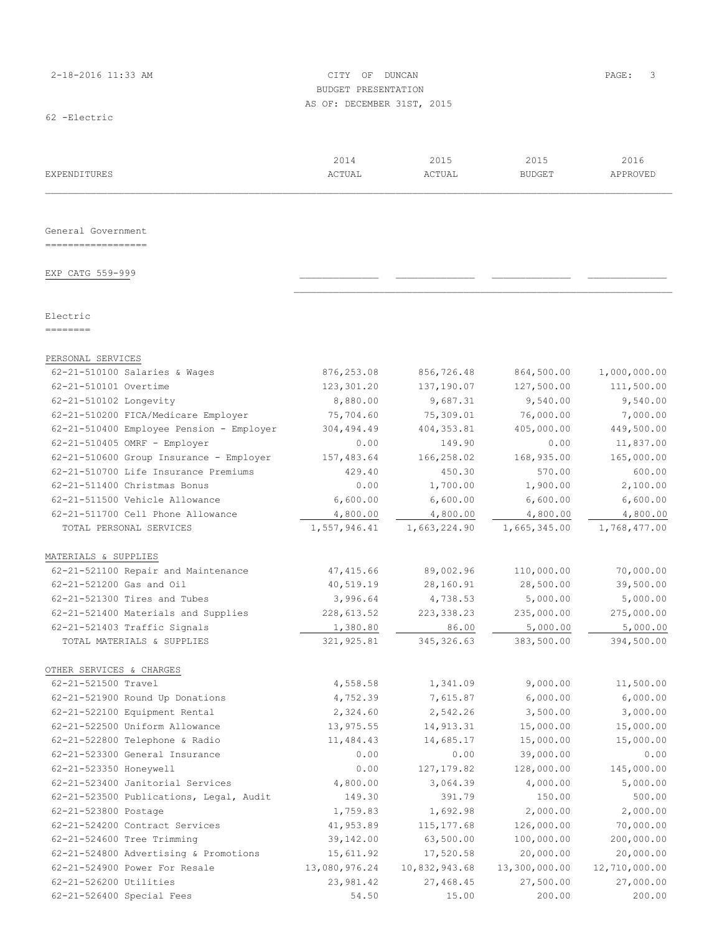# 2-18-2016 11:33 AM CITY OF DUNCAN PAGE: 3 BUDGET PRESENTATION AS OF: DECEMBER 31ST, 2015

| EXPENDITURES                                                    | 2014<br>ACTUAL        | 2015<br>ACTUAL        | 2015<br><b>BUDGET</b> | 2016<br>APPROVED      |
|-----------------------------------------------------------------|-----------------------|-----------------------|-----------------------|-----------------------|
|                                                                 |                       |                       |                       |                       |
| General Government                                              |                       |                       |                       |                       |
| ------------------                                              |                       |                       |                       |                       |
|                                                                 |                       |                       |                       |                       |
| EXP CATG 559-999                                                |                       |                       |                       |                       |
|                                                                 |                       |                       |                       |                       |
|                                                                 |                       |                       |                       |                       |
| Electric<br>========                                            |                       |                       |                       |                       |
|                                                                 |                       |                       |                       |                       |
| PERSONAL SERVICES                                               |                       |                       |                       |                       |
| 62-21-510100 Salaries & Wages                                   | 876, 253.08           | 856,726.48            | 864,500.00            | 1,000,000.00          |
| 62-21-510101 Overtime                                           | 123,301.20            | 137,190.07            | 127,500.00            | 111,500.00            |
| 62-21-510102 Longevity                                          | 8,880.00              | 9,687.31              | 9,540.00              | 9,540.00              |
| 62-21-510200 FICA/Medicare Employer                             | 75,704.60             | 75,309.01             | 76,000.00             | 7,000.00              |
| 62-21-510400 Employee Pension - Employer                        | 304,494.49            | 404, 353.81           | 405,000.00            | 449,500.00            |
| 62-21-510405 OMRF - Employer                                    | 0.00                  | 149.90                | 0.00                  | 11,837.00             |
| 62-21-510600 Group Insurance - Employer                         | 157,483.64            | 166,258.02            | 168,935.00            | 165,000.00            |
| 62-21-510700 Life Insurance Premiums                            | 429.40                | 450.30                | 570.00                | 600.00                |
| 62-21-511400 Christmas Bonus                                    | 0.00                  | 1,700.00              | 1,900.00              | 2,100.00              |
| 62-21-511500 Vehicle Allowance                                  | 6,600.00              | 6,600.00              | 6,600.00              | 6,600.00              |
| 62-21-511700 Cell Phone Allowance                               | 4,800.00              | 4,800.00              | 4,800.00              | 4,800.00              |
| TOTAL PERSONAL SERVICES                                         | 1,557,946.41          | 1,663,224.90          | 1,665,345.00          | 1,768,477.00          |
|                                                                 |                       |                       |                       |                       |
| MATERIALS & SUPPLIES                                            |                       |                       |                       |                       |
| 62-21-521100 Repair and Maintenance<br>62-21-521200 Gas and Oil | 47, 415.66            | 89,002.96             | 110,000.00            | 70,000.00             |
| 62-21-521300 Tires and Tubes                                    | 40,519.19<br>3,996.64 | 28,160.91<br>4,738.53 | 28,500.00<br>5,000.00 | 39,500.00<br>5,000.00 |
| 62-21-521400 Materials and Supplies                             | 228, 613.52           | 223, 338.23           | 235,000.00            | 275,000.00            |
| 62-21-521403 Traffic Signals                                    | 1,380.80              | 86.00                 | 5,000.00              | 5,000.00              |
| TOTAL MATERIALS & SUPPLIES                                      | 321,925.81            | 345, 326.63           | 383,500.00            | 394,500.00            |
|                                                                 |                       |                       |                       |                       |
| OTHER SERVICES & CHARGES                                        |                       |                       |                       |                       |
| 62-21-521500 Travel                                             | 4,558.58              | 1,341.09              | 9,000.00              | 11,500.00             |
| 62-21-521900 Round Up Donations                                 | 4,752.39              | 7,615.87              | 6,000.00              | 6,000.00              |
| 62-21-522100 Equipment Rental                                   | 2,324.60              | 2,542.26              | 3,500.00              | 3,000.00              |
| 62-21-522500 Uniform Allowance                                  | 13,975.55             | 14,913.31             | 15,000.00             | 15,000.00             |
| 62-21-522800 Telephone & Radio                                  | 11,484.43             | 14,685.17             | 15,000.00             | 15,000.00             |
| 62-21-523300 General Insurance                                  | 0.00                  | 0.00                  | 39,000.00             | 0.00                  |
| 62-21-523350 Honeywell                                          | 0.00                  | 127, 179.82           | 128,000.00            | 145,000.00            |
| 62-21-523400 Janitorial Services                                | 4,800.00              | 3,064.39              | 4,000.00              | 5,000.00              |
| 62-21-523500 Publications, Legal, Audit                         | 149.30                | 391.79                | 150.00                | 500.00                |
| 62-21-523800 Postage                                            | 1,759.83              | 1,692.98              | 2,000.00              | 2,000.00              |
| 62-21-524200 Contract Services                                  | 41,953.89             | 115, 177.68           | 126,000.00            | 70,000.00             |
| 62-21-524600 Tree Trimming                                      | 39,142.00             | 63,500.00             | 100,000.00            | 200,000.00            |
| 62-21-524800 Advertising & Promotions                           | 15,611.92             | 17,520.58             | 20,000.00             | 20,000.00             |
| 62-21-524900 Power For Resale                                   | 13,080,976.24         | 10,832,943.68         | 13,300,000.00         | 12,710,000.00         |
| 62-21-526200 Utilities                                          | 23,981.42             | 27,468.45             | 27,500.00             | 27,000.00             |
| 62-21-526400 Special Fees                                       | 54.50                 | 15.00                 | 200.00                | 200.00                |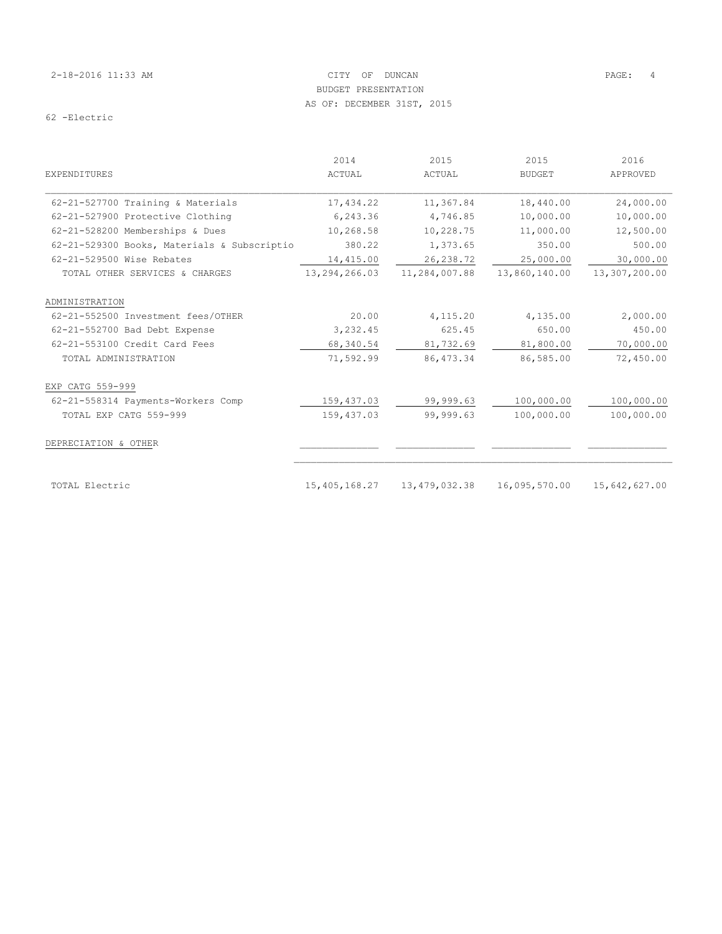# 2-18-2016 11:33 AM CITY OF DUNCAN PAGE: 4 BUDGET PRESENTATION AS OF: DECEMBER 31ST, 2015

|                                             | 2014          | 2015          | 2015          | 2016          |
|---------------------------------------------|---------------|---------------|---------------|---------------|
| <b>EXPENDITURES</b>                         | ACTUAL        | ACTUAL        | <b>BUDGET</b> | APPROVED      |
| 62-21-527700 Training & Materials           | 17,434.22     | 11,367.84     | 18,440.00     | 24,000.00     |
| 62-21-527900 Protective Clothing            | 6,243.36      | 4,746.85      | 10,000.00     | 10,000.00     |
| 62-21-528200 Memberships & Dues             | 10,268.58     | 10,228.75     | 11,000.00     | 12,500.00     |
| 62-21-529300 Books, Materials & Subscriptio | 380.22        | 1,373.65      | 350.00        | 500.00        |
| 62-21-529500 Wise Rebates                   | 14,415.00     | 26, 238.72    | 25,000.00     | 30,000.00     |
| TOTAL OTHER SERVICES & CHARGES              | 13,294,266.03 | 11,284,007.88 | 13,860,140.00 | 13,307,200.00 |
| ADMINISTRATION                              |               |               |               |               |
| 62-21-552500 Investment fees/OTHER          | 20.00         | 4,115.20      | 4,135.00      | 2,000.00      |
| 62-21-552700 Bad Debt Expense               | 3,232.45      | 625.45        | 650.00        | 450.00        |
| 62-21-553100 Credit Card Fees               | 68,340.54     | 81,732.69     | 81,800.00     | 70,000.00     |
| TOTAL ADMINISTRATION                        | 71,592.99     | 86, 473.34    | 86,585.00     | 72,450.00     |
| EXP CATG 559-999                            |               |               |               |               |
| 62-21-558314 Payments-Workers Comp          | 159,437.03    | 99,999.63     | 100,000.00    | 100,000.00    |
| TOTAL EXP CATG 559-999                      | 159,437.03    | 99,999.63     | 100,000.00    | 100,000.00    |
| DEPRECIATION & OTHER                        |               |               |               |               |
| TOTAL Electric                              | 15,405,168.27 | 13,479,032.38 | 16,095,570.00 | 15,642,627.00 |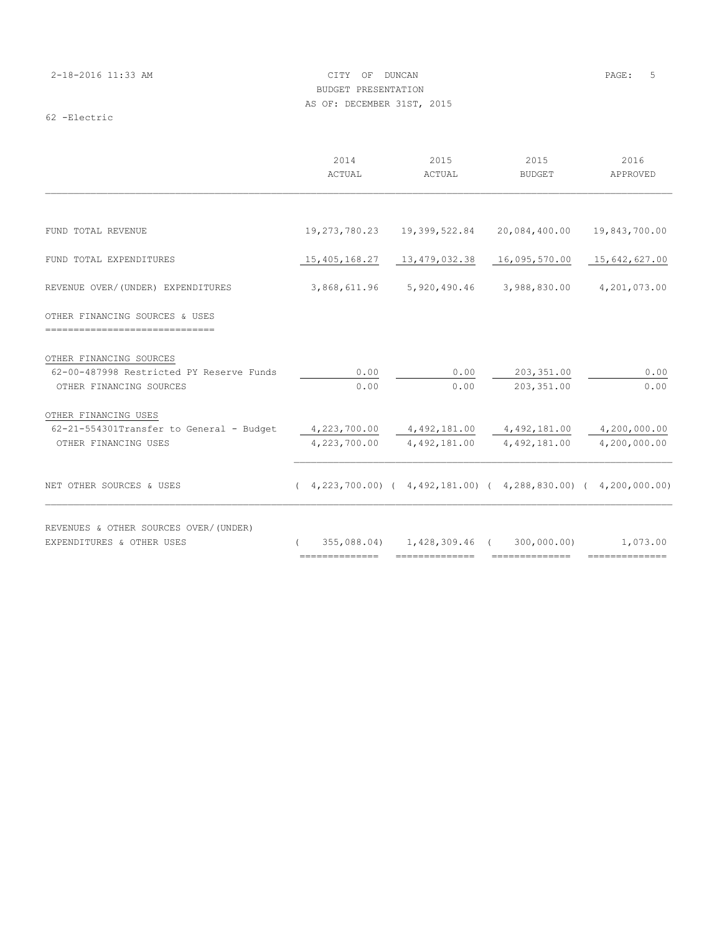# 2-18-2016 11:33 AM CITY OF DUNCAN PAGE: 5 BUDGET PRESENTATION AS OF: DECEMBER 31ST, 2015

|                                                                                          | 2014<br>ACTUAL               | 2015<br>ACTUAL                                                                                                                                                                                                                                                                                                                                                                                                                                                                         | 2015<br><b>BUDGET</b>                                                                                                                                                                                                                                                                                                                                                                                                                                                                                                                     | 2016<br>APPROVED |
|------------------------------------------------------------------------------------------|------------------------------|----------------------------------------------------------------------------------------------------------------------------------------------------------------------------------------------------------------------------------------------------------------------------------------------------------------------------------------------------------------------------------------------------------------------------------------------------------------------------------------|-------------------------------------------------------------------------------------------------------------------------------------------------------------------------------------------------------------------------------------------------------------------------------------------------------------------------------------------------------------------------------------------------------------------------------------------------------------------------------------------------------------------------------------------|------------------|
|                                                                                          |                              |                                                                                                                                                                                                                                                                                                                                                                                                                                                                                        |                                                                                                                                                                                                                                                                                                                                                                                                                                                                                                                                           |                  |
| FUND TOTAL REVENUE                                                                       |                              |                                                                                                                                                                                                                                                                                                                                                                                                                                                                                        | 19, 273, 780.23  19, 399, 522.84  20, 084, 400.00  19, 843, 700.00                                                                                                                                                                                                                                                                                                                                                                                                                                                                        |                  |
| FUND TOTAL EXPENDITURES                                                                  | 15,405,168.27                | 13,479,032.38                                                                                                                                                                                                                                                                                                                                                                                                                                                                          | 16,095,570.00                                                                                                                                                                                                                                                                                                                                                                                                                                                                                                                             | 15,642,627.00    |
| REVENUE OVER/(UNDER) EXPENDITURES                                                        |                              | 3,868,611.96 5,920,490.46 3,988,830.00                                                                                                                                                                                                                                                                                                                                                                                                                                                 |                                                                                                                                                                                                                                                                                                                                                                                                                                                                                                                                           | 4,201,073.00     |
| OTHER FINANCING SOURCES & USES<br>===========================                            |                              |                                                                                                                                                                                                                                                                                                                                                                                                                                                                                        |                                                                                                                                                                                                                                                                                                                                                                                                                                                                                                                                           |                  |
| OTHER FINANCING SOURCES                                                                  |                              |                                                                                                                                                                                                                                                                                                                                                                                                                                                                                        |                                                                                                                                                                                                                                                                                                                                                                                                                                                                                                                                           |                  |
| 62-00-487998 Restricted PY Reserve Funds<br>OTHER FINANCING SOURCES                      | 0.00<br>0.00                 | 0.00<br>0.00                                                                                                                                                                                                                                                                                                                                                                                                                                                                           | 203, 351.00<br>203, 351.00                                                                                                                                                                                                                                                                                                                                                                                                                                                                                                                | 0.00<br>0.00     |
| OTHER FINANCING USES<br>62-21-554301Transfer to General - Budget<br>OTHER FINANCING USES | 4,223,700.00<br>4,223,700.00 | 4,492,181.00                                                                                                                                                                                                                                                                                                                                                                                                                                                                           | 4,492,181.00  4,492,181.00  4,200,000.00<br>4,492,181.00                                                                                                                                                                                                                                                                                                                                                                                                                                                                                  | 4,200,000.00     |
| NET OTHER SOURCES & USES                                                                 |                              |                                                                                                                                                                                                                                                                                                                                                                                                                                                                                        | $(4, 223, 700.00)$ $(4, 492, 181.00)$ $(4, 288, 830.00)$ $(4, 200, 000.00)$                                                                                                                                                                                                                                                                                                                                                                                                                                                               |                  |
| REVENUES & OTHER SOURCES OVER/(UNDER)<br>EXPENDITURES & OTHER USES                       | 2222222222222                | $\begin{array}{cccccccccc} \multicolumn{2}{c}{} & \multicolumn{2}{c}{} & \multicolumn{2}{c}{} & \multicolumn{2}{c}{} & \multicolumn{2}{c}{} & \multicolumn{2}{c}{} & \multicolumn{2}{c}{} & \multicolumn{2}{c}{} & \multicolumn{2}{c}{} & \multicolumn{2}{c}{} & \multicolumn{2}{c}{} & \multicolumn{2}{c}{} & \multicolumn{2}{c}{} & \multicolumn{2}{c}{} & \multicolumn{2}{c}{} & \multicolumn{2}{c}{} & \multicolumn{2}{c}{} & \multicolumn{2}{c}{} & \multicolumn{2}{c}{} & \mult$ | $355,088.04$ 1,428,309.46 (300,000.00) 1,073.00<br>$\begin{array}{cccccccccc} \multicolumn{2}{c}{} & \multicolumn{2}{c}{} & \multicolumn{2}{c}{} & \multicolumn{2}{c}{} & \multicolumn{2}{c}{} & \multicolumn{2}{c}{} & \multicolumn{2}{c}{} & \multicolumn{2}{c}{} & \multicolumn{2}{c}{} & \multicolumn{2}{c}{} & \multicolumn{2}{c}{} & \multicolumn{2}{c}{} & \multicolumn{2}{c}{} & \multicolumn{2}{c}{} & \multicolumn{2}{c}{} & \multicolumn{2}{c}{} & \multicolumn{2}{c}{} & \multicolumn{2}{c}{} & \multicolumn{2}{c}{} & \mult$ | ==============   |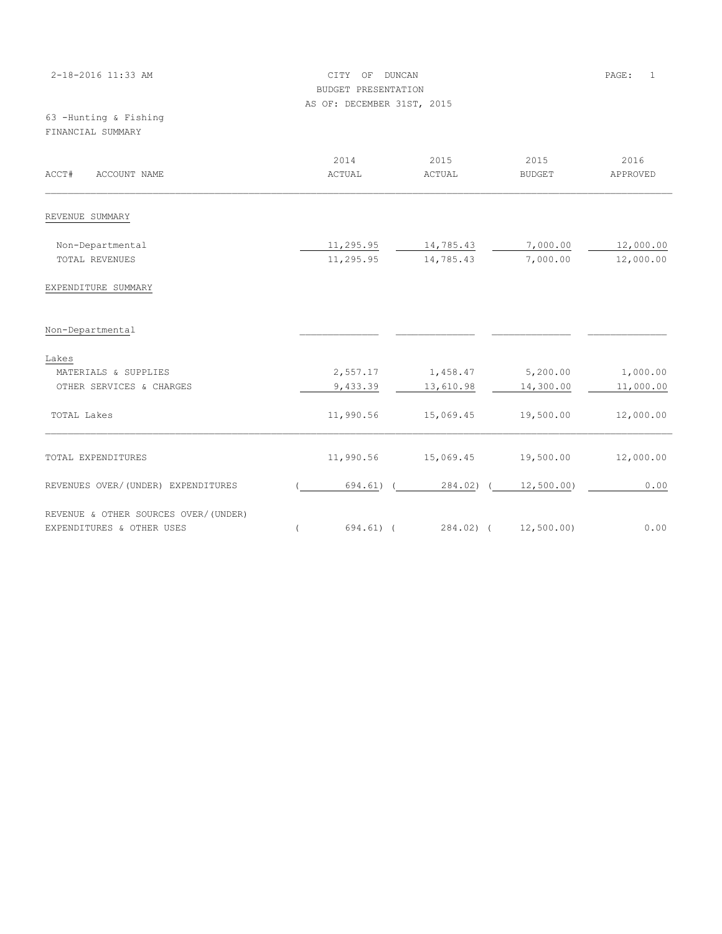|                                             | 2-18-2016 11:33 AM | DUNCAN<br>CITY<br>OF<br>BUDGET PRESENTATION<br>AS OF: DECEMBER 31ST, 2015 |                |                |                  |  |  |  |
|---------------------------------------------|--------------------|---------------------------------------------------------------------------|----------------|----------------|------------------|--|--|--|
| 63 - Hunting & Fishing<br>FINANCIAL SUMMARY |                    |                                                                           |                |                |                  |  |  |  |
| ACCT#                                       | ACCOUNT NAME       | 2014<br>ACTUAL                                                            | 2015<br>ACTUAL | 2015<br>BUDGET | 2016<br>APPROVED |  |  |  |

REVENUE SUMMARY

| Non-Department    | 295           | 785            | nnn.<br>.00 <sub>1</sub> | .000, 00  |
|-------------------|---------------|----------------|--------------------------|-----------|
| TOTAI<br>REVENUES | ס הי<br>- Q F | 70 L<br>$\sim$ | . 000.00                 | 12.000.00 |

# EXPENDITURE SUMMARY

| Non-Departmental                     |           |              |            |           |
|--------------------------------------|-----------|--------------|------------|-----------|
| Lakes                                |           |              |            |           |
| MATERIALS & SUPPLIES                 | 2,557.17  | 1,458.47     | 5,200.00   | 1,000.00  |
| OTHER SERVICES & CHARGES             | 9,433.39  | 13,610.98    | 14,300.00  | 11,000.00 |
| TOTAL Lakes                          | 11,990.56 | 15,069.45    | 19,500.00  | 12,000.00 |
| TOTAL EXPENDITURES                   | 11,990.56 | 15,069.45    | 19,500.00  | 12,000.00 |
| REVENUES OVER/(UNDER) EXPENDITURES   | 694.61)   | 284.02)      | 12,500.00) | 0.00      |
| REVENUE & OTHER SOURCES OVER/(UNDER) |           |              |            |           |
| EXPENDITURES & OTHER USES            | 694.61)   | $284.02$ ) ( | 12,500.00  | 0.00      |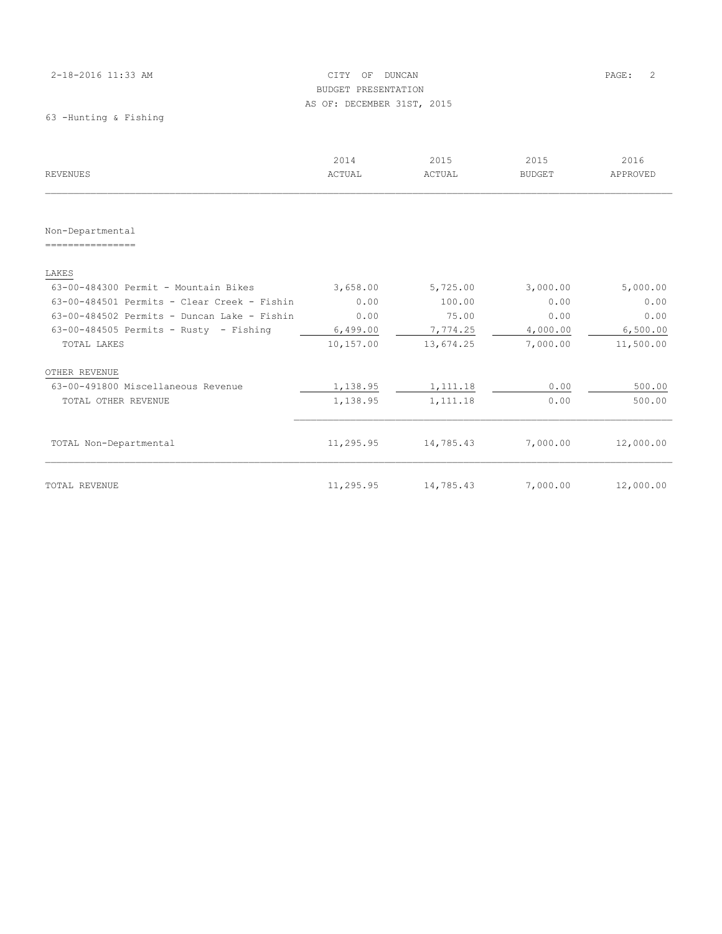# 2-18-2016 11:33 AM CITY OF DUNCAN PAGE: 2 BUDGET PRESENTATION AS OF: DECEMBER 31ST, 2015

63 -Hunting & Fishing

| <b>REVENUES</b>                             | 2014<br>ACTUAL | 2015<br>ACTUAL | 2015<br><b>BUDGET</b> | 2016<br>APPROVED |  |
|---------------------------------------------|----------------|----------------|-----------------------|------------------|--|
|                                             |                |                |                       |                  |  |
| Non-Departmental                            |                |                |                       |                  |  |
|                                             |                |                |                       |                  |  |
| LAKES                                       |                |                |                       |                  |  |
| 63-00-484300 Permit - Mountain Bikes        | 3,658.00       | 5,725.00       | 3,000.00              | 5,000.00         |  |
| 63-00-484501 Permits - Clear Creek - Fishin | 0.00           | 100.00         | 0.00                  | 0.00             |  |
| 63-00-484502 Permits - Duncan Lake - Fishin | 0.00           | 75.00          | 0.00                  | 0.00             |  |
| $63-00-484505$ Permits - Rusty - Fishing    | 6,499.00       | 7,774.25       | 4,000.00              | 6,500.00         |  |
| <b>TOTAL LAKES</b>                          | 10,157.00      | 13,674.25      | 7,000.00              | 11,500.00        |  |
| OTHER REVENUE                               |                |                |                       |                  |  |
| 63-00-491800 Miscellaneous Revenue          | 1,138.95       | 1,111.18       | 0.00                  | 500.00           |  |
| TOTAL OTHER REVENUE                         | 1,138.95       | 1,111.18       | 0.00                  | 500.00           |  |
|                                             |                |                |                       |                  |  |
| TOTAL Non-Departmental                      | 11,295.95      | 14,785.43      | 7,000.00              | 12,000.00        |  |
|                                             |                |                |                       |                  |  |
| TOTAL REVENUE                               | 11,295.95      | 14,785.43      | 7,000.00              | 12,000.00        |  |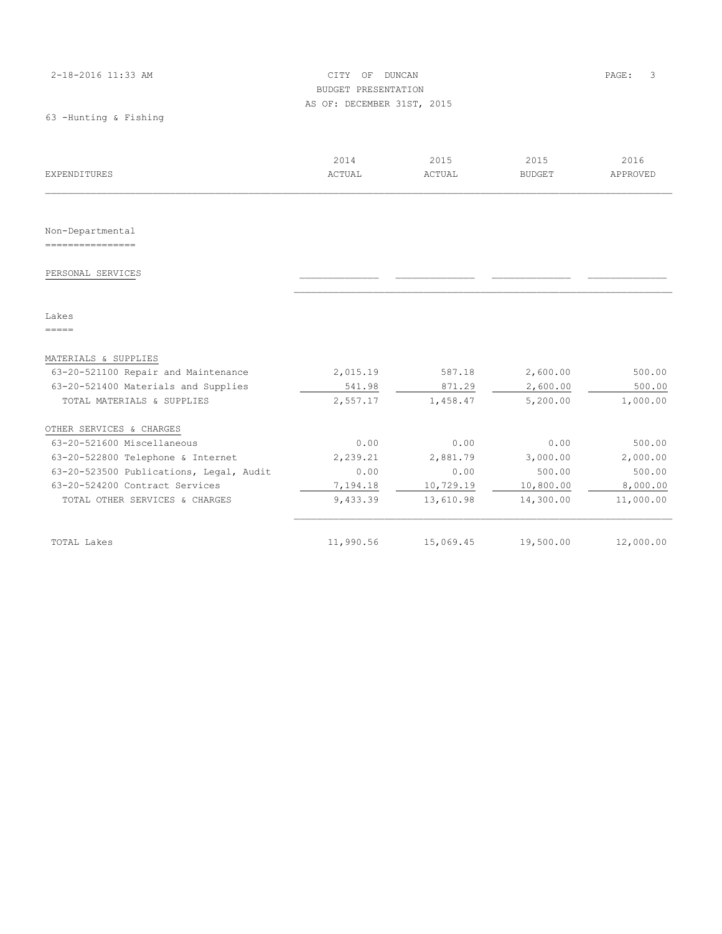### 2-18-2016 11:33 AM CITY OF DUNCAN PAGE: 3 BUDGET PRESENTATION AS OF: DECEMBER 31ST, 2015

63 -Hunting & Fishing

| <b>EXPENDITURES</b>                     | 2014<br>2015<br>2015<br>ACTUAL<br>ACTUAL<br><b>BUDGET</b> |           |           | 2016<br>APPROVED |
|-----------------------------------------|-----------------------------------------------------------|-----------|-----------|------------------|
| Non-Departmental<br>================    |                                                           |           |           |                  |
| PERSONAL SERVICES                       |                                                           |           |           |                  |
| Lakes<br>$=$ $=$ $=$ $=$                |                                                           |           |           |                  |
| MATERIALS & SUPPLIES                    |                                                           |           |           |                  |
| 63-20-521100 Repair and Maintenance     | 2,015.19                                                  | 587.18    | 2,600.00  | 500.00           |
| 63-20-521400 Materials and Supplies     | 541.98                                                    | 871.29    | 2,600.00  | 500.00           |
| TOTAL MATERIALS & SUPPLIES              | 2,557.17                                                  | 1,458.47  | 5,200.00  | 1,000.00         |
| OTHER SERVICES & CHARGES                |                                                           |           |           |                  |
| 63-20-521600 Miscellaneous              | 0.00                                                      | 0.00      | 0.00      | 500.00           |
| 63-20-522800 Telephone & Internet       | 2,239.21                                                  | 2,881.79  | 3,000.00  | 2,000.00         |
| 63-20-523500 Publications, Legal, Audit | 0.00                                                      | 0.00      | 500.00    | 500.00           |
| 63-20-524200 Contract Services          | 7,194.18                                                  | 10,729.19 | 10,800.00 | 8,000.00         |
| TOTAL OTHER SERVICES & CHARGES          | 9,433.39                                                  | 13,610.98 | 14,300.00 | 11,000.00        |
| TOTAL Lakes                             | 11,990.56                                                 | 15,069.45 | 19,500.00 | 12,000.00        |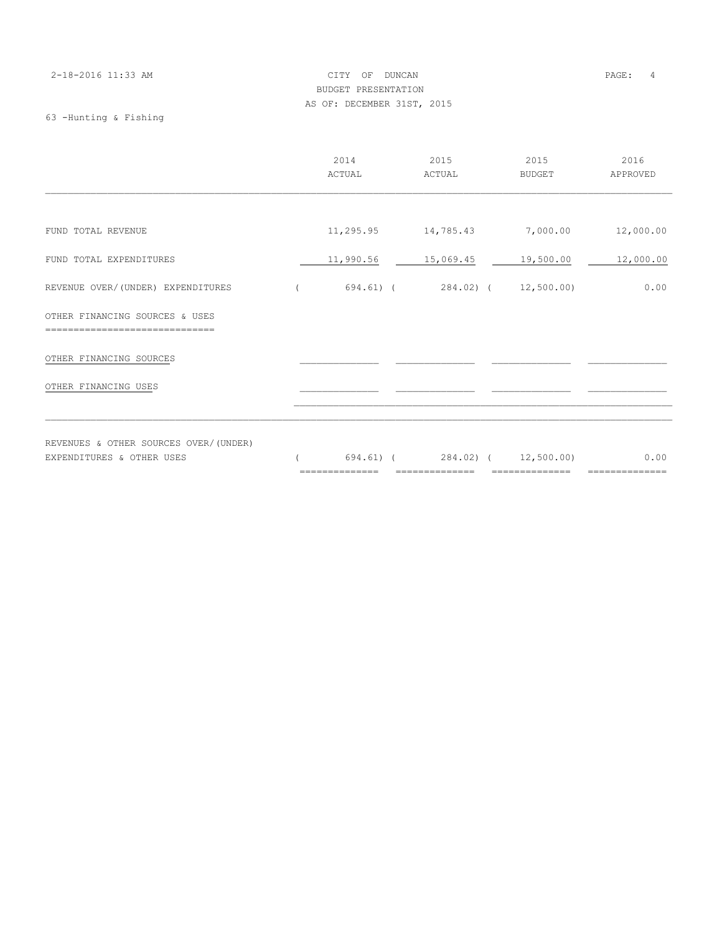| 2-18-2016 11:33 AM | CITY OF DUNCAN             | PAGE: | 4 |
|--------------------|----------------------------|-------|---|
|                    | BUDGET PRESENTATION        |       |   |
|                    | AS OF: DECEMBER 31ST, 2015 |       |   |

63 -Hunting & Fishing

|                                       | 2014<br>ACTUAL | 2015<br>ACTUAL               | 2015<br><b>BUDGET</b> | 2016<br>APPROVED |
|---------------------------------------|----------------|------------------------------|-----------------------|------------------|
|                                       |                |                              |                       |                  |
| FUND TOTAL REVENUE                    |                | 11,295.95 14,785.43 7,000.00 |                       | 12,000.00        |
| FUND TOTAL EXPENDITURES               | 11,990.56      | 15,069.45                    | 19,500.00             | 12,000.00        |
| REVENUE OVER/(UNDER) EXPENDITURES     |                | 694.61) (284.02) (12,500.00) |                       | 0.00             |
| OTHER FINANCING SOURCES & USES        |                |                              |                       |                  |
| OTHER FINANCING SOURCES               |                |                              |                       |                  |
| OTHER FINANCING USES                  |                |                              |                       |                  |
|                                       |                |                              |                       |                  |
| REVENUES & OTHER SOURCES OVER/(UNDER) |                |                              |                       |                  |
| EXPENDITURES & OTHER USES             | 694.61) (      | 284.02) (<br>-------------   | 12,500.00)            | 0.00             |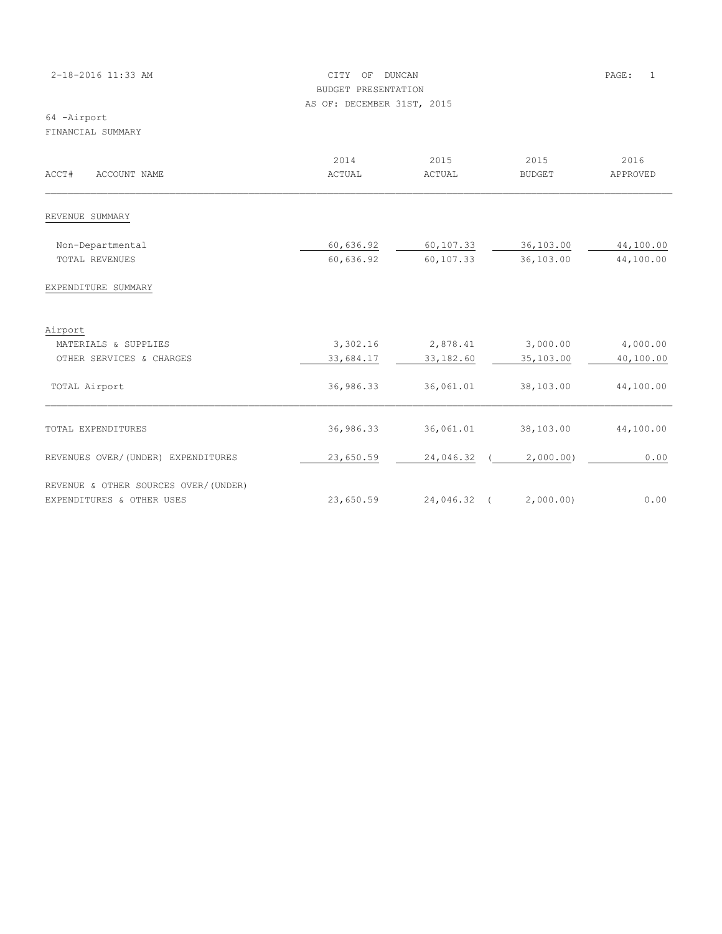| 2-18-2016 11:33 AM |  | CITY OF DUNCAN             |  | PAGE: 1 |  |
|--------------------|--|----------------------------|--|---------|--|
|                    |  | BUDGET PRESENTATION        |  |         |  |
|                    |  | AS OF: DECEMBER 31ST, 2015 |  |         |  |

# 64 -Airport

FINANCIAL SUMMARY

| ACCT#<br>ACCOUNT NAME                                             | 2014<br>ACTUAL         | 2015<br>ACTUAL         | 2015<br><b>BUDGET</b>  | 2016<br>APPROVED       |  |
|-------------------------------------------------------------------|------------------------|------------------------|------------------------|------------------------|--|
| REVENUE SUMMARY                                                   |                        |                        |                        |                        |  |
| Non-Departmental<br>TOTAL REVENUES                                | 60,636.92<br>60,636.92 | 60,107.33<br>60,107.33 | 36,103.00<br>36,103.00 | 44,100.00<br>44,100.00 |  |
| EXPENDITURE SUMMARY                                               |                        |                        |                        |                        |  |
| Airport<br>MATERIALS & SUPPLIES                                   | 3,302.16               | 2,878.41               | 3,000.00               | 4,000.00               |  |
| OTHER SERVICES & CHARGES<br>TOTAL Airport                         | 33,684.17<br>36,986.33 | 33,182.60<br>36,061.01 | 35,103.00<br>38,103.00 | 40,100.00<br>44,100.00 |  |
| TOTAL EXPENDITURES                                                | 36,986.33              | 36,061.01              | 38,103.00              | 44,100.00              |  |
| REVENUES OVER/(UNDER) EXPENDITURES                                | 23,650.59              | 24,046.32              | 2,000.00)              | 0.00                   |  |
| REVENUE & OTHER SOURCES OVER/(UNDER)<br>EXPENDITURES & OTHER USES | 23,650.59              | $24,046.32$ (          | 2,000.00)              | 0.00                   |  |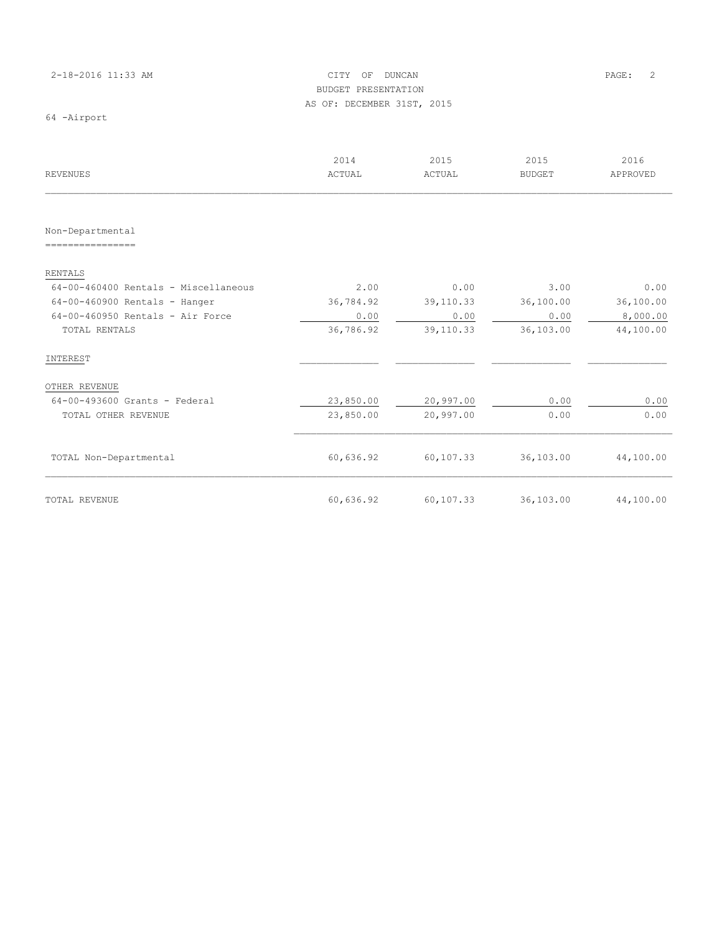# 2-18-2016 11:33 AM CITY OF DUNCAN PAGE: 2 BUDGET PRESENTATION AS OF: DECEMBER 31ST, 2015

64 -Airport

|                                      | 2014      | 2015      | 2015          | 2016      |
|--------------------------------------|-----------|-----------|---------------|-----------|
| <b>REVENUES</b>                      | ACTUAL    | ACTUAL    | <b>BUDGET</b> | APPROVED  |
|                                      |           |           |               |           |
| Non-Departmental                     |           |           |               |           |
| ================                     |           |           |               |           |
| <b>RENTALS</b>                       |           |           |               |           |
| 64-00-460400 Rentals - Miscellaneous | 2.00      | 0.00      | 3.00          | 0.00      |
| $64-00-460900$ Rentals - Hanger      | 36,784.92 | 39,110.33 | 36,100.00     | 36,100.00 |
| $64-00-460950$ Rentals - Air Force   | 0.00      | 0.00      | 0.00          | 8,000.00  |
| TOTAL RENTALS                        | 36,786.92 | 39,110.33 | 36,103.00     | 44,100.00 |
| INTEREST                             |           |           |               |           |
| OTHER REVENUE                        |           |           |               |           |
| $64-00-493600$ Grants - Federal      | 23,850.00 | 20,997.00 | 0.00          | 0.00      |
| TOTAL OTHER REVENUE                  | 23,850.00 | 20,997.00 | 0.00          | 0.00      |
|                                      |           |           |               |           |
| TOTAL Non-Departmental               | 60,636.92 | 60,107.33 | 36,103.00     | 44,100.00 |
| TOTAL REVENUE                        | 60,636.92 | 60,107.33 | 36,103.00     | 44,100.00 |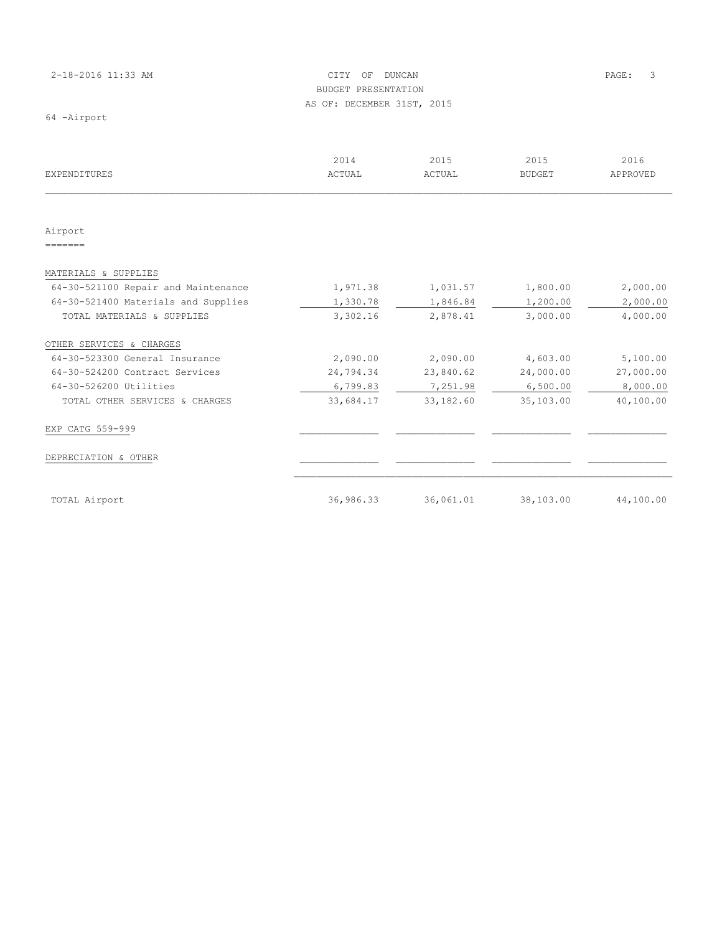# 2-18-2016 11:33 AM CITY OF DUNCAN PAGE: 3 BUDGET PRESENTATION AS OF: DECEMBER 31ST, 2015

64 -Airport

| <b>EXPENDITURES</b>                 | 2014<br>ACTUAL | 2015<br><b>ACTUAL</b> | 2015<br><b>BUDGET</b> | 2016<br>APPROVED |  |
|-------------------------------------|----------------|-----------------------|-----------------------|------------------|--|
|                                     |                |                       |                       |                  |  |
| Airport                             |                |                       |                       |                  |  |
| --------                            |                |                       |                       |                  |  |
| MATERIALS & SUPPLIES                |                |                       |                       |                  |  |
| 64-30-521100 Repair and Maintenance | 1,971.38       | 1,031.57              | 1,800.00              | 2,000.00         |  |
| 64-30-521400 Materials and Supplies | 1,330.78       | 1,846.84              | 1,200.00              | 2,000.00         |  |
| TOTAL MATERIALS & SUPPLIES          | 3,302.16       | 2,878.41              | 3,000.00              | 4,000.00         |  |
| OTHER SERVICES & CHARGES            |                |                       |                       |                  |  |
| 64-30-523300 General Insurance      | 2,090.00       | 2,090.00              | 4,603.00              | 5,100.00         |  |
| 64-30-524200 Contract Services      | 24,794.34      | 23,840.62             | 24,000.00             | 27,000.00        |  |
| 64-30-526200 Utilities              | 6,799.83       | 7,251.98              | 6,500.00              | 8,000.00         |  |
| TOTAL OTHER SERVICES & CHARGES      | 33,684.17      | 33,182.60             | 35,103.00             | 40,100.00        |  |
| EXP CATG 559-999                    |                |                       |                       |                  |  |
| DEPRECIATION & OTHER                |                |                       |                       |                  |  |
| TOTAL Airport                       | 36,986.33      | 36,061.01             | 38,103.00             | 44,100.00        |  |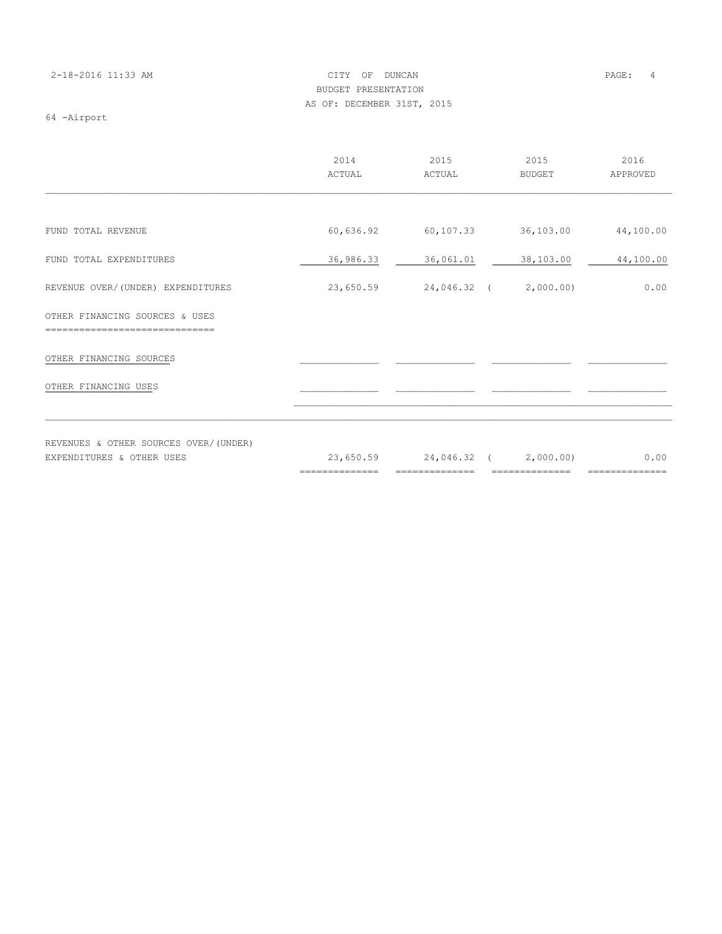| 2-18-2016 11:33 AM |  | CITY OF DUNCAN             |  | PAGE: 4 |  |
|--------------------|--|----------------------------|--|---------|--|
|                    |  | BUDGET PRESENTATION        |  |         |  |
|                    |  | AS OF: DECEMBER 31ST, 2015 |  |         |  |

64 -Airport

|                                                                    | 2014<br>ACTUAL | 2015<br>ACTUAL        | 2015<br><b>BUDGET</b> | 2016<br>APPROVED |
|--------------------------------------------------------------------|----------------|-----------------------|-----------------------|------------------|
|                                                                    |                |                       |                       |                  |
| FUND TOTAL REVENUE                                                 | 60,636.92      | 60,107.33             | 36,103.00             | 44,100.00        |
| FUND TOTAL EXPENDITURES                                            | 36,986.33      | 36,061.01             | 38,103.00             | 44,100.00        |
| REVENUE OVER/(UNDER) EXPENDITURES                                  | 23,650.59      | 24,046.32 (           | 2,000.00)             | 0.00             |
| OTHER FINANCING SOURCES & USES                                     |                |                       |                       |                  |
| OTHER FINANCING SOURCES                                            |                |                       |                       |                  |
| OTHER FINANCING USES                                               |                |                       |                       |                  |
|                                                                    |                |                       |                       |                  |
| REVENUES & OTHER SOURCES OVER/(UNDER)<br>EXPENDITURES & OTHER USES | 23,650.59      | 24,046.32 ( 2,000.00) |                       | 0.00             |

| ______________<br>______________ | ______________<br>_______________ | _______________<br>______________ | ______________<br>_______________ |
|----------------------------------|-----------------------------------|-----------------------------------|-----------------------------------|
| --                               | ----------                        |                                   | .                                 |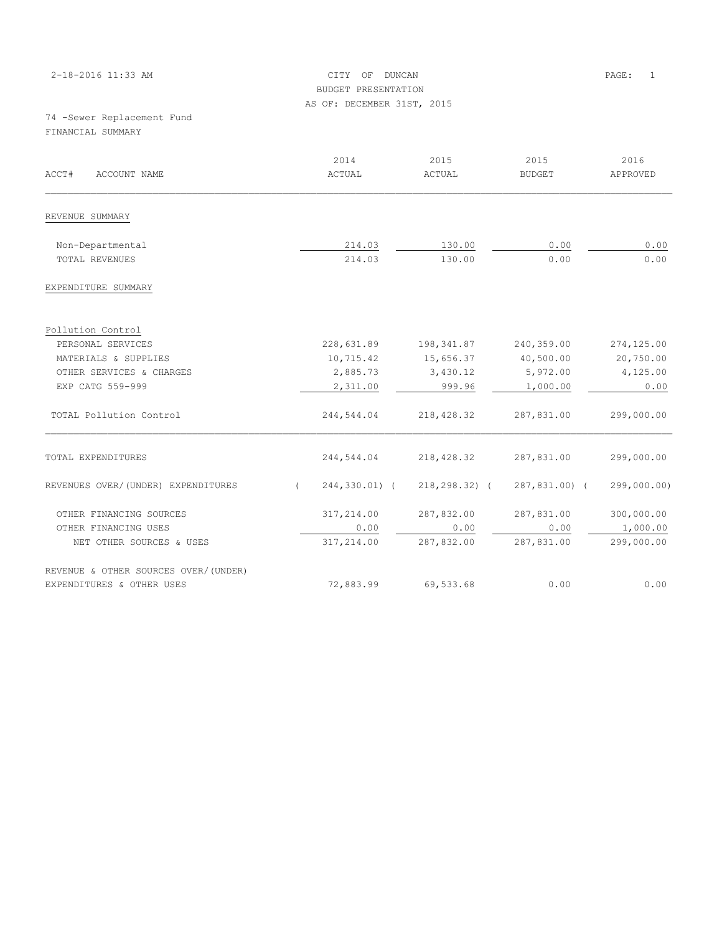|  |  |  | 2-18-2016 11:33 AM |  |  |  |
|--|--|--|--------------------|--|--|--|
|--|--|--|--------------------|--|--|--|

# CITY OF DUNCAN PAGE: 1 BUDGET PRESENTATION AS OF: DECEMBER 31ST, 2015

74 -Sewer Replacement Fund FINANCIAL SUMMARY

| ACCT#<br>ACCOUNT NAME                |          | 2014<br>ACTUAL | 2015<br>ACTUAL | 2015<br>BUDGET | 2016<br>APPROVED |
|--------------------------------------|----------|----------------|----------------|----------------|------------------|
| REVENUE SUMMARY                      |          |                |                |                |                  |
| Non-Departmental                     |          | 214.03         | 130.00         | 0.00           | 0.00             |
| TOTAL REVENUES                       |          | 214.03         | 130.00         | 0.00           | 0.00             |
| EXPENDITURE SUMMARY                  |          |                |                |                |                  |
| Pollution Control                    |          |                |                |                |                  |
| PERSONAL SERVICES                    |          | 228,631.89     | 198,341.87     | 240,359.00     | 274,125.00       |
| MATERIALS & SUPPLIES                 |          | 10,715.42      | 15,656.37      | 40,500.00      | 20,750.00        |
| OTHER SERVICES & CHARGES             |          | 2,885.73       | 3,430.12       | 5,972.00       | 4,125.00         |
| EXP CATG 559-999                     |          | 2,311.00       | 999.96         | 1,000.00       | 0.00             |
| TOTAL Pollution Control              |          | 244,544.04     | 218,428.32     | 287,831.00     | 299,000.00       |
| TOTAL EXPENDITURES                   |          | 244,544.04     | 218,428.32     | 287,831.00     | 299,000.00       |
| REVENUES OVER/(UNDER) EXPENDITURES   | $\left($ | 244,330.01) (  | 218,298.32) (  | 287,831.00) (  | 299,000.00)      |
| OTHER FINANCING SOURCES              |          | 317,214.00     | 287,832.00     | 287,831.00     | 300,000.00       |
| OTHER FINANCING USES                 |          | 0.00           | 0.00           | 0.00           | 1,000.00         |
| NET OTHER SOURCES & USES             |          | 317,214.00     | 287,832.00     | 287,831.00     | 299,000.00       |
| REVENUE & OTHER SOURCES OVER/(UNDER) |          |                |                |                |                  |
| EXPENDITURES & OTHER USES            |          | 72,883.99      | 69,533.68      | 0.00           | 0.00             |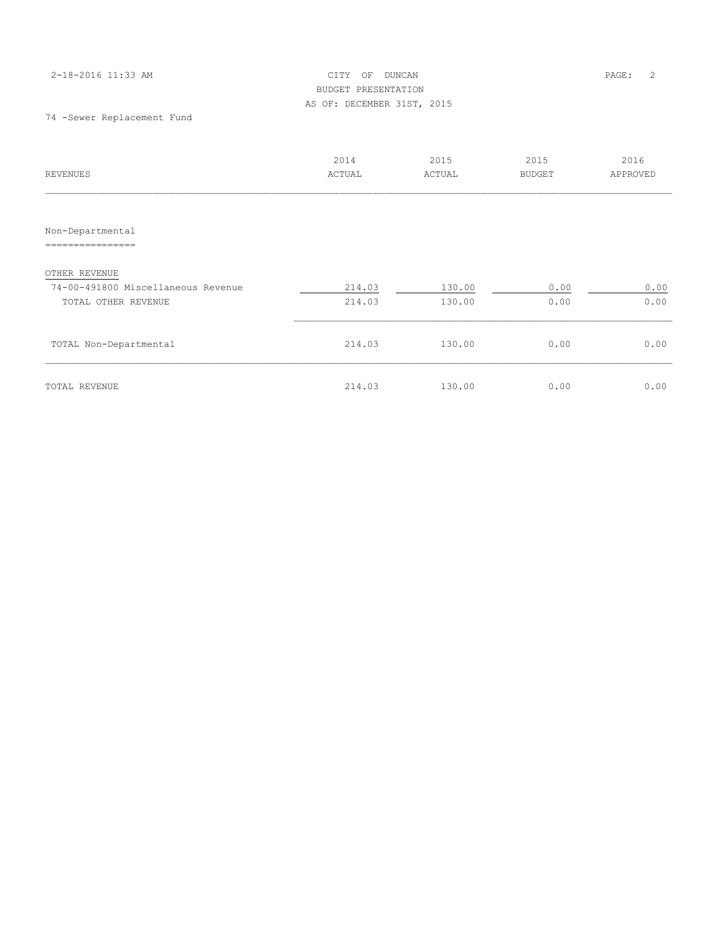| 2-18-2016 11:33 AM |  |  |  |  |  |  |  |
|--------------------|--|--|--|--|--|--|--|
|--------------------|--|--|--|--|--|--|--|

# CITY OF DUNCAN PAGE: 2 BUDGET PRESENTATION AS OF: DECEMBER 31ST, 2015

74 -Sewer Replacement Fund

| REVENUES                                                  | 2014<br>ACTUAL   | 2015<br>ACTUAL   | 2015<br><b>BUDGET</b> | 2016<br>APPROVED |
|-----------------------------------------------------------|------------------|------------------|-----------------------|------------------|
|                                                           |                  |                  |                       |                  |
| Non-Departmental                                          |                  |                  |                       |                  |
| OTHER REVENUE                                             |                  |                  |                       |                  |
| 74-00-491800 Miscellaneous Revenue<br>TOTAL OTHER REVENUE | 214.03<br>214.03 | 130.00<br>130.00 | 0.00<br>0.00          | 0.00<br>0.00     |
| TOTAL Non-Departmental                                    | 214.03           | 130.00           | 0.00                  | 0.00             |
| TOTAL REVENUE                                             | 214.03           | 130.00           | 0.00                  | 0.00             |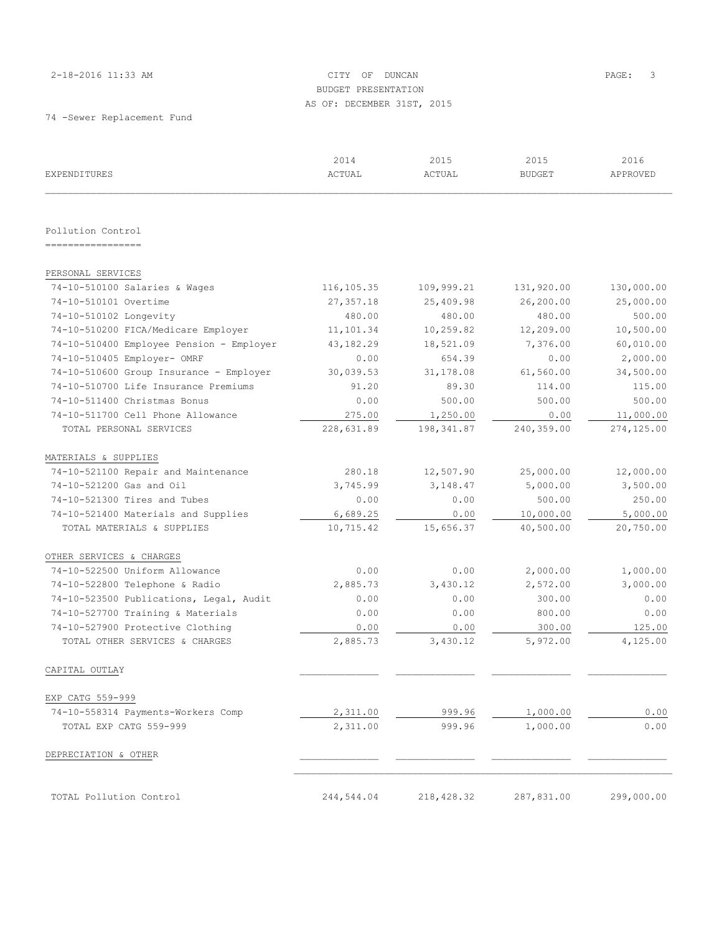# 2-18-2016 11:33 AM CITY OF DUNCAN PAGE: 3 BUDGET PRESENTATION AS OF: DECEMBER 31ST, 2015

74 -Sewer Replacement Fund

| EXPENDITURES                             | 2014<br>ACTUAL | 2015<br>ACTUAL | 2015<br><b>BUDGET</b> | 2016<br>APPROVED |
|------------------------------------------|----------------|----------------|-----------------------|------------------|
|                                          |                |                |                       |                  |
| Pollution Control                        |                |                |                       |                  |
| ------------------                       |                |                |                       |                  |
| PERSONAL SERVICES                        |                |                |                       |                  |
| 74-10-510100 Salaries & Wages            | 116, 105.35    | 109,999.21     | 131,920.00            | 130,000.00       |
| 74-10-510101 Overtime                    | 27, 357.18     | 25,409.98      | 26,200.00             | 25,000.00        |
| 74-10-510102 Longevity                   | 480.00         | 480.00         | 480.00                | 500.00           |
| 74-10-510200 FICA/Medicare Employer      | 11,101.34      | 10,259.82      | 12,209.00             | 10,500.00        |
| 74-10-510400 Employee Pension - Employer | 43, 182. 29    | 18,521.09      | 7,376.00              | 60,010.00        |
| 74-10-510405 Employer- OMRF              | 0.00           | 654.39         | 0.00                  | 2,000.00         |
| 74-10-510600 Group Insurance - Employer  | 30,039.53      | 31,178.08      | 61,560.00             | 34,500.00        |
| 74-10-510700 Life Insurance Premiums     | 91.20          | 89.30          | 114.00                | 115.00           |
| 74-10-511400 Christmas Bonus             | 0.00           | 500.00         | 500.00                | 500.00           |
| 74-10-511700 Cell Phone Allowance        | 275.00         | 1,250.00       | 0.00                  | 11,000.00        |
| TOTAL PERSONAL SERVICES                  | 228,631.89     | 198,341.87     | 240,359.00            | 274,125.00       |
| MATERIALS & SUPPLIES                     |                |                |                       |                  |
| 74-10-521100 Repair and Maintenance      | 280.18         | 12,507.90      | 25,000.00             | 12,000.00        |
| 74-10-521200 Gas and Oil                 | 3,745.99       | 3,148.47       | 5,000.00              | 3,500.00         |
| 74-10-521300 Tires and Tubes             | 0.00           | 0.00           | 500.00                | 250.00           |
| 74-10-521400 Materials and Supplies      | 6,689.25       | 0.00           | 10,000.00             | 5,000.00         |
| TOTAL MATERIALS & SUPPLIES               | 10,715.42      | 15,656.37      | 40,500.00             | 20,750.00        |
| OTHER SERVICES & CHARGES                 |                |                |                       |                  |
| 74-10-522500 Uniform Allowance           | 0.00           | 0.00           | 2,000.00              | 1,000.00         |
| 74-10-522800 Telephone & Radio           | 2,885.73       | 3,430.12       | 2,572.00              | 3,000.00         |
| 74-10-523500 Publications, Legal, Audit  | 0.00           | 0.00           | 300.00                | 0.00             |
| 74-10-527700 Training & Materials        | 0.00           | 0.00           | 800.00                | 0.00             |
| 74-10-527900 Protective Clothing         | 0.00           | 0.00           | 300.00                | 125.00           |
| TOTAL OTHER SERVICES & CHARGES           | 2,885.73       | 3,430.12       | 5,972.00              | 4,125.00         |
| CAPITAL OUTLAY                           |                |                |                       |                  |
| EXP CATG 559-999                         |                |                |                       |                  |
| 74-10-558314 Payments-Workers Comp       | 2,311.00       | 999.96         | 1,000.00              | 0.00             |
| TOTAL EXP CATG 559-999                   | 2,311.00       | 999.96         | 1,000.00              | 0.00             |
| DEPRECIATION & OTHER                     |                |                |                       |                  |
|                                          |                |                |                       |                  |
| TOTAL Pollution Control                  | 244,544.04     | 218, 428.32    | 287,831.00            | 299,000.00       |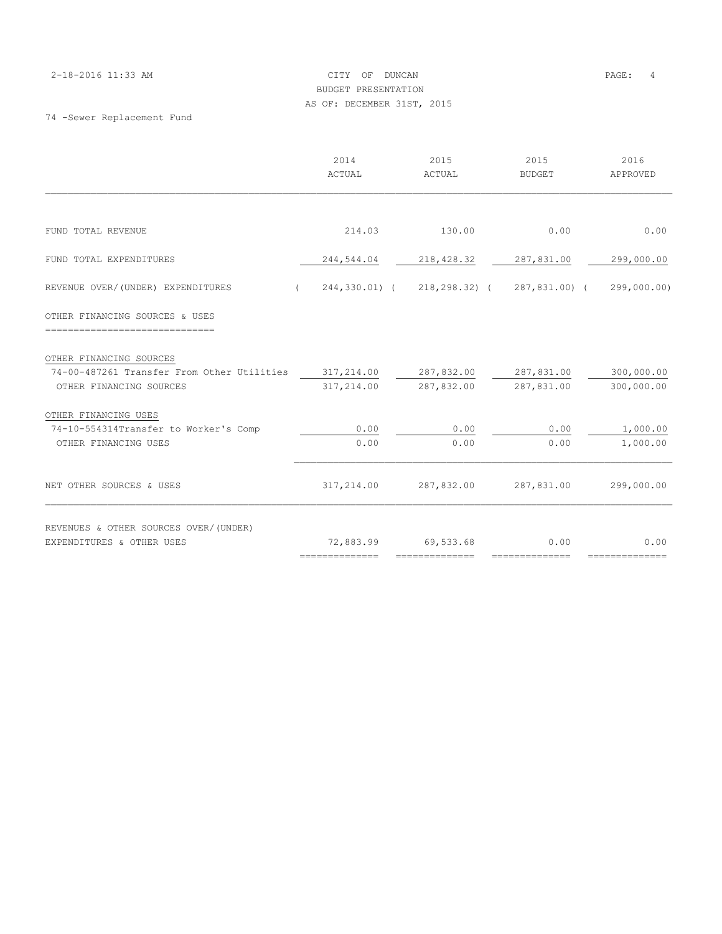### 2-18-2016 11:33 AM CITY OF DUNCAN PAGE: 4 BUDGET PRESENTATION AS OF: DECEMBER 31ST, 2015

74 -Sewer Replacement Fund

|                                                                    | 2014<br>ACTUAL | 2015<br>ACTUAL  | 2015<br><b>BUDGET</b>       | 2016<br>APPROVED |
|--------------------------------------------------------------------|----------------|-----------------|-----------------------------|------------------|
|                                                                    |                |                 |                             |                  |
| FUND TOTAL REVENUE                                                 | 214.03         | 130.00          | 0.00                        | 0.00             |
| FUND TOTAL EXPENDITURES                                            | 244,544.04     | 218,428.32      | 287,831.00                  | 299,000.00       |
| REVENUE OVER/(UNDER) EXPENDITURES<br>$\sqrt{2}$                    | 244,330.01) (  |                 | 218,298.32) ( 287,831.00) ( | 299,000.00)      |
| OTHER FINANCING SOURCES & USES                                     |                |                 |                             |                  |
| OTHER FINANCING SOURCES                                            |                |                 |                             |                  |
| 74-00-487261 Transfer From Other Utilities                         | 317,214.00     | 287,832.00      | 287,831.00                  | 300,000.00       |
| OTHER FINANCING SOURCES                                            | 317,214.00     | 287,832.00      | 287,831.00                  | 300,000.00       |
| OTHER FINANCING USES                                               |                |                 |                             |                  |
| 74-10-554314Transfer to Worker's Comp                              | 0.00           | 0.00            | 0.00                        | 1,000.00         |
| OTHER FINANCING USES                                               | 0.00           | 0.00            | 0.00                        | 1,000.00         |
| NET OTHER SOURCES & USES                                           | 317,214.00     | 287,832.00      | 287,831.00                  | 299,000.00       |
| REVENUES & OTHER SOURCES OVER/(UNDER)<br>EXPENDITURES & OTHER USES | 72,883.99      | 69,533.68       | 0.00                        | 0.00             |
|                                                                    | ============== | --------------- | --------------              | --------------   |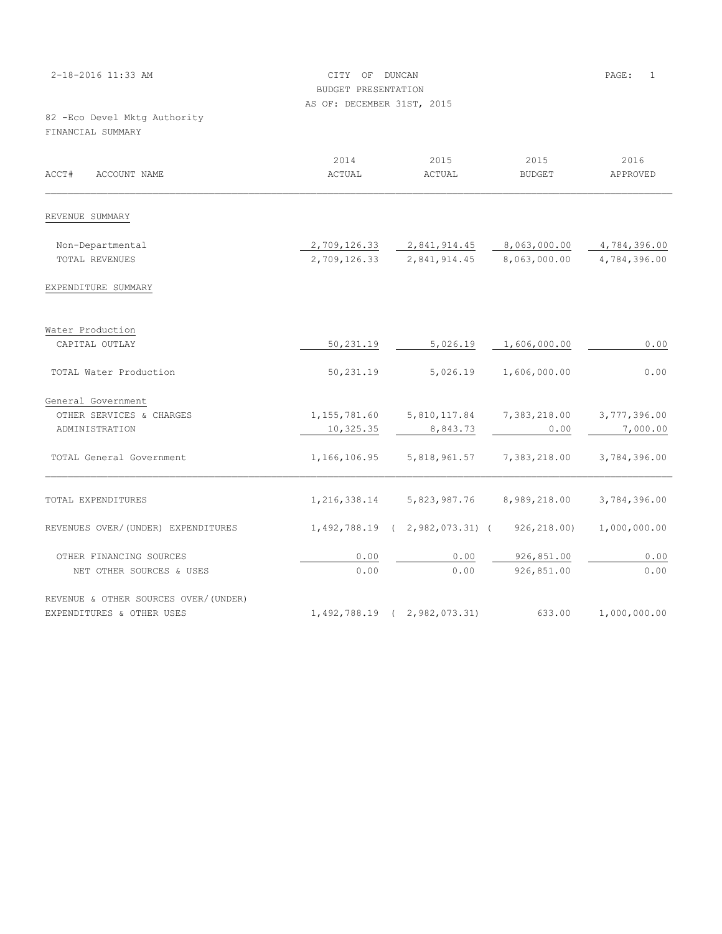| 2-18-2016 11:33 AM                                 | CITY OF DUNCAN<br>BUDGET PRESENTATION<br>AS OF: DECEMBER 31ST, 2015 | PAGE:<br>$\mathbf{1}$                        |                       |                  |
|----------------------------------------------------|---------------------------------------------------------------------|----------------------------------------------|-----------------------|------------------|
| 82 - Eco Devel Mktg Authority<br>FINANCIAL SUMMARY |                                                                     |                                              |                       |                  |
| ACCT#<br>ACCOUNT NAME                              | 2014<br>ACTUAL                                                      | 2015<br>ACTUAL                               | 2015<br><b>BUDGET</b> | 2016<br>APPROVED |
| REVENUE SUMMARY                                    |                                                                     |                                              |                       |                  |
| Non-Departmental                                   | 2,709,126.33                                                        | $2,841,914.45$ $8,063,000.00$                |                       | 4,784,396.00     |
| TOTAL REVENUES                                     | 2,709,126.33                                                        | 2,841,914.45 8,063,000.00                    |                       | 4,784,396.00     |
| EXPENDITURE SUMMARY                                |                                                                     |                                              |                       |                  |
| Water Production                                   |                                                                     |                                              |                       |                  |
| CAPITAL OUTLAY                                     | 50,231.19                                                           | 5,026.19                                     | 1,606,000.00          | 0.00             |
| TOTAL Water Production                             | 50,231.19                                                           | 5,026.19                                     | 1,606,000.00          | 0.00             |
| General Government                                 |                                                                     |                                              |                       |                  |
| OTHER SERVICES & CHARGES                           |                                                                     | 1, 155, 781.60 5, 810, 117.84 7, 383, 218.00 |                       | 3,777,396.00     |
| ADMINISTRATION                                     | 10, 325.35                                                          | 8,843.73                                     | 0.00                  | 7,000.00         |
| TOTAL General Government                           |                                                                     | 1, 166, 106.95 5, 818, 961.57 7, 383, 218.00 |                       | 3,784,396.00     |
| TOTAL EXPENDITURES                                 |                                                                     | 1, 216, 338.14 5, 823, 987.76                | 8,989,218.00          | 3,784,396.00     |
| REVENUES OVER/(UNDER) EXPENDITURES                 |                                                                     | $1,492,788.19$ ( 2,982,073.31) ( 926,218.00) |                       | 1,000,000.00     |
| OTHER FINANCING SOURCES                            | 0.00                                                                | 0.00                                         | 926,851.00            | 0.00             |
| NET OTHER SOURCES & USES                           | 0.00                                                                | 0.00                                         | 926,851.00            | 0.00             |
| REVENUE & OTHER SOURCES OVER/(UNDER)               |                                                                     |                                              |                       |                  |
| EXPENDITURES & OTHER USES                          |                                                                     | 1,492,788.19 ( 2,982,073.31)                 | 633.00                | 1,000,000.00     |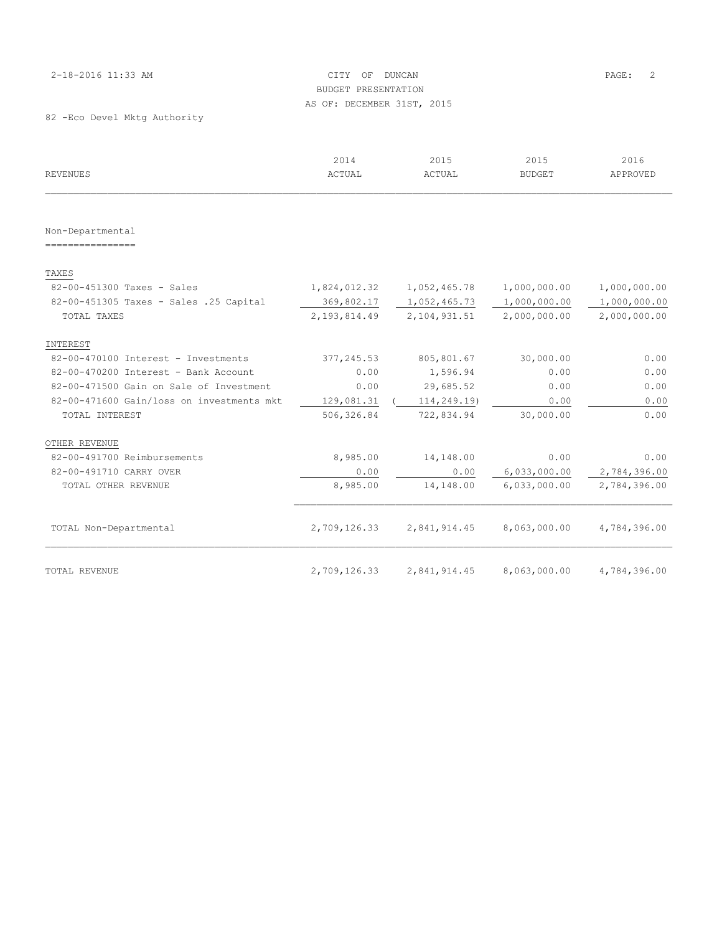# 2-18-2016 11:33 AM CITY OF DUNCAN PAGE: 2 BUDGET PRESENTATION AS OF: DECEMBER 31ST, 2015

82 -Eco Devel Mktg Authority

| <b>REVENUES</b>                           | 2014<br>ACTUAL | 2015<br>ACTUAL | 2015<br><b>BUDGET</b> | 2016<br>APPROVED |
|-------------------------------------------|----------------|----------------|-----------------------|------------------|
|                                           |                |                |                       |                  |
| Non-Departmental<br>================      |                |                |                       |                  |
|                                           |                |                |                       |                  |
| TAXES                                     |                |                |                       |                  |
| 82-00-451300 Taxes - Sales                | 1,824,012.32   | 1,052,465.78   | 1,000,000.00          | 1,000,000.00     |
| 82-00-451305 Taxes - Sales .25 Capital    | 369,802.17     | 1,052,465.73   | 1,000,000.00          | 1,000,000.00     |
| TOTAL TAXES                               | 2, 193, 814.49 | 2,104,931.51   | 2,000,000.00          | 2,000,000.00     |
| INTEREST                                  |                |                |                       |                  |
| 82-00-470100 Interest - Investments       | 377, 245.53    | 805,801.67     | 30,000.00             | 0.00             |
| 82-00-470200 Interest - Bank Account      | 0.00           | 1,596.94       | 0.00                  | 0.00             |
| 82-00-471500 Gain on Sale of Investment   | 0.00           | 29,685.52      | 0.00                  | 0.00             |
| 82-00-471600 Gain/loss on investments mkt | 129,081.31     | 114,249.19)    | 0.00                  | 0.00             |
| TOTAL INTEREST                            | 506,326.84     | 722,834.94     | 30,000.00             | 0.00             |
| OTHER REVENUE                             |                |                |                       |                  |
| 82-00-491700 Reimbursements               | 8,985.00       | 14,148.00      | 0.00                  | 0.00             |
| 82-00-491710 CARRY OVER                   | 0.00           | 0.00           | 6,033,000.00          | 2,784,396.00     |
| TOTAL OTHER REVENUE                       | 8,985.00       | 14,148.00      | 6,033,000.00          | 2,784,396.00     |
| TOTAL Non-Departmental                    | 2,709,126.33   | 2,841,914.45   | 8,063,000.00          | 4,784,396.00     |
| TOTAL REVENUE                             | 2,709,126.33   | 2,841,914.45   | 8,063,000.00          | 4,784,396.00     |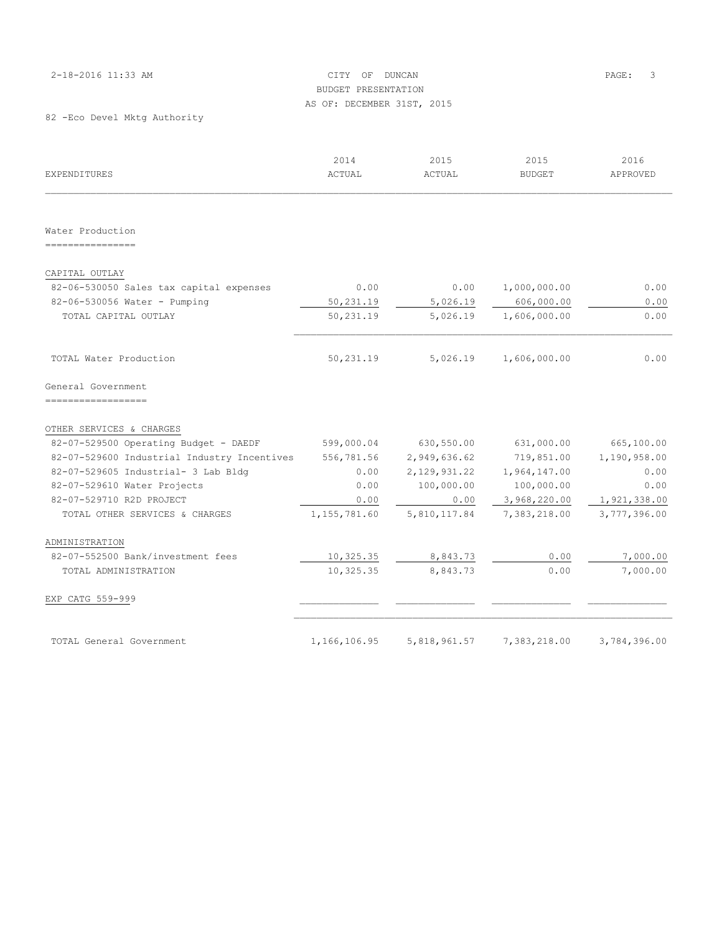### 2-18-2016 11:33 AM CITY OF DUNCAN PAGE: 3 BUDGET PRESENTATION AS OF: DECEMBER 31ST, 2015

82 -Eco Devel Mktg Authority

| <b>EXPENDITURES</b>                         | 2014<br>ACTUAL | 2015<br>ACTUAL | 2015<br><b>BUDGET</b> | 2016<br>APPROVED |
|---------------------------------------------|----------------|----------------|-----------------------|------------------|
| Water Production                            |                |                |                       |                  |
| CAPITAL OUTLAY                              |                |                |                       |                  |
| 82-06-530050 Sales tax capital expenses     | 0.00           | 0.00           | 1,000,000.00          | 0.00             |
| 82-06-530056 Water - Pumping                | 50,231.19      | 5,026.19       | 606,000.00            | 0.00             |
| TOTAL CAPITAL OUTLAY                        | 50,231.19      | 5,026.19       | 1,606,000.00          | 0.00             |
| TOTAL Water Production                      | 50,231.19      | 5,026.19       | 1,606,000.00          | 0.00             |
| General Government<br>-------------------   |                |                |                       |                  |
| OTHER SERVICES & CHARGES                    |                |                |                       |                  |
| 82-07-529500 Operating Budget - DAEDF       | 599,000.04     | 630,550.00     | 631,000.00            | 665,100.00       |
| 82-07-529600 Industrial Industry Incentives | 556,781.56     | 2,949,636.62   | 719,851.00            | 1,190,958.00     |
| 82-07-529605 Industrial- 3 Lab Bldg         | 0.00           | 2, 129, 931.22 | 1,964,147.00          | 0.00             |
| 82-07-529610 Water Projects                 | 0.00           | 100,000.00     | 100,000.00            | 0.00             |
| 82-07-529710 R2D PROJECT                    | 0.00           | 0.00           | 3,968,220.00          | 1,921,338.00     |
| TOTAL OTHER SERVICES & CHARGES              | 1, 155, 781.60 | 5,810,117.84   | 7,383,218.00          | 3,777,396.00     |
| ADMINISTRATION                              |                |                |                       |                  |
| 82-07-552500 Bank/investment fees           | 10,325.35      | 8,843.73       | 0.00                  | 7,000.00         |
| TOTAL ADMINISTRATION                        | 10,325.35      | 8,843.73       | 0.00                  | 7,000.00         |
| EXP CATG 559-999                            |                |                |                       |                  |
| TOTAL General Government                    | 1,166,106.95   | 5,818,961.57   | 7,383,218.00          | 3,784,396.00     |